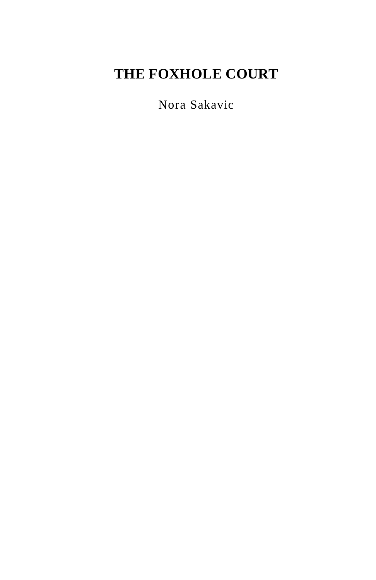## **THE FOXHOLE COURT**

Nora Sakavic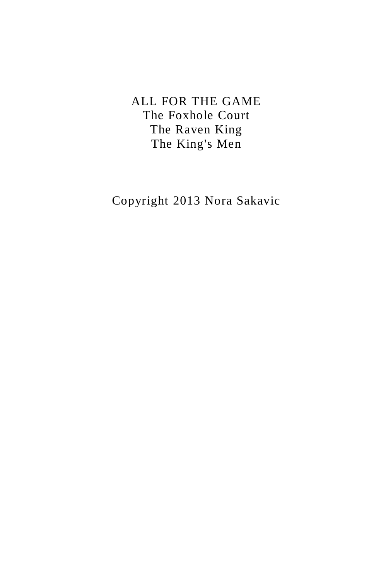## ALL FOR THE GAME The Foxhole Court The Raven King The King's Men

Copyright 2013 Nora Sakavic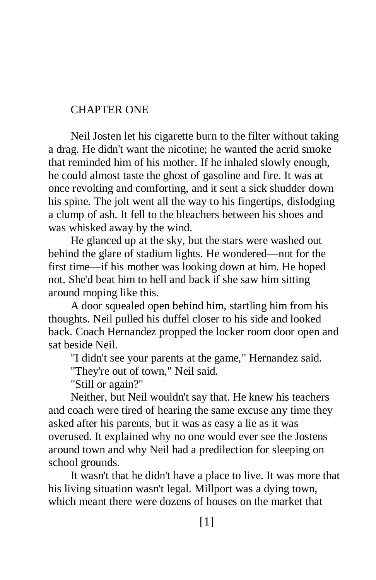## CHAPTER ONE

Neil Josten let his cigarette burn to the filter without taking a drag. He didn't want the nicotine; he wanted the acrid smoke that reminded him of his mother. If he inhaled slowly enough, he could almost taste the ghost of gasoline and fire. It was at once revolting and comforting, and it sent a sick shudder down his spine. The jolt went all the way to his fingertips, dislodging a clump of ash. It fell to the bleachers between his shoes and was whisked away by the wind.

He glanced up at the sky, but the stars were washed out behind the glare of stadium lights. He wondered—not for the first time—if his mother was looking down at him. He hoped not. She'd beat him to hell and back if she saw him sitting around moping like this.

A door squealed open behind him, startling him from his thoughts. Neil pulled his duffel closer to his side and looked back. Coach Hernandez propped the locker room door open and sat beside Neil.

"I didn't see your parents at the game," Hernandez said.

"They're out of town," Neil said.

"Still or again?"

Neither, but Neil wouldn't say that. He knew his teachers and coach were tired of hearing the same excuse any time they asked after his parents, but it was as easy a lie as it was overused. It explained why no one would ever see the Jostens around town and why Neil had a predilection for sleeping on school grounds.

It wasn't that he didn't have a place to live. It was more that his living situation wasn't legal. Millport was a dying town, which meant there were dozens of houses on the market that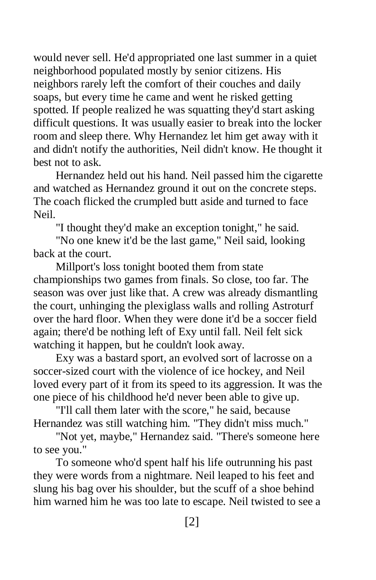would never sell. He'd appropriated one last summer in a quiet neighborhood populated mostly by senior citizens. His neighbors rarely left the comfort of their couches and daily soaps, but every time he came and went he risked getting spotted. If people realized he was squatting they'd start asking difficult questions. It was usually easier to break into the locker room and sleep there. Why Hernandez let him get away with it and didn't notify the authorities, Neil didn't know. He thought it best not to ask.

Hernandez held out his hand. Neil passed him the cigarette and watched as Hernandez ground it out on the concrete steps. The coach flicked the crumpled butt aside and turned to face Neil.

"I thought they'd make an exception tonight," he said.

"No one knew it'd be the last game," Neil said, looking back at the court.

Millport's loss tonight booted them from state championships two games from finals. So close, too far. The season was over just like that. A crew was already dismantling the court, unhinging the plexiglass walls and rolling Astroturf over the hard floor. When they were done it'd be a soccer field again; there'd be nothing left of Exy until fall. Neil felt sick watching it happen, but he couldn't look away.

Exy was a bastard sport, an evolved sort of lacrosse on a soccer-sized court with the violence of ice hockey, and Neil loved every part of it from its speed to its aggression. It was the one piece of his childhood he'd never been able to give up.

"I'll call them later with the score," he said, because Hernandez was still watching him. "They didn't miss much."

"Not yet, maybe," Hernandez said. "There's someone here to see you."

To someone who'd spent half his life outrunning his past they were words from a nightmare. Neil leaped to his feet and slung his bag over his shoulder, but the scuff of a shoe behind him warned him he was too late to escape. Neil twisted to see a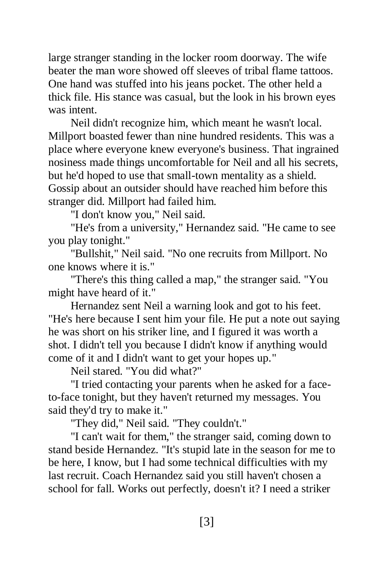large stranger standing in the locker room doorway. The wife beater the man wore showed off sleeves of tribal flame tattoos. One hand was stuffed into his jeans pocket. The other held a thick file. His stance was casual, but the look in his brown eyes was intent.

Neil didn't recognize him, which meant he wasn't local. Millport boasted fewer than nine hundred residents. This was a place where everyone knew everyone's business. That ingrained nosiness made things uncomfortable for Neil and all his secrets, but he'd hoped to use that small-town mentality as a shield. Gossip about an outsider should have reached him before this stranger did. Millport had failed him.

"I don't know you," Neil said.

"He's from a university," Hernandez said. "He came to see you play tonight."

"Bullshit," Neil said. "No one recruits from Millport. No one knows where it is."

"There's this thing called a map," the stranger said. "You might have heard of it."

Hernandez sent Neil a warning look and got to his feet. "He's here because I sent him your file. He put a note out saying he was short on his striker line, and I figured it was worth a shot. I didn't tell you because I didn't know if anything would come of it and I didn't want to get your hopes up."

Neil stared. "You did what?"

"I tried contacting your parents when he asked for a faceto-face tonight, but they haven't returned my messages. You said they'd try to make it."

"They did," Neil said. "They couldn't."

"I can't wait for them," the stranger said, coming down to stand beside Hernandez. "It's stupid late in the season for me to be here, I know, but I had some technical difficulties with my last recruit. Coach Hernandez said you still haven't chosen a school for fall. Works out perfectly, doesn't it? I need a striker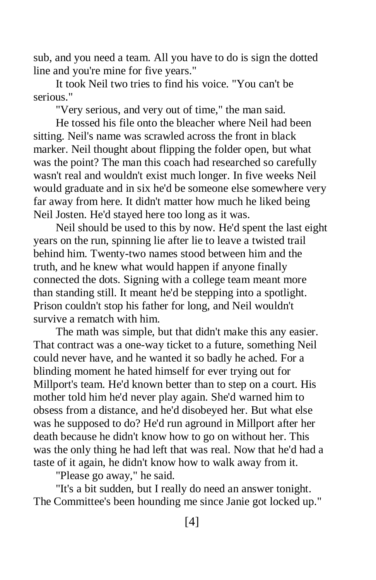sub, and you need a team. All you have to do is sign the dotted line and you're mine for five years."

It took Neil two tries to find his voice. "You can't be serious."

"Very serious, and very out of time," the man said.

He tossed his file onto the bleacher where Neil had been sitting. Neil's name was scrawled across the front in black marker. Neil thought about flipping the folder open, but what was the point? The man this coach had researched so carefully wasn't real and wouldn't exist much longer. In five weeks Neil would graduate and in six he'd be someone else somewhere very far away from here. It didn't matter how much he liked being Neil Josten. He'd stayed here too long as it was.

Neil should be used to this by now. He'd spent the last eight years on the run, spinning lie after lie to leave a twisted trail behind him. Twenty-two names stood between him and the truth, and he knew what would happen if anyone finally connected the dots. Signing with a college team meant more than standing still. It meant he'd be stepping into a spotlight. Prison couldn't stop his father for long, and Neil wouldn't survive a rematch with him.

The math was simple, but that didn't make this any easier. That contract was a one-way ticket to a future, something Neil could never have, and he wanted it so badly he ached. For a blinding moment he hated himself for ever trying out for Millport's team. He'd known better than to step on a court. His mother told him he'd never play again. She'd warned him to obsess from a distance, and he'd disobeyed her. But what else was he supposed to do? He'd run aground in Millport after her death because he didn't know how to go on without her. This was the only thing he had left that was real. Now that he'd had a taste of it again, he didn't know how to walk away from it.

"Please go away," he said.

"It's a bit sudden, but I really do need an answer tonight. The Committee's been hounding me since Janie got locked up."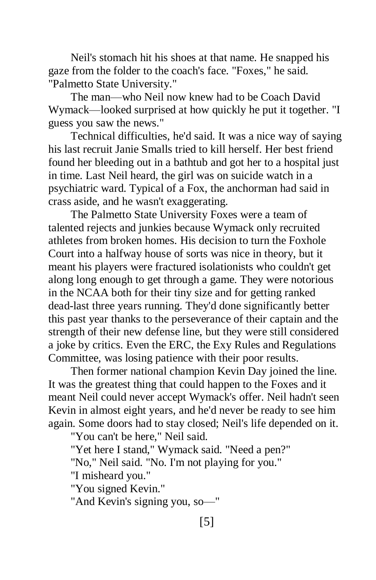Neil's stomach hit his shoes at that name. He snapped his gaze from the folder to the coach's face. "Foxes," he said. "Palmetto State University."

The man—who Neil now knew had to be Coach David Wymack—looked surprised at how quickly he put it together. "I guess you saw the news."

Technical difficulties, he'd said. It was a nice way of saying his last recruit Janie Smalls tried to kill herself. Her best friend found her bleeding out in a bathtub and got her to a hospital just in time. Last Neil heard, the girl was on suicide watch in a psychiatric ward. Typical of a Fox, the anchorman had said in crass aside, and he wasn't exaggerating.

The Palmetto State University Foxes were a team of talented rejects and junkies because Wymack only recruited athletes from broken homes. His decision to turn the Foxhole Court into a halfway house of sorts was nice in theory, but it meant his players were fractured isolationists who couldn't get along long enough to get through a game. They were notorious in the NCAA both for their tiny size and for getting ranked dead-last three years running. They'd done significantly better this past year thanks to the perseverance of their captain and the strength of their new defense line, but they were still considered a joke by critics. Even the ERC, the Exy Rules and Regulations Committee, was losing patience with their poor results.

Then former national champion Kevin Day joined the line. It was the greatest thing that could happen to the Foxes and it meant Neil could never accept Wymack's offer. Neil hadn't seen Kevin in almost eight years, and he'd never be ready to see him again. Some doors had to stay closed; Neil's life depended on it.

"You can't be here," Neil said.

"Yet here I stand," Wymack said. "Need a pen?"

"No," Neil said. "No. I'm not playing for you."

"I misheard you."

"You signed Kevin."

"And Kevin's signing you, so—"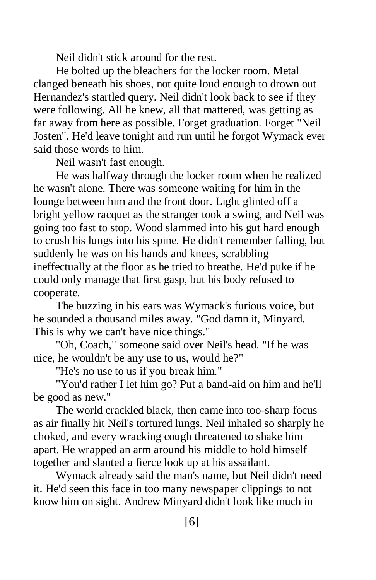Neil didn't stick around for the rest.

He bolted up the bleachers for the locker room. Metal clanged beneath his shoes, not quite loud enough to drown out Hernandez's startled query. Neil didn't look back to see if they were following. All he knew, all that mattered, was getting as far away from here as possible. Forget graduation. Forget "Neil Josten". He'd leave tonight and run until he forgot Wymack ever said those words to him.

Neil wasn't fast enough.

He was halfway through the locker room when he realized he wasn't alone. There was someone waiting for him in the lounge between him and the front door. Light glinted off a bright yellow racquet as the stranger took a swing, and Neil was going too fast to stop. Wood slammed into his gut hard enough to crush his lungs into his spine. He didn't remember falling, but suddenly he was on his hands and knees, scrabbling ineffectually at the floor as he tried to breathe. He'd puke if he could only manage that first gasp, but his body refused to cooperate.

The buzzing in his ears was Wymack's furious voice, but he sounded a thousand miles away. "God damn it, Minyard. This is why we can't have nice things."

"Oh, Coach," someone said over Neil's head. "If he was nice, he wouldn't be any use to us, would he?"

"He's no use to us if you break him."

"You'd rather I let him go? Put a band-aid on him and he'll be good as new."

The world crackled black, then came into too-sharp focus as air finally hit Neil's tortured lungs. Neil inhaled so sharply he choked, and every wracking cough threatened to shake him apart. He wrapped an arm around his middle to hold himself together and slanted a fierce look up at his assailant.

Wymack already said the man's name, but Neil didn't need it. He'd seen this face in too many newspaper clippings to not know him on sight. Andrew Minyard didn't look like much in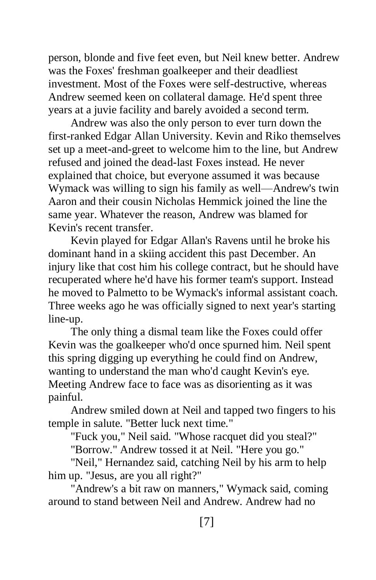person, blonde and five feet even, but Neil knew better. Andrew was the Foxes' freshman goalkeeper and their deadliest investment. Most of the Foxes were self-destructive, whereas Andrew seemed keen on collateral damage. He'd spent three years at a juvie facility and barely avoided a second term.

Andrew was also the only person to ever turn down the first-ranked Edgar Allan University. Kevin and Riko themselves set up a meet-and-greet to welcome him to the line, but Andrew refused and joined the dead-last Foxes instead. He never explained that choice, but everyone assumed it was because Wymack was willing to sign his family as well—Andrew's twin Aaron and their cousin Nicholas Hemmick joined the line the same year. Whatever the reason, Andrew was blamed for Kevin's recent transfer.

Kevin played for Edgar Allan's Ravens until he broke his dominant hand in a skiing accident this past December. An injury like that cost him his college contract, but he should have recuperated where he'd have his former team's support. Instead he moved to Palmetto to be Wymack's informal assistant coach. Three weeks ago he was officially signed to next year's starting line-up.

The only thing a dismal team like the Foxes could offer Kevin was the goalkeeper who'd once spurned him. Neil spent this spring digging up everything he could find on Andrew, wanting to understand the man who'd caught Kevin's eye. Meeting Andrew face to face was as disorienting as it was painful.

Andrew smiled down at Neil and tapped two fingers to his temple in salute. "Better luck next time."

"Fuck you," Neil said. "Whose racquet did you steal?"

"Borrow." Andrew tossed it at Neil. "Here you go."

"Neil," Hernandez said, catching Neil by his arm to help him up. "Jesus, are you all right?"

"Andrew's a bit raw on manners," Wymack said, coming around to stand between Neil and Andrew. Andrew had no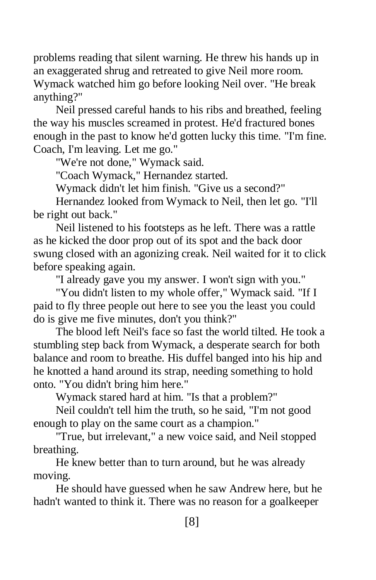problems reading that silent warning. He threw his hands up in an exaggerated shrug and retreated to give Neil more room. Wymack watched him go before looking Neil over. "He break anything?"

Neil pressed careful hands to his ribs and breathed, feeling the way his muscles screamed in protest. He'd fractured bones enough in the past to know he'd gotten lucky this time. "I'm fine. Coach, I'm leaving. Let me go."

"We're not done," Wymack said.

"Coach Wymack," Hernandez started.

Wymack didn't let him finish. "Give us a second?"

Hernandez looked from Wymack to Neil, then let go. "I'll be right out back."

Neil listened to his footsteps as he left. There was a rattle as he kicked the door prop out of its spot and the back door swung closed with an agonizing creak. Neil waited for it to click before speaking again.

"I already gave you my answer. I won't sign with you."

"You didn't listen to my whole offer," Wymack said. "If I paid to fly three people out here to see you the least you could do is give me five minutes, don't you think?"

The blood left Neil's face so fast the world tilted. He took a stumbling step back from Wymack, a desperate search for both balance and room to breathe. His duffel banged into his hip and he knotted a hand around its strap, needing something to hold onto. "You didn't bring him here."

Wymack stared hard at him. "Is that a problem?"

Neil couldn't tell him the truth, so he said, "I'm not good enough to play on the same court as a champion."

"True, but irrelevant," a new voice said, and Neil stopped breathing.

He knew better than to turn around, but he was already moving.

He should have guessed when he saw Andrew here, but he hadn't wanted to think it. There was no reason for a goalkeeper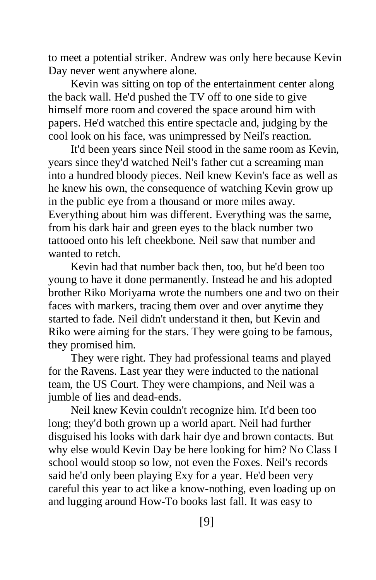to meet a potential striker. Andrew was only here because Kevin Day never went anywhere alone.

Kevin was sitting on top of the entertainment center along the back wall. He'd pushed the TV off to one side to give himself more room and covered the space around him with papers. He'd watched this entire spectacle and, judging by the cool look on his face, was unimpressed by Neil's reaction.

It'd been years since Neil stood in the same room as Kevin, years since they'd watched Neil's father cut a screaming man into a hundred bloody pieces. Neil knew Kevin's face as well as he knew his own, the consequence of watching Kevin grow up in the public eye from a thousand or more miles away. Everything about him was different. Everything was the same, from his dark hair and green eyes to the black number two tattooed onto his left cheekbone. Neil saw that number and wanted to retch.

Kevin had that number back then, too, but he'd been too young to have it done permanently. Instead he and his adopted brother Riko Moriyama wrote the numbers one and two on their faces with markers, tracing them over and over anytime they started to fade. Neil didn't understand it then, but Kevin and Riko were aiming for the stars. They were going to be famous, they promised him.

They were right. They had professional teams and played for the Ravens. Last year they were inducted to the national team, the US Court. They were champions, and Neil was a jumble of lies and dead-ends.

Neil knew Kevin couldn't recognize him. It'd been too long; they'd both grown up a world apart. Neil had further disguised his looks with dark hair dye and brown contacts. But why else would Kevin Day be here looking for him? No Class I school would stoop so low, not even the Foxes. Neil's records said he'd only been playing Exy for a year. He'd been very careful this year to act like a know-nothing, even loading up on and lugging around How-To books last fall. It was easy to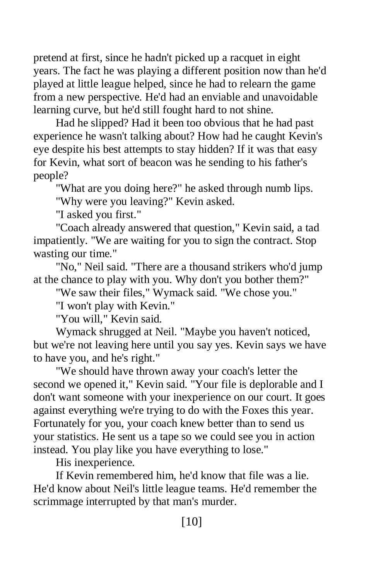pretend at first, since he hadn't picked up a racquet in eight years. The fact he was playing a different position now than he'd played at little league helped, since he had to relearn the game from a new perspective. He'd had an enviable and unavoidable learning curve, but he'd still fought hard to not shine.

Had he slipped? Had it been too obvious that he had past experience he wasn't talking about? How had he caught Kevin's eye despite his best attempts to stay hidden? If it was that easy for Kevin, what sort of beacon was he sending to his father's people?

"What are you doing here?" he asked through numb lips. "Why were you leaving?" Kevin asked.

"I asked you first."

"Coach already answered that question," Kevin said, a tad impatiently. "We are waiting for you to sign the contract. Stop wasting our time."

"No," Neil said. "There are a thousand strikers who'd jump at the chance to play with you. Why don't you bother them?"

"We saw their files," Wymack said. "We chose you."

"I won't play with Kevin."

"You will," Kevin said.

Wymack shrugged at Neil. "Maybe you haven't noticed, but we're not leaving here until you say yes. Kevin says we have to have you, and he's right."

"We should have thrown away your coach's letter the second we opened it," Kevin said. "Your file is deplorable and I don't want someone with your inexperience on our court. It goes against everything we're trying to do with the Foxes this year. Fortunately for you, your coach knew better than to send us your statistics. He sent us a tape so we could see you in action instead. You play like you have everything to lose."

His inexperience.

If Kevin remembered him, he'd know that file was a lie. He'd know about Neil's little league teams. He'd remember the scrimmage interrupted by that man's murder.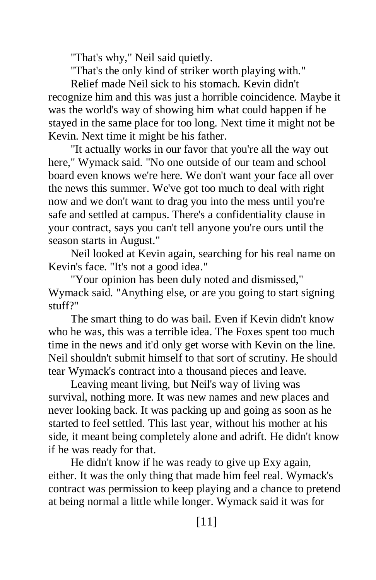"That's why," Neil said quietly.

"That's the only kind of striker worth playing with."

Relief made Neil sick to his stomach. Kevin didn't recognize him and this was just a horrible coincidence. Maybe it was the world's way of showing him what could happen if he stayed in the same place for too long. Next time it might not be Kevin. Next time it might be his father.

"It actually works in our favor that you're all the way out here," Wymack said. "No one outside of our team and school board even knows we're here. We don't want your face all over the news this summer. We've got too much to deal with right now and we don't want to drag you into the mess until you're safe and settled at campus. There's a confidentiality clause in your contract, says you can't tell anyone you're ours until the season starts in August."

Neil looked at Kevin again, searching for his real name on Kevin's face. "It's not a good idea."

"Your opinion has been duly noted and dismissed," Wymack said. "Anything else, or are you going to start signing stuff?"

The smart thing to do was bail. Even if Kevin didn't know who he was, this was a terrible idea. The Foxes spent too much time in the news and it'd only get worse with Kevin on the line. Neil shouldn't submit himself to that sort of scrutiny. He should tear Wymack's contract into a thousand pieces and leave.

Leaving meant living, but Neil's way of living was survival, nothing more. It was new names and new places and never looking back. It was packing up and going as soon as he started to feel settled. This last year, without his mother at his side, it meant being completely alone and adrift. He didn't know if he was ready for that.

He didn't know if he was ready to give up Exy again, either. It was the only thing that made him feel real. Wymack's contract was permission to keep playing and a chance to pretend at being normal a little while longer. Wymack said it was for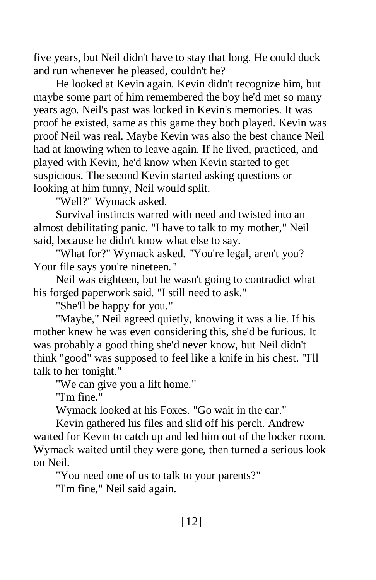five years, but Neil didn't have to stay that long. He could duck and run whenever he pleased, couldn't he?

He looked at Kevin again. Kevin didn't recognize him, but maybe some part of him remembered the boy he'd met so many years ago. Neil's past was locked in Kevin's memories. It was proof he existed, same as this game they both played. Kevin was proof Neil was real. Maybe Kevin was also the best chance Neil had at knowing when to leave again. If he lived, practiced, and played with Kevin, he'd know when Kevin started to get suspicious. The second Kevin started asking questions or looking at him funny, Neil would split.

"Well?" Wymack asked.

Survival instincts warred with need and twisted into an almost debilitating panic. "I have to talk to my mother," Neil said, because he didn't know what else to say.

"What for?" Wymack asked. "You're legal, aren't you? Your file says you're nineteen."

Neil was eighteen, but he wasn't going to contradict what his forged paperwork said. "I still need to ask."

"She'll be happy for you."

"Maybe," Neil agreed quietly, knowing it was a lie. If his mother knew he was even considering this, she'd be furious. It was probably a good thing she'd never know, but Neil didn't think "good" was supposed to feel like a knife in his chest. "I'll talk to her tonight."

"We can give you a lift home."

"I'm fine."

Wymack looked at his Foxes. "Go wait in the car."

Kevin gathered his files and slid off his perch. Andrew waited for Kevin to catch up and led him out of the locker room. Wymack waited until they were gone, then turned a serious look on Neil.

"You need one of us to talk to your parents?"

"I'm fine," Neil said again.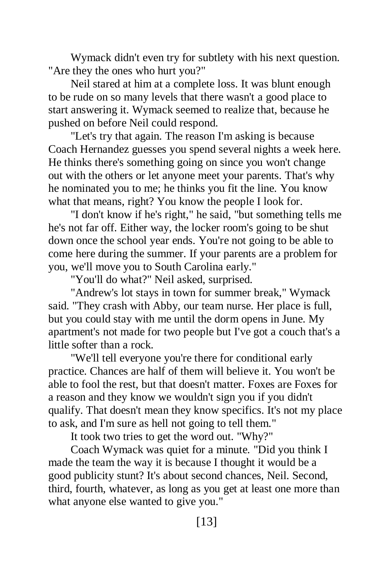Wymack didn't even try for subtlety with his next question. "Are they the ones who hurt you?"

Neil stared at him at a complete loss. It was blunt enough to be rude on so many levels that there wasn't a good place to start answering it. Wymack seemed to realize that, because he pushed on before Neil could respond.

"Let's try that again. The reason I'm asking is because Coach Hernandez guesses you spend several nights a week here. He thinks there's something going on since you won't change out with the others or let anyone meet your parents. That's why he nominated you to me; he thinks you fit the line. You know what that means, right? You know the people I look for.

"I don't know if he's right," he said, "but something tells me he's not far off. Either way, the locker room's going to be shut down once the school year ends. You're not going to be able to come here during the summer. If your parents are a problem for you, we'll move you to South Carolina early."

"You'll do what?" Neil asked, surprised.

"Andrew's lot stays in town for summer break," Wymack said. "They crash with Abby, our team nurse. Her place is full, but you could stay with me until the dorm opens in June. My apartment's not made for two people but I've got a couch that's a little softer than a rock.

"We'll tell everyone you're there for conditional early practice. Chances are half of them will believe it. You won't be able to fool the rest, but that doesn't matter. Foxes are Foxes for a reason and they know we wouldn't sign you if you didn't qualify. That doesn't mean they know specifics. It's not my place to ask, and I'm sure as hell not going to tell them."

It took two tries to get the word out. "Why?"

Coach Wymack was quiet for a minute. "Did you think I made the team the way it is because I thought it would be a good publicity stunt? It's about second chances, Neil. Second, third, fourth, whatever, as long as you get at least one more than what anyone else wanted to give you."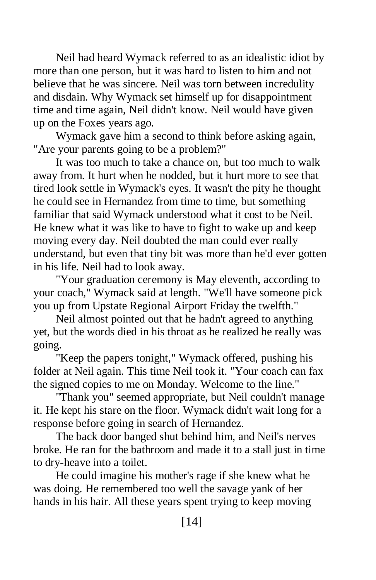Neil had heard Wymack referred to as an idealistic idiot by more than one person, but it was hard to listen to him and not believe that he was sincere. Neil was torn between incredulity and disdain. Why Wymack set himself up for disappointment time and time again, Neil didn't know. Neil would have given up on the Foxes years ago.

Wymack gave him a second to think before asking again, "Are your parents going to be a problem?"

It was too much to take a chance on, but too much to walk away from. It hurt when he nodded, but it hurt more to see that tired look settle in Wymack's eyes. It wasn't the pity he thought he could see in Hernandez from time to time, but something familiar that said Wymack understood what it cost to be Neil. He knew what it was like to have to fight to wake up and keep moving every day. Neil doubted the man could ever really understand, but even that tiny bit was more than he'd ever gotten in his life. Neil had to look away.

"Your graduation ceremony is May eleventh, according to your coach," Wymack said at length. "We'll have someone pick you up from Upstate Regional Airport Friday the twelfth."

Neil almost pointed out that he hadn't agreed to anything yet, but the words died in his throat as he realized he really was going.

"Keep the papers tonight," Wymack offered, pushing his folder at Neil again. This time Neil took it. "Your coach can fax the signed copies to me on Monday. Welcome to the line."

"Thank you" seemed appropriate, but Neil couldn't manage it. He kept his stare on the floor. Wymack didn't wait long for a response before going in search of Hernandez.

The back door banged shut behind him, and Neil's nerves broke. He ran for the bathroom and made it to a stall just in time to dry-heave into a toilet.

He could imagine his mother's rage if she knew what he was doing. He remembered too well the savage yank of her hands in his hair. All these years spent trying to keep moving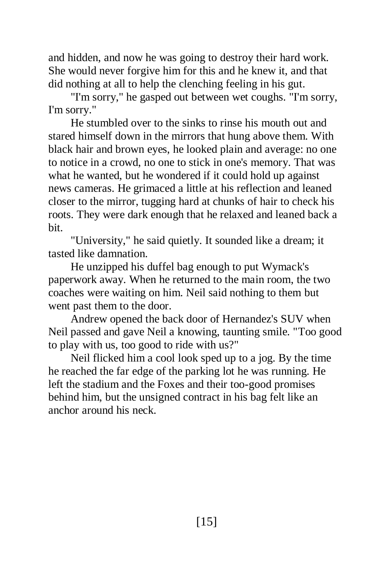and hidden, and now he was going to destroy their hard work. She would never forgive him for this and he knew it, and that did nothing at all to help the clenching feeling in his gut.

"I'm sorry," he gasped out between wet coughs. "I'm sorry, I'm sorry."

He stumbled over to the sinks to rinse his mouth out and stared himself down in the mirrors that hung above them. With black hair and brown eyes, he looked plain and average: no one to notice in a crowd, no one to stick in one's memory. That was what he wanted, but he wondered if it could hold up against news cameras. He grimaced a little at his reflection and leaned closer to the mirror, tugging hard at chunks of hair to check his roots. They were dark enough that he relaxed and leaned back a bit.

"University," he said quietly. It sounded like a dream; it tasted like damnation.

He unzipped his duffel bag enough to put Wymack's paperwork away. When he returned to the main room, the two coaches were waiting on him. Neil said nothing to them but went past them to the door.

Andrew opened the back door of Hernandez's SUV when Neil passed and gave Neil a knowing, taunting smile. "Too good to play with us, too good to ride with us?"

Neil flicked him a cool look sped up to a jog. By the time he reached the far edge of the parking lot he was running. He left the stadium and the Foxes and their too-good promises behind him, but the unsigned contract in his bag felt like an anchor around his neck.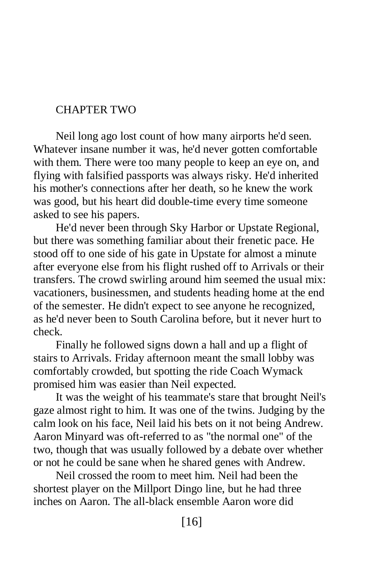## CHAPTER TWO

Neil long ago lost count of how many airports he'd seen. Whatever insane number it was, he'd never gotten comfortable with them. There were too many people to keep an eye on, and flying with falsified passports was always risky. He'd inherited his mother's connections after her death, so he knew the work was good, but his heart did double-time every time someone asked to see his papers.

He'd never been through Sky Harbor or Upstate Regional, but there was something familiar about their frenetic pace. He stood off to one side of his gate in Upstate for almost a minute after everyone else from his flight rushed off to Arrivals or their transfers. The crowd swirling around him seemed the usual mix: vacationers, businessmen, and students heading home at the end of the semester. He didn't expect to see anyone he recognized, as he'd never been to South Carolina before, but it never hurt to check.

Finally he followed signs down a hall and up a flight of stairs to Arrivals. Friday afternoon meant the small lobby was comfortably crowded, but spotting the ride Coach Wymack promised him was easier than Neil expected.

It was the weight of his teammate's stare that brought Neil's gaze almost right to him. It was one of the twins. Judging by the calm look on his face, Neil laid his bets on it not being Andrew. Aaron Minyard was oft-referred to as "the normal one" of the two, though that was usually followed by a debate over whether or not he could be sane when he shared genes with Andrew.

Neil crossed the room to meet him. Neil had been the shortest player on the Millport Dingo line, but he had three inches on Aaron. The all-black ensemble Aaron wore did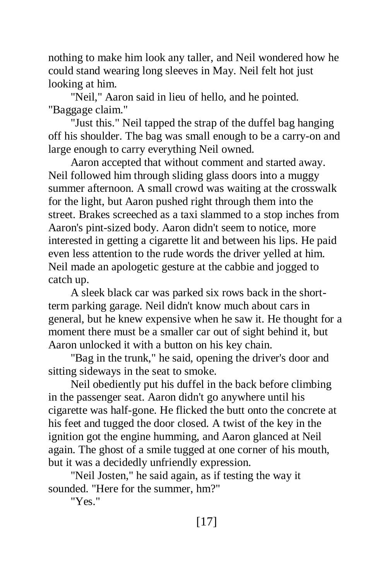nothing to make him look any taller, and Neil wondered how he could stand wearing long sleeves in May. Neil felt hot just looking at him.

"Neil," Aaron said in lieu of hello, and he pointed. "Baggage claim."

"Just this." Neil tapped the strap of the duffel bag hanging off his shoulder. The bag was small enough to be a carry-on and large enough to carry everything Neil owned.

Aaron accepted that without comment and started away. Neil followed him through sliding glass doors into a muggy summer afternoon. A small crowd was waiting at the crosswalk for the light, but Aaron pushed right through them into the street. Brakes screeched as a taxi slammed to a stop inches from Aaron's pint-sized body. Aaron didn't seem to notice, more interested in getting a cigarette lit and between his lips. He paid even less attention to the rude words the driver yelled at him. Neil made an apologetic gesture at the cabbie and jogged to catch up.

A sleek black car was parked six rows back in the shortterm parking garage. Neil didn't know much about cars in general, but he knew expensive when he saw it. He thought for a moment there must be a smaller car out of sight behind it, but Aaron unlocked it with a button on his key chain.

"Bag in the trunk," he said, opening the driver's door and sitting sideways in the seat to smoke.

Neil obediently put his duffel in the back before climbing in the passenger seat. Aaron didn't go anywhere until his cigarette was half-gone. He flicked the butt onto the concrete at his feet and tugged the door closed. A twist of the key in the ignition got the engine humming, and Aaron glanced at Neil again. The ghost of a smile tugged at one corner of his mouth, but it was a decidedly unfriendly expression.

"Neil Josten," he said again, as if testing the way it sounded. "Here for the summer, hm?"

"Yes."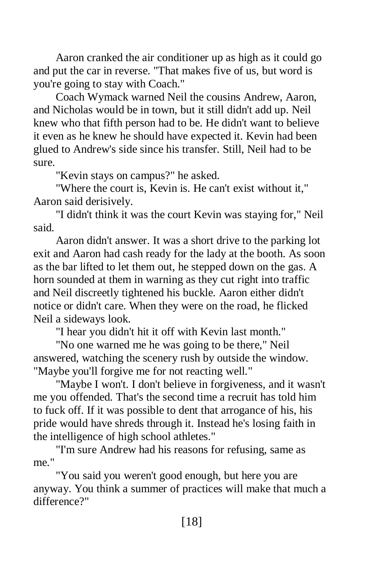Aaron cranked the air conditioner up as high as it could go and put the car in reverse. "That makes five of us, but word is you're going to stay with Coach."

Coach Wymack warned Neil the cousins Andrew, Aaron, and Nicholas would be in town, but it still didn't add up. Neil knew who that fifth person had to be. He didn't want to believe it even as he knew he should have expected it. Kevin had been glued to Andrew's side since his transfer. Still, Neil had to be sure.

"Kevin stays on campus?" he asked.

"Where the court is, Kevin is. He can't exist without it," Aaron said derisively.

"I didn't think it was the court Kevin was staying for," Neil said.

Aaron didn't answer. It was a short drive to the parking lot exit and Aaron had cash ready for the lady at the booth. As soon as the bar lifted to let them out, he stepped down on the gas. A horn sounded at them in warning as they cut right into traffic and Neil discreetly tightened his buckle. Aaron either didn't notice or didn't care. When they were on the road, he flicked Neil a sideways look.

"I hear you didn't hit it off with Kevin last month."

"No one warned me he was going to be there," Neil answered, watching the scenery rush by outside the window. "Maybe you'll forgive me for not reacting well."

"Maybe I won't. I don't believe in forgiveness, and it wasn't me you offended. That's the second time a recruit has told him to fuck off. If it was possible to dent that arrogance of his, his pride would have shreds through it. Instead he's losing faith in the intelligence of high school athletes."

"I'm sure Andrew had his reasons for refusing, same as me."

"You said you weren't good enough, but here you are anyway. You think a summer of practices will make that much a difference?"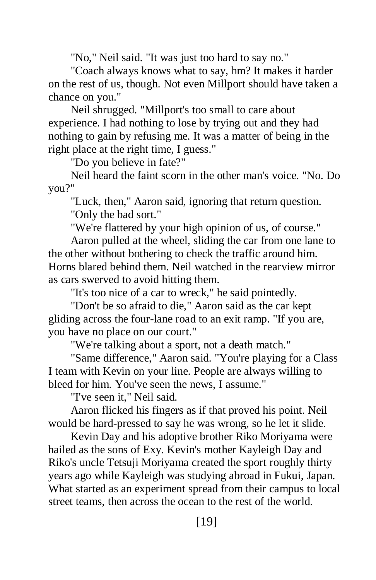"No," Neil said. "It was just too hard to say no."

"Coach always knows what to say, hm? It makes it harder on the rest of us, though. Not even Millport should have taken a chance on you."

Neil shrugged. "Millport's too small to care about experience. I had nothing to lose by trying out and they had nothing to gain by refusing me. It was a matter of being in the right place at the right time, I guess."

"Do you believe in fate?"

Neil heard the faint scorn in the other man's voice. "No. Do you?"

"Luck, then," Aaron said, ignoring that return question. "Only the bad sort."

"We're flattered by your high opinion of us, of course."

Aaron pulled at the wheel, sliding the car from one lane to the other without bothering to check the traffic around him. Horns blared behind them. Neil watched in the rearview mirror as cars swerved to avoid hitting them.

"It's too nice of a car to wreck," he said pointedly.

"Don't be so afraid to die," Aaron said as the car kept gliding across the four-lane road to an exit ramp. "If you are, you have no place on our court."

"We're talking about a sport, not a death match."

"Same difference," Aaron said. "You're playing for a Class I team with Kevin on your line. People are always willing to bleed for him. You've seen the news, I assume."

"I've seen it," Neil said.

Aaron flicked his fingers as if that proved his point. Neil would be hard-pressed to say he was wrong, so he let it slide.

Kevin Day and his adoptive brother Riko Moriyama were hailed as the sons of Exy. Kevin's mother Kayleigh Day and Riko's uncle Tetsuji Moriyama created the sport roughly thirty years ago while Kayleigh was studying abroad in Fukui, Japan. What started as an experiment spread from their campus to local street teams, then across the ocean to the rest of the world.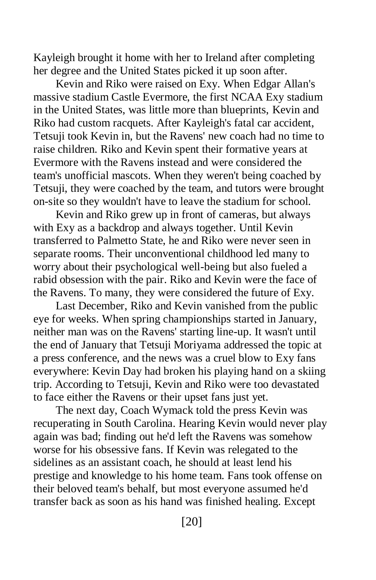Kayleigh brought it home with her to Ireland after completing her degree and the United States picked it up soon after.

Kevin and Riko were raised on Exy. When Edgar Allan's massive stadium Castle Evermore, the first NCAA Exy stadium in the United States, was little more than blueprints, Kevin and Riko had custom racquets. After Kayleigh's fatal car accident, Tetsuji took Kevin in, but the Ravens' new coach had no time to raise children. Riko and Kevin spent their formative years at Evermore with the Ravens instead and were considered the team's unofficial mascots. When they weren't being coached by Tetsuji, they were coached by the team, and tutors were brought on-site so they wouldn't have to leave the stadium for school.

Kevin and Riko grew up in front of cameras, but always with Exy as a backdrop and always together. Until Kevin transferred to Palmetto State, he and Riko were never seen in separate rooms. Their unconventional childhood led many to worry about their psychological well-being but also fueled a rabid obsession with the pair. Riko and Kevin were the face of the Ravens. To many, they were considered the future of Exy.

Last December, Riko and Kevin vanished from the public eye for weeks. When spring championships started in January, neither man was on the Ravens' starting line-up. It wasn't until the end of January that Tetsuji Moriyama addressed the topic at a press conference, and the news was a cruel blow to Exy fans everywhere: Kevin Day had broken his playing hand on a skiing trip. According to Tetsuji, Kevin and Riko were too devastated to face either the Ravens or their upset fans just yet.

The next day, Coach Wymack told the press Kevin was recuperating in South Carolina. Hearing Kevin would never play again was bad; finding out he'd left the Ravens was somehow worse for his obsessive fans. If Kevin was relegated to the sidelines as an assistant coach, he should at least lend his prestige and knowledge to his home team. Fans took offense on their beloved team's behalf, but most everyone assumed he'd transfer back as soon as his hand was finished healing. Except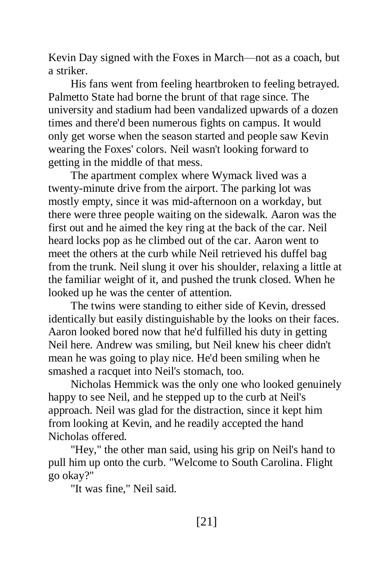Kevin Day signed with the Foxes in March—not as a coach, but a striker.

His fans went from feeling heartbroken to feeling betrayed. Palmetto State had borne the brunt of that rage since. The university and stadium had been vandalized upwards of a dozen times and there'd been numerous fights on campus. It would only get worse when the season started and people saw Kevin wearing the Foxes' colors. Neil wasn't looking forward to getting in the middle of that mess.

The apartment complex where Wymack lived was a twenty-minute drive from the airport. The parking lot was mostly empty, since it was mid-afternoon on a workday, but there were three people waiting on the sidewalk. Aaron was the first out and he aimed the key ring at the back of the car. Neil heard locks pop as he climbed out of the car. Aaron went to meet the others at the curb while Neil retrieved his duffel bag from the trunk. Neil slung it over his shoulder, relaxing a little at the familiar weight of it, and pushed the trunk closed. When he looked up he was the center of attention.

The twins were standing to either side of Kevin, dressed identically but easily distinguishable by the looks on their faces. Aaron looked bored now that he'd fulfilled his duty in getting Neil here. Andrew was smiling, but Neil knew his cheer didn't mean he was going to play nice. He'd been smiling when he smashed a racquet into Neil's stomach, too.

Nicholas Hemmick was the only one who looked genuinely happy to see Neil, and he stepped up to the curb at Neil's approach. Neil was glad for the distraction, since it kept him from looking at Kevin, and he readily accepted the hand Nicholas offered.

"Hey," the other man said, using his grip on Neil's hand to pull him up onto the curb. "Welcome to South Carolina. Flight go okay?"

"It was fine," Neil said.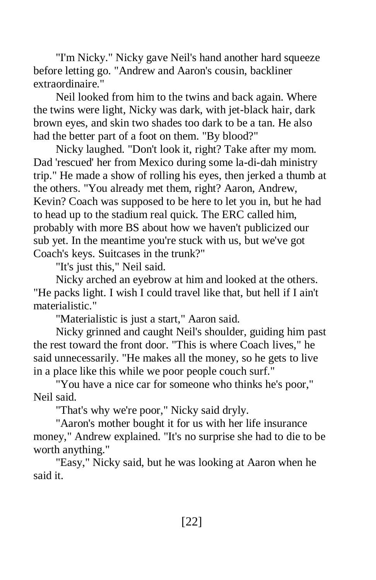"I'm Nicky." Nicky gave Neil's hand another hard squeeze before letting go. "Andrew and Aaron's cousin, backliner extraordinaire."

Neil looked from him to the twins and back again. Where the twins were light, Nicky was dark, with jet-black hair, dark brown eyes, and skin two shades too dark to be a tan. He also had the better part of a foot on them. "By blood?"

Nicky laughed. "Don't look it, right? Take after my mom. Dad 'rescued' her from Mexico during some la-di-dah ministry trip." He made a show of rolling his eyes, then jerked a thumb at the others. "You already met them, right? Aaron, Andrew, Kevin? Coach was supposed to be here to let you in, but he had to head up to the stadium real quick. The ERC called him, probably with more BS about how we haven't publicized our sub yet. In the meantime you're stuck with us, but we've got Coach's keys. Suitcases in the trunk?"

"It's just this," Neil said.

Nicky arched an eyebrow at him and looked at the others. "He packs light. I wish I could travel like that, but hell if I ain't materialistic."

"Materialistic is just a start," Aaron said.

Nicky grinned and caught Neil's shoulder, guiding him past the rest toward the front door. "This is where Coach lives," he said unnecessarily. "He makes all the money, so he gets to live in a place like this while we poor people couch surf."

"You have a nice car for someone who thinks he's poor," Neil said.

"That's why we're poor," Nicky said dryly.

"Aaron's mother bought it for us with her life insurance money," Andrew explained. "It's no surprise she had to die to be worth anything."

"Easy," Nicky said, but he was looking at Aaron when he said it.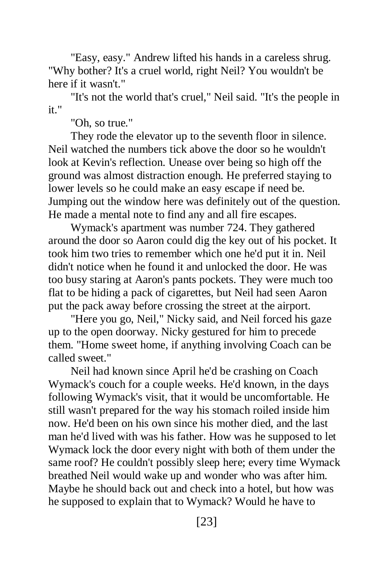"Easy, easy." Andrew lifted his hands in a careless shrug. "Why bother? It's a cruel world, right Neil? You wouldn't be here if it wasn't."

"It's not the world that's cruel," Neil said. "It's the people in it."

"Oh, so true."

They rode the elevator up to the seventh floor in silence. Neil watched the numbers tick above the door so he wouldn't look at Kevin's reflection. Unease over being so high off the ground was almost distraction enough. He preferred staying to lower levels so he could make an easy escape if need be. Jumping out the window here was definitely out of the question. He made a mental note to find any and all fire escapes.

Wymack's apartment was number 724. They gathered around the door so Aaron could dig the key out of his pocket. It took him two tries to remember which one he'd put it in. Neil didn't notice when he found it and unlocked the door. He was too busy staring at Aaron's pants pockets. They were much too flat to be hiding a pack of cigarettes, but Neil had seen Aaron put the pack away before crossing the street at the airport.

"Here you go, Neil," Nicky said, and Neil forced his gaze up to the open doorway. Nicky gestured for him to precede them. "Home sweet home, if anything involving Coach can be called sweet."

Neil had known since April he'd be crashing on Coach Wymack's couch for a couple weeks. He'd known, in the days following Wymack's visit, that it would be uncomfortable. He still wasn't prepared for the way his stomach roiled inside him now. He'd been on his own since his mother died, and the last man he'd lived with was his father. How was he supposed to let Wymack lock the door every night with both of them under the same roof? He couldn't possibly sleep here; every time Wymack breathed Neil would wake up and wonder who was after him. Maybe he should back out and check into a hotel, but how was he supposed to explain that to Wymack? Would he have to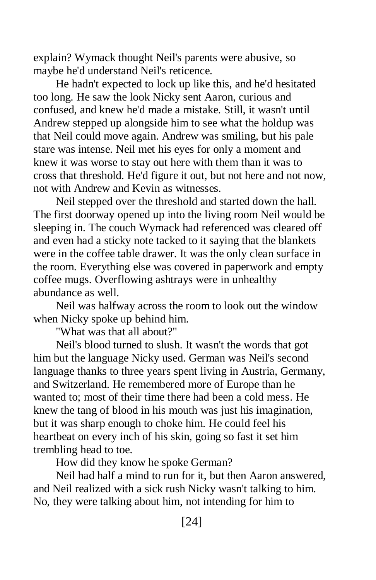explain? Wymack thought Neil's parents were abusive, so maybe he'd understand Neil's reticence.

He hadn't expected to lock up like this, and he'd hesitated too long. He saw the look Nicky sent Aaron, curious and confused, and knew he'd made a mistake. Still, it wasn't until Andrew stepped up alongside him to see what the holdup was that Neil could move again. Andrew was smiling, but his pale stare was intense. Neil met his eyes for only a moment and knew it was worse to stay out here with them than it was to cross that threshold. He'd figure it out, but not here and not now, not with Andrew and Kevin as witnesses.

Neil stepped over the threshold and started down the hall. The first doorway opened up into the living room Neil would be sleeping in. The couch Wymack had referenced was cleared off and even had a sticky note tacked to it saying that the blankets were in the coffee table drawer. It was the only clean surface in the room. Everything else was covered in paperwork and empty coffee mugs. Overflowing ashtrays were in unhealthy abundance as well.

Neil was halfway across the room to look out the window when Nicky spoke up behind him.

"What was that all about?"

Neil's blood turned to slush. It wasn't the words that got him but the language Nicky used. German was Neil's second language thanks to three years spent living in Austria, Germany, and Switzerland. He remembered more of Europe than he wanted to; most of their time there had been a cold mess. He knew the tang of blood in his mouth was just his imagination, but it was sharp enough to choke him. He could feel his heartbeat on every inch of his skin, going so fast it set him trembling head to toe.

How did they know he spoke German?

Neil had half a mind to run for it, but then Aaron answered, and Neil realized with a sick rush Nicky wasn't talking to him. No, they were talking about him, not intending for him to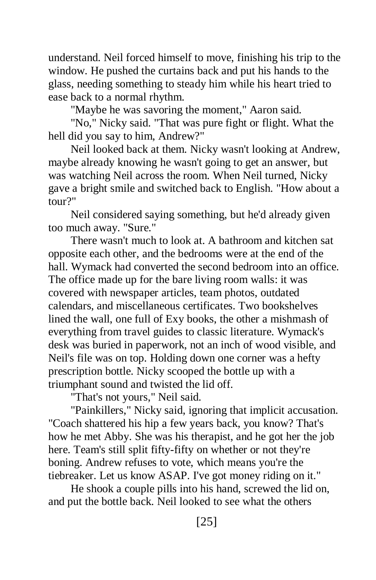understand. Neil forced himself to move, finishing his trip to the window. He pushed the curtains back and put his hands to the glass, needing something to steady him while his heart tried to ease back to a normal rhythm.

"Maybe he was savoring the moment," Aaron said.

"No," Nicky said. "That was pure fight or flight. What the hell did you say to him, Andrew?"

Neil looked back at them. Nicky wasn't looking at Andrew, maybe already knowing he wasn't going to get an answer, but was watching Neil across the room. When Neil turned, Nicky gave a bright smile and switched back to English. "How about a tour?"

Neil considered saying something, but he'd already given too much away. "Sure."

There wasn't much to look at. A bathroom and kitchen sat opposite each other, and the bedrooms were at the end of the hall. Wymack had converted the second bedroom into an office. The office made up for the bare living room walls: it was covered with newspaper articles, team photos, outdated calendars, and miscellaneous certificates. Two bookshelves lined the wall, one full of Exy books, the other a mishmash of everything from travel guides to classic literature. Wymack's desk was buried in paperwork, not an inch of wood visible, and Neil's file was on top. Holding down one corner was a hefty prescription bottle. Nicky scooped the bottle up with a triumphant sound and twisted the lid off.

"That's not yours," Neil said.

"Painkillers," Nicky said, ignoring that implicit accusation. "Coach shattered his hip a few years back, you know? That's how he met Abby. She was his therapist, and he got her the job here. Team's still split fifty-fifty on whether or not they're boning. Andrew refuses to vote, which means you're the tiebreaker. Let us know ASAP. I've got money riding on it."

He shook a couple pills into his hand, screwed the lid on, and put the bottle back. Neil looked to see what the others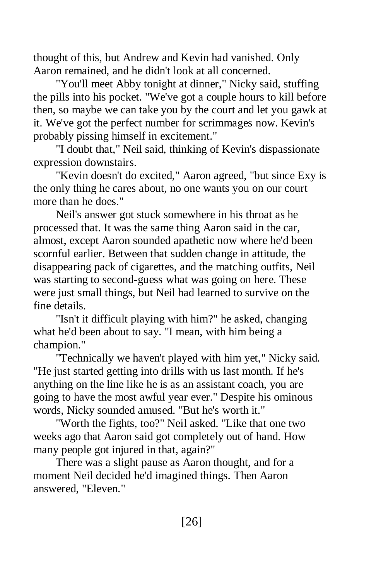thought of this, but Andrew and Kevin had vanished. Only Aaron remained, and he didn't look at all concerned.

"You'll meet Abby tonight at dinner," Nicky said, stuffing the pills into his pocket. "We've got a couple hours to kill before then, so maybe we can take you by the court and let you gawk at it. We've got the perfect number for scrimmages now. Kevin's probably pissing himself in excitement."

"I doubt that," Neil said, thinking of Kevin's dispassionate expression downstairs.

"Kevin doesn't do excited," Aaron agreed, "but since Exy is the only thing he cares about, no one wants you on our court more than he does."

Neil's answer got stuck somewhere in his throat as he processed that. It was the same thing Aaron said in the car, almost, except Aaron sounded apathetic now where he'd been scornful earlier. Between that sudden change in attitude, the disappearing pack of cigarettes, and the matching outfits, Neil was starting to second-guess what was going on here. These were just small things, but Neil had learned to survive on the fine details.

"Isn't it difficult playing with him?" he asked, changing what he'd been about to say. "I mean, with him being a champion."

"Technically we haven't played with him yet," Nicky said. "He just started getting into drills with us last month. If he's anything on the line like he is as an assistant coach, you are going to have the most awful year ever." Despite his ominous words, Nicky sounded amused. "But he's worth it."

"Worth the fights, too?" Neil asked. "Like that one two weeks ago that Aaron said got completely out of hand. How many people got injured in that, again?"

There was a slight pause as Aaron thought, and for a moment Neil decided he'd imagined things. Then Aaron answered, "Eleven."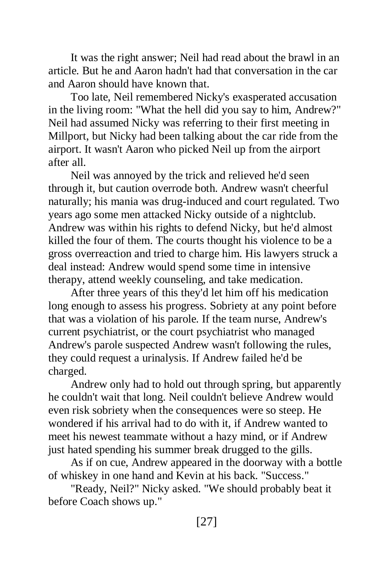It was the right answer; Neil had read about the brawl in an article. But he and Aaron hadn't had that conversation in the car and Aaron should have known that.

Too late, Neil remembered Nicky's exasperated accusation in the living room: "What the hell did you say to him, Andrew?" Neil had assumed Nicky was referring to their first meeting in Millport, but Nicky had been talking about the car ride from the airport. It wasn't Aaron who picked Neil up from the airport after all.

Neil was annoyed by the trick and relieved he'd seen through it, but caution overrode both. Andrew wasn't cheerful naturally; his mania was drug-induced and court regulated. Two years ago some men attacked Nicky outside of a nightclub. Andrew was within his rights to defend Nicky, but he'd almost killed the four of them. The courts thought his violence to be a gross overreaction and tried to charge him. His lawyers struck a deal instead: Andrew would spend some time in intensive therapy, attend weekly counseling, and take medication.

After three years of this they'd let him off his medication long enough to assess his progress. Sobriety at any point before that was a violation of his parole. If the team nurse, Andrew's current psychiatrist, or the court psychiatrist who managed Andrew's parole suspected Andrew wasn't following the rules, they could request a urinalysis. If Andrew failed he'd be charged.

Andrew only had to hold out through spring, but apparently he couldn't wait that long. Neil couldn't believe Andrew would even risk sobriety when the consequences were so steep. He wondered if his arrival had to do with it, if Andrew wanted to meet his newest teammate without a hazy mind, or if Andrew just hated spending his summer break drugged to the gills.

As if on cue, Andrew appeared in the doorway with a bottle of whiskey in one hand and Kevin at his back. "Success."

"Ready, Neil?" Nicky asked. "We should probably beat it before Coach shows up."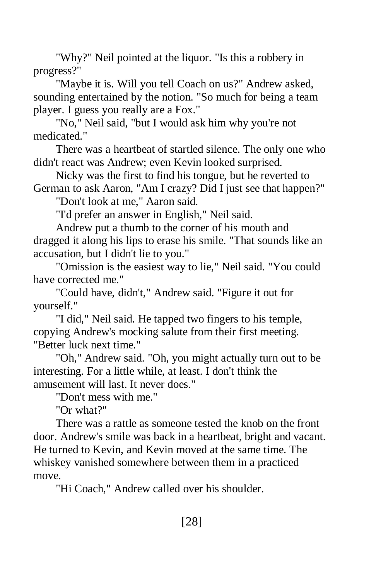"Why?" Neil pointed at the liquor. "Is this a robbery in progress?"

"Maybe it is. Will you tell Coach on us?" Andrew asked, sounding entertained by the notion. "So much for being a team player. I guess you really are a Fox."

"No," Neil said, "but I would ask him why you're not medicated."

There was a heartbeat of startled silence. The only one who didn't react was Andrew; even Kevin looked surprised.

Nicky was the first to find his tongue, but he reverted to German to ask Aaron, "Am I crazy? Did I just see that happen?"

"Don't look at me," Aaron said.

"I'd prefer an answer in English," Neil said.

Andrew put a thumb to the corner of his mouth and dragged it along his lips to erase his smile. "That sounds like an accusation, but I didn't lie to you."

"Omission is the easiest way to lie," Neil said. "You could have corrected me."

"Could have, didn't," Andrew said. "Figure it out for yourself."

"I did," Neil said. He tapped two fingers to his temple, copying Andrew's mocking salute from their first meeting. "Better luck next time."

"Oh," Andrew said. "Oh, you might actually turn out to be interesting. For a little while, at least. I don't think the amusement will last. It never does."

"Don't mess with me."

"Or what?"

There was a rattle as someone tested the knob on the front door. Andrew's smile was back in a heartbeat, bright and vacant. He turned to Kevin, and Kevin moved at the same time. The whiskey vanished somewhere between them in a practiced move.

"Hi Coach," Andrew called over his shoulder.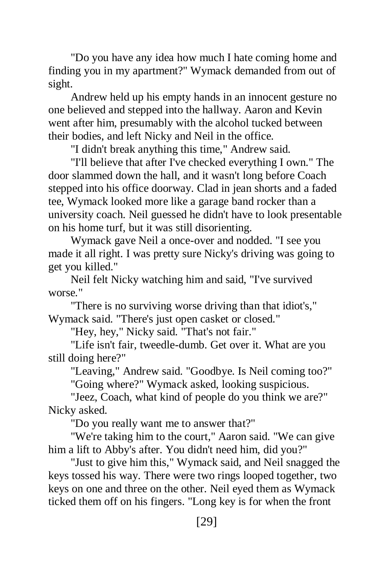"Do you have any idea how much I hate coming home and finding you in my apartment?" Wymack demanded from out of sight.

Andrew held up his empty hands in an innocent gesture no one believed and stepped into the hallway. Aaron and Kevin went after him, presumably with the alcohol tucked between their bodies, and left Nicky and Neil in the office.

"I didn't break anything this time," Andrew said.

"I'll believe that after I've checked everything I own." The door slammed down the hall, and it wasn't long before Coach stepped into his office doorway. Clad in jean shorts and a faded tee, Wymack looked more like a garage band rocker than a university coach. Neil guessed he didn't have to look presentable on his home turf, but it was still disorienting.

Wymack gave Neil a once-over and nodded. "I see you made it all right. I was pretty sure Nicky's driving was going to get you killed."

Neil felt Nicky watching him and said, "I've survived worse."

"There is no surviving worse driving than that idiot's," Wymack said. "There's just open casket or closed."

"Hey, hey," Nicky said. "That's not fair."

"Life isn't fair, tweedle-dumb. Get over it. What are you still doing here?"

"Leaving," Andrew said. "Goodbye. Is Neil coming too?"

"Going where?" Wymack asked, looking suspicious.

"Jeez, Coach, what kind of people do you think we are?" Nicky asked.

"Do you really want me to answer that?"

"We're taking him to the court," Aaron said. "We can give him a lift to Abby's after. You didn't need him, did you?"

"Just to give him this," Wymack said, and Neil snagged the keys tossed his way. There were two rings looped together, two keys on one and three on the other. Neil eyed them as Wymack ticked them off on his fingers. "Long key is for when the front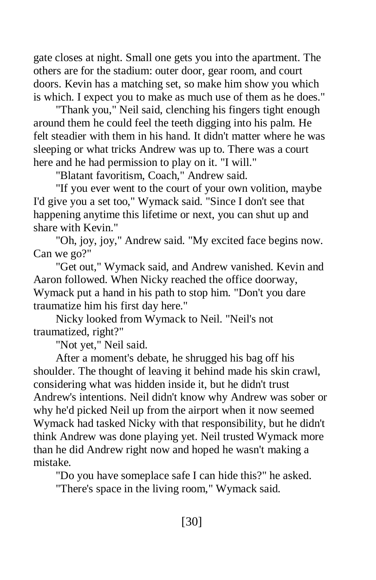gate closes at night. Small one gets you into the apartment. The others are for the stadium: outer door, gear room, and court doors. Kevin has a matching set, so make him show you which is which. I expect you to make as much use of them as he does."

"Thank you," Neil said, clenching his fingers tight enough around them he could feel the teeth digging into his palm. He felt steadier with them in his hand. It didn't matter where he was sleeping or what tricks Andrew was up to. There was a court here and he had permission to play on it. "I will."

"Blatant favoritism, Coach," Andrew said.

"If you ever went to the court of your own volition, maybe I'd give you a set too," Wymack said. "Since I don't see that happening anytime this lifetime or next, you can shut up and share with Kevin."

"Oh, joy, joy," Andrew said. "My excited face begins now. Can we go?"

"Get out," Wymack said, and Andrew vanished. Kevin and Aaron followed. When Nicky reached the office doorway, Wymack put a hand in his path to stop him. "Don't you dare traumatize him his first day here."

Nicky looked from Wymack to Neil. "Neil's not traumatized, right?"

"Not yet," Neil said.

After a moment's debate, he shrugged his bag off his shoulder. The thought of leaving it behind made his skin crawl, considering what was hidden inside it, but he didn't trust Andrew's intentions. Neil didn't know why Andrew was sober or why he'd picked Neil up from the airport when it now seemed Wymack had tasked Nicky with that responsibility, but he didn't think Andrew was done playing yet. Neil trusted Wymack more than he did Andrew right now and hoped he wasn't making a mistake.

"Do you have someplace safe I can hide this?" he asked.

"There's space in the living room," Wymack said.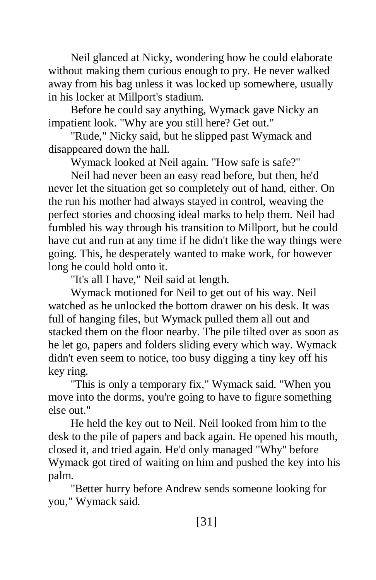Neil glanced at Nicky, wondering how he could elaborate without making them curious enough to pry. He never walked away from his bag unless it was locked up somewhere, usually in his locker at Millport's stadium.

Before he could say anything, Wymack gave Nicky an impatient look. "Why are you still here? Get out."

"Rude," Nicky said, but he slipped past Wymack and disappeared down the hall.

Wymack looked at Neil again. "How safe is safe?"

Neil had never been an easy read before, but then, he'd never let the situation get so completely out of hand, either. On the run his mother had always stayed in control, weaving the perfect stories and choosing ideal marks to help them. Neil had fumbled his way through his transition to Millport, but he could have cut and run at any time if he didn't like the way things were going. This, he desperately wanted to make work, for however long he could hold onto it.

"It's all I have," Neil said at length.

Wymack motioned for Neil to get out of his way. Neil watched as he unlocked the bottom drawer on his desk. It was full of hanging files, but Wymack pulled them all out and stacked them on the floor nearby. The pile tilted over as soon as he let go, papers and folders sliding every which way. Wymack didn't even seem to notice, too busy digging a tiny key off his key ring.

"This is only a temporary fix," Wymack said. "When you move into the dorms, you're going to have to figure something else out."

He held the key out to Neil. Neil looked from him to the desk to the pile of papers and back again. He opened his mouth, closed it, and tried again. He'd only managed "Why" before Wymack got tired of waiting on him and pushed the key into his palm.

"Better hurry before Andrew sends someone looking for you," Wymack said.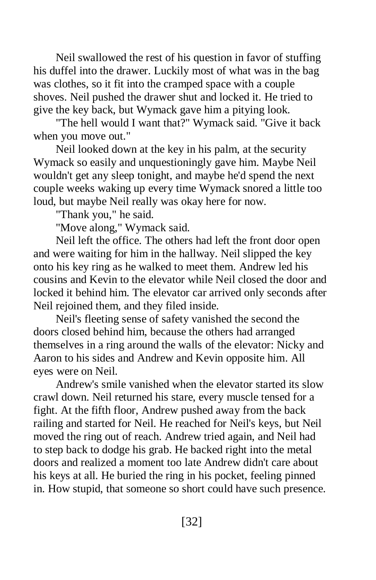Neil swallowed the rest of his question in favor of stuffing his duffel into the drawer. Luckily most of what was in the bag was clothes, so it fit into the cramped space with a couple shoves. Neil pushed the drawer shut and locked it. He tried to give the key back, but Wymack gave him a pitying look.

"The hell would I want that?" Wymack said. "Give it back when you move out."

Neil looked down at the key in his palm, at the security Wymack so easily and unquestioningly gave him. Maybe Neil wouldn't get any sleep tonight, and maybe he'd spend the next couple weeks waking up every time Wymack snored a little too loud, but maybe Neil really was okay here for now.

"Thank you," he said.

"Move along," Wymack said.

Neil left the office. The others had left the front door open and were waiting for him in the hallway. Neil slipped the key onto his key ring as he walked to meet them. Andrew led his cousins and Kevin to the elevator while Neil closed the door and locked it behind him. The elevator car arrived only seconds after Neil rejoined them, and they filed inside.

Neil's fleeting sense of safety vanished the second the doors closed behind him, because the others had arranged themselves in a ring around the walls of the elevator: Nicky and Aaron to his sides and Andrew and Kevin opposite him. All eyes were on Neil.

Andrew's smile vanished when the elevator started its slow crawl down. Neil returned his stare, every muscle tensed for a fight. At the fifth floor, Andrew pushed away from the back railing and started for Neil. He reached for Neil's keys, but Neil moved the ring out of reach. Andrew tried again, and Neil had to step back to dodge his grab. He backed right into the metal doors and realized a moment too late Andrew didn't care about his keys at all. He buried the ring in his pocket, feeling pinned in. How stupid, that someone so short could have such presence.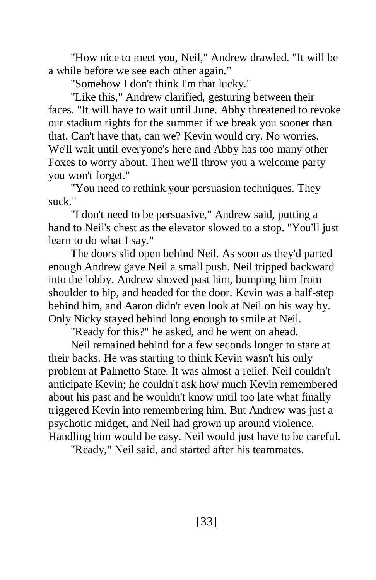"How nice to meet you, Neil," Andrew drawled. "It will be a while before we see each other again."

"Somehow I don't think I'm that lucky."

"Like this," Andrew clarified, gesturing between their faces. "It will have to wait until June. Abby threatened to revoke our stadium rights for the summer if we break you sooner than that. Can't have that, can we? Kevin would cry. No worries. We'll wait until everyone's here and Abby has too many other Foxes to worry about. Then we'll throw you a welcome party you won't forget."

"You need to rethink your persuasion techniques. They suck."

"I don't need to be persuasive," Andrew said, putting a hand to Neil's chest as the elevator slowed to a stop. "You'll just learn to do what I say."

The doors slid open behind Neil. As soon as they'd parted enough Andrew gave Neil a small push. Neil tripped backward into the lobby. Andrew shoved past him, bumping him from shoulder to hip, and headed for the door. Kevin was a half-step behind him, and Aaron didn't even look at Neil on his way by. Only Nicky stayed behind long enough to smile at Neil.

"Ready for this?" he asked, and he went on ahead.

Neil remained behind for a few seconds longer to stare at their backs. He was starting to think Kevin wasn't his only problem at Palmetto State. It was almost a relief. Neil couldn't anticipate Kevin; he couldn't ask how much Kevin remembered about his past and he wouldn't know until too late what finally triggered Kevin into remembering him. But Andrew was just a psychotic midget, and Neil had grown up around violence. Handling him would be easy. Neil would just have to be careful.

"Ready," Neil said, and started after his teammates.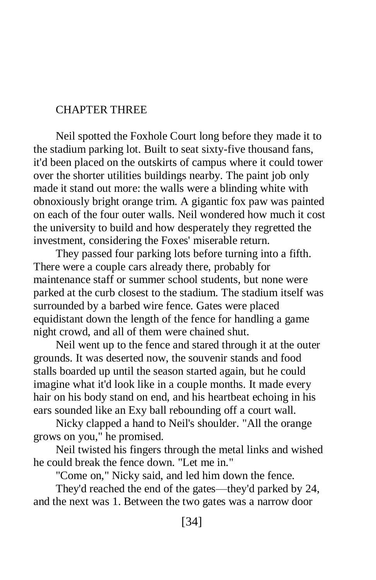## CHAPTER THREE

Neil spotted the Foxhole Court long before they made it to the stadium parking lot. Built to seat sixty-five thousand fans, it'd been placed on the outskirts of campus where it could tower over the shorter utilities buildings nearby. The paint job only made it stand out more: the walls were a blinding white with obnoxiously bright orange trim. A gigantic fox paw was painted on each of the four outer walls. Neil wondered how much it cost the university to build and how desperately they regretted the investment, considering the Foxes' miserable return.

They passed four parking lots before turning into a fifth. There were a couple cars already there, probably for maintenance staff or summer school students, but none were parked at the curb closest to the stadium. The stadium itself was surrounded by a barbed wire fence. Gates were placed equidistant down the length of the fence for handling a game night crowd, and all of them were chained shut.

Neil went up to the fence and stared through it at the outer grounds. It was deserted now, the souvenir stands and food stalls boarded up until the season started again, but he could imagine what it'd look like in a couple months. It made every hair on his body stand on end, and his heartbeat echoing in his ears sounded like an Exy ball rebounding off a court wall.

Nicky clapped a hand to Neil's shoulder. "All the orange grows on you," he promised.

Neil twisted his fingers through the metal links and wished he could break the fence down. "Let me in."

"Come on," Nicky said, and led him down the fence.

They'd reached the end of the gates—they'd parked by 24, and the next was 1. Between the two gates was a narrow door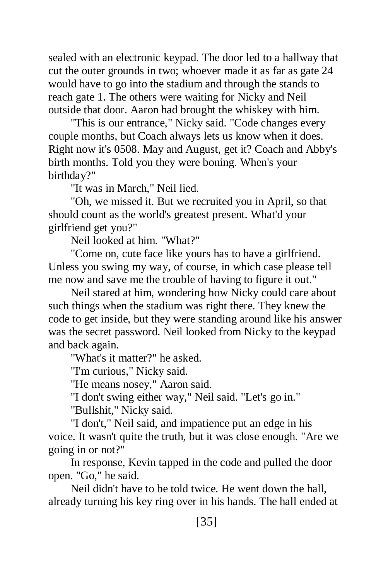sealed with an electronic keypad. The door led to a hallway that cut the outer grounds in two; whoever made it as far as gate 24 would have to go into the stadium and through the stands to reach gate 1. The others were waiting for Nicky and Neil outside that door. Aaron had brought the whiskey with him.

"This is our entrance," Nicky said. "Code changes every couple months, but Coach always lets us know when it does. Right now it's 0508. May and August, get it? Coach and Abby's birth months. Told you they were boning. When's your birthday?"

"It was in March," Neil lied.

"Oh, we missed it. But we recruited you in April, so that should count as the world's greatest present. What'd your girlfriend get you?"

Neil looked at him. "What?"

"Come on, cute face like yours has to have a girlfriend. Unless you swing my way, of course, in which case please tell me now and save me the trouble of having to figure it out."

Neil stared at him, wondering how Nicky could care about such things when the stadium was right there. They knew the code to get inside, but they were standing around like his answer was the secret password. Neil looked from Nicky to the keypad and back again.

"What's it matter?" he asked.

"I'm curious," Nicky said.

"He means nosey," Aaron said.

"I don't swing either way," Neil said. "Let's go in."

"Bullshit," Nicky said.

"I don't," Neil said, and impatience put an edge in his voice. It wasn't quite the truth, but it was close enough. "Are we going in or not?"

In response, Kevin tapped in the code and pulled the door open. "Go," he said.

Neil didn't have to be told twice. He went down the hall, already turning his key ring over in his hands. The hall ended at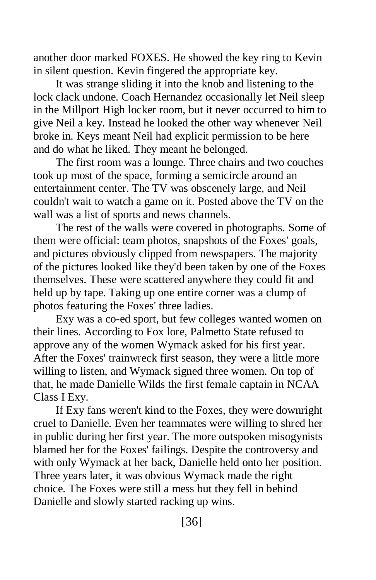another door marked FOXES. He showed the key ring to Kevin in silent question. Kevin fingered the appropriate key.

It was strange sliding it into the knob and listening to the lock clack undone. Coach Hernandez occasionally let Neil sleep in the Millport High locker room, but it never occurred to him to give Neil a key. Instead he looked the other way whenever Neil broke in. Keys meant Neil had explicit permission to be here and do what he liked. They meant he belonged.

The first room was a lounge. Three chairs and two couches took up most of the space, forming a semicircle around an entertainment center. The TV was obscenely large, and Neil couldn't wait to watch a game on it. Posted above the TV on the wall was a list of sports and news channels.

The rest of the walls were covered in photographs. Some of them were official: team photos, snapshots of the Foxes' goals, and pictures obviously clipped from newspapers. The majority of the pictures looked like they'd been taken by one of the Foxes themselves. These were scattered anywhere they could fit and held up by tape. Taking up one entire corner was a clump of photos featuring the Foxes' three ladies.

Exy was a co-ed sport, but few colleges wanted women on their lines. According to Fox lore, Palmetto State refused to approve any of the women Wymack asked for his first year. After the Foxes' trainwreck first season, they were a little more willing to listen, and Wymack signed three women. On top of that, he made Danielle Wilds the first female captain in NCAA Class I Exy.

If Exy fans weren't kind to the Foxes, they were downright cruel to Danielle. Even her teammates were willing to shred her in public during her first year. The more outspoken misogynists blamed her for the Foxes' failings. Despite the controversy and with only Wymack at her back, Danielle held onto her position. Three years later, it was obvious Wymack made the right choice. The Foxes were still a mess but they fell in behind Danielle and slowly started racking up wins.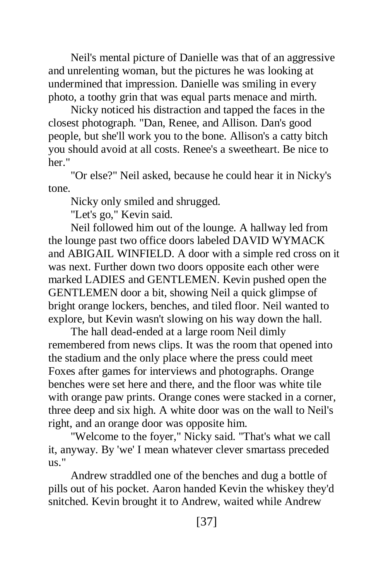Neil's mental picture of Danielle was that of an aggressive and unrelenting woman, but the pictures he was looking at undermined that impression. Danielle was smiling in every photo, a toothy grin that was equal parts menace and mirth.

Nicky noticed his distraction and tapped the faces in the closest photograph. "Dan, Renee, and Allison. Dan's good people, but she'll work you to the bone. Allison's a catty bitch you should avoid at all costs. Renee's a sweetheart. Be nice to her."

"Or else?" Neil asked, because he could hear it in Nicky's tone.

Nicky only smiled and shrugged.

"Let's go," Kevin said.

Neil followed him out of the lounge. A hallway led from the lounge past two office doors labeled DAVID WYMACK and ABIGAIL WINFIELD. A door with a simple red cross on it was next. Further down two doors opposite each other were marked LADIES and GENTLEMEN. Kevin pushed open the GENTLEMEN door a bit, showing Neil a quick glimpse of bright orange lockers, benches, and tiled floor. Neil wanted to explore, but Kevin wasn't slowing on his way down the hall.

The hall dead-ended at a large room Neil dimly remembered from news clips. It was the room that opened into the stadium and the only place where the press could meet Foxes after games for interviews and photographs. Orange benches were set here and there, and the floor was white tile with orange paw prints. Orange cones were stacked in a corner, three deep and six high. A white door was on the wall to Neil's right, and an orange door was opposite him.

"Welcome to the foyer," Nicky said. "That's what we call it, anyway. By 'we' I mean whatever clever smartass preceded us."

Andrew straddled one of the benches and dug a bottle of pills out of his pocket. Aaron handed Kevin the whiskey they'd snitched. Kevin brought it to Andrew, waited while Andrew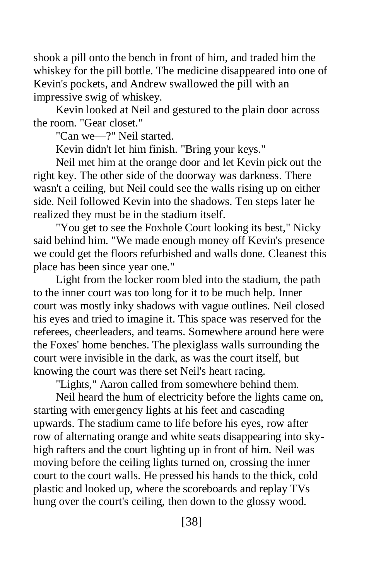shook a pill onto the bench in front of him, and traded him the whiskey for the pill bottle. The medicine disappeared into one of Kevin's pockets, and Andrew swallowed the pill with an impressive swig of whiskey.

Kevin looked at Neil and gestured to the plain door across the room. "Gear closet."

"Can we—?" Neil started.

Kevin didn't let him finish. "Bring your keys."

Neil met him at the orange door and let Kevin pick out the right key. The other side of the doorway was darkness. There wasn't a ceiling, but Neil could see the walls rising up on either side. Neil followed Kevin into the shadows. Ten steps later he realized they must be in the stadium itself.

"You get to see the Foxhole Court looking its best," Nicky said behind him. "We made enough money off Kevin's presence we could get the floors refurbished and walls done. Cleanest this place has been since year one."

Light from the locker room bled into the stadium, the path to the inner court was too long for it to be much help. Inner court was mostly inky shadows with vague outlines. Neil closed his eyes and tried to imagine it. This space was reserved for the referees, cheerleaders, and teams. Somewhere around here were the Foxes' home benches. The plexiglass walls surrounding the court were invisible in the dark, as was the court itself, but knowing the court was there set Neil's heart racing.

"Lights," Aaron called from somewhere behind them.

Neil heard the hum of electricity before the lights came on, starting with emergency lights at his feet and cascading upwards. The stadium came to life before his eyes, row after row of alternating orange and white seats disappearing into skyhigh rafters and the court lighting up in front of him. Neil was moving before the ceiling lights turned on, crossing the inner court to the court walls. He pressed his hands to the thick, cold plastic and looked up, where the scoreboards and replay TVs hung over the court's ceiling, then down to the glossy wood.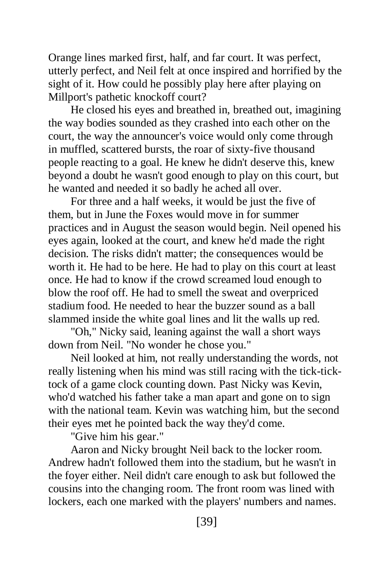Orange lines marked first, half, and far court. It was perfect, utterly perfect, and Neil felt at once inspired and horrified by the sight of it. How could he possibly play here after playing on Millport's pathetic knockoff court?

He closed his eyes and breathed in, breathed out, imagining the way bodies sounded as they crashed into each other on the court, the way the announcer's voice would only come through in muffled, scattered bursts, the roar of sixty-five thousand people reacting to a goal. He knew he didn't deserve this, knew beyond a doubt he wasn't good enough to play on this court, but he wanted and needed it so badly he ached all over.

For three and a half weeks, it would be just the five of them, but in June the Foxes would move in for summer practices and in August the season would begin. Neil opened his eyes again, looked at the court, and knew he'd made the right decision. The risks didn't matter; the consequences would be worth it. He had to be here. He had to play on this court at least once. He had to know if the crowd screamed loud enough to blow the roof off. He had to smell the sweat and overpriced stadium food. He needed to hear the buzzer sound as a ball slammed inside the white goal lines and lit the walls up red.

"Oh," Nicky said, leaning against the wall a short ways down from Neil. "No wonder he chose you."

Neil looked at him, not really understanding the words, not really listening when his mind was still racing with the tick-ticktock of a game clock counting down. Past Nicky was Kevin, who'd watched his father take a man apart and gone on to sign with the national team. Kevin was watching him, but the second their eyes met he pointed back the way they'd come.

"Give him his gear."

Aaron and Nicky brought Neil back to the locker room. Andrew hadn't followed them into the stadium, but he wasn't in the foyer either. Neil didn't care enough to ask but followed the cousins into the changing room. The front room was lined with lockers, each one marked with the players' numbers and names.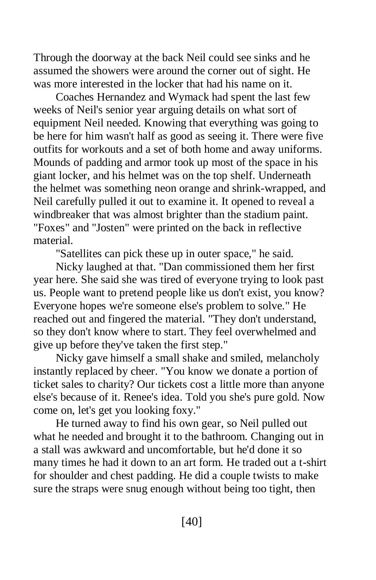Through the doorway at the back Neil could see sinks and he assumed the showers were around the corner out of sight. He was more interested in the locker that had his name on it.

Coaches Hernandez and Wymack had spent the last few weeks of Neil's senior year arguing details on what sort of equipment Neil needed. Knowing that everything was going to be here for him wasn't half as good as seeing it. There were five outfits for workouts and a set of both home and away uniforms. Mounds of padding and armor took up most of the space in his giant locker, and his helmet was on the top shelf. Underneath the helmet was something neon orange and shrink-wrapped, and Neil carefully pulled it out to examine it. It opened to reveal a windbreaker that was almost brighter than the stadium paint. "Foxes" and "Josten" were printed on the back in reflective material.

"Satellites can pick these up in outer space," he said.

Nicky laughed at that. "Dan commissioned them her first year here. She said she was tired of everyone trying to look past us. People want to pretend people like us don't exist, you know? Everyone hopes we're someone else's problem to solve." He reached out and fingered the material. "They don't understand, so they don't know where to start. They feel overwhelmed and give up before they've taken the first step."

Nicky gave himself a small shake and smiled, melancholy instantly replaced by cheer. "You know we donate a portion of ticket sales to charity? Our tickets cost a little more than anyone else's because of it. Renee's idea. Told you she's pure gold. Now come on, let's get you looking foxy."

He turned away to find his own gear, so Neil pulled out what he needed and brought it to the bathroom. Changing out in a stall was awkward and uncomfortable, but he'd done it so many times he had it down to an art form. He traded out a t-shirt for shoulder and chest padding. He did a couple twists to make sure the straps were snug enough without being too tight, then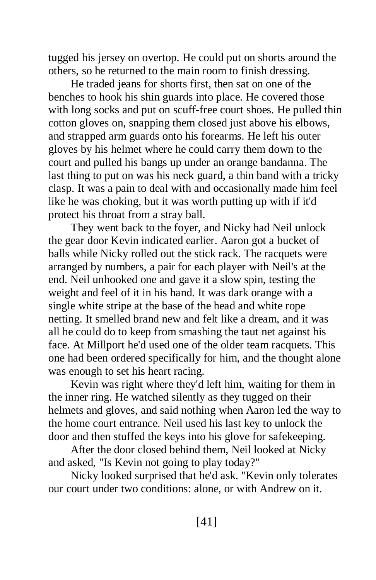tugged his jersey on overtop. He could put on shorts around the others, so he returned to the main room to finish dressing.

He traded jeans for shorts first, then sat on one of the benches to hook his shin guards into place. He covered those with long socks and put on scuff-free court shoes. He pulled thin cotton gloves on, snapping them closed just above his elbows, and strapped arm guards onto his forearms. He left his outer gloves by his helmet where he could carry them down to the court and pulled his bangs up under an orange bandanna. The last thing to put on was his neck guard, a thin band with a tricky clasp. It was a pain to deal with and occasionally made him feel like he was choking, but it was worth putting up with if it'd protect his throat from a stray ball.

They went back to the foyer, and Nicky had Neil unlock the gear door Kevin indicated earlier. Aaron got a bucket of balls while Nicky rolled out the stick rack. The racquets were arranged by numbers, a pair for each player with Neil's at the end. Neil unhooked one and gave it a slow spin, testing the weight and feel of it in his hand. It was dark orange with a single white stripe at the base of the head and white rope netting. It smelled brand new and felt like a dream, and it was all he could do to keep from smashing the taut net against his face. At Millport he'd used one of the older team racquets. This one had been ordered specifically for him, and the thought alone was enough to set his heart racing.

Kevin was right where they'd left him, waiting for them in the inner ring. He watched silently as they tugged on their helmets and gloves, and said nothing when Aaron led the way to the home court entrance. Neil used his last key to unlock the door and then stuffed the keys into his glove for safekeeping.

After the door closed behind them, Neil looked at Nicky and asked, "Is Kevin not going to play today?"

Nicky looked surprised that he'd ask. "Kevin only tolerates our court under two conditions: alone, or with Andrew on it.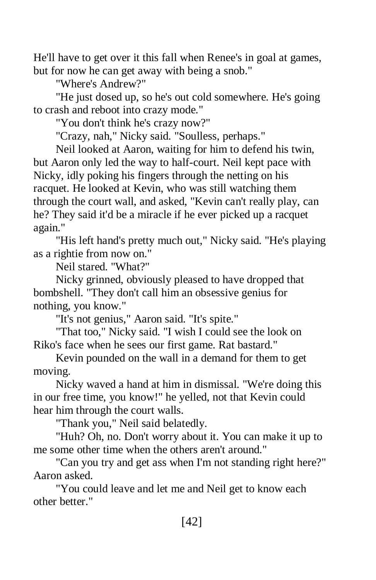He'll have to get over it this fall when Renee's in goal at games, but for now he can get away with being a snob."

"Where's Andrew?"

"He just dosed up, so he's out cold somewhere. He's going to crash and reboot into crazy mode."

"You don't think he's crazy now?"

"Crazy, nah," Nicky said. "Soulless, perhaps."

Neil looked at Aaron, waiting for him to defend his twin, but Aaron only led the way to half-court. Neil kept pace with Nicky, idly poking his fingers through the netting on his racquet. He looked at Kevin, who was still watching them through the court wall, and asked, "Kevin can't really play, can he? They said it'd be a miracle if he ever picked up a racquet again."

"His left hand's pretty much out," Nicky said. "He's playing as a rightie from now on."

Neil stared. "What?"

Nicky grinned, obviously pleased to have dropped that bombshell. "They don't call him an obsessive genius for nothing, you know."

"It's not genius," Aaron said. "It's spite."

"That too," Nicky said. "I wish I could see the look on Riko's face when he sees our first game. Rat bastard."

Kevin pounded on the wall in a demand for them to get moving.

Nicky waved a hand at him in dismissal. "We're doing this in our free time, you know!" he yelled, not that Kevin could hear him through the court walls.

"Thank you," Neil said belatedly.

"Huh? Oh, no. Don't worry about it. You can make it up to me some other time when the others aren't around."

"Can you try and get ass when I'm not standing right here?" Aaron asked.

"You could leave and let me and Neil get to know each other better."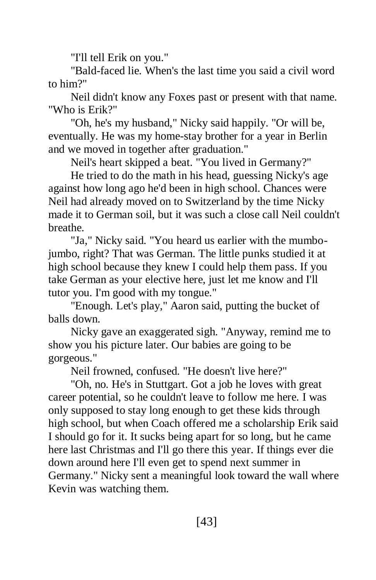"I'll tell Erik on you."

"Bald-faced lie. When's the last time you said a civil word to him?"

Neil didn't know any Foxes past or present with that name. "Who is Erik?"

"Oh, he's my husband," Nicky said happily. "Or will be, eventually. He was my home-stay brother for a year in Berlin and we moved in together after graduation."

Neil's heart skipped a beat. "You lived in Germany?"

He tried to do the math in his head, guessing Nicky's age against how long ago he'd been in high school. Chances were Neil had already moved on to Switzerland by the time Nicky made it to German soil, but it was such a close call Neil couldn't breathe.

"Ja," Nicky said. "You heard us earlier with the mumbojumbo, right? That was German. The little punks studied it at high school because they knew I could help them pass. If you take German as your elective here, just let me know and I'll tutor you. I'm good with my tongue."

"Enough. Let's play," Aaron said, putting the bucket of balls down.

Nicky gave an exaggerated sigh. "Anyway, remind me to show you his picture later. Our babies are going to be gorgeous."

Neil frowned, confused. "He doesn't live here?"

"Oh, no. He's in Stuttgart. Got a job he loves with great career potential, so he couldn't leave to follow me here. I was only supposed to stay long enough to get these kids through high school, but when Coach offered me a scholarship Erik said I should go for it. It sucks being apart for so long, but he came here last Christmas and I'll go there this year. If things ever die down around here I'll even get to spend next summer in Germany." Nicky sent a meaningful look toward the wall where Kevin was watching them.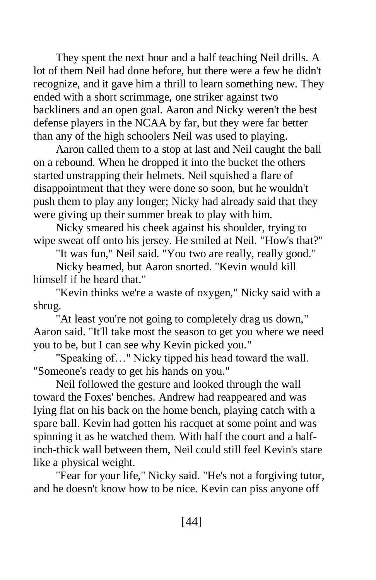They spent the next hour and a half teaching Neil drills. A lot of them Neil had done before, but there were a few he didn't recognize, and it gave him a thrill to learn something new. They ended with a short scrimmage, one striker against two backliners and an open goal. Aaron and Nicky weren't the best defense players in the NCAA by far, but they were far better than any of the high schoolers Neil was used to playing.

Aaron called them to a stop at last and Neil caught the ball on a rebound. When he dropped it into the bucket the others started unstrapping their helmets. Neil squished a flare of disappointment that they were done so soon, but he wouldn't push them to play any longer; Nicky had already said that they were giving up their summer break to play with him.

Nicky smeared his cheek against his shoulder, trying to wipe sweat off onto his jersey. He smiled at Neil. "How's that?"

"It was fun," Neil said. "You two are really, really good."

Nicky beamed, but Aaron snorted. "Kevin would kill himself if he heard that."

"Kevin thinks we're a waste of oxygen," Nicky said with a shrug.

"At least you're not going to completely drag us down," Aaron said. "It'll take most the season to get you where we need you to be, but I can see why Kevin picked you."

"Speaking of…" Nicky tipped his head toward the wall. "Someone's ready to get his hands on you."

Neil followed the gesture and looked through the wall toward the Foxes' benches. Andrew had reappeared and was lying flat on his back on the home bench, playing catch with a spare ball. Kevin had gotten his racquet at some point and was spinning it as he watched them. With half the court and a halfinch-thick wall between them, Neil could still feel Kevin's stare like a physical weight.

"Fear for your life," Nicky said. "He's not a forgiving tutor, and he doesn't know how to be nice. Kevin can piss anyone off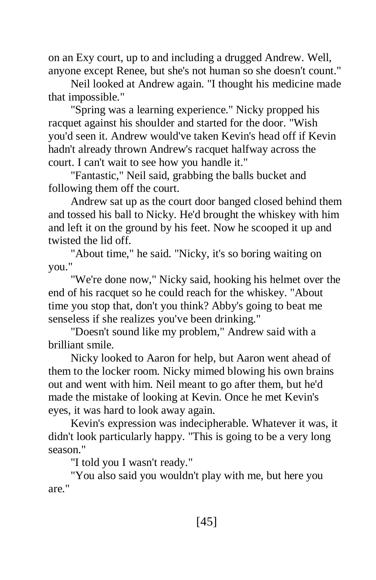on an Exy court, up to and including a drugged Andrew. Well, anyone except Renee, but she's not human so she doesn't count."

Neil looked at Andrew again. "I thought his medicine made that impossible."

"Spring was a learning experience." Nicky propped his racquet against his shoulder and started for the door. "Wish you'd seen it. Andrew would've taken Kevin's head off if Kevin hadn't already thrown Andrew's racquet halfway across the court. I can't wait to see how you handle it."

"Fantastic," Neil said, grabbing the balls bucket and following them off the court.

Andrew sat up as the court door banged closed behind them and tossed his ball to Nicky. He'd brought the whiskey with him and left it on the ground by his feet. Now he scooped it up and twisted the lid off.

"About time," he said. "Nicky, it's so boring waiting on you."

"We're done now," Nicky said, hooking his helmet over the end of his racquet so he could reach for the whiskey. "About time you stop that, don't you think? Abby's going to beat me senseless if she realizes you've been drinking."

"Doesn't sound like my problem," Andrew said with a brilliant smile.

Nicky looked to Aaron for help, but Aaron went ahead of them to the locker room. Nicky mimed blowing his own brains out and went with him. Neil meant to go after them, but he'd made the mistake of looking at Kevin. Once he met Kevin's eyes, it was hard to look away again.

Kevin's expression was indecipherable. Whatever it was, it didn't look particularly happy. "This is going to be a very long season."

"I told you I wasn't ready."

"You also said you wouldn't play with me, but here you are."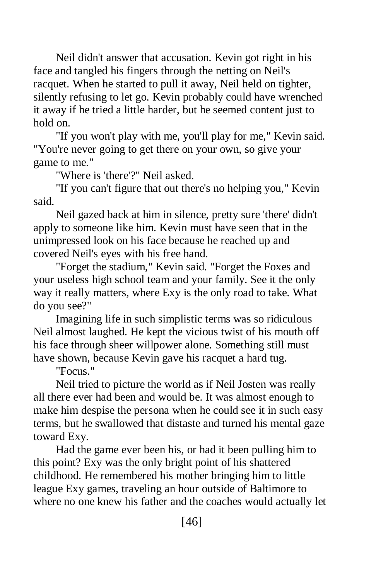Neil didn't answer that accusation. Kevin got right in his face and tangled his fingers through the netting on Neil's racquet. When he started to pull it away, Neil held on tighter, silently refusing to let go. Kevin probably could have wrenched it away if he tried a little harder, but he seemed content just to hold on.

"If you won't play with me, you'll play for me," Kevin said. "You're never going to get there on your own, so give your game to me."

"Where is 'there'?" Neil asked.

"If you can't figure that out there's no helping you," Kevin said.

Neil gazed back at him in silence, pretty sure 'there' didn't apply to someone like him. Kevin must have seen that in the unimpressed look on his face because he reached up and covered Neil's eyes with his free hand.

"Forget the stadium," Kevin said. "Forget the Foxes and your useless high school team and your family. See it the only way it really matters, where Exy is the only road to take. What do you see?"

Imagining life in such simplistic terms was so ridiculous Neil almost laughed. He kept the vicious twist of his mouth off his face through sheer willpower alone. Something still must have shown, because Kevin gave his racquet a hard tug.

"Focus."

Neil tried to picture the world as if Neil Josten was really all there ever had been and would be. It was almost enough to make him despise the persona when he could see it in such easy terms, but he swallowed that distaste and turned his mental gaze toward Exy.

Had the game ever been his, or had it been pulling him to this point? Exy was the only bright point of his shattered childhood. He remembered his mother bringing him to little league Exy games, traveling an hour outside of Baltimore to where no one knew his father and the coaches would actually let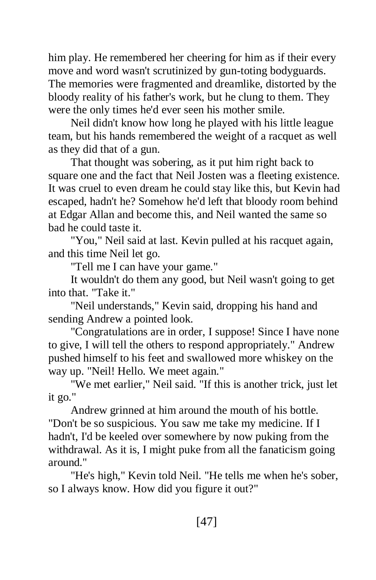him play. He remembered her cheering for him as if their every move and word wasn't scrutinized by gun-toting bodyguards. The memories were fragmented and dreamlike, distorted by the bloody reality of his father's work, but he clung to them. They were the only times he'd ever seen his mother smile.

Neil didn't know how long he played with his little league team, but his hands remembered the weight of a racquet as well as they did that of a gun.

That thought was sobering, as it put him right back to square one and the fact that Neil Josten was a fleeting existence. It was cruel to even dream he could stay like this, but Kevin had escaped, hadn't he? Somehow he'd left that bloody room behind at Edgar Allan and become this, and Neil wanted the same so bad he could taste it.

"You," Neil said at last. Kevin pulled at his racquet again, and this time Neil let go.

"Tell me I can have your game."

It wouldn't do them any good, but Neil wasn't going to get into that. "Take it."

"Neil understands," Kevin said, dropping his hand and sending Andrew a pointed look.

"Congratulations are in order, I suppose! Since I have none to give, I will tell the others to respond appropriately." Andrew pushed himself to his feet and swallowed more whiskey on the way up. "Neil! Hello. We meet again."

"We met earlier," Neil said. "If this is another trick, just let it go."

Andrew grinned at him around the mouth of his bottle. "Don't be so suspicious. You saw me take my medicine. If I hadn't, I'd be keeled over somewhere by now puking from the withdrawal. As it is, I might puke from all the fanaticism going around."

"He's high," Kevin told Neil. "He tells me when he's sober, so I always know. How did you figure it out?"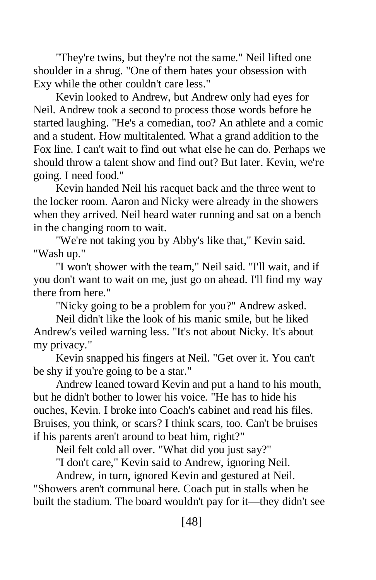"They're twins, but they're not the same." Neil lifted one shoulder in a shrug. "One of them hates your obsession with Exy while the other couldn't care less."

Kevin looked to Andrew, but Andrew only had eyes for Neil. Andrew took a second to process those words before he started laughing. "He's a comedian, too? An athlete and a comic and a student. How multitalented. What a grand addition to the Fox line. I can't wait to find out what else he can do. Perhaps we should throw a talent show and find out? But later. Kevin, we're going. I need food."

Kevin handed Neil his racquet back and the three went to the locker room. Aaron and Nicky were already in the showers when they arrived. Neil heard water running and sat on a bench in the changing room to wait.

"We're not taking you by Abby's like that," Kevin said. "Wash up."

"I won't shower with the team," Neil said. "I'll wait, and if you don't want to wait on me, just go on ahead. I'll find my way there from here."

"Nicky going to be a problem for you?" Andrew asked.

Neil didn't like the look of his manic smile, but he liked Andrew's veiled warning less. "It's not about Nicky. It's about my privacy."

Kevin snapped his fingers at Neil. "Get over it. You can't be shy if you're going to be a star."

Andrew leaned toward Kevin and put a hand to his mouth, but he didn't bother to lower his voice. "He has to hide his ouches, Kevin. I broke into Coach's cabinet and read his files. Bruises, you think, or scars? I think scars, too. Can't be bruises if his parents aren't around to beat him, right?"

Neil felt cold all over. "What did you just say?"

"I don't care," Kevin said to Andrew, ignoring Neil.

Andrew, in turn, ignored Kevin and gestured at Neil. "Showers aren't communal here. Coach put in stalls when he built the stadium. The board wouldn't pay for it—they didn't see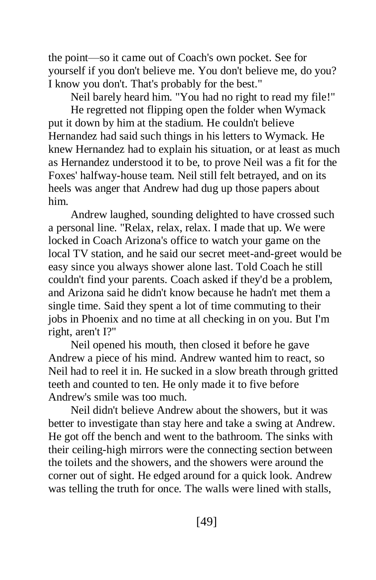the point—so it came out of Coach's own pocket. See for yourself if you don't believe me. You don't believe me, do you? I know you don't. That's probably for the best."

Neil barely heard him. "You had no right to read my file!"

He regretted not flipping open the folder when Wymack put it down by him at the stadium. He couldn't believe Hernandez had said such things in his letters to Wymack. He knew Hernandez had to explain his situation, or at least as much as Hernandez understood it to be, to prove Neil was a fit for the Foxes' halfway-house team. Neil still felt betrayed, and on its heels was anger that Andrew had dug up those papers about him.

Andrew laughed, sounding delighted to have crossed such a personal line. "Relax, relax, relax. I made that up. We were locked in Coach Arizona's office to watch your game on the local TV station, and he said our secret meet-and-greet would be easy since you always shower alone last. Told Coach he still couldn't find your parents. Coach asked if they'd be a problem, and Arizona said he didn't know because he hadn't met them a single time. Said they spent a lot of time commuting to their jobs in Phoenix and no time at all checking in on you. But I'm right, aren't I?"

Neil opened his mouth, then closed it before he gave Andrew a piece of his mind. Andrew wanted him to react, so Neil had to reel it in. He sucked in a slow breath through gritted teeth and counted to ten. He only made it to five before Andrew's smile was too much.

Neil didn't believe Andrew about the showers, but it was better to investigate than stay here and take a swing at Andrew. He got off the bench and went to the bathroom. The sinks with their ceiling-high mirrors were the connecting section between the toilets and the showers, and the showers were around the corner out of sight. He edged around for a quick look. Andrew was telling the truth for once. The walls were lined with stalls,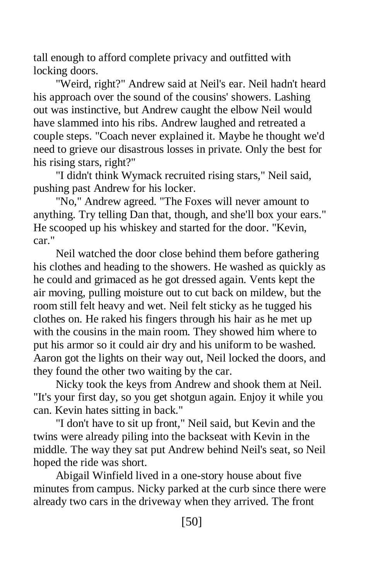tall enough to afford complete privacy and outfitted with locking doors.

"Weird, right?" Andrew said at Neil's ear. Neil hadn't heard his approach over the sound of the cousins' showers. Lashing out was instinctive, but Andrew caught the elbow Neil would have slammed into his ribs. Andrew laughed and retreated a couple steps. "Coach never explained it. Maybe he thought we'd need to grieve our disastrous losses in private. Only the best for his rising stars, right?"

"I didn't think Wymack recruited rising stars," Neil said, pushing past Andrew for his locker.

"No," Andrew agreed. "The Foxes will never amount to anything. Try telling Dan that, though, and she'll box your ears." He scooped up his whiskey and started for the door. "Kevin, car."

Neil watched the door close behind them before gathering his clothes and heading to the showers. He washed as quickly as he could and grimaced as he got dressed again. Vents kept the air moving, pulling moisture out to cut back on mildew, but the room still felt heavy and wet. Neil felt sticky as he tugged his clothes on. He raked his fingers through his hair as he met up with the cousins in the main room. They showed him where to put his armor so it could air dry and his uniform to be washed. Aaron got the lights on their way out, Neil locked the doors, and they found the other two waiting by the car.

Nicky took the keys from Andrew and shook them at Neil. "It's your first day, so you get shotgun again. Enjoy it while you can. Kevin hates sitting in back."

"I don't have to sit up front," Neil said, but Kevin and the twins were already piling into the backseat with Kevin in the middle. The way they sat put Andrew behind Neil's seat, so Neil hoped the ride was short.

Abigail Winfield lived in a one-story house about five minutes from campus. Nicky parked at the curb since there were already two cars in the driveway when they arrived. The front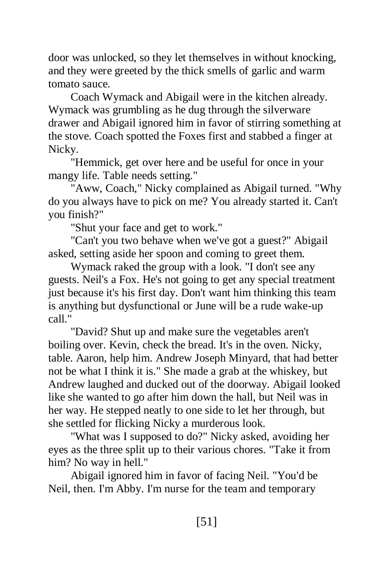door was unlocked, so they let themselves in without knocking, and they were greeted by the thick smells of garlic and warm tomato sauce.

Coach Wymack and Abigail were in the kitchen already. Wymack was grumbling as he dug through the silverware drawer and Abigail ignored him in favor of stirring something at the stove. Coach spotted the Foxes first and stabbed a finger at Nicky.

"Hemmick, get over here and be useful for once in your mangy life. Table needs setting."

"Aww, Coach," Nicky complained as Abigail turned. "Why do you always have to pick on me? You already started it. Can't you finish?"

"Shut your face and get to work."

"Can't you two behave when we've got a guest?" Abigail asked, setting aside her spoon and coming to greet them.

Wymack raked the group with a look. "I don't see any guests. Neil's a Fox. He's not going to get any special treatment just because it's his first day. Don't want him thinking this team is anything but dysfunctional or June will be a rude wake-up call."

"David? Shut up and make sure the vegetables aren't boiling over. Kevin, check the bread. It's in the oven. Nicky, table. Aaron, help him. Andrew Joseph Minyard, that had better not be what I think it is." She made a grab at the whiskey, but Andrew laughed and ducked out of the doorway. Abigail looked like she wanted to go after him down the hall, but Neil was in her way. He stepped neatly to one side to let her through, but she settled for flicking Nicky a murderous look.

"What was I supposed to do?" Nicky asked, avoiding her eyes as the three split up to their various chores. "Take it from him? No way in hell."

Abigail ignored him in favor of facing Neil. "You'd be Neil, then. I'm Abby. I'm nurse for the team and temporary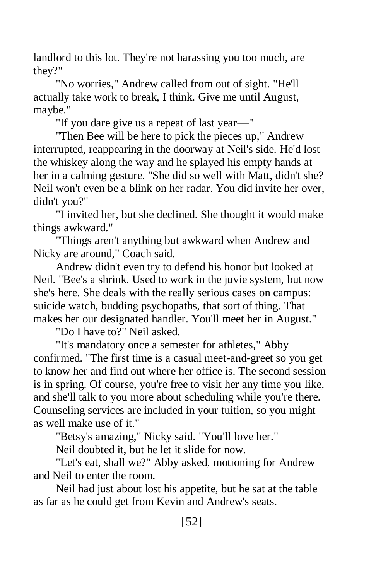landlord to this lot. They're not harassing you too much, are they?"

"No worries," Andrew called from out of sight. "He'll actually take work to break, I think. Give me until August, maybe."

"If you dare give us a repeat of last year—"

"Then Bee will be here to pick the pieces up," Andrew interrupted, reappearing in the doorway at Neil's side. He'd lost the whiskey along the way and he splayed his empty hands at her in a calming gesture. "She did so well with Matt, didn't she? Neil won't even be a blink on her radar. You did invite her over, didn't you?"

"I invited her, but she declined. She thought it would make things awkward."

"Things aren't anything but awkward when Andrew and Nicky are around," Coach said.

Andrew didn't even try to defend his honor but looked at Neil. "Bee's a shrink. Used to work in the juvie system, but now she's here. She deals with the really serious cases on campus: suicide watch, budding psychopaths, that sort of thing. That makes her our designated handler. You'll meet her in August."

"Do I have to?" Neil asked.

"It's mandatory once a semester for athletes," Abby confirmed. "The first time is a casual meet-and-greet so you get to know her and find out where her office is. The second session is in spring. Of course, you're free to visit her any time you like, and she'll talk to you more about scheduling while you're there. Counseling services are included in your tuition, so you might as well make use of it."

"Betsy's amazing," Nicky said. "You'll love her."

Neil doubted it, but he let it slide for now.

"Let's eat, shall we?" Abby asked, motioning for Andrew and Neil to enter the room.

Neil had just about lost his appetite, but he sat at the table as far as he could get from Kevin and Andrew's seats.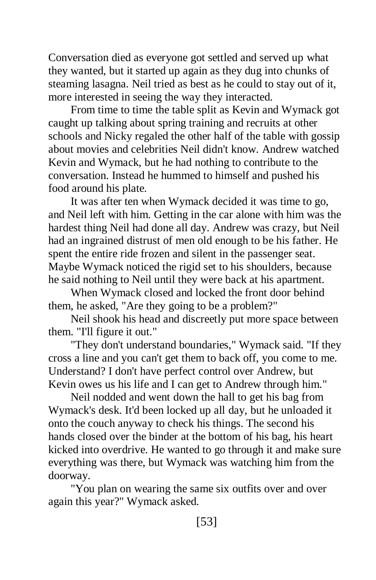Conversation died as everyone got settled and served up what they wanted, but it started up again as they dug into chunks of steaming lasagna. Neil tried as best as he could to stay out of it, more interested in seeing the way they interacted.

From time to time the table split as Kevin and Wymack got caught up talking about spring training and recruits at other schools and Nicky regaled the other half of the table with gossip about movies and celebrities Neil didn't know. Andrew watched Kevin and Wymack, but he had nothing to contribute to the conversation. Instead he hummed to himself and pushed his food around his plate.

It was after ten when Wymack decided it was time to go, and Neil left with him. Getting in the car alone with him was the hardest thing Neil had done all day. Andrew was crazy, but Neil had an ingrained distrust of men old enough to be his father. He spent the entire ride frozen and silent in the passenger seat. Maybe Wymack noticed the rigid set to his shoulders, because he said nothing to Neil until they were back at his apartment.

When Wymack closed and locked the front door behind them, he asked, "Are they going to be a problem?"

Neil shook his head and discreetly put more space between them. "I'll figure it out."

"They don't understand boundaries," Wymack said. "If they cross a line and you can't get them to back off, you come to me. Understand? I don't have perfect control over Andrew, but Kevin owes us his life and I can get to Andrew through him."

Neil nodded and went down the hall to get his bag from Wymack's desk. It'd been locked up all day, but he unloaded it onto the couch anyway to check his things. The second his hands closed over the binder at the bottom of his bag, his heart kicked into overdrive. He wanted to go through it and make sure everything was there, but Wymack was watching him from the doorway.

"You plan on wearing the same six outfits over and over again this year?" Wymack asked.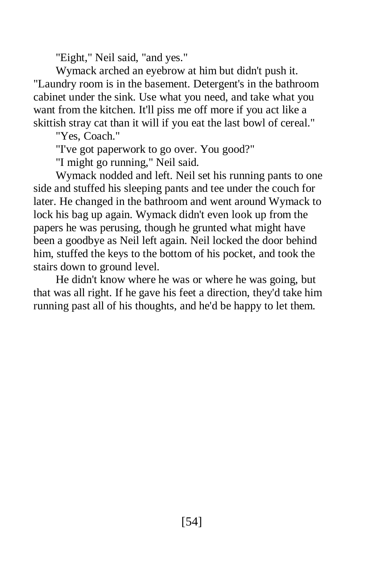"Eight," Neil said, "and yes."

Wymack arched an eyebrow at him but didn't push it. "Laundry room is in the basement. Detergent's in the bathroom cabinet under the sink. Use what you need, and take what you want from the kitchen. It'll piss me off more if you act like a skittish stray cat than it will if you eat the last bowl of cereal."

"Yes, Coach."

"I've got paperwork to go over. You good?"

"I might go running," Neil said.

Wymack nodded and left. Neil set his running pants to one side and stuffed his sleeping pants and tee under the couch for later. He changed in the bathroom and went around Wymack to lock his bag up again. Wymack didn't even look up from the papers he was perusing, though he grunted what might have been a goodbye as Neil left again. Neil locked the door behind him, stuffed the keys to the bottom of his pocket, and took the stairs down to ground level.

He didn't know where he was or where he was going, but that was all right. If he gave his feet a direction, they'd take him running past all of his thoughts, and he'd be happy to let them.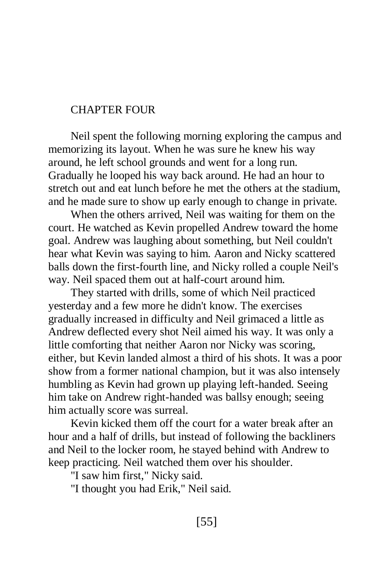## CHAPTER FOUR

Neil spent the following morning exploring the campus and memorizing its layout. When he was sure he knew his way around, he left school grounds and went for a long run. Gradually he looped his way back around. He had an hour to stretch out and eat lunch before he met the others at the stadium, and he made sure to show up early enough to change in private.

When the others arrived, Neil was waiting for them on the court. He watched as Kevin propelled Andrew toward the home goal. Andrew was laughing about something, but Neil couldn't hear what Kevin was saying to him. Aaron and Nicky scattered balls down the first-fourth line, and Nicky rolled a couple Neil's way. Neil spaced them out at half-court around him.

They started with drills, some of which Neil practiced yesterday and a few more he didn't know. The exercises gradually increased in difficulty and Neil grimaced a little as Andrew deflected every shot Neil aimed his way. It was only a little comforting that neither Aaron nor Nicky was scoring, either, but Kevin landed almost a third of his shots. It was a poor show from a former national champion, but it was also intensely humbling as Kevin had grown up playing left-handed. Seeing him take on Andrew right-handed was ballsy enough; seeing him actually score was surreal.

Kevin kicked them off the court for a water break after an hour and a half of drills, but instead of following the backliners and Neil to the locker room, he stayed behind with Andrew to keep practicing. Neil watched them over his shoulder.

"I saw him first," Nicky said.

"I thought you had Erik," Neil said.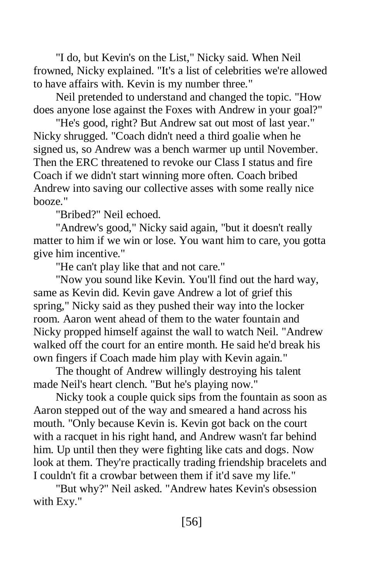"I do, but Kevin's on the List," Nicky said. When Neil frowned, Nicky explained. "It's a list of celebrities we're allowed to have affairs with. Kevin is my number three."

Neil pretended to understand and changed the topic. "How does anyone lose against the Foxes with Andrew in your goal?"

"He's good, right? But Andrew sat out most of last year." Nicky shrugged. "Coach didn't need a third goalie when he signed us, so Andrew was a bench warmer up until November. Then the ERC threatened to revoke our Class I status and fire Coach if we didn't start winning more often. Coach bribed Andrew into saving our collective asses with some really nice booze."

"Bribed?" Neil echoed.

"Andrew's good," Nicky said again, "but it doesn't really matter to him if we win or lose. You want him to care, you gotta give him incentive."

"He can't play like that and not care."

"Now you sound like Kevin. You'll find out the hard way, same as Kevin did. Kevin gave Andrew a lot of grief this spring," Nicky said as they pushed their way into the locker room. Aaron went ahead of them to the water fountain and Nicky propped himself against the wall to watch Neil. "Andrew walked off the court for an entire month. He said he'd break his own fingers if Coach made him play with Kevin again."

The thought of Andrew willingly destroying his talent made Neil's heart clench. "But he's playing now."

Nicky took a couple quick sips from the fountain as soon as Aaron stepped out of the way and smeared a hand across his mouth. "Only because Kevin is. Kevin got back on the court with a racquet in his right hand, and Andrew wasn't far behind him. Up until then they were fighting like cats and dogs. Now look at them. They're practically trading friendship bracelets and I couldn't fit a crowbar between them if it'd save my life."

"But why?" Neil asked. "Andrew hates Kevin's obsession with Exy."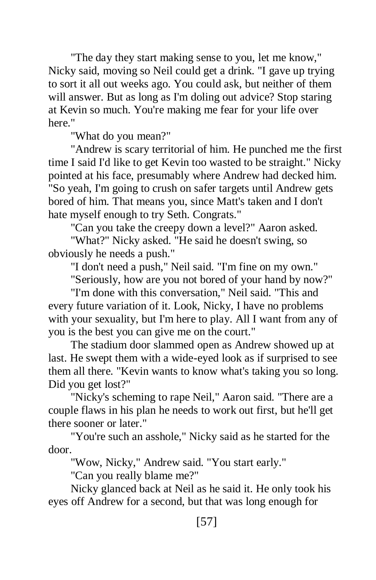"The day they start making sense to you, let me know," Nicky said, moving so Neil could get a drink. "I gave up trying to sort it all out weeks ago. You could ask, but neither of them will answer. But as long as I'm doling out advice? Stop staring at Kevin so much. You're making me fear for your life over here."

"What do you mean?"

"Andrew is scary territorial of him. He punched me the first time I said I'd like to get Kevin too wasted to be straight." Nicky pointed at his face, presumably where Andrew had decked him. "So yeah, I'm going to crush on safer targets until Andrew gets bored of him. That means you, since Matt's taken and I don't hate myself enough to try Seth. Congrats."

"Can you take the creepy down a level?" Aaron asked.

"What?" Nicky asked. "He said he doesn't swing, so obviously he needs a push."

"I don't need a push," Neil said. "I'm fine on my own."

"Seriously, how are you not bored of your hand by now?"

"I'm done with this conversation," Neil said. "This and every future variation of it. Look, Nicky, I have no problems with your sexuality, but I'm here to play. All I want from any of you is the best you can give me on the court."

The stadium door slammed open as Andrew showed up at last. He swept them with a wide-eyed look as if surprised to see them all there. "Kevin wants to know what's taking you so long. Did you get lost?"

"Nicky's scheming to rape Neil," Aaron said. "There are a couple flaws in his plan he needs to work out first, but he'll get there sooner or later."

"You're such an asshole," Nicky said as he started for the door.

"Wow, Nicky," Andrew said. "You start early."

"Can you really blame me?"

Nicky glanced back at Neil as he said it. He only took his eyes off Andrew for a second, but that was long enough for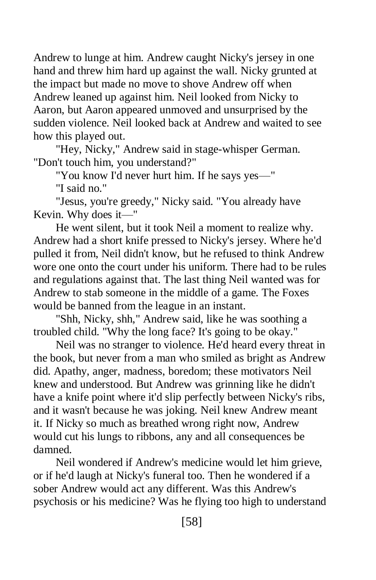Andrew to lunge at him. Andrew caught Nicky's jersey in one hand and threw him hard up against the wall. Nicky grunted at the impact but made no move to shove Andrew off when Andrew leaned up against him. Neil looked from Nicky to Aaron, but Aaron appeared unmoved and unsurprised by the sudden violence. Neil looked back at Andrew and waited to see how this played out.

"Hey, Nicky," Andrew said in stage-whisper German. "Don't touch him, you understand?"

"You know I'd never hurt him. If he says yes—" "I said no."

"Jesus, you're greedy," Nicky said. "You already have Kevin. Why does it—"

He went silent, but it took Neil a moment to realize why. Andrew had a short knife pressed to Nicky's jersey. Where he'd pulled it from, Neil didn't know, but he refused to think Andrew wore one onto the court under his uniform. There had to be rules and regulations against that. The last thing Neil wanted was for Andrew to stab someone in the middle of a game. The Foxes would be banned from the league in an instant.

"Shh, Nicky, shh," Andrew said, like he was soothing a troubled child. "Why the long face? It's going to be okay."

Neil was no stranger to violence. He'd heard every threat in the book, but never from a man who smiled as bright as Andrew did. Apathy, anger, madness, boredom; these motivators Neil knew and understood. But Andrew was grinning like he didn't have a knife point where it'd slip perfectly between Nicky's ribs, and it wasn't because he was joking. Neil knew Andrew meant it. If Nicky so much as breathed wrong right now, Andrew would cut his lungs to ribbons, any and all consequences be damned.

Neil wondered if Andrew's medicine would let him grieve, or if he'd laugh at Nicky's funeral too. Then he wondered if a sober Andrew would act any different. Was this Andrew's psychosis or his medicine? Was he flying too high to understand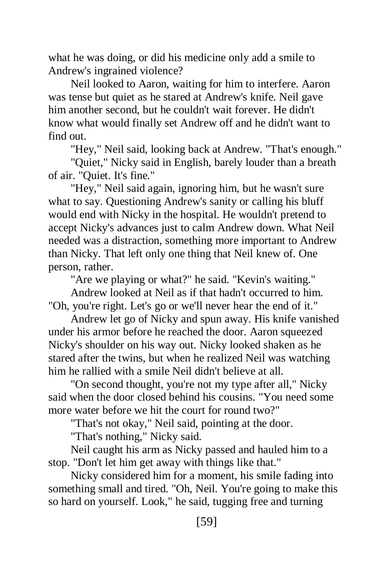what he was doing, or did his medicine only add a smile to Andrew's ingrained violence?

Neil looked to Aaron, waiting for him to interfere. Aaron was tense but quiet as he stared at Andrew's knife. Neil gave him another second, but he couldn't wait forever. He didn't know what would finally set Andrew off and he didn't want to find out.

"Hey," Neil said, looking back at Andrew. "That's enough."

"Quiet," Nicky said in English, barely louder than a breath of air. "Quiet. It's fine."

"Hey," Neil said again, ignoring him, but he wasn't sure what to say. Questioning Andrew's sanity or calling his bluff would end with Nicky in the hospital. He wouldn't pretend to accept Nicky's advances just to calm Andrew down. What Neil needed was a distraction, something more important to Andrew than Nicky. That left only one thing that Neil knew of. One person, rather.

"Are we playing or what?" he said. "Kevin's waiting."

Andrew looked at Neil as if that hadn't occurred to him. "Oh, you're right. Let's go or we'll never hear the end of it."

Andrew let go of Nicky and spun away. His knife vanished under his armor before he reached the door. Aaron squeezed Nicky's shoulder on his way out. Nicky looked shaken as he stared after the twins, but when he realized Neil was watching him he rallied with a smile Neil didn't believe at all.

"On second thought, you're not my type after all," Nicky said when the door closed behind his cousins. "You need some more water before we hit the court for round two?"

"That's not okay," Neil said, pointing at the door.

"That's nothing," Nicky said.

Neil caught his arm as Nicky passed and hauled him to a stop. "Don't let him get away with things like that."

Nicky considered him for a moment, his smile fading into something small and tired. "Oh, Neil. You're going to make this so hard on yourself. Look," he said, tugging free and turning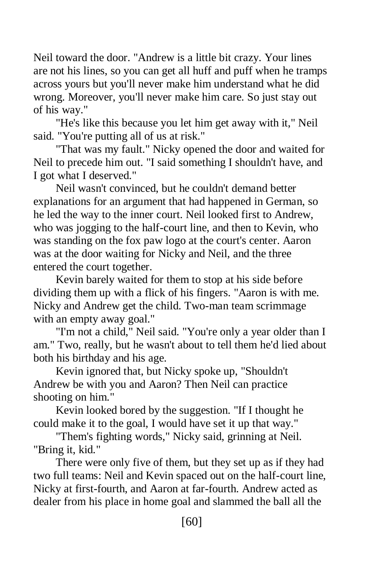Neil toward the door. "Andrew is a little bit crazy. Your lines are not his lines, so you can get all huff and puff when he tramps across yours but you'll never make him understand what he did wrong. Moreover, you'll never make him care. So just stay out of his way."

"He's like this because you let him get away with it," Neil said. "You're putting all of us at risk."

"That was my fault." Nicky opened the door and waited for Neil to precede him out. "I said something I shouldn't have, and I got what I deserved."

Neil wasn't convinced, but he couldn't demand better explanations for an argument that had happened in German, so he led the way to the inner court. Neil looked first to Andrew, who was jogging to the half-court line, and then to Kevin, who was standing on the fox paw logo at the court's center. Aaron was at the door waiting for Nicky and Neil, and the three entered the court together.

Kevin barely waited for them to stop at his side before dividing them up with a flick of his fingers. "Aaron is with me. Nicky and Andrew get the child. Two-man team scrimmage with an empty away goal."

"I'm not a child," Neil said. "You're only a year older than I am." Two, really, but he wasn't about to tell them he'd lied about both his birthday and his age.

Kevin ignored that, but Nicky spoke up, "Shouldn't Andrew be with you and Aaron? Then Neil can practice shooting on him."

Kevin looked bored by the suggestion. "If I thought he could make it to the goal, I would have set it up that way."

"Them's fighting words," Nicky said, grinning at Neil. "Bring it, kid."

There were only five of them, but they set up as if they had two full teams: Neil and Kevin spaced out on the half-court line, Nicky at first-fourth, and Aaron at far-fourth. Andrew acted as dealer from his place in home goal and slammed the ball all the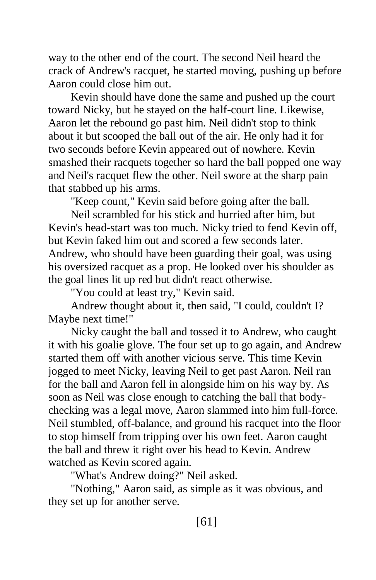way to the other end of the court. The second Neil heard the crack of Andrew's racquet, he started moving, pushing up before Aaron could close him out.

Kevin should have done the same and pushed up the court toward Nicky, but he stayed on the half-court line. Likewise, Aaron let the rebound go past him. Neil didn't stop to think about it but scooped the ball out of the air. He only had it for two seconds before Kevin appeared out of nowhere. Kevin smashed their racquets together so hard the ball popped one way and Neil's racquet flew the other. Neil swore at the sharp pain that stabbed up his arms.

"Keep count," Kevin said before going after the ball.

Neil scrambled for his stick and hurried after him, but Kevin's head-start was too much. Nicky tried to fend Kevin off, but Kevin faked him out and scored a few seconds later. Andrew, who should have been guarding their goal, was using his oversized racquet as a prop. He looked over his shoulder as the goal lines lit up red but didn't react otherwise.

"You could at least try," Kevin said.

Andrew thought about it, then said, "I could, couldn't I? Maybe next time!"

Nicky caught the ball and tossed it to Andrew, who caught it with his goalie glove. The four set up to go again, and Andrew started them off with another vicious serve. This time Kevin jogged to meet Nicky, leaving Neil to get past Aaron. Neil ran for the ball and Aaron fell in alongside him on his way by. As soon as Neil was close enough to catching the ball that bodychecking was a legal move, Aaron slammed into him full-force. Neil stumbled, off-balance, and ground his racquet into the floor to stop himself from tripping over his own feet. Aaron caught the ball and threw it right over his head to Kevin. Andrew watched as Kevin scored again.

"What's Andrew doing?" Neil asked.

"Nothing," Aaron said, as simple as it was obvious, and they set up for another serve.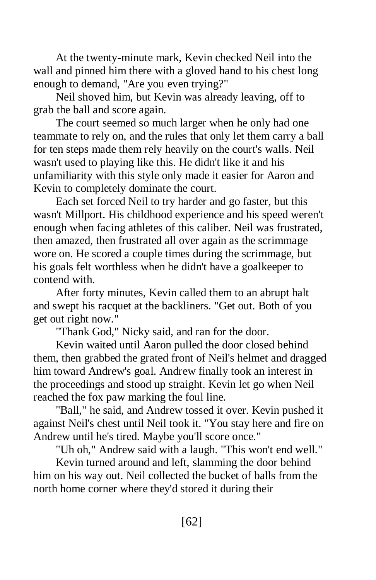At the twenty-minute mark, Kevin checked Neil into the wall and pinned him there with a gloved hand to his chest long enough to demand, "Are you even trying?"

Neil shoved him, but Kevin was already leaving, off to grab the ball and score again.

The court seemed so much larger when he only had one teammate to rely on, and the rules that only let them carry a ball for ten steps made them rely heavily on the court's walls. Neil wasn't used to playing like this. He didn't like it and his unfamiliarity with this style only made it easier for Aaron and Kevin to completely dominate the court.

Each set forced Neil to try harder and go faster, but this wasn't Millport. His childhood experience and his speed weren't enough when facing athletes of this caliber. Neil was frustrated, then amazed, then frustrated all over again as the scrimmage wore on. He scored a couple times during the scrimmage, but his goals felt worthless when he didn't have a goalkeeper to contend with.

After forty minutes, Kevin called them to an abrupt halt and swept his racquet at the backliners. "Get out. Both of you get out right now."

"Thank God," Nicky said, and ran for the door.

Kevin waited until Aaron pulled the door closed behind them, then grabbed the grated front of Neil's helmet and dragged him toward Andrew's goal. Andrew finally took an interest in the proceedings and stood up straight. Kevin let go when Neil reached the fox paw marking the foul line.

"Ball," he said, and Andrew tossed it over. Kevin pushed it against Neil's chest until Neil took it. "You stay here and fire on Andrew until he's tired. Maybe you'll score once."

"Uh oh," Andrew said with a laugh. "This won't end well."

Kevin turned around and left, slamming the door behind him on his way out. Neil collected the bucket of balls from the north home corner where they'd stored it during their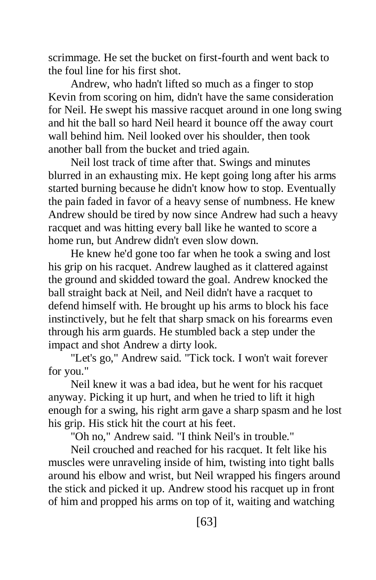scrimmage. He set the bucket on first-fourth and went back to the foul line for his first shot.

Andrew, who hadn't lifted so much as a finger to stop Kevin from scoring on him, didn't have the same consideration for Neil. He swept his massive racquet around in one long swing and hit the ball so hard Neil heard it bounce off the away court wall behind him. Neil looked over his shoulder, then took another ball from the bucket and tried again.

Neil lost track of time after that. Swings and minutes blurred in an exhausting mix. He kept going long after his arms started burning because he didn't know how to stop. Eventually the pain faded in favor of a heavy sense of numbness. He knew Andrew should be tired by now since Andrew had such a heavy racquet and was hitting every ball like he wanted to score a home run, but Andrew didn't even slow down.

He knew he'd gone too far when he took a swing and lost his grip on his racquet. Andrew laughed as it clattered against the ground and skidded toward the goal. Andrew knocked the ball straight back at Neil, and Neil didn't have a racquet to defend himself with. He brought up his arms to block his face instinctively, but he felt that sharp smack on his forearms even through his arm guards. He stumbled back a step under the impact and shot Andrew a dirty look.

"Let's go," Andrew said. "Tick tock. I won't wait forever for you."

Neil knew it was a bad idea, but he went for his racquet anyway. Picking it up hurt, and when he tried to lift it high enough for a swing, his right arm gave a sharp spasm and he lost his grip. His stick hit the court at his feet.

"Oh no," Andrew said. "I think Neil's in trouble."

Neil crouched and reached for his racquet. It felt like his muscles were unraveling inside of him, twisting into tight balls around his elbow and wrist, but Neil wrapped his fingers around the stick and picked it up. Andrew stood his racquet up in front of him and propped his arms on top of it, waiting and watching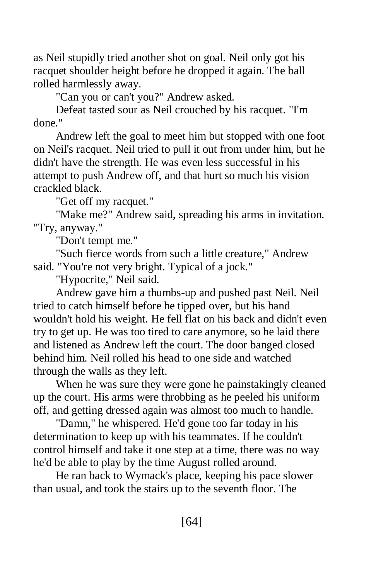as Neil stupidly tried another shot on goal. Neil only got his racquet shoulder height before he dropped it again. The ball rolled harmlessly away.

"Can you or can't you?" Andrew asked.

Defeat tasted sour as Neil crouched by his racquet. "I'm done."

Andrew left the goal to meet him but stopped with one foot on Neil's racquet. Neil tried to pull it out from under him, but he didn't have the strength. He was even less successful in his attempt to push Andrew off, and that hurt so much his vision crackled black.

"Get off my racquet."

"Make me?" Andrew said, spreading his arms in invitation. "Try, anyway."

"Don't tempt me."

"Such fierce words from such a little creature," Andrew said. "You're not very bright. Typical of a jock."

"Hypocrite," Neil said.

Andrew gave him a thumbs-up and pushed past Neil. Neil tried to catch himself before he tipped over, but his hand wouldn't hold his weight. He fell flat on his back and didn't even try to get up. He was too tired to care anymore, so he laid there and listened as Andrew left the court. The door banged closed behind him. Neil rolled his head to one side and watched through the walls as they left.

When he was sure they were gone he painstakingly cleaned up the court. His arms were throbbing as he peeled his uniform off, and getting dressed again was almost too much to handle.

"Damn," he whispered. He'd gone too far today in his determination to keep up with his teammates. If he couldn't control himself and take it one step at a time, there was no way he'd be able to play by the time August rolled around.

He ran back to Wymack's place, keeping his pace slower than usual, and took the stairs up to the seventh floor. The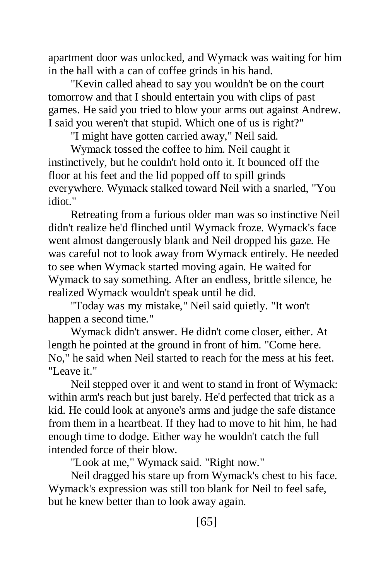apartment door was unlocked, and Wymack was waiting for him in the hall with a can of coffee grinds in his hand.

"Kevin called ahead to say you wouldn't be on the court tomorrow and that I should entertain you with clips of past games. He said you tried to blow your arms out against Andrew. I said you weren't that stupid. Which one of us is right?"

"I might have gotten carried away," Neil said.

Wymack tossed the coffee to him. Neil caught it instinctively, but he couldn't hold onto it. It bounced off the floor at his feet and the lid popped off to spill grinds everywhere. Wymack stalked toward Neil with a snarled, "You idiot."

Retreating from a furious older man was so instinctive Neil didn't realize he'd flinched until Wymack froze. Wymack's face went almost dangerously blank and Neil dropped his gaze. He was careful not to look away from Wymack entirely. He needed to see when Wymack started moving again. He waited for Wymack to say something. After an endless, brittle silence, he realized Wymack wouldn't speak until he did.

"Today was my mistake," Neil said quietly. "It won't happen a second time."

Wymack didn't answer. He didn't come closer, either. At length he pointed at the ground in front of him. "Come here. No," he said when Neil started to reach for the mess at his feet. "Leave it."

Neil stepped over it and went to stand in front of Wymack: within arm's reach but just barely. He'd perfected that trick as a kid. He could look at anyone's arms and judge the safe distance from them in a heartbeat. If they had to move to hit him, he had enough time to dodge. Either way he wouldn't catch the full intended force of their blow.

"Look at me," Wymack said. "Right now."

Neil dragged his stare up from Wymack's chest to his face. Wymack's expression was still too blank for Neil to feel safe, but he knew better than to look away again.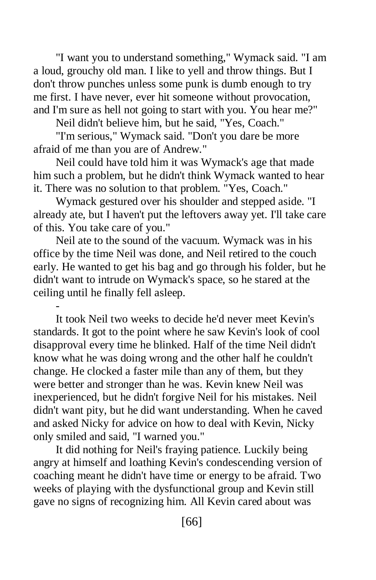"I want you to understand something," Wymack said. "I am a loud, grouchy old man. I like to yell and throw things. But I don't throw punches unless some punk is dumb enough to try me first. I have never, ever hit someone without provocation, and I'm sure as hell not going to start with you. You hear me?"

Neil didn't believe him, but he said, "Yes, Coach."

"I'm serious," Wymack said. "Don't you dare be more afraid of me than you are of Andrew."

Neil could have told him it was Wymack's age that made him such a problem, but he didn't think Wymack wanted to hear it. There was no solution to that problem. "Yes, Coach."

Wymack gestured over his shoulder and stepped aside. "I already ate, but I haven't put the leftovers away yet. I'll take care of this. You take care of you."

Neil ate to the sound of the vacuum. Wymack was in his office by the time Neil was done, and Neil retired to the couch early. He wanted to get his bag and go through his folder, but he didn't want to intrude on Wymack's space, so he stared at the ceiling until he finally fell asleep.

- It took Neil two weeks to decide he'd never meet Kevin's standards. It got to the point where he saw Kevin's look of cool disapproval every time he blinked. Half of the time Neil didn't know what he was doing wrong and the other half he couldn't change. He clocked a faster mile than any of them, but they were better and stronger than he was. Kevin knew Neil was inexperienced, but he didn't forgive Neil for his mistakes. Neil didn't want pity, but he did want understanding. When he caved and asked Nicky for advice on how to deal with Kevin, Nicky only smiled and said, "I warned you."

It did nothing for Neil's fraying patience. Luckily being angry at himself and loathing Kevin's condescending version of coaching meant he didn't have time or energy to be afraid. Two weeks of playing with the dysfunctional group and Kevin still gave no signs of recognizing him. All Kevin cared about was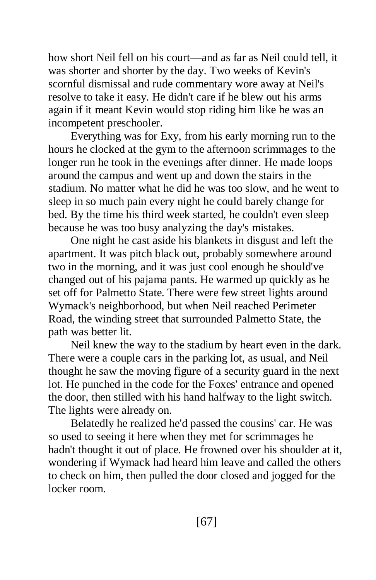how short Neil fell on his court—and as far as Neil could tell, it was shorter and shorter by the day. Two weeks of Kevin's scornful dismissal and rude commentary wore away at Neil's resolve to take it easy. He didn't care if he blew out his arms again if it meant Kevin would stop riding him like he was an incompetent preschooler.

Everything was for Exy, from his early morning run to the hours he clocked at the gym to the afternoon scrimmages to the longer run he took in the evenings after dinner. He made loops around the campus and went up and down the stairs in the stadium. No matter what he did he was too slow, and he went to sleep in so much pain every night he could barely change for bed. By the time his third week started, he couldn't even sleep because he was too busy analyzing the day's mistakes.

One night he cast aside his blankets in disgust and left the apartment. It was pitch black out, probably somewhere around two in the morning, and it was just cool enough he should've changed out of his pajama pants. He warmed up quickly as he set off for Palmetto State. There were few street lights around Wymack's neighborhood, but when Neil reached Perimeter Road, the winding street that surrounded Palmetto State, the path was better lit.

Neil knew the way to the stadium by heart even in the dark. There were a couple cars in the parking lot, as usual, and Neil thought he saw the moving figure of a security guard in the next lot. He punched in the code for the Foxes' entrance and opened the door, then stilled with his hand halfway to the light switch. The lights were already on.

Belatedly he realized he'd passed the cousins' car. He was so used to seeing it here when they met for scrimmages he hadn't thought it out of place. He frowned over his shoulder at it, wondering if Wymack had heard him leave and called the others to check on him, then pulled the door closed and jogged for the locker room.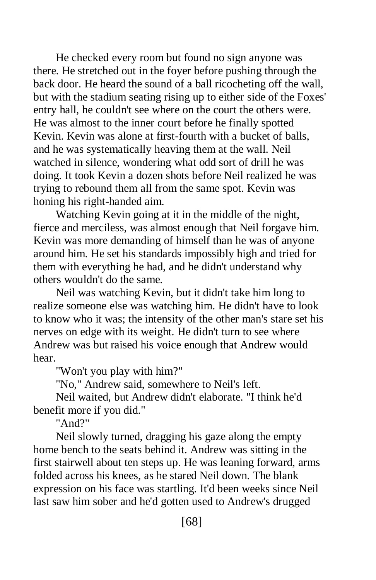He checked every room but found no sign anyone was there. He stretched out in the foyer before pushing through the back door. He heard the sound of a ball ricocheting off the wall, but with the stadium seating rising up to either side of the Foxes' entry hall, he couldn't see where on the court the others were. He was almost to the inner court before he finally spotted Kevin. Kevin was alone at first-fourth with a bucket of balls, and he was systematically heaving them at the wall. Neil watched in silence, wondering what odd sort of drill he was doing. It took Kevin a dozen shots before Neil realized he was trying to rebound them all from the same spot. Kevin was honing his right-handed aim.

Watching Kevin going at it in the middle of the night, fierce and merciless, was almost enough that Neil forgave him. Kevin was more demanding of himself than he was of anyone around him. He set his standards impossibly high and tried for them with everything he had, and he didn't understand why others wouldn't do the same.

Neil was watching Kevin, but it didn't take him long to realize someone else was watching him. He didn't have to look to know who it was; the intensity of the other man's stare set his nerves on edge with its weight. He didn't turn to see where Andrew was but raised his voice enough that Andrew would hear.

"Won't you play with him?"

"No," Andrew said, somewhere to Neil's left.

Neil waited, but Andrew didn't elaborate. "I think he'd benefit more if you did."

"And?"

Neil slowly turned, dragging his gaze along the empty home bench to the seats behind it. Andrew was sitting in the first stairwell about ten steps up. He was leaning forward, arms folded across his knees, as he stared Neil down. The blank expression on his face was startling. It'd been weeks since Neil last saw him sober and he'd gotten used to Andrew's drugged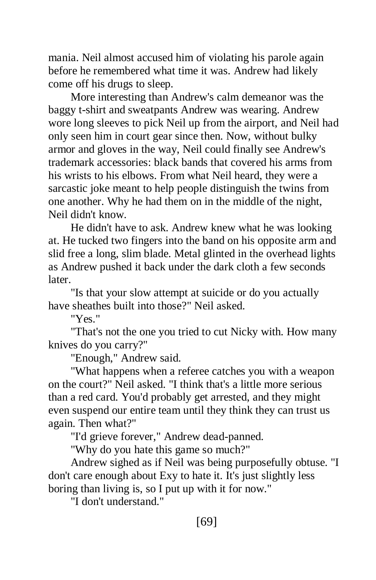mania. Neil almost accused him of violating his parole again before he remembered what time it was. Andrew had likely come off his drugs to sleep.

More interesting than Andrew's calm demeanor was the baggy t-shirt and sweatpants Andrew was wearing. Andrew wore long sleeves to pick Neil up from the airport, and Neil had only seen him in court gear since then. Now, without bulky armor and gloves in the way, Neil could finally see Andrew's trademark accessories: black bands that covered his arms from his wrists to his elbows. From what Neil heard, they were a sarcastic joke meant to help people distinguish the twins from one another. Why he had them on in the middle of the night, Neil didn't know.

He didn't have to ask. Andrew knew what he was looking at. He tucked two fingers into the band on his opposite arm and slid free a long, slim blade. Metal glinted in the overhead lights as Andrew pushed it back under the dark cloth a few seconds later.

"Is that your slow attempt at suicide or do you actually have sheathes built into those?" Neil asked.

"Yes."

"That's not the one you tried to cut Nicky with. How many knives do you carry?"

"Enough," Andrew said.

"What happens when a referee catches you with a weapon on the court?" Neil asked. "I think that's a little more serious than a red card. You'd probably get arrested, and they might even suspend our entire team until they think they can trust us again. Then what?"

"I'd grieve forever," Andrew dead-panned.

"Why do you hate this game so much?"

Andrew sighed as if Neil was being purposefully obtuse. "I don't care enough about Exy to hate it. It's just slightly less boring than living is, so I put up with it for now."

"I don't understand."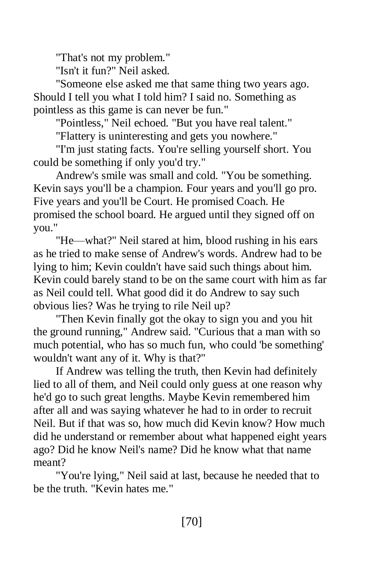"That's not my problem."

"Isn't it fun?" Neil asked.

"Someone else asked me that same thing two years ago. Should I tell you what I told him? I said no. Something as pointless as this game is can never be fun."

"Pointless," Neil echoed. "But you have real talent."

"Flattery is uninteresting and gets you nowhere."

"I'm just stating facts. You're selling yourself short. You could be something if only you'd try."

Andrew's smile was small and cold. "You be something. Kevin says you'll be a champion. Four years and you'll go pro. Five years and you'll be Court. He promised Coach. He promised the school board. He argued until they signed off on you."

"He—what?" Neil stared at him, blood rushing in his ears as he tried to make sense of Andrew's words. Andrew had to be lying to him; Kevin couldn't have said such things about him. Kevin could barely stand to be on the same court with him as far as Neil could tell. What good did it do Andrew to say such obvious lies? Was he trying to rile Neil up?

"Then Kevin finally got the okay to sign you and you hit the ground running," Andrew said. "Curious that a man with so much potential, who has so much fun, who could 'be something' wouldn't want any of it. Why is that?"

If Andrew was telling the truth, then Kevin had definitely lied to all of them, and Neil could only guess at one reason why he'd go to such great lengths. Maybe Kevin remembered him after all and was saying whatever he had to in order to recruit Neil. But if that was so, how much did Kevin know? How much did he understand or remember about what happened eight years ago? Did he know Neil's name? Did he know what that name meant?

"You're lying," Neil said at last, because he needed that to be the truth. "Kevin hates me."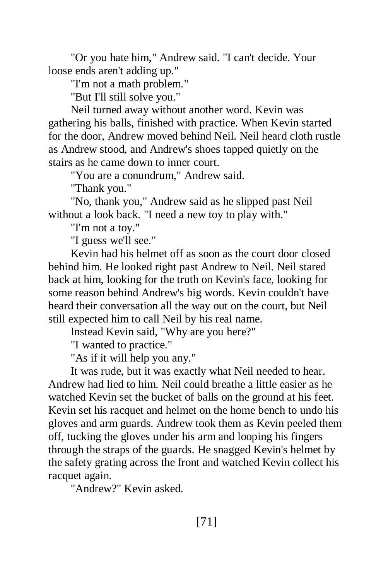"Or you hate him," Andrew said. "I can't decide. Your loose ends aren't adding up."

"I'm not a math problem."

"But I'll still solve you."

Neil turned away without another word. Kevin was gathering his balls, finished with practice. When Kevin started for the door, Andrew moved behind Neil. Neil heard cloth rustle as Andrew stood, and Andrew's shoes tapped quietly on the stairs as he came down to inner court.

"You are a conundrum," Andrew said.

"Thank you."

"No, thank you," Andrew said as he slipped past Neil without a look back. "I need a new toy to play with."

"I'm not a toy."

"I guess we'll see."

Kevin had his helmet off as soon as the court door closed behind him. He looked right past Andrew to Neil. Neil stared back at him, looking for the truth on Kevin's face, looking for some reason behind Andrew's big words. Kevin couldn't have heard their conversation all the way out on the court, but Neil still expected him to call Neil by his real name.

Instead Kevin said, "Why are you here?"

"I wanted to practice."

"As if it will help you any."

It was rude, but it was exactly what Neil needed to hear. Andrew had lied to him. Neil could breathe a little easier as he watched Kevin set the bucket of balls on the ground at his feet. Kevin set his racquet and helmet on the home bench to undo his gloves and arm guards. Andrew took them as Kevin peeled them off, tucking the gloves under his arm and looping his fingers through the straps of the guards. He snagged Kevin's helmet by the safety grating across the front and watched Kevin collect his racquet again.

"Andrew?" Kevin asked.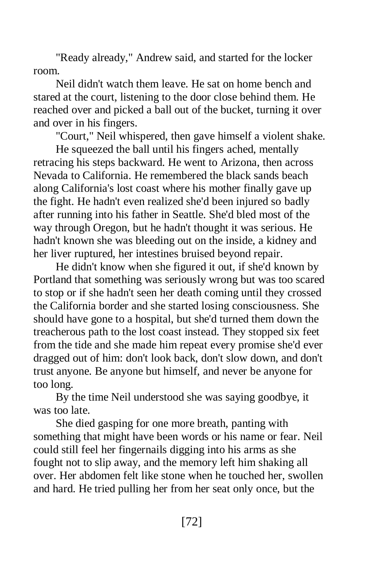"Ready already," Andrew said, and started for the locker room.

Neil didn't watch them leave. He sat on home bench and stared at the court, listening to the door close behind them. He reached over and picked a ball out of the bucket, turning it over and over in his fingers.

"Court," Neil whispered, then gave himself a violent shake.

He squeezed the ball until his fingers ached, mentally retracing his steps backward. He went to Arizona, then across Nevada to California. He remembered the black sands beach along California's lost coast where his mother finally gave up the fight. He hadn't even realized she'd been injured so badly after running into his father in Seattle. She'd bled most of the way through Oregon, but he hadn't thought it was serious. He hadn't known she was bleeding out on the inside, a kidney and her liver ruptured, her intestines bruised beyond repair.

He didn't know when she figured it out, if she'd known by Portland that something was seriously wrong but was too scared to stop or if she hadn't seen her death coming until they crossed the California border and she started losing consciousness. She should have gone to a hospital, but she'd turned them down the treacherous path to the lost coast instead. They stopped six feet from the tide and she made him repeat every promise she'd ever dragged out of him: don't look back, don't slow down, and don't trust anyone. Be anyone but himself, and never be anyone for too long.

By the time Neil understood she was saying goodbye, it was too late.

She died gasping for one more breath, panting with something that might have been words or his name or fear. Neil could still feel her fingernails digging into his arms as she fought not to slip away, and the memory left him shaking all over. Her abdomen felt like stone when he touched her, swollen and hard. He tried pulling her from her seat only once, but the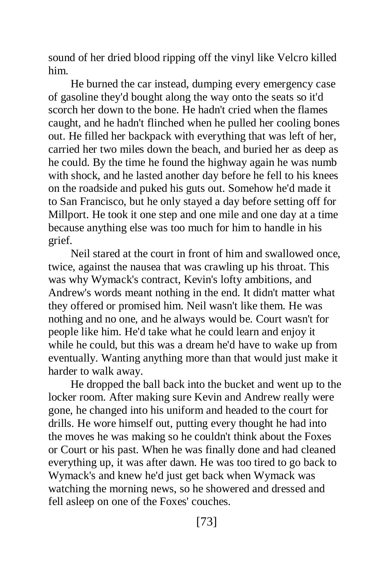sound of her dried blood ripping off the vinyl like Velcro killed him.

He burned the car instead, dumping every emergency case of gasoline they'd bought along the way onto the seats so it'd scorch her down to the bone. He hadn't cried when the flames caught, and he hadn't flinched when he pulled her cooling bones out. He filled her backpack with everything that was left of her, carried her two miles down the beach, and buried her as deep as he could. By the time he found the highway again he was numb with shock, and he lasted another day before he fell to his knees on the roadside and puked his guts out. Somehow he'd made it to San Francisco, but he only stayed a day before setting off for Millport. He took it one step and one mile and one day at a time because anything else was too much for him to handle in his grief.

Neil stared at the court in front of him and swallowed once, twice, against the nausea that was crawling up his throat. This was why Wymack's contract, Kevin's lofty ambitions, and Andrew's words meant nothing in the end. It didn't matter what they offered or promised him. Neil wasn't like them. He was nothing and no one, and he always would be. Court wasn't for people like him. He'd take what he could learn and enjoy it while he could, but this was a dream he'd have to wake up from eventually. Wanting anything more than that would just make it harder to walk away.

He dropped the ball back into the bucket and went up to the locker room. After making sure Kevin and Andrew really were gone, he changed into his uniform and headed to the court for drills. He wore himself out, putting every thought he had into the moves he was making so he couldn't think about the Foxes or Court or his past. When he was finally done and had cleaned everything up, it was after dawn. He was too tired to go back to Wymack's and knew he'd just get back when Wymack was watching the morning news, so he showered and dressed and fell asleep on one of the Foxes' couches.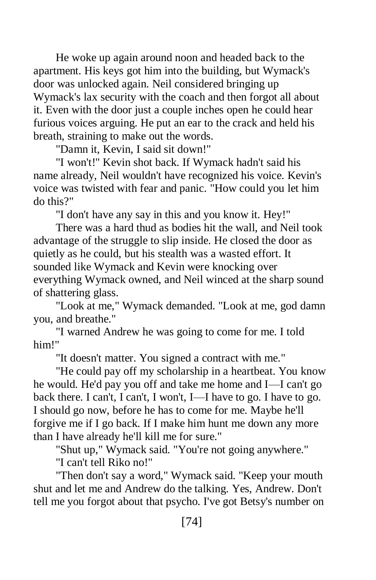He woke up again around noon and headed back to the apartment. His keys got him into the building, but Wymack's door was unlocked again. Neil considered bringing up Wymack's lax security with the coach and then forgot all about it. Even with the door just a couple inches open he could hear furious voices arguing. He put an ear to the crack and held his breath, straining to make out the words.

"Damn it, Kevin, I said sit down!"

"I won't!" Kevin shot back. If Wymack hadn't said his name already, Neil wouldn't have recognized his voice. Kevin's voice was twisted with fear and panic. "How could you let him do this?"

"I don't have any say in this and you know it. Hey!"

There was a hard thud as bodies hit the wall, and Neil took advantage of the struggle to slip inside. He closed the door as quietly as he could, but his stealth was a wasted effort. It sounded like Wymack and Kevin were knocking over everything Wymack owned, and Neil winced at the sharp sound of shattering glass.

"Look at me," Wymack demanded. "Look at me, god damn you, and breathe."

"I warned Andrew he was going to come for me. I told him!"

"It doesn't matter. You signed a contract with me."

"He could pay off my scholarship in a heartbeat. You know he would. He'd pay you off and take me home and I—I can't go back there. I can't, I can't, I won't, I—I have to go. I have to go. I should go now, before he has to come for me. Maybe he'll forgive me if I go back. If I make him hunt me down any more than I have already he'll kill me for sure."

"Shut up," Wymack said. "You're not going anywhere."

"I can't tell Riko no!"

"Then don't say a word," Wymack said. "Keep your mouth shut and let me and Andrew do the talking. Yes, Andrew. Don't tell me you forgot about that psycho. I've got Betsy's number on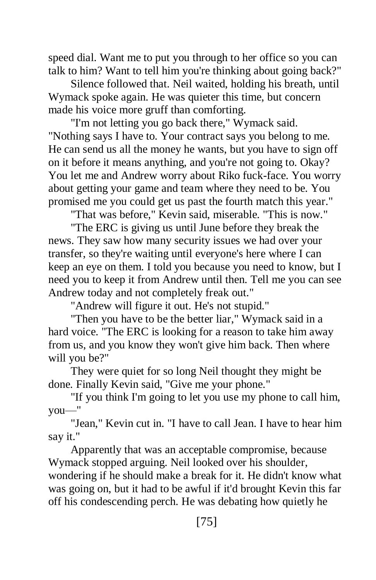speed dial. Want me to put you through to her office so you can talk to him? Want to tell him you're thinking about going back?"

Silence followed that. Neil waited, holding his breath, until Wymack spoke again. He was quieter this time, but concern made his voice more gruff than comforting.

"I'm not letting you go back there," Wymack said. "Nothing says I have to. Your contract says you belong to me. He can send us all the money he wants, but you have to sign off on it before it means anything, and you're not going to. Okay? You let me and Andrew worry about Riko fuck-face. You worry about getting your game and team where they need to be. You promised me you could get us past the fourth match this year."

"That was before," Kevin said, miserable. "This is now."

"The ERC is giving us until June before they break the news. They saw how many security issues we had over your transfer, so they're waiting until everyone's here where I can keep an eye on them. I told you because you need to know, but I need you to keep it from Andrew until then. Tell me you can see Andrew today and not completely freak out."

"Andrew will figure it out. He's not stupid."

"Then you have to be the better liar," Wymack said in a hard voice. "The ERC is looking for a reason to take him away from us, and you know they won't give him back. Then where will you be?"

They were quiet for so long Neil thought they might be done. Finally Kevin said, "Give me your phone."

"If you think I'm going to let you use my phone to call him, you—"

"Jean," Kevin cut in. "I have to call Jean. I have to hear him say it."

Apparently that was an acceptable compromise, because Wymack stopped arguing. Neil looked over his shoulder, wondering if he should make a break for it. He didn't know what was going on, but it had to be awful if it'd brought Kevin this far off his condescending perch. He was debating how quietly he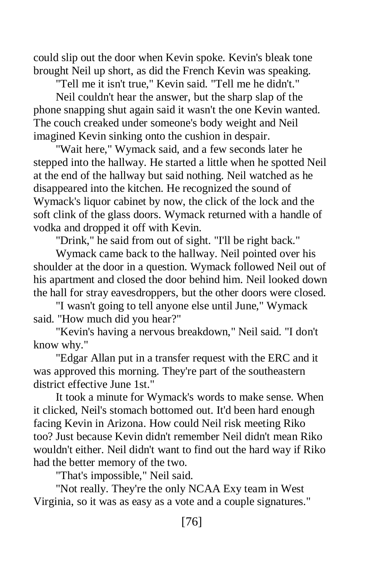could slip out the door when Kevin spoke. Kevin's bleak tone brought Neil up short, as did the French Kevin was speaking.

"Tell me it isn't true," Kevin said. "Tell me he didn't."

Neil couldn't hear the answer, but the sharp slap of the phone snapping shut again said it wasn't the one Kevin wanted. The couch creaked under someone's body weight and Neil imagined Kevin sinking onto the cushion in despair.

"Wait here," Wymack said, and a few seconds later he stepped into the hallway. He started a little when he spotted Neil at the end of the hallway but said nothing. Neil watched as he disappeared into the kitchen. He recognized the sound of Wymack's liquor cabinet by now, the click of the lock and the soft clink of the glass doors. Wymack returned with a handle of vodka and dropped it off with Kevin.

"Drink," he said from out of sight. "I'll be right back."

Wymack came back to the hallway. Neil pointed over his shoulder at the door in a question. Wymack followed Neil out of his apartment and closed the door behind him. Neil looked down the hall for stray eavesdroppers, but the other doors were closed.

"I wasn't going to tell anyone else until June," Wymack said. "How much did you hear?"

"Kevin's having a nervous breakdown," Neil said. "I don't know why."

"Edgar Allan put in a transfer request with the ERC and it was approved this morning. They're part of the southeastern district effective June 1st."

It took a minute for Wymack's words to make sense. When it clicked, Neil's stomach bottomed out. It'd been hard enough facing Kevin in Arizona. How could Neil risk meeting Riko too? Just because Kevin didn't remember Neil didn't mean Riko wouldn't either. Neil didn't want to find out the hard way if Riko had the better memory of the two.

"That's impossible," Neil said.

"Not really. They're the only NCAA Exy team in West Virginia, so it was as easy as a vote and a couple signatures."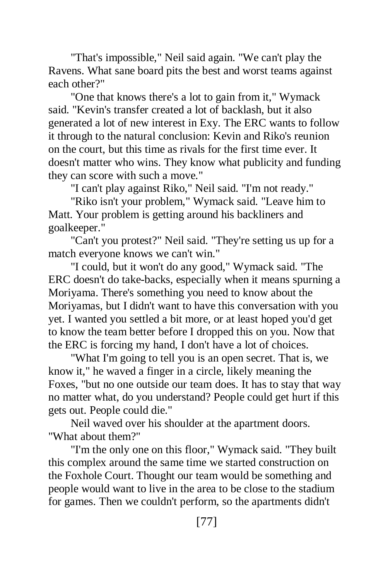"That's impossible," Neil said again. "We can't play the Ravens. What sane board pits the best and worst teams against each other?"

"One that knows there's a lot to gain from it," Wymack said. "Kevin's transfer created a lot of backlash, but it also generated a lot of new interest in Exy. The ERC wants to follow it through to the natural conclusion: Kevin and Riko's reunion on the court, but this time as rivals for the first time ever. It doesn't matter who wins. They know what publicity and funding they can score with such a move."

"I can't play against Riko," Neil said. "I'm not ready."

"Riko isn't your problem," Wymack said. "Leave him to Matt. Your problem is getting around his backliners and goalkeeper."

"Can't you protest?" Neil said. "They're setting us up for a match everyone knows we can't win."

"I could, but it won't do any good," Wymack said. "The ERC doesn't do take-backs, especially when it means spurning a Moriyama. There's something you need to know about the Moriyamas, but I didn't want to have this conversation with you yet. I wanted you settled a bit more, or at least hoped you'd get to know the team better before I dropped this on you. Now that the ERC is forcing my hand, I don't have a lot of choices.

"What I'm going to tell you is an open secret. That is, we know it," he waved a finger in a circle, likely meaning the Foxes, "but no one outside our team does. It has to stay that way no matter what, do you understand? People could get hurt if this gets out. People could die."

Neil waved over his shoulder at the apartment doors. "What about them?"

"I'm the only one on this floor," Wymack said. "They built this complex around the same time we started construction on the Foxhole Court. Thought our team would be something and people would want to live in the area to be close to the stadium for games. Then we couldn't perform, so the apartments didn't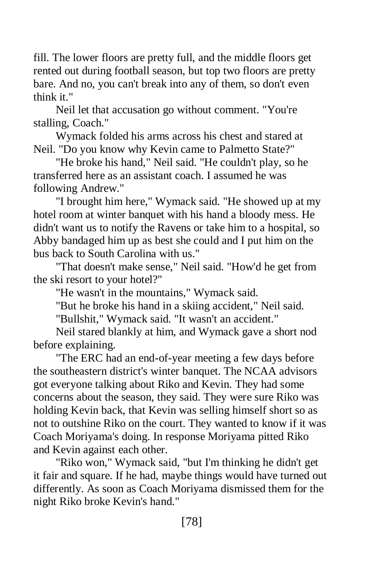fill. The lower floors are pretty full, and the middle floors get rented out during football season, but top two floors are pretty bare. And no, you can't break into any of them, so don't even think it."

Neil let that accusation go without comment. "You're stalling, Coach."

Wymack folded his arms across his chest and stared at Neil. "Do you know why Kevin came to Palmetto State?"

"He broke his hand," Neil said. "He couldn't play, so he transferred here as an assistant coach. I assumed he was following Andrew."

"I brought him here," Wymack said. "He showed up at my hotel room at winter banquet with his hand a bloody mess. He didn't want us to notify the Ravens or take him to a hospital, so Abby bandaged him up as best she could and I put him on the bus back to South Carolina with us."

"That doesn't make sense," Neil said. "How'd he get from the ski resort to your hotel?"

"He wasn't in the mountains," Wymack said.

"But he broke his hand in a skiing accident," Neil said.

"Bullshit," Wymack said. "It wasn't an accident."

Neil stared blankly at him, and Wymack gave a short nod before explaining.

"The ERC had an end-of-year meeting a few days before the southeastern district's winter banquet. The NCAA advisors got everyone talking about Riko and Kevin. They had some concerns about the season, they said. They were sure Riko was holding Kevin back, that Kevin was selling himself short so as not to outshine Riko on the court. They wanted to know if it was Coach Moriyama's doing. In response Moriyama pitted Riko and Kevin against each other.

"Riko won," Wymack said, "but I'm thinking he didn't get it fair and square. If he had, maybe things would have turned out differently. As soon as Coach Moriyama dismissed them for the night Riko broke Kevin's hand."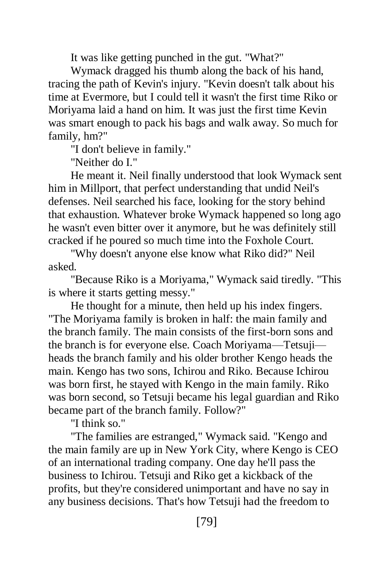It was like getting punched in the gut. "What?"

Wymack dragged his thumb along the back of his hand, tracing the path of Kevin's injury. "Kevin doesn't talk about his time at Evermore, but I could tell it wasn't the first time Riko or Moriyama laid a hand on him. It was just the first time Kevin was smart enough to pack his bags and walk away. So much for family, hm?"

"I don't believe in family."

"Neither do I."

He meant it. Neil finally understood that look Wymack sent him in Millport, that perfect understanding that undid Neil's defenses. Neil searched his face, looking for the story behind that exhaustion. Whatever broke Wymack happened so long ago he wasn't even bitter over it anymore, but he was definitely still cracked if he poured so much time into the Foxhole Court.

"Why doesn't anyone else know what Riko did?" Neil asked.

"Because Riko is a Moriyama," Wymack said tiredly. "This is where it starts getting messy."

He thought for a minute, then held up his index fingers. "The Moriyama family is broken in half: the main family and the branch family. The main consists of the first-born sons and the branch is for everyone else. Coach Moriyama—Tetsuji heads the branch family and his older brother Kengo heads the main. Kengo has two sons, Ichirou and Riko. Because Ichirou was born first, he stayed with Kengo in the main family. Riko was born second, so Tetsuji became his legal guardian and Riko became part of the branch family. Follow?"

"I think so."

"The families are estranged," Wymack said. "Kengo and the main family are up in New York City, where Kengo is CEO of an international trading company. One day he'll pass the business to Ichirou. Tetsuji and Riko get a kickback of the profits, but they're considered unimportant and have no say in any business decisions. That's how Tetsuji had the freedom to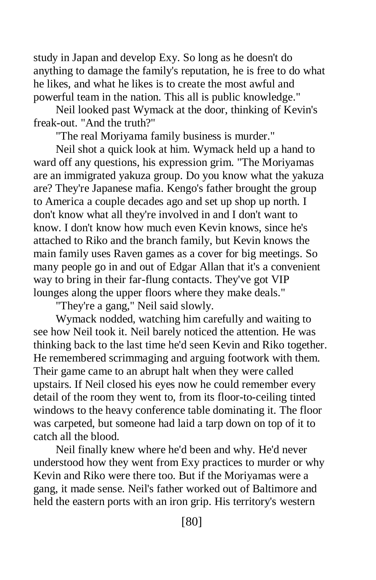study in Japan and develop Exy. So long as he doesn't do anything to damage the family's reputation, he is free to do what he likes, and what he likes is to create the most awful and powerful team in the nation. This all is public knowledge."

Neil looked past Wymack at the door, thinking of Kevin's freak-out. "And the truth?"

"The real Moriyama family business is murder."

Neil shot a quick look at him. Wymack held up a hand to ward off any questions, his expression grim. "The Moriyamas are an immigrated yakuza group. Do you know what the yakuza are? They're Japanese mafia. Kengo's father brought the group to America a couple decades ago and set up shop up north. I don't know what all they're involved in and I don't want to know. I don't know how much even Kevin knows, since he's attached to Riko and the branch family, but Kevin knows the main family uses Raven games as a cover for big meetings. So many people go in and out of Edgar Allan that it's a convenient way to bring in their far-flung contacts. They've got VIP lounges along the upper floors where they make deals."

"They're a gang," Neil said slowly.

Wymack nodded, watching him carefully and waiting to see how Neil took it. Neil barely noticed the attention. He was thinking back to the last time he'd seen Kevin and Riko together. He remembered scrimmaging and arguing footwork with them. Their game came to an abrupt halt when they were called upstairs. If Neil closed his eyes now he could remember every detail of the room they went to, from its floor-to-ceiling tinted windows to the heavy conference table dominating it. The floor was carpeted, but someone had laid a tarp down on top of it to catch all the blood.

Neil finally knew where he'd been and why. He'd never understood how they went from Exy practices to murder or why Kevin and Riko were there too. But if the Moriyamas were a gang, it made sense. Neil's father worked out of Baltimore and held the eastern ports with an iron grip. His territory's western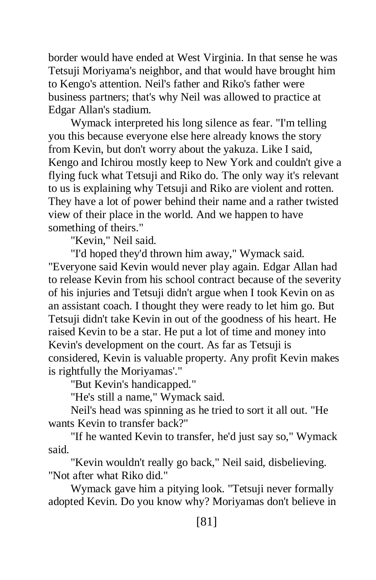border would have ended at West Virginia. In that sense he was Tetsuji Moriyama's neighbor, and that would have brought him to Kengo's attention. Neil's father and Riko's father were business partners; that's why Neil was allowed to practice at Edgar Allan's stadium.

Wymack interpreted his long silence as fear. "I'm telling you this because everyone else here already knows the story from Kevin, but don't worry about the yakuza. Like I said, Kengo and Ichirou mostly keep to New York and couldn't give a flying fuck what Tetsuji and Riko do. The only way it's relevant to us is explaining why Tetsuji and Riko are violent and rotten. They have a lot of power behind their name and a rather twisted view of their place in the world. And we happen to have something of theirs."

"Kevin," Neil said.

"I'd hoped they'd thrown him away," Wymack said. "Everyone said Kevin would never play again. Edgar Allan had to release Kevin from his school contract because of the severity of his injuries and Tetsuji didn't argue when I took Kevin on as an assistant coach. I thought they were ready to let him go. But Tetsuji didn't take Kevin in out of the goodness of his heart. He raised Kevin to be a star. He put a lot of time and money into Kevin's development on the court. As far as Tetsuji is considered, Kevin is valuable property. Any profit Kevin makes is rightfully the Moriyamas'."

"But Kevin's handicapped."

"He's still a name," Wymack said.

Neil's head was spinning as he tried to sort it all out. "He wants Kevin to transfer back?"

"If he wanted Kevin to transfer, he'd just say so," Wymack said.

"Kevin wouldn't really go back," Neil said, disbelieving. "Not after what Riko did."

Wymack gave him a pitying look. "Tetsuji never formally adopted Kevin. Do you know why? Moriyamas don't believe in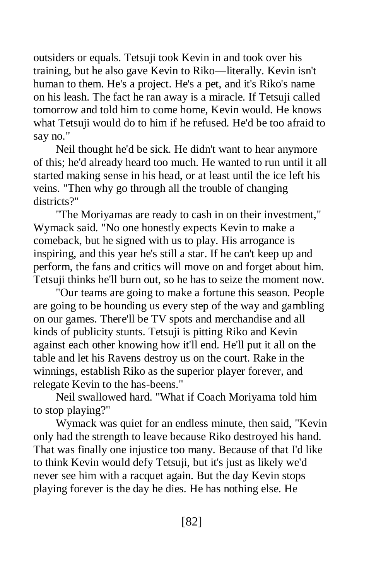outsiders or equals. Tetsuji took Kevin in and took over his training, but he also gave Kevin to Riko—literally. Kevin isn't human to them. He's a project. He's a pet, and it's Riko's name on his leash. The fact he ran away is a miracle. If Tetsuji called tomorrow and told him to come home, Kevin would. He knows what Tetsuji would do to him if he refused. He'd be too afraid to say no."

Neil thought he'd be sick. He didn't want to hear anymore of this; he'd already heard too much. He wanted to run until it all started making sense in his head, or at least until the ice left his veins. "Then why go through all the trouble of changing districts?"

"The Moriyamas are ready to cash in on their investment," Wymack said. "No one honestly expects Kevin to make a comeback, but he signed with us to play. His arrogance is inspiring, and this year he's still a star. If he can't keep up and perform, the fans and critics will move on and forget about him. Tetsuji thinks he'll burn out, so he has to seize the moment now.

"Our teams are going to make a fortune this season. People are going to be hounding us every step of the way and gambling on our games. There'll be TV spots and merchandise and all kinds of publicity stunts. Tetsuji is pitting Riko and Kevin against each other knowing how it'll end. He'll put it all on the table and let his Ravens destroy us on the court. Rake in the winnings, establish Riko as the superior player forever, and relegate Kevin to the has-beens."

Neil swallowed hard. "What if Coach Moriyama told him to stop playing?"

Wymack was quiet for an endless minute, then said, "Kevin only had the strength to leave because Riko destroyed his hand. That was finally one injustice too many. Because of that I'd like to think Kevin would defy Tetsuji, but it's just as likely we'd never see him with a racquet again. But the day Kevin stops playing forever is the day he dies. He has nothing else. He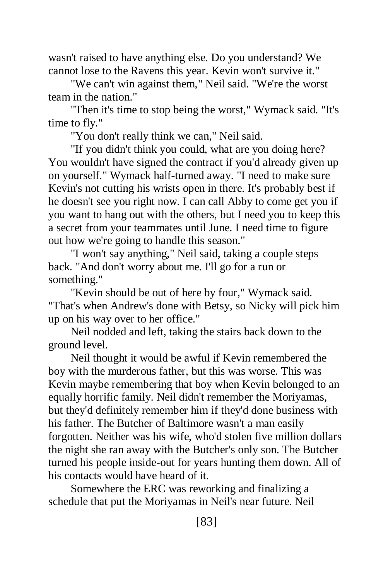wasn't raised to have anything else. Do you understand? We cannot lose to the Ravens this year. Kevin won't survive it."

"We can't win against them," Neil said. "We're the worst team in the nation."

"Then it's time to stop being the worst," Wymack said. "It's time to fly."

"You don't really think we can," Neil said.

"If you didn't think you could, what are you doing here? You wouldn't have signed the contract if you'd already given up on yourself." Wymack half-turned away. "I need to make sure Kevin's not cutting his wrists open in there. It's probably best if he doesn't see you right now. I can call Abby to come get you if you want to hang out with the others, but I need you to keep this a secret from your teammates until June. I need time to figure out how we're going to handle this season."

"I won't say anything," Neil said, taking a couple steps back. "And don't worry about me. I'll go for a run or something."

"Kevin should be out of here by four," Wymack said. "That's when Andrew's done with Betsy, so Nicky will pick him up on his way over to her office."

Neil nodded and left, taking the stairs back down to the ground level.

Neil thought it would be awful if Kevin remembered the boy with the murderous father, but this was worse. This was Kevin maybe remembering that boy when Kevin belonged to an equally horrific family. Neil didn't remember the Moriyamas, but they'd definitely remember him if they'd done business with his father. The Butcher of Baltimore wasn't a man easily forgotten. Neither was his wife, who'd stolen five million dollars the night she ran away with the Butcher's only son. The Butcher turned his people inside-out for years hunting them down. All of his contacts would have heard of it.

Somewhere the ERC was reworking and finalizing a schedule that put the Moriyamas in Neil's near future. Neil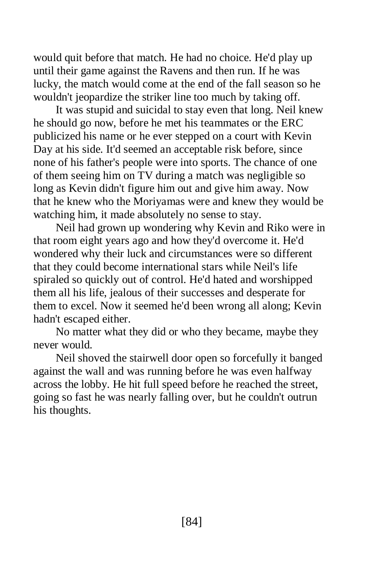would quit before that match. He had no choice. He'd play up until their game against the Ravens and then run. If he was lucky, the match would come at the end of the fall season so he wouldn't jeopardize the striker line too much by taking off.

It was stupid and suicidal to stay even that long. Neil knew he should go now, before he met his teammates or the ERC publicized his name or he ever stepped on a court with Kevin Day at his side. It'd seemed an acceptable risk before, since none of his father's people were into sports. The chance of one of them seeing him on TV during a match was negligible so long as Kevin didn't figure him out and give him away. Now that he knew who the Moriyamas were and knew they would be watching him, it made absolutely no sense to stay.

Neil had grown up wondering why Kevin and Riko were in that room eight years ago and how they'd overcome it. He'd wondered why their luck and circumstances were so different that they could become international stars while Neil's life spiraled so quickly out of control. He'd hated and worshipped them all his life, jealous of their successes and desperate for them to excel. Now it seemed he'd been wrong all along; Kevin hadn't escaped either.

No matter what they did or who they became, maybe they never would.

Neil shoved the stairwell door open so forcefully it banged against the wall and was running before he was even halfway across the lobby. He hit full speed before he reached the street, going so fast he was nearly falling over, but he couldn't outrun his thoughts.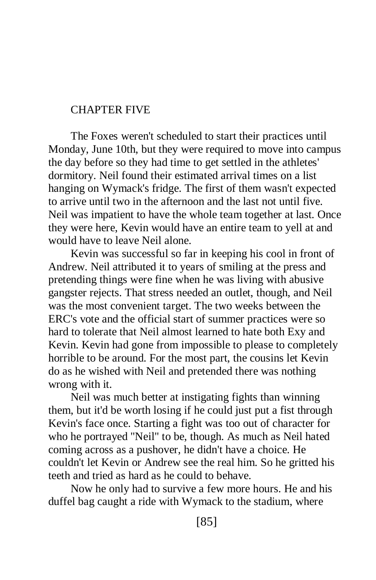## CHAPTER FIVE

The Foxes weren't scheduled to start their practices until Monday, June 10th, but they were required to move into campus the day before so they had time to get settled in the athletes' dormitory. Neil found their estimated arrival times on a list hanging on Wymack's fridge. The first of them wasn't expected to arrive until two in the afternoon and the last not until five. Neil was impatient to have the whole team together at last. Once they were here, Kevin would have an entire team to yell at and would have to leave Neil alone.

Kevin was successful so far in keeping his cool in front of Andrew. Neil attributed it to years of smiling at the press and pretending things were fine when he was living with abusive gangster rejects. That stress needed an outlet, though, and Neil was the most convenient target. The two weeks between the ERC's vote and the official start of summer practices were so hard to tolerate that Neil almost learned to hate both Exy and Kevin. Kevin had gone from impossible to please to completely horrible to be around. For the most part, the cousins let Kevin do as he wished with Neil and pretended there was nothing wrong with it.

Neil was much better at instigating fights than winning them, but it'd be worth losing if he could just put a fist through Kevin's face once. Starting a fight was too out of character for who he portrayed "Neil" to be, though. As much as Neil hated coming across as a pushover, he didn't have a choice. He couldn't let Kevin or Andrew see the real him. So he gritted his teeth and tried as hard as he could to behave.

Now he only had to survive a few more hours. He and his duffel bag caught a ride with Wymack to the stadium, where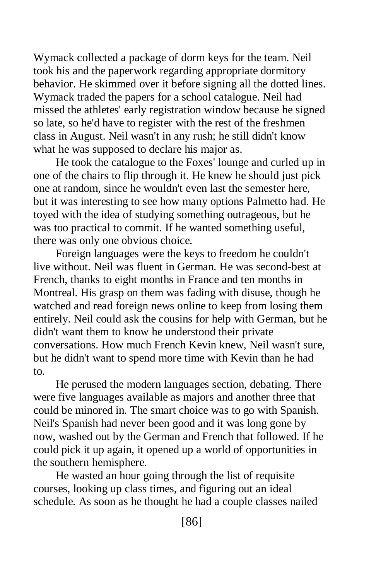Wymack collected a package of dorm keys for the team. Neil took his and the paperwork regarding appropriate dormitory behavior. He skimmed over it before signing all the dotted lines. Wymack traded the papers for a school catalogue. Neil had missed the athletes' early registration window because he signed so late, so he'd have to register with the rest of the freshmen class in August. Neil wasn't in any rush; he still didn't know what he was supposed to declare his major as.

He took the catalogue to the Foxes' lounge and curled up in one of the chairs to flip through it. He knew he should just pick one at random, since he wouldn't even last the semester here, but it was interesting to see how many options Palmetto had. He toyed with the idea of studying something outrageous, but he was too practical to commit. If he wanted something useful, there was only one obvious choice.

Foreign languages were the keys to freedom he couldn't live without. Neil was fluent in German. He was second-best at French, thanks to eight months in France and ten months in Montreal. His grasp on them was fading with disuse, though he watched and read foreign news online to keep from losing them entirely. Neil could ask the cousins for help with German, but he didn't want them to know he understood their private conversations. How much French Kevin knew, Neil wasn't sure, but he didn't want to spend more time with Kevin than he had to.

He perused the modern languages section, debating. There were five languages available as majors and another three that could be minored in. The smart choice was to go with Spanish. Neil's Spanish had never been good and it was long gone by now, washed out by the German and French that followed. If he could pick it up again, it opened up a world of opportunities in the southern hemisphere.

He wasted an hour going through the list of requisite courses, looking up class times, and figuring out an ideal schedule. As soon as he thought he had a couple classes nailed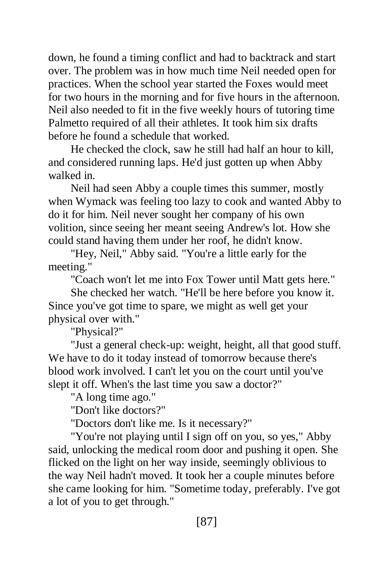down, he found a timing conflict and had to backtrack and start over. The problem was in how much time Neil needed open for practices. When the school year started the Foxes would meet for two hours in the morning and for five hours in the afternoon. Neil also needed to fit in the five weekly hours of tutoring time Palmetto required of all their athletes. It took him six drafts before he found a schedule that worked.

He checked the clock, saw he still had half an hour to kill, and considered running laps. He'd just gotten up when Abby walked in.

Neil had seen Abby a couple times this summer, mostly when Wymack was feeling too lazy to cook and wanted Abby to do it for him. Neil never sought her company of his own volition, since seeing her meant seeing Andrew's lot. How she could stand having them under her roof, he didn't know.

"Hey, Neil," Abby said. "You're a little early for the meeting."

"Coach won't let me into Fox Tower until Matt gets here."

She checked her watch. "He'll be here before you know it. Since you've got time to spare, we might as well get your physical over with."

"Physical?"

"Just a general check-up: weight, height, all that good stuff. We have to do it today instead of tomorrow because there's blood work involved. I can't let you on the court until you've slept it off. When's the last time you saw a doctor?"

"A long time ago."

"Don't like doctors?"

"Doctors don't like me. Is it necessary?"

"You're not playing until I sign off on you, so yes," Abby said, unlocking the medical room door and pushing it open. She flicked on the light on her way inside, seemingly oblivious to the way Neil hadn't moved. It took her a couple minutes before she came looking for him. "Sometime today, preferably. I've got a lot of you to get through."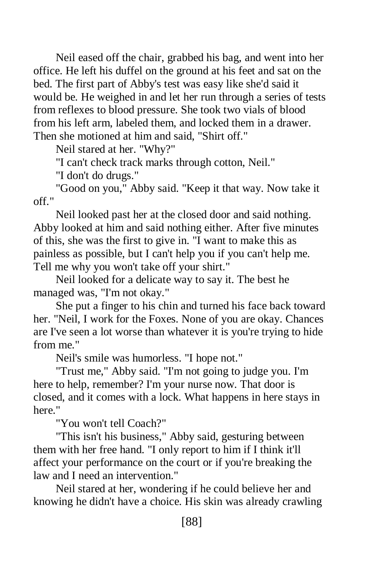Neil eased off the chair, grabbed his bag, and went into her office. He left his duffel on the ground at his feet and sat on the bed. The first part of Abby's test was easy like she'd said it would be. He weighed in and let her run through a series of tests from reflexes to blood pressure. She took two vials of blood from his left arm, labeled them, and locked them in a drawer. Then she motioned at him and said, "Shirt off."

Neil stared at her. "Why?"

"I can't check track marks through cotton, Neil."

"I don't do drugs."

"Good on you," Abby said. "Keep it that way. Now take it off."

Neil looked past her at the closed door and said nothing. Abby looked at him and said nothing either. After five minutes of this, she was the first to give in. "I want to make this as painless as possible, but I can't help you if you can't help me. Tell me why you won't take off your shirt."

Neil looked for a delicate way to say it. The best he managed was, "I'm not okay."

She put a finger to his chin and turned his face back toward her. "Neil, I work for the Foxes. None of you are okay. Chances are I've seen a lot worse than whatever it is you're trying to hide from me."

Neil's smile was humorless. "I hope not."

"Trust me," Abby said. "I'm not going to judge you. I'm here to help, remember? I'm your nurse now. That door is closed, and it comes with a lock. What happens in here stays in here."

"You won't tell Coach?"

"This isn't his business," Abby said, gesturing between them with her free hand. "I only report to him if I think it'll affect your performance on the court or if you're breaking the law and I need an intervention."

Neil stared at her, wondering if he could believe her and knowing he didn't have a choice. His skin was already crawling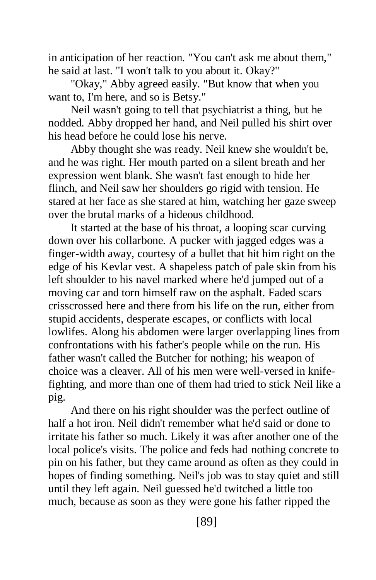in anticipation of her reaction. "You can't ask me about them," he said at last. "I won't talk to you about it. Okay?"

"Okay," Abby agreed easily. "But know that when you want to, I'm here, and so is Betsy."

Neil wasn't going to tell that psychiatrist a thing, but he nodded. Abby dropped her hand, and Neil pulled his shirt over his head before he could lose his nerve.

Abby thought she was ready. Neil knew she wouldn't be, and he was right. Her mouth parted on a silent breath and her expression went blank. She wasn't fast enough to hide her flinch, and Neil saw her shoulders go rigid with tension. He stared at her face as she stared at him, watching her gaze sweep over the brutal marks of a hideous childhood.

It started at the base of his throat, a looping scar curving down over his collarbone. A pucker with jagged edges was a finger-width away, courtesy of a bullet that hit him right on the edge of his Kevlar vest. A shapeless patch of pale skin from his left shoulder to his navel marked where he'd jumped out of a moving car and torn himself raw on the asphalt. Faded scars crisscrossed here and there from his life on the run, either from stupid accidents, desperate escapes, or conflicts with local lowlifes. Along his abdomen were larger overlapping lines from confrontations with his father's people while on the run. His father wasn't called the Butcher for nothing; his weapon of choice was a cleaver. All of his men were well-versed in knifefighting, and more than one of them had tried to stick Neil like a pig.

And there on his right shoulder was the perfect outline of half a hot iron. Neil didn't remember what he'd said or done to irritate his father so much. Likely it was after another one of the local police's visits. The police and feds had nothing concrete to pin on his father, but they came around as often as they could in hopes of finding something. Neil's job was to stay quiet and still until they left again. Neil guessed he'd twitched a little too much, because as soon as they were gone his father ripped the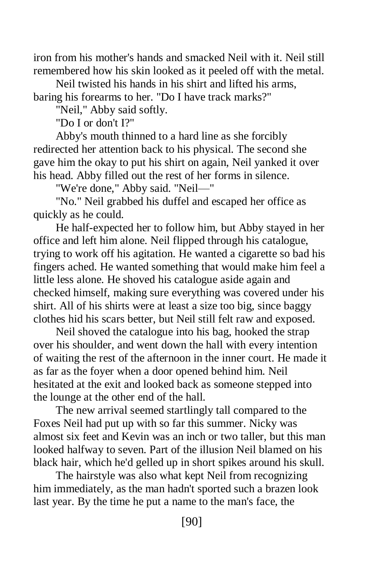iron from his mother's hands and smacked Neil with it. Neil still remembered how his skin looked as it peeled off with the metal.

Neil twisted his hands in his shirt and lifted his arms, baring his forearms to her. "Do I have track marks?"

"Neil," Abby said softly.

"Do I or don't I?"

Abby's mouth thinned to a hard line as she forcibly redirected her attention back to his physical. The second she gave him the okay to put his shirt on again, Neil yanked it over his head. Abby filled out the rest of her forms in silence.

"We're done," Abby said. "Neil—"

"No." Neil grabbed his duffel and escaped her office as quickly as he could.

He half-expected her to follow him, but Abby stayed in her office and left him alone. Neil flipped through his catalogue, trying to work off his agitation. He wanted a cigarette so bad his fingers ached. He wanted something that would make him feel a little less alone. He shoved his catalogue aside again and checked himself, making sure everything was covered under his shirt. All of his shirts were at least a size too big, since baggy clothes hid his scars better, but Neil still felt raw and exposed.

Neil shoved the catalogue into his bag, hooked the strap over his shoulder, and went down the hall with every intention of waiting the rest of the afternoon in the inner court. He made it as far as the foyer when a door opened behind him. Neil hesitated at the exit and looked back as someone stepped into the lounge at the other end of the hall.

The new arrival seemed startlingly tall compared to the Foxes Neil had put up with so far this summer. Nicky was almost six feet and Kevin was an inch or two taller, but this man looked halfway to seven. Part of the illusion Neil blamed on his black hair, which he'd gelled up in short spikes around his skull.

The hairstyle was also what kept Neil from recognizing him immediately, as the man hadn't sported such a brazen look last year. By the time he put a name to the man's face, the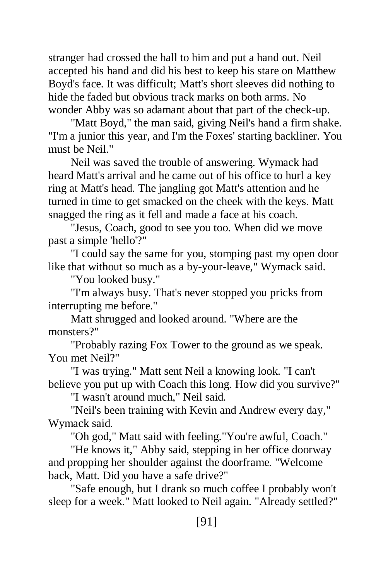stranger had crossed the hall to him and put a hand out. Neil accepted his hand and did his best to keep his stare on Matthew Boyd's face. It was difficult; Matt's short sleeves did nothing to hide the faded but obvious track marks on both arms. No wonder Abby was so adamant about that part of the check-up.

"Matt Boyd," the man said, giving Neil's hand a firm shake. "I'm a junior this year, and I'm the Foxes' starting backliner. You must be Neil."

Neil was saved the trouble of answering. Wymack had heard Matt's arrival and he came out of his office to hurl a key ring at Matt's head. The jangling got Matt's attention and he turned in time to get smacked on the cheek with the keys. Matt snagged the ring as it fell and made a face at his coach.

"Jesus, Coach, good to see you too. When did we move past a simple 'hello'?"

"I could say the same for you, stomping past my open door like that without so much as a by-your-leave," Wymack said.

"You looked busy."

"I'm always busy. That's never stopped you pricks from interrupting me before."

Matt shrugged and looked around. "Where are the monsters?"

"Probably razing Fox Tower to the ground as we speak. You met Neil?"

"I was trying." Matt sent Neil a knowing look. "I can't believe you put up with Coach this long. How did you survive?"

"I wasn't around much," Neil said.

"Neil's been training with Kevin and Andrew every day," Wymack said.

"Oh god," Matt said with feeling."You're awful, Coach."

"He knows it," Abby said, stepping in her office doorway and propping her shoulder against the doorframe. "Welcome back, Matt. Did you have a safe drive?"

"Safe enough, but I drank so much coffee I probably won't sleep for a week." Matt looked to Neil again. "Already settled?"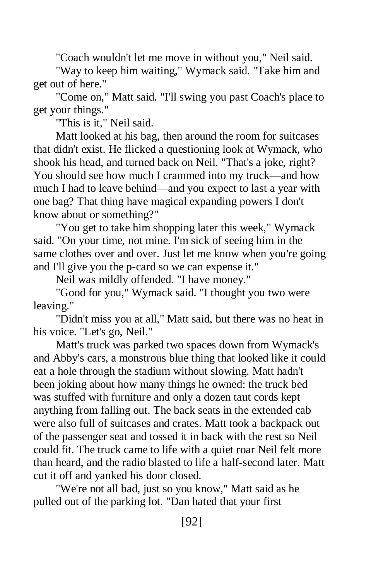"Coach wouldn't let me move in without you," Neil said.

"Way to keep him waiting," Wymack said. "Take him and get out of here."

"Come on," Matt said. "I'll swing you past Coach's place to get your things."

"This is it," Neil said.

Matt looked at his bag, then around the room for suitcases that didn't exist. He flicked a questioning look at Wymack, who shook his head, and turned back on Neil. "That's a joke, right? You should see how much I crammed into my truck—and how much I had to leave behind—and you expect to last a year with one bag? That thing have magical expanding powers I don't know about or something?"

"You get to take him shopping later this week," Wymack said. "On your time, not mine. I'm sick of seeing him in the same clothes over and over. Just let me know when you're going and I'll give you the p-card so we can expense it."

Neil was mildly offended. "I have money."

"Good for you," Wymack said. "I thought you two were leaving."

"Didn't miss you at all," Matt said, but there was no heat in his voice. "Let's go, Neil."

Matt's truck was parked two spaces down from Wymack's and Abby's cars, a monstrous blue thing that looked like it could eat a hole through the stadium without slowing. Matt hadn't been joking about how many things he owned: the truck bed was stuffed with furniture and only a dozen taut cords kept anything from falling out. The back seats in the extended cab were also full of suitcases and crates. Matt took a backpack out of the passenger seat and tossed it in back with the rest so Neil could fit. The truck came to life with a quiet roar Neil felt more than heard, and the radio blasted to life a half-second later. Matt cut it off and yanked his door closed.

"We're not all bad, just so you know," Matt said as he pulled out of the parking lot. "Dan hated that your first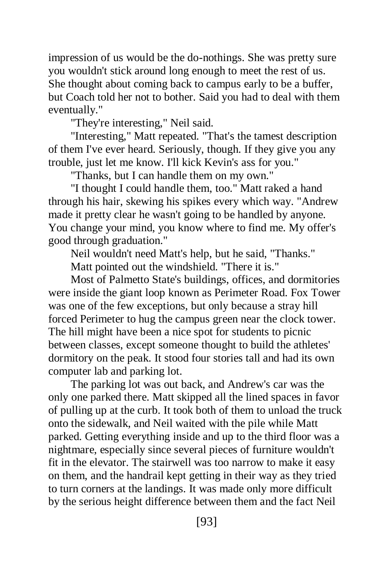impression of us would be the do-nothings. She was pretty sure you wouldn't stick around long enough to meet the rest of us. She thought about coming back to campus early to be a buffer, but Coach told her not to bother. Said you had to deal with them eventually."

"They're interesting," Neil said.

"Interesting," Matt repeated. "That's the tamest description of them I've ever heard. Seriously, though. If they give you any trouble, just let me know. I'll kick Kevin's ass for you."

"Thanks, but I can handle them on my own."

"I thought I could handle them, too." Matt raked a hand through his hair, skewing his spikes every which way. "Andrew made it pretty clear he wasn't going to be handled by anyone. You change your mind, you know where to find me. My offer's good through graduation."

Neil wouldn't need Matt's help, but he said, "Thanks."

Matt pointed out the windshield. "There it is."

Most of Palmetto State's buildings, offices, and dormitories were inside the giant loop known as Perimeter Road. Fox Tower was one of the few exceptions, but only because a stray hill forced Perimeter to hug the campus green near the clock tower. The hill might have been a nice spot for students to picnic between classes, except someone thought to build the athletes' dormitory on the peak. It stood four stories tall and had its own computer lab and parking lot.

The parking lot was out back, and Andrew's car was the only one parked there. Matt skipped all the lined spaces in favor of pulling up at the curb. It took both of them to unload the truck onto the sidewalk, and Neil waited with the pile while Matt parked. Getting everything inside and up to the third floor was a nightmare, especially since several pieces of furniture wouldn't fit in the elevator. The stairwell was too narrow to make it easy on them, and the handrail kept getting in their way as they tried to turn corners at the landings. It was made only more difficult by the serious height difference between them and the fact Neil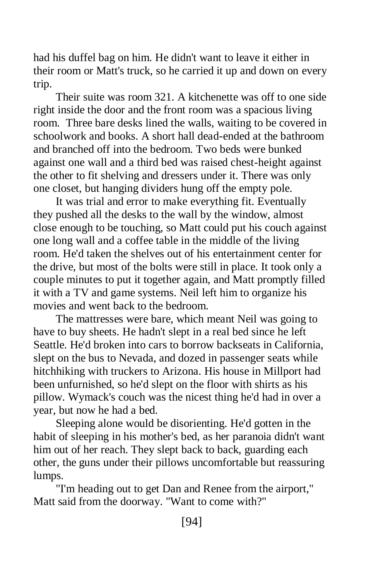had his duffel bag on him. He didn't want to leave it either in their room or Matt's truck, so he carried it up and down on every trip.

Their suite was room 321. A kitchenette was off to one side right inside the door and the front room was a spacious living room. Three bare desks lined the walls, waiting to be covered in schoolwork and books. A short hall dead-ended at the bathroom and branched off into the bedroom. Two beds were bunked against one wall and a third bed was raised chest-height against the other to fit shelving and dressers under it. There was only one closet, but hanging dividers hung off the empty pole.

It was trial and error to make everything fit. Eventually they pushed all the desks to the wall by the window, almost close enough to be touching, so Matt could put his couch against one long wall and a coffee table in the middle of the living room. He'd taken the shelves out of his entertainment center for the drive, but most of the bolts were still in place. It took only a couple minutes to put it together again, and Matt promptly filled it with a TV and game systems. Neil left him to organize his movies and went back to the bedroom.

The mattresses were bare, which meant Neil was going to have to buy sheets. He hadn't slept in a real bed since he left Seattle. He'd broken into cars to borrow backseats in California, slept on the bus to Nevada, and dozed in passenger seats while hitchhiking with truckers to Arizona. His house in Millport had been unfurnished, so he'd slept on the floor with shirts as his pillow. Wymack's couch was the nicest thing he'd had in over a year, but now he had a bed.

Sleeping alone would be disorienting. He'd gotten in the habit of sleeping in his mother's bed, as her paranoia didn't want him out of her reach. They slept back to back, guarding each other, the guns under their pillows uncomfortable but reassuring lumps.

"I'm heading out to get Dan and Renee from the airport," Matt said from the doorway. "Want to come with?"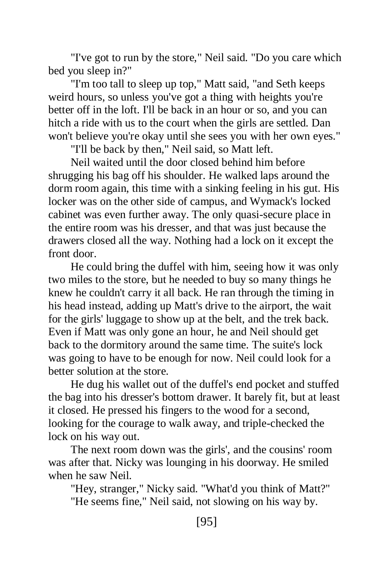"I've got to run by the store," Neil said. "Do you care which bed you sleep in?"

"I'm too tall to sleep up top," Matt said, "and Seth keeps weird hours, so unless you've got a thing with heights you're better off in the loft. I'll be back in an hour or so, and you can hitch a ride with us to the court when the girls are settled. Dan won't believe you're okay until she sees you with her own eyes."

"I'll be back by then," Neil said, so Matt left.

Neil waited until the door closed behind him before shrugging his bag off his shoulder. He walked laps around the dorm room again, this time with a sinking feeling in his gut. His locker was on the other side of campus, and Wymack's locked cabinet was even further away. The only quasi-secure place in the entire room was his dresser, and that was just because the drawers closed all the way. Nothing had a lock on it except the front door.

He could bring the duffel with him, seeing how it was only two miles to the store, but he needed to buy so many things he knew he couldn't carry it all back. He ran through the timing in his head instead, adding up Matt's drive to the airport, the wait for the girls' luggage to show up at the belt, and the trek back. Even if Matt was only gone an hour, he and Neil should get back to the dormitory around the same time. The suite's lock was going to have to be enough for now. Neil could look for a better solution at the store.

He dug his wallet out of the duffel's end pocket and stuffed the bag into his dresser's bottom drawer. It barely fit, but at least it closed. He pressed his fingers to the wood for a second, looking for the courage to walk away, and triple-checked the lock on his way out.

The next room down was the girls', and the cousins' room was after that. Nicky was lounging in his doorway. He smiled when he saw Neil.

"Hey, stranger," Nicky said. "What'd you think of Matt?" "He seems fine," Neil said, not slowing on his way by.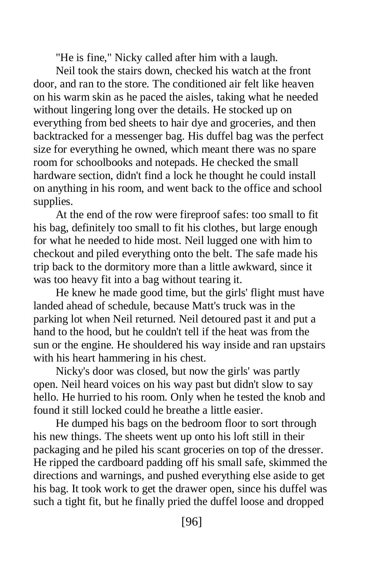"He is fine," Nicky called after him with a laugh.

Neil took the stairs down, checked his watch at the front door, and ran to the store. The conditioned air felt like heaven on his warm skin as he paced the aisles, taking what he needed without lingering long over the details. He stocked up on everything from bed sheets to hair dye and groceries, and then backtracked for a messenger bag. His duffel bag was the perfect size for everything he owned, which meant there was no spare room for schoolbooks and notepads. He checked the small hardware section, didn't find a lock he thought he could install on anything in his room, and went back to the office and school supplies.

At the end of the row were fireproof safes: too small to fit his bag, definitely too small to fit his clothes, but large enough for what he needed to hide most. Neil lugged one with him to checkout and piled everything onto the belt. The safe made his trip back to the dormitory more than a little awkward, since it was too heavy fit into a bag without tearing it.

He knew he made good time, but the girls' flight must have landed ahead of schedule, because Matt's truck was in the parking lot when Neil returned. Neil detoured past it and put a hand to the hood, but he couldn't tell if the heat was from the sun or the engine. He shouldered his way inside and ran upstairs with his heart hammering in his chest.

Nicky's door was closed, but now the girls' was partly open. Neil heard voices on his way past but didn't slow to say hello. He hurried to his room. Only when he tested the knob and found it still locked could he breathe a little easier.

He dumped his bags on the bedroom floor to sort through his new things. The sheets went up onto his loft still in their packaging and he piled his scant groceries on top of the dresser. He ripped the cardboard padding off his small safe, skimmed the directions and warnings, and pushed everything else aside to get his bag. It took work to get the drawer open, since his duffel was such a tight fit, but he finally pried the duffel loose and dropped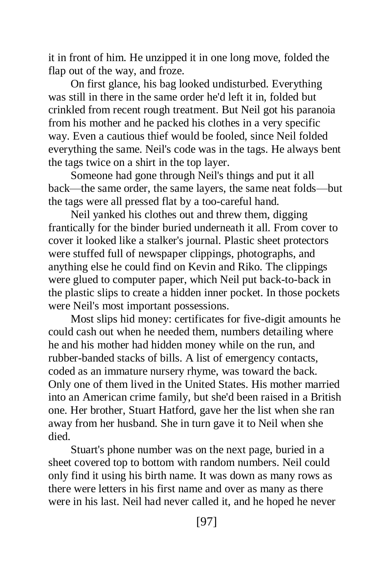it in front of him. He unzipped it in one long move, folded the flap out of the way, and froze.

On first glance, his bag looked undisturbed. Everything was still in there in the same order he'd left it in, folded but crinkled from recent rough treatment. But Neil got his paranoia from his mother and he packed his clothes in a very specific way. Even a cautious thief would be fooled, since Neil folded everything the same. Neil's code was in the tags. He always bent the tags twice on a shirt in the top layer.

Someone had gone through Neil's things and put it all back—the same order, the same layers, the same neat folds—but the tags were all pressed flat by a too-careful hand.

Neil yanked his clothes out and threw them, digging frantically for the binder buried underneath it all. From cover to cover it looked like a stalker's journal. Plastic sheet protectors were stuffed full of newspaper clippings, photographs, and anything else he could find on Kevin and Riko. The clippings were glued to computer paper, which Neil put back-to-back in the plastic slips to create a hidden inner pocket. In those pockets were Neil's most important possessions.

Most slips hid money: certificates for five-digit amounts he could cash out when he needed them, numbers detailing where he and his mother had hidden money while on the run, and rubber-banded stacks of bills. A list of emergency contacts, coded as an immature nursery rhyme, was toward the back. Only one of them lived in the United States. His mother married into an American crime family, but she'd been raised in a British one. Her brother, Stuart Hatford, gave her the list when she ran away from her husband. She in turn gave it to Neil when she died.

Stuart's phone number was on the next page, buried in a sheet covered top to bottom with random numbers. Neil could only find it using his birth name. It was down as many rows as there were letters in his first name and over as many as there were in his last. Neil had never called it, and he hoped he never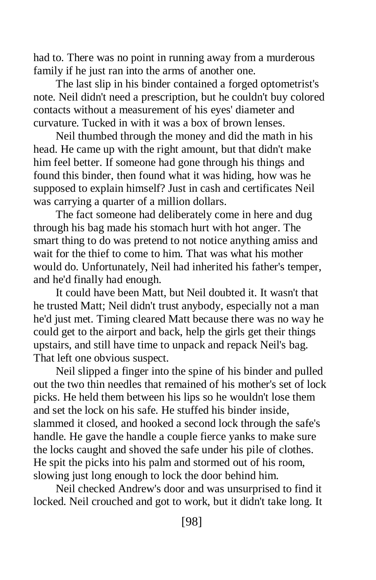had to. There was no point in running away from a murderous family if he just ran into the arms of another one.

The last slip in his binder contained a forged optometrist's note. Neil didn't need a prescription, but he couldn't buy colored contacts without a measurement of his eyes' diameter and curvature. Tucked in with it was a box of brown lenses.

Neil thumbed through the money and did the math in his head. He came up with the right amount, but that didn't make him feel better. If someone had gone through his things and found this binder, then found what it was hiding, how was he supposed to explain himself? Just in cash and certificates Neil was carrying a quarter of a million dollars.

The fact someone had deliberately come in here and dug through his bag made his stomach hurt with hot anger. The smart thing to do was pretend to not notice anything amiss and wait for the thief to come to him. That was what his mother would do. Unfortunately, Neil had inherited his father's temper, and he'd finally had enough.

It could have been Matt, but Neil doubted it. It wasn't that he trusted Matt; Neil didn't trust anybody, especially not a man he'd just met. Timing cleared Matt because there was no way he could get to the airport and back, help the girls get their things upstairs, and still have time to unpack and repack Neil's bag. That left one obvious suspect.

Neil slipped a finger into the spine of his binder and pulled out the two thin needles that remained of his mother's set of lock picks. He held them between his lips so he wouldn't lose them and set the lock on his safe. He stuffed his binder inside, slammed it closed, and hooked a second lock through the safe's handle. He gave the handle a couple fierce yanks to make sure the locks caught and shoved the safe under his pile of clothes. He spit the picks into his palm and stormed out of his room, slowing just long enough to lock the door behind him.

Neil checked Andrew's door and was unsurprised to find it locked. Neil crouched and got to work, but it didn't take long. It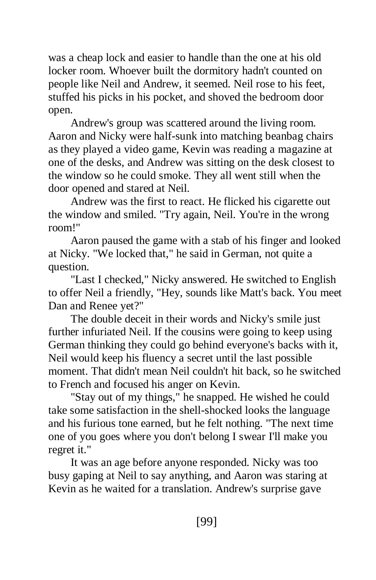was a cheap lock and easier to handle than the one at his old locker room. Whoever built the dormitory hadn't counted on people like Neil and Andrew, it seemed. Neil rose to his feet, stuffed his picks in his pocket, and shoved the bedroom door open.

Andrew's group was scattered around the living room. Aaron and Nicky were half-sunk into matching beanbag chairs as they played a video game, Kevin was reading a magazine at one of the desks, and Andrew was sitting on the desk closest to the window so he could smoke. They all went still when the door opened and stared at Neil.

Andrew was the first to react. He flicked his cigarette out the window and smiled. "Try again, Neil. You're in the wrong room!"

Aaron paused the game with a stab of his finger and looked at Nicky. "We locked that," he said in German, not quite a question.

"Last I checked," Nicky answered. He switched to English to offer Neil a friendly, "Hey, sounds like Matt's back. You meet Dan and Renee yet?"

The double deceit in their words and Nicky's smile just further infuriated Neil. If the cousins were going to keep using German thinking they could go behind everyone's backs with it, Neil would keep his fluency a secret until the last possible moment. That didn't mean Neil couldn't hit back, so he switched to French and focused his anger on Kevin.

"Stay out of my things," he snapped. He wished he could take some satisfaction in the shell-shocked looks the language and his furious tone earned, but he felt nothing. "The next time one of you goes where you don't belong I swear I'll make you regret it."

It was an age before anyone responded. Nicky was too busy gaping at Neil to say anything, and Aaron was staring at Kevin as he waited for a translation. Andrew's surprise gave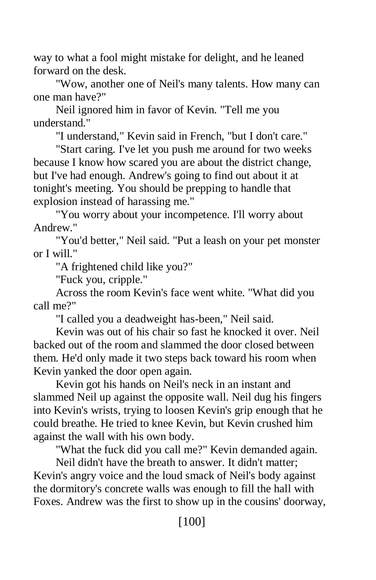way to what a fool might mistake for delight, and he leaned forward on the desk.

"Wow, another one of Neil's many talents. How many can one man have?"

Neil ignored him in favor of Kevin. "Tell me you understand."

"I understand," Kevin said in French, "but I don't care."

"Start caring. I've let you push me around for two weeks because I know how scared you are about the district change, but I've had enough. Andrew's going to find out about it at tonight's meeting. You should be prepping to handle that explosion instead of harassing me."

"You worry about your incompetence. I'll worry about Andrew."

"You'd better," Neil said. "Put a leash on your pet monster or I will."

"A frightened child like you?"

"Fuck you, cripple."

Across the room Kevin's face went white. "What did you call me?"

"I called you a deadweight has-been," Neil said.

Kevin was out of his chair so fast he knocked it over. Neil backed out of the room and slammed the door closed between them. He'd only made it two steps back toward his room when Kevin yanked the door open again.

Kevin got his hands on Neil's neck in an instant and slammed Neil up against the opposite wall. Neil dug his fingers into Kevin's wrists, trying to loosen Kevin's grip enough that he could breathe. He tried to knee Kevin, but Kevin crushed him against the wall with his own body.

"What the fuck did you call me?" Kevin demanded again.

Neil didn't have the breath to answer. It didn't matter; Kevin's angry voice and the loud smack of Neil's body against the dormitory's concrete walls was enough to fill the hall with Foxes. Andrew was the first to show up in the cousins' doorway,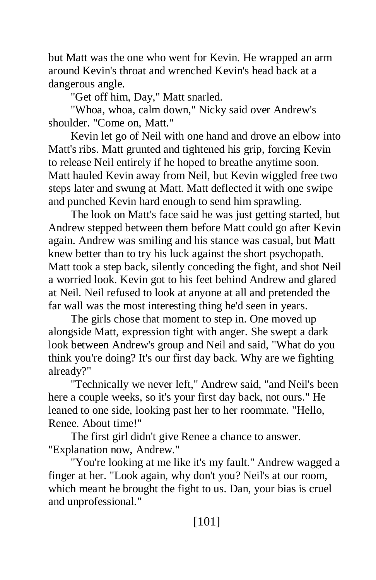but Matt was the one who went for Kevin. He wrapped an arm around Kevin's throat and wrenched Kevin's head back at a dangerous angle.

"Get off him, Day," Matt snarled.

"Whoa, whoa, calm down," Nicky said over Andrew's shoulder. "Come on, Matt."

Kevin let go of Neil with one hand and drove an elbow into Matt's ribs. Matt grunted and tightened his grip, forcing Kevin to release Neil entirely if he hoped to breathe anytime soon. Matt hauled Kevin away from Neil, but Kevin wiggled free two steps later and swung at Matt. Matt deflected it with one swipe and punched Kevin hard enough to send him sprawling.

The look on Matt's face said he was just getting started, but Andrew stepped between them before Matt could go after Kevin again. Andrew was smiling and his stance was casual, but Matt knew better than to try his luck against the short psychopath. Matt took a step back, silently conceding the fight, and shot Neil a worried look. Kevin got to his feet behind Andrew and glared at Neil. Neil refused to look at anyone at all and pretended the far wall was the most interesting thing he'd seen in years.

The girls chose that moment to step in. One moved up alongside Matt, expression tight with anger. She swept a dark look between Andrew's group and Neil and said, "What do you think you're doing? It's our first day back. Why are we fighting already?"

"Technically we never left," Andrew said, "and Neil's been here a couple weeks, so it's your first day back, not ours." He leaned to one side, looking past her to her roommate. "Hello, Renee. About time!"

The first girl didn't give Renee a chance to answer. "Explanation now, Andrew."

"You're looking at me like it's my fault." Andrew wagged a finger at her. "Look again, why don't you? Neil's at our room, which meant he brought the fight to us. Dan, your bias is cruel and unprofessional."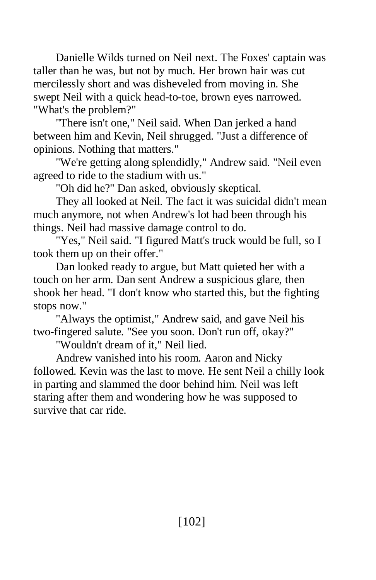Danielle Wilds turned on Neil next. The Foxes' captain was taller than he was, but not by much. Her brown hair was cut mercilessly short and was disheveled from moving in. She swept Neil with a quick head-to-toe, brown eyes narrowed. "What's the problem?"

"There isn't one," Neil said. When Dan jerked a hand between him and Kevin, Neil shrugged. "Just a difference of opinions. Nothing that matters."

"We're getting along splendidly," Andrew said. "Neil even agreed to ride to the stadium with us."

"Oh did he?" Dan asked, obviously skeptical.

They all looked at Neil. The fact it was suicidal didn't mean much anymore, not when Andrew's lot had been through his things. Neil had massive damage control to do.

"Yes," Neil said. "I figured Matt's truck would be full, so I took them up on their offer."

Dan looked ready to argue, but Matt quieted her with a touch on her arm. Dan sent Andrew a suspicious glare, then shook her head. "I don't know who started this, but the fighting stops now."

"Always the optimist," Andrew said, and gave Neil his two-fingered salute. "See you soon. Don't run off, okay?"

"Wouldn't dream of it," Neil lied.

Andrew vanished into his room. Aaron and Nicky followed. Kevin was the last to move. He sent Neil a chilly look in parting and slammed the door behind him. Neil was left staring after them and wondering how he was supposed to survive that car ride.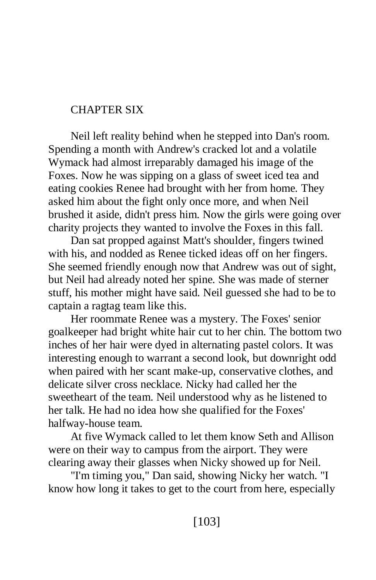## CHAPTER SIX

Neil left reality behind when he stepped into Dan's room. Spending a month with Andrew's cracked lot and a volatile Wymack had almost irreparably damaged his image of the Foxes. Now he was sipping on a glass of sweet iced tea and eating cookies Renee had brought with her from home. They asked him about the fight only once more, and when Neil brushed it aside, didn't press him. Now the girls were going over charity projects they wanted to involve the Foxes in this fall.

Dan sat propped against Matt's shoulder, fingers twined with his, and nodded as Renee ticked ideas off on her fingers. She seemed friendly enough now that Andrew was out of sight, but Neil had already noted her spine. She was made of sterner stuff, his mother might have said. Neil guessed she had to be to captain a ragtag team like this.

Her roommate Renee was a mystery. The Foxes' senior goalkeeper had bright white hair cut to her chin. The bottom two inches of her hair were dyed in alternating pastel colors. It was interesting enough to warrant a second look, but downright odd when paired with her scant make-up, conservative clothes, and delicate silver cross necklace. Nicky had called her the sweetheart of the team. Neil understood why as he listened to her talk. He had no idea how she qualified for the Foxes' halfway-house team.

At five Wymack called to let them know Seth and Allison were on their way to campus from the airport. They were clearing away their glasses when Nicky showed up for Neil.

"I'm timing you," Dan said, showing Nicky her watch. "I know how long it takes to get to the court from here, especially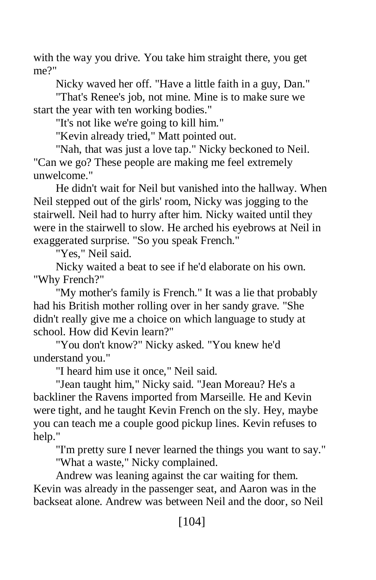with the way you drive. You take him straight there, you get me?"

Nicky waved her off. "Have a little faith in a guy, Dan."

"That's Renee's job, not mine. Mine is to make sure we start the year with ten working bodies."

"It's not like we're going to kill him."

"Kevin already tried," Matt pointed out.

"Nah, that was just a love tap." Nicky beckoned to Neil. "Can we go? These people are making me feel extremely unwelcome."

He didn't wait for Neil but vanished into the hallway. When Neil stepped out of the girls' room, Nicky was jogging to the stairwell. Neil had to hurry after him. Nicky waited until they were in the stairwell to slow. He arched his eyebrows at Neil in exaggerated surprise. "So you speak French."

"Yes," Neil said.

Nicky waited a beat to see if he'd elaborate on his own. "Why French?"

"My mother's family is French." It was a lie that probably had his British mother rolling over in her sandy grave. "She didn't really give me a choice on which language to study at school. How did Kevin learn?"

"You don't know?" Nicky asked. "You knew he'd understand you."

"I heard him use it once," Neil said.

"Jean taught him," Nicky said. "Jean Moreau? He's a backliner the Ravens imported from Marseille. He and Kevin were tight, and he taught Kevin French on the sly. Hey, maybe you can teach me a couple good pickup lines. Kevin refuses to help."

"I'm pretty sure I never learned the things you want to say." "What a waste," Nicky complained.

Andrew was leaning against the car waiting for them. Kevin was already in the passenger seat, and Aaron was in the backseat alone. Andrew was between Neil and the door, so Neil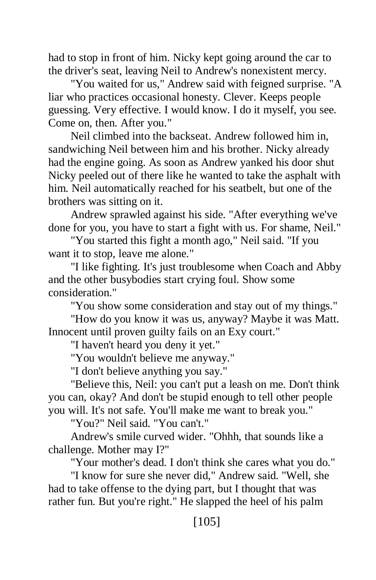had to stop in front of him. Nicky kept going around the car to the driver's seat, leaving Neil to Andrew's nonexistent mercy.

"You waited for us," Andrew said with feigned surprise. "A liar who practices occasional honesty. Clever. Keeps people guessing. Very effective. I would know. I do it myself, you see. Come on, then. After you."

Neil climbed into the backseat. Andrew followed him in, sandwiching Neil between him and his brother. Nicky already had the engine going. As soon as Andrew yanked his door shut Nicky peeled out of there like he wanted to take the asphalt with him. Neil automatically reached for his seatbelt, but one of the brothers was sitting on it.

Andrew sprawled against his side. "After everything we've done for you, you have to start a fight with us. For shame, Neil."

"You started this fight a month ago," Neil said. "If you want it to stop, leave me alone."

"I like fighting. It's just troublesome when Coach and Abby and the other busybodies start crying foul. Show some consideration."

"You show some consideration and stay out of my things."

"How do you know it was us, anyway? Maybe it was Matt. Innocent until proven guilty fails on an Exy court."

"I haven't heard you deny it yet."

"You wouldn't believe me anyway."

"I don't believe anything you say."

"Believe this, Neil: you can't put a leash on me. Don't think you can, okay? And don't be stupid enough to tell other people you will. It's not safe. You'll make me want to break you."

"You?" Neil said. "You can't."

Andrew's smile curved wider. "Ohhh, that sounds like a challenge. Mother may I?"

"Your mother's dead. I don't think she cares what you do."

"I know for sure she never did," Andrew said. "Well, she had to take offense to the dying part, but I thought that was rather fun. But you're right." He slapped the heel of his palm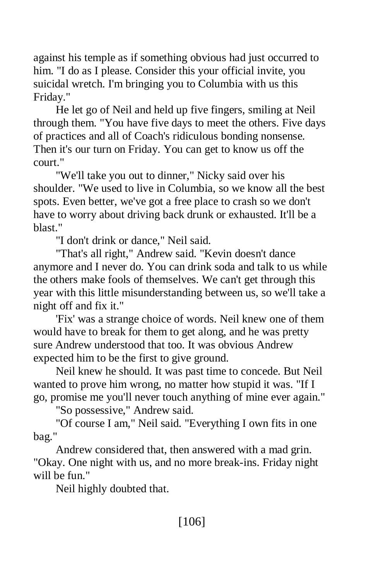against his temple as if something obvious had just occurred to him. "I do as I please. Consider this your official invite, you suicidal wretch. I'm bringing you to Columbia with us this Friday."

He let go of Neil and held up five fingers, smiling at Neil through them. "You have five days to meet the others. Five days of practices and all of Coach's ridiculous bonding nonsense. Then it's our turn on Friday. You can get to know us off the court."

"We'll take you out to dinner," Nicky said over his shoulder. "We used to live in Columbia, so we know all the best spots. Even better, we've got a free place to crash so we don't have to worry about driving back drunk or exhausted. It'll be a blast."

"I don't drink or dance," Neil said.

"That's all right," Andrew said. "Kevin doesn't dance anymore and I never do. You can drink soda and talk to us while the others make fools of themselves. We can't get through this year with this little misunderstanding between us, so we'll take a night off and fix it."

'Fix' was a strange choice of words. Neil knew one of them would have to break for them to get along, and he was pretty sure Andrew understood that too. It was obvious Andrew expected him to be the first to give ground.

Neil knew he should. It was past time to concede. But Neil wanted to prove him wrong, no matter how stupid it was. "If I go, promise me you'll never touch anything of mine ever again."

"So possessive," Andrew said.

"Of course I am," Neil said. "Everything I own fits in one bag."

Andrew considered that, then answered with a mad grin. "Okay. One night with us, and no more break-ins. Friday night will be fun."

Neil highly doubted that.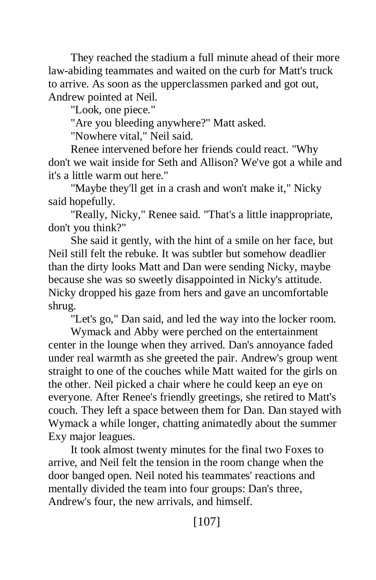They reached the stadium a full minute ahead of their more law-abiding teammates and waited on the curb for Matt's truck to arrive. As soon as the upperclassmen parked and got out, Andrew pointed at Neil.

"Look, one piece."

"Are you bleeding anywhere?" Matt asked.

"Nowhere vital," Neil said.

Renee intervened before her friends could react. "Why don't we wait inside for Seth and Allison? We've got a while and it's a little warm out here."

"Maybe they'll get in a crash and won't make it," Nicky said hopefully.

"Really, Nicky," Renee said. "That's a little inappropriate, don't you think?"

She said it gently, with the hint of a smile on her face, but Neil still felt the rebuke. It was subtler but somehow deadlier than the dirty looks Matt and Dan were sending Nicky, maybe because she was so sweetly disappointed in Nicky's attitude. Nicky dropped his gaze from hers and gave an uncomfortable shrug.

"Let's go," Dan said, and led the way into the locker room.

Wymack and Abby were perched on the entertainment center in the lounge when they arrived. Dan's annoyance faded under real warmth as she greeted the pair. Andrew's group went straight to one of the couches while Matt waited for the girls on the other. Neil picked a chair where he could keep an eye on everyone. After Renee's friendly greetings, she retired to Matt's couch. They left a space between them for Dan. Dan stayed with Wymack a while longer, chatting animatedly about the summer Exy major leagues.

It took almost twenty minutes for the final two Foxes to arrive, and Neil felt the tension in the room change when the door banged open. Neil noted his teammates' reactions and mentally divided the team into four groups: Dan's three, Andrew's four, the new arrivals, and himself.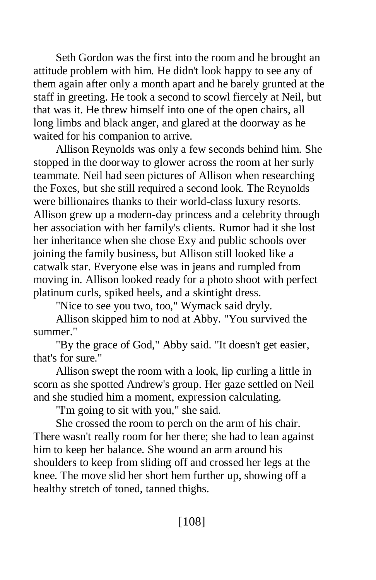Seth Gordon was the first into the room and he brought an attitude problem with him. He didn't look happy to see any of them again after only a month apart and he barely grunted at the staff in greeting. He took a second to scowl fiercely at Neil, but that was it. He threw himself into one of the open chairs, all long limbs and black anger, and glared at the doorway as he waited for his companion to arrive.

Allison Reynolds was only a few seconds behind him. She stopped in the doorway to glower across the room at her surly teammate. Neil had seen pictures of Allison when researching the Foxes, but she still required a second look. The Reynolds were billionaires thanks to their world-class luxury resorts. Allison grew up a modern-day princess and a celebrity through her association with her family's clients. Rumor had it she lost her inheritance when she chose Exy and public schools over joining the family business, but Allison still looked like a catwalk star. Everyone else was in jeans and rumpled from moving in. Allison looked ready for a photo shoot with perfect platinum curls, spiked heels, and a skintight dress.

"Nice to see you two, too," Wymack said dryly.

Allison skipped him to nod at Abby. "You survived the summer."

"By the grace of God," Abby said. "It doesn't get easier, that's for sure."

Allison swept the room with a look, lip curling a little in scorn as she spotted Andrew's group. Her gaze settled on Neil and she studied him a moment, expression calculating.

"I'm going to sit with you," she said.

She crossed the room to perch on the arm of his chair. There wasn't really room for her there; she had to lean against him to keep her balance. She wound an arm around his shoulders to keep from sliding off and crossed her legs at the knee. The move slid her short hem further up, showing off a healthy stretch of toned, tanned thighs.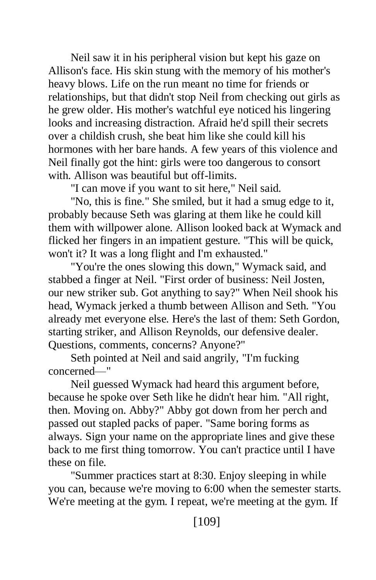Neil saw it in his peripheral vision but kept his gaze on Allison's face. His skin stung with the memory of his mother's heavy blows. Life on the run meant no time for friends or relationships, but that didn't stop Neil from checking out girls as he grew older. His mother's watchful eye noticed his lingering looks and increasing distraction. Afraid he'd spill their secrets over a childish crush, she beat him like she could kill his hormones with her bare hands. A few years of this violence and Neil finally got the hint: girls were too dangerous to consort with. Allison was beautiful but off-limits.

"I can move if you want to sit here," Neil said.

"No, this is fine." She smiled, but it had a smug edge to it, probably because Seth was glaring at them like he could kill them with willpower alone. Allison looked back at Wymack and flicked her fingers in an impatient gesture. "This will be quick, won't it? It was a long flight and I'm exhausted."

"You're the ones slowing this down," Wymack said, and stabbed a finger at Neil. "First order of business: Neil Josten, our new striker sub. Got anything to say?" When Neil shook his head, Wymack jerked a thumb between Allison and Seth. "You already met everyone else. Here's the last of them: Seth Gordon, starting striker, and Allison Reynolds, our defensive dealer. Questions, comments, concerns? Anyone?"

Seth pointed at Neil and said angrily, "I'm fucking concerned—"

Neil guessed Wymack had heard this argument before, because he spoke over Seth like he didn't hear him. "All right, then. Moving on. Abby?" Abby got down from her perch and passed out stapled packs of paper. "Same boring forms as always. Sign your name on the appropriate lines and give these back to me first thing tomorrow. You can't practice until I have these on file.

"Summer practices start at 8:30. Enjoy sleeping in while you can, because we're moving to 6:00 when the semester starts. We're meeting at the gym. I repeat, we're meeting at the gym. If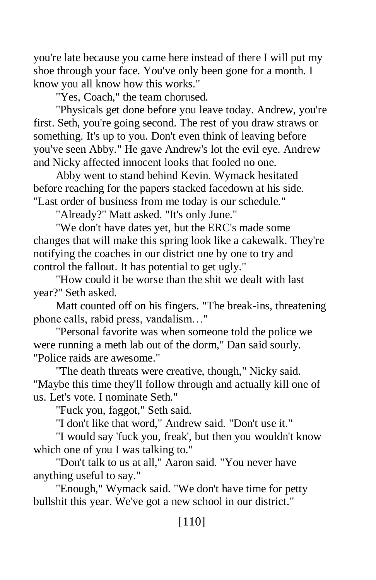you're late because you came here instead of there I will put my shoe through your face. You've only been gone for a month. I know you all know how this works."

"Yes, Coach," the team chorused.

"Physicals get done before you leave today. Andrew, you're first. Seth, you're going second. The rest of you draw straws or something. It's up to you. Don't even think of leaving before you've seen Abby." He gave Andrew's lot the evil eye. Andrew and Nicky affected innocent looks that fooled no one.

Abby went to stand behind Kevin. Wymack hesitated before reaching for the papers stacked facedown at his side. "Last order of business from me today is our schedule."

"Already?" Matt asked. "It's only June."

"We don't have dates yet, but the ERC's made some changes that will make this spring look like a cakewalk. They're notifying the coaches in our district one by one to try and control the fallout. It has potential to get ugly."

"How could it be worse than the shit we dealt with last year?" Seth asked.

Matt counted off on his fingers. "The break-ins, threatening phone calls, rabid press, vandalism…"

"Personal favorite was when someone told the police we were running a meth lab out of the dorm," Dan said sourly. "Police raids are awesome."

"The death threats were creative, though," Nicky said. "Maybe this time they'll follow through and actually kill one of us. Let's vote. I nominate Seth."

"Fuck you, faggot," Seth said.

"I don't like that word," Andrew said. "Don't use it."

"I would say 'fuck you, freak', but then you wouldn't know which one of you I was talking to."

"Don't talk to us at all," Aaron said. "You never have anything useful to say."

"Enough," Wymack said. "We don't have time for petty bullshit this year. We've got a new school in our district."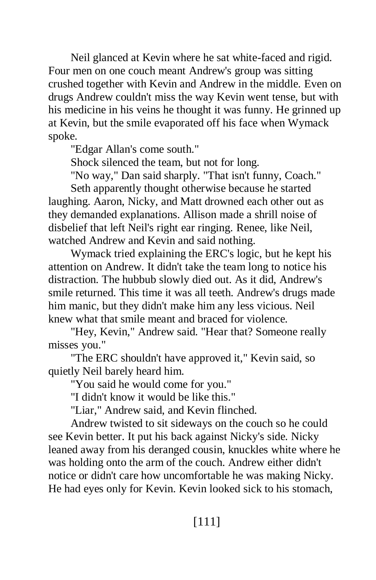Neil glanced at Kevin where he sat white-faced and rigid. Four men on one couch meant Andrew's group was sitting crushed together with Kevin and Andrew in the middle. Even on drugs Andrew couldn't miss the way Kevin went tense, but with his medicine in his veins he thought it was funny. He grinned up at Kevin, but the smile evaporated off his face when Wymack spoke.

"Edgar Allan's come south."

Shock silenced the team, but not for long.

"No way," Dan said sharply. "That isn't funny, Coach."

Seth apparently thought otherwise because he started laughing. Aaron, Nicky, and Matt drowned each other out as they demanded explanations. Allison made a shrill noise of disbelief that left Neil's right ear ringing. Renee, like Neil, watched Andrew and Kevin and said nothing.

Wymack tried explaining the ERC's logic, but he kept his attention on Andrew. It didn't take the team long to notice his distraction. The hubbub slowly died out. As it did, Andrew's smile returned. This time it was all teeth. Andrew's drugs made him manic, but they didn't make him any less vicious. Neil knew what that smile meant and braced for violence.

"Hey, Kevin," Andrew said. "Hear that? Someone really misses you."

"The ERC shouldn't have approved it," Kevin said, so quietly Neil barely heard him.

"You said he would come for you."

"I didn't know it would be like this."

"Liar," Andrew said, and Kevin flinched.

Andrew twisted to sit sideways on the couch so he could see Kevin better. It put his back against Nicky's side. Nicky leaned away from his deranged cousin, knuckles white where he was holding onto the arm of the couch. Andrew either didn't notice or didn't care how uncomfortable he was making Nicky. He had eyes only for Kevin. Kevin looked sick to his stomach,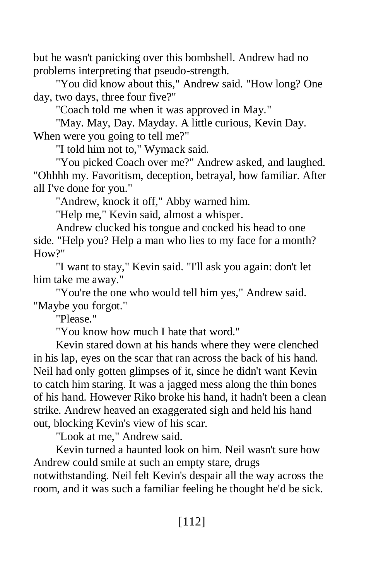but he wasn't panicking over this bombshell. Andrew had no problems interpreting that pseudo-strength.

"You did know about this," Andrew said. "How long? One day, two days, three four five?"

"Coach told me when it was approved in May."

"May. May, Day. Mayday. A little curious, Kevin Day. When were you going to tell me?"

"I told him not to," Wymack said.

"You picked Coach over me?" Andrew asked, and laughed. "Ohhhh my. Favoritism, deception, betrayal, how familiar. After all I've done for you."

"Andrew, knock it off," Abby warned him.

"Help me," Kevin said, almost a whisper.

Andrew clucked his tongue and cocked his head to one side. "Help you? Help a man who lies to my face for a month? How?"

"I want to stay," Kevin said. "I'll ask you again: don't let him take me away."

"You're the one who would tell him yes," Andrew said. "Maybe you forgot."

"Please."

"You know how much I hate that word."

Kevin stared down at his hands where they were clenched in his lap, eyes on the scar that ran across the back of his hand. Neil had only gotten glimpses of it, since he didn't want Kevin to catch him staring. It was a jagged mess along the thin bones of his hand. However Riko broke his hand, it hadn't been a clean strike. Andrew heaved an exaggerated sigh and held his hand out, blocking Kevin's view of his scar.

"Look at me," Andrew said.

Kevin turned a haunted look on him. Neil wasn't sure how Andrew could smile at such an empty stare, drugs notwithstanding. Neil felt Kevin's despair all the way across the room, and it was such a familiar feeling he thought he'd be sick.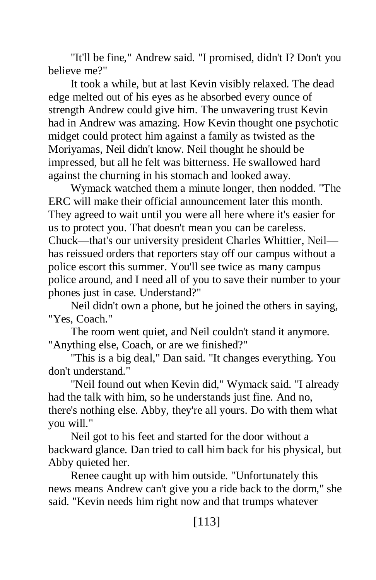"It'll be fine," Andrew said. "I promised, didn't I? Don't you believe me?"

It took a while, but at last Kevin visibly relaxed. The dead edge melted out of his eyes as he absorbed every ounce of strength Andrew could give him. The unwavering trust Kevin had in Andrew was amazing. How Kevin thought one psychotic midget could protect him against a family as twisted as the Moriyamas, Neil didn't know. Neil thought he should be impressed, but all he felt was bitterness. He swallowed hard against the churning in his stomach and looked away.

Wymack watched them a minute longer, then nodded. "The ERC will make their official announcement later this month. They agreed to wait until you were all here where it's easier for us to protect you. That doesn't mean you can be careless. Chuck—that's our university president Charles Whittier, Neil has reissued orders that reporters stay off our campus without a police escort this summer. You'll see twice as many campus police around, and I need all of you to save their number to your phones just in case. Understand?"

Neil didn't own a phone, but he joined the others in saying, "Yes, Coach."

The room went quiet, and Neil couldn't stand it anymore. "Anything else, Coach, or are we finished?"

"This is a big deal," Dan said. "It changes everything. You don't understand."

"Neil found out when Kevin did," Wymack said. "I already had the talk with him, so he understands just fine. And no, there's nothing else. Abby, they're all yours. Do with them what you will."

Neil got to his feet and started for the door without a backward glance. Dan tried to call him back for his physical, but Abby quieted her.

Renee caught up with him outside. "Unfortunately this news means Andrew can't give you a ride back to the dorm," she said. "Kevin needs him right now and that trumps whatever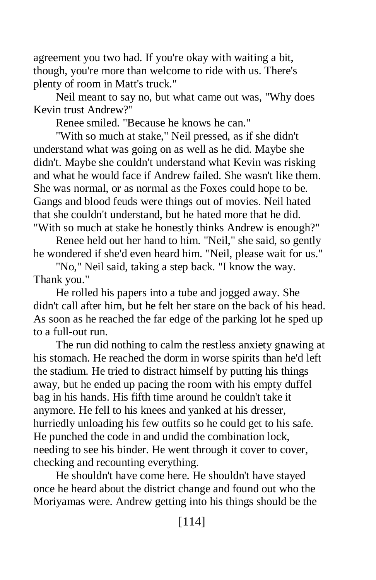agreement you two had. If you're okay with waiting a bit, though, you're more than welcome to ride with us. There's plenty of room in Matt's truck."

Neil meant to say no, but what came out was, "Why does Kevin trust Andrew?"

Renee smiled. "Because he knows he can."

"With so much at stake," Neil pressed, as if she didn't understand what was going on as well as he did. Maybe she didn't. Maybe she couldn't understand what Kevin was risking and what he would face if Andrew failed. She wasn't like them. She was normal, or as normal as the Foxes could hope to be. Gangs and blood feuds were things out of movies. Neil hated that she couldn't understand, but he hated more that he did. "With so much at stake he honestly thinks Andrew is enough?"

Renee held out her hand to him. "Neil," she said, so gently he wondered if she'd even heard him. "Neil, please wait for us."

"No," Neil said, taking a step back. "I know the way. Thank you."

He rolled his papers into a tube and jogged away. She didn't call after him, but he felt her stare on the back of his head. As soon as he reached the far edge of the parking lot he sped up to a full-out run.

The run did nothing to calm the restless anxiety gnawing at his stomach. He reached the dorm in worse spirits than he'd left the stadium. He tried to distract himself by putting his things away, but he ended up pacing the room with his empty duffel bag in his hands. His fifth time around he couldn't take it anymore. He fell to his knees and yanked at his dresser, hurriedly unloading his few outfits so he could get to his safe. He punched the code in and undid the combination lock, needing to see his binder. He went through it cover to cover, checking and recounting everything.

He shouldn't have come here. He shouldn't have stayed once he heard about the district change and found out who the Moriyamas were. Andrew getting into his things should be the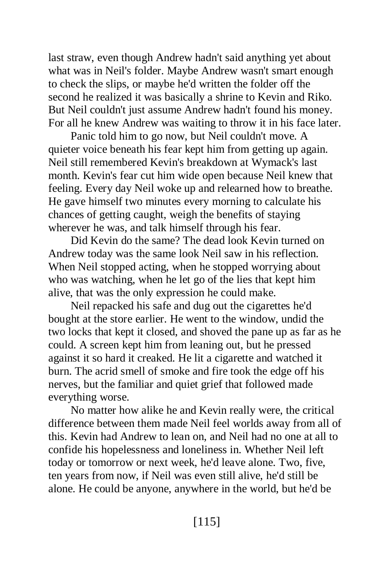last straw, even though Andrew hadn't said anything yet about what was in Neil's folder. Maybe Andrew wasn't smart enough to check the slips, or maybe he'd written the folder off the second he realized it was basically a shrine to Kevin and Riko. But Neil couldn't just assume Andrew hadn't found his money. For all he knew Andrew was waiting to throw it in his face later.

Panic told him to go now, but Neil couldn't move. A quieter voice beneath his fear kept him from getting up again. Neil still remembered Kevin's breakdown at Wymack's last month. Kevin's fear cut him wide open because Neil knew that feeling. Every day Neil woke up and relearned how to breathe. He gave himself two minutes every morning to calculate his chances of getting caught, weigh the benefits of staying wherever he was, and talk himself through his fear.

Did Kevin do the same? The dead look Kevin turned on Andrew today was the same look Neil saw in his reflection. When Neil stopped acting, when he stopped worrying about who was watching, when he let go of the lies that kept him alive, that was the only expression he could make.

Neil repacked his safe and dug out the cigarettes he'd bought at the store earlier. He went to the window, undid the two locks that kept it closed, and shoved the pane up as far as he could. A screen kept him from leaning out, but he pressed against it so hard it creaked. He lit a cigarette and watched it burn. The acrid smell of smoke and fire took the edge off his nerves, but the familiar and quiet grief that followed made everything worse.

No matter how alike he and Kevin really were, the critical difference between them made Neil feel worlds away from all of this. Kevin had Andrew to lean on, and Neil had no one at all to confide his hopelessness and loneliness in. Whether Neil left today or tomorrow or next week, he'd leave alone. Two, five, ten years from now, if Neil was even still alive, he'd still be alone. He could be anyone, anywhere in the world, but he'd be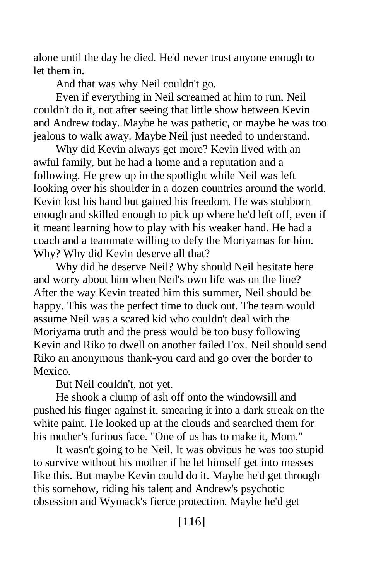alone until the day he died. He'd never trust anyone enough to let them in.

And that was why Neil couldn't go.

Even if everything in Neil screamed at him to run, Neil couldn't do it, not after seeing that little show between Kevin and Andrew today. Maybe he was pathetic, or maybe he was too jealous to walk away. Maybe Neil just needed to understand.

Why did Kevin always get more? Kevin lived with an awful family, but he had a home and a reputation and a following. He grew up in the spotlight while Neil was left looking over his shoulder in a dozen countries around the world. Kevin lost his hand but gained his freedom. He was stubborn enough and skilled enough to pick up where he'd left off, even if it meant learning how to play with his weaker hand. He had a coach and a teammate willing to defy the Moriyamas for him. Why? Why did Kevin deserve all that?

Why did he deserve Neil? Why should Neil hesitate here and worry about him when Neil's own life was on the line? After the way Kevin treated him this summer, Neil should be happy. This was the perfect time to duck out. The team would assume Neil was a scared kid who couldn't deal with the Moriyama truth and the press would be too busy following Kevin and Riko to dwell on another failed Fox. Neil should send Riko an anonymous thank-you card and go over the border to Mexico.

But Neil couldn't, not yet.

He shook a clump of ash off onto the windowsill and pushed his finger against it, smearing it into a dark streak on the white paint. He looked up at the clouds and searched them for his mother's furious face. "One of us has to make it, Mom."

It wasn't going to be Neil. It was obvious he was too stupid to survive without his mother if he let himself get into messes like this. But maybe Kevin could do it. Maybe he'd get through this somehow, riding his talent and Andrew's psychotic obsession and Wymack's fierce protection. Maybe he'd get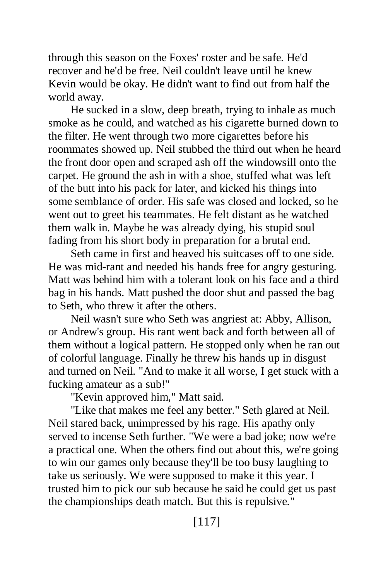through this season on the Foxes' roster and be safe. He'd recover and he'd be free. Neil couldn't leave until he knew Kevin would be okay. He didn't want to find out from half the world away.

He sucked in a slow, deep breath, trying to inhale as much smoke as he could, and watched as his cigarette burned down to the filter. He went through two more cigarettes before his roommates showed up. Neil stubbed the third out when he heard the front door open and scraped ash off the windowsill onto the carpet. He ground the ash in with a shoe, stuffed what was left of the butt into his pack for later, and kicked his things into some semblance of order. His safe was closed and locked, so he went out to greet his teammates. He felt distant as he watched them walk in. Maybe he was already dying, his stupid soul fading from his short body in preparation for a brutal end.

Seth came in first and heaved his suitcases off to one side. He was mid-rant and needed his hands free for angry gesturing. Matt was behind him with a tolerant look on his face and a third bag in his hands. Matt pushed the door shut and passed the bag to Seth, who threw it after the others.

Neil wasn't sure who Seth was angriest at: Abby, Allison, or Andrew's group. His rant went back and forth between all of them without a logical pattern. He stopped only when he ran out of colorful language. Finally he threw his hands up in disgust and turned on Neil. "And to make it all worse, I get stuck with a fucking amateur as a sub!"

"Kevin approved him," Matt said.

"Like that makes me feel any better." Seth glared at Neil. Neil stared back, unimpressed by his rage. His apathy only served to incense Seth further. "We were a bad joke; now we're a practical one. When the others find out about this, we're going to win our games only because they'll be too busy laughing to take us seriously. We were supposed to make it this year. I trusted him to pick our sub because he said he could get us past the championships death match. But this is repulsive."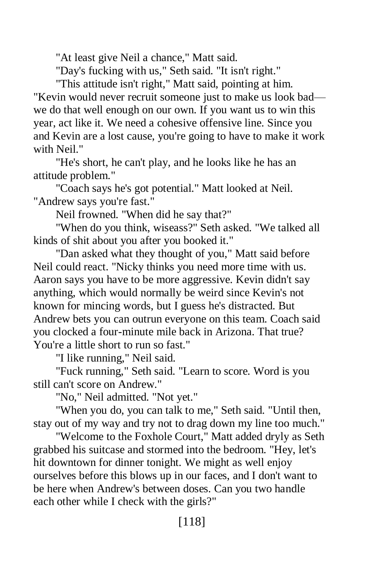"At least give Neil a chance," Matt said.

"Day's fucking with us," Seth said. "It isn't right."

"This attitude isn't right," Matt said, pointing at him.

"Kevin would never recruit someone just to make us look bad we do that well enough on our own. If you want us to win this year, act like it. We need a cohesive offensive line. Since you and Kevin are a lost cause, you're going to have to make it work with Neil."

"He's short, he can't play, and he looks like he has an attitude problem."

"Coach says he's got potential." Matt looked at Neil. "Andrew says you're fast."

Neil frowned. "When did he say that?"

"When do you think, wiseass?" Seth asked. "We talked all kinds of shit about you after you booked it."

"Dan asked what they thought of you," Matt said before Neil could react. "Nicky thinks you need more time with us. Aaron says you have to be more aggressive. Kevin didn't say anything, which would normally be weird since Kevin's not known for mincing words, but I guess he's distracted. But Andrew bets you can outrun everyone on this team. Coach said you clocked a four-minute mile back in Arizona. That true? You're a little short to run so fast."

"I like running," Neil said.

"Fuck running," Seth said. "Learn to score. Word is you still can't score on Andrew."

"No," Neil admitted. "Not yet."

"When you do, you can talk to me," Seth said. "Until then, stay out of my way and try not to drag down my line too much."

"Welcome to the Foxhole Court," Matt added dryly as Seth grabbed his suitcase and stormed into the bedroom. "Hey, let's hit downtown for dinner tonight. We might as well enjoy ourselves before this blows up in our faces, and I don't want to be here when Andrew's between doses. Can you two handle each other while I check with the girls?"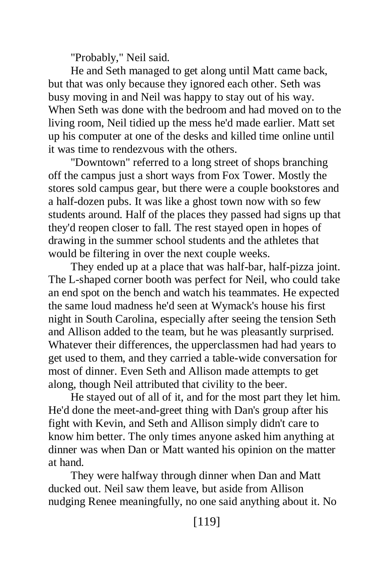"Probably," Neil said.

He and Seth managed to get along until Matt came back, but that was only because they ignored each other. Seth was busy moving in and Neil was happy to stay out of his way. When Seth was done with the bedroom and had moved on to the living room, Neil tidied up the mess he'd made earlier. Matt set up his computer at one of the desks and killed time online until it was time to rendezvous with the others.

"Downtown" referred to a long street of shops branching off the campus just a short ways from Fox Tower. Mostly the stores sold campus gear, but there were a couple bookstores and a half-dozen pubs. It was like a ghost town now with so few students around. Half of the places they passed had signs up that they'd reopen closer to fall. The rest stayed open in hopes of drawing in the summer school students and the athletes that would be filtering in over the next couple weeks.

They ended up at a place that was half-bar, half-pizza joint. The L-shaped corner booth was perfect for Neil, who could take an end spot on the bench and watch his teammates. He expected the same loud madness he'd seen at Wymack's house his first night in South Carolina, especially after seeing the tension Seth and Allison added to the team, but he was pleasantly surprised. Whatever their differences, the upperclassmen had had years to get used to them, and they carried a table-wide conversation for most of dinner. Even Seth and Allison made attempts to get along, though Neil attributed that civility to the beer.

He stayed out of all of it, and for the most part they let him. He'd done the meet-and-greet thing with Dan's group after his fight with Kevin, and Seth and Allison simply didn't care to know him better. The only times anyone asked him anything at dinner was when Dan or Matt wanted his opinion on the matter at hand.

They were halfway through dinner when Dan and Matt ducked out. Neil saw them leave, but aside from Allison nudging Renee meaningfully, no one said anything about it. No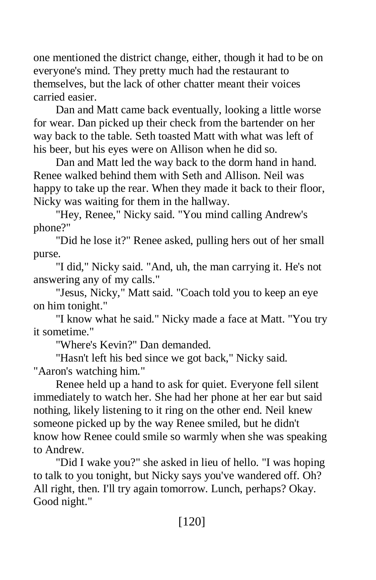one mentioned the district change, either, though it had to be on everyone's mind. They pretty much had the restaurant to themselves, but the lack of other chatter meant their voices carried easier.

Dan and Matt came back eventually, looking a little worse for wear. Dan picked up their check from the bartender on her way back to the table. Seth toasted Matt with what was left of his beer, but his eyes were on Allison when he did so.

Dan and Matt led the way back to the dorm hand in hand. Renee walked behind them with Seth and Allison. Neil was happy to take up the rear. When they made it back to their floor, Nicky was waiting for them in the hallway.

"Hey, Renee," Nicky said. "You mind calling Andrew's phone?"

"Did he lose it?" Renee asked, pulling hers out of her small purse.

"I did," Nicky said. "And, uh, the man carrying it. He's not answering any of my calls."

"Jesus, Nicky," Matt said. "Coach told you to keep an eye on him tonight."

"I know what he said." Nicky made a face at Matt. "You try it sometime."

"Where's Kevin?" Dan demanded.

"Hasn't left his bed since we got back," Nicky said. "Aaron's watching him."

Renee held up a hand to ask for quiet. Everyone fell silent immediately to watch her. She had her phone at her ear but said nothing, likely listening to it ring on the other end. Neil knew someone picked up by the way Renee smiled, but he didn't know how Renee could smile so warmly when she was speaking to Andrew.

"Did I wake you?" she asked in lieu of hello. "I was hoping to talk to you tonight, but Nicky says you've wandered off. Oh? All right, then. I'll try again tomorrow. Lunch, perhaps? Okay. Good night."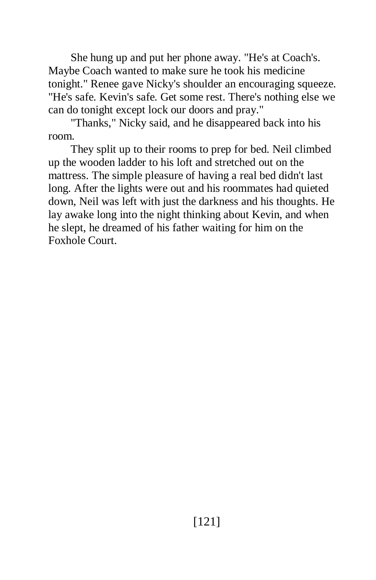She hung up and put her phone away. "He's at Coach's. Maybe Coach wanted to make sure he took his medicine tonight." Renee gave Nicky's shoulder an encouraging squeeze. "He's safe. Kevin's safe. Get some rest. There's nothing else we can do tonight except lock our doors and pray."

"Thanks," Nicky said, and he disappeared back into his room.

They split up to their rooms to prep for bed. Neil climbed up the wooden ladder to his loft and stretched out on the mattress. The simple pleasure of having a real bed didn't last long. After the lights were out and his roommates had quieted down, Neil was left with just the darkness and his thoughts. He lay awake long into the night thinking about Kevin, and when he slept, he dreamed of his father waiting for him on the Foxhole Court.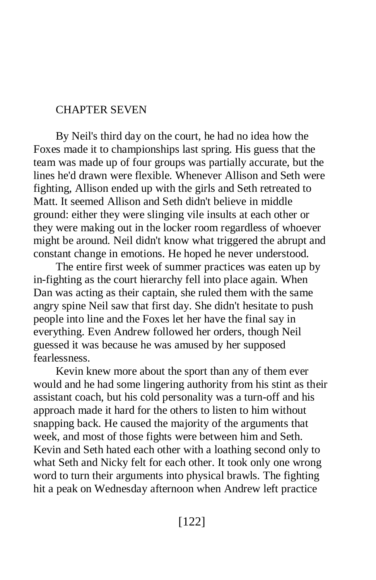## CHAPTER SEVEN

By Neil's third day on the court, he had no idea how the Foxes made it to championships last spring. His guess that the team was made up of four groups was partially accurate, but the lines he'd drawn were flexible. Whenever Allison and Seth were fighting, Allison ended up with the girls and Seth retreated to Matt. It seemed Allison and Seth didn't believe in middle ground: either they were slinging vile insults at each other or they were making out in the locker room regardless of whoever might be around. Neil didn't know what triggered the abrupt and constant change in emotions. He hoped he never understood.

The entire first week of summer practices was eaten up by in-fighting as the court hierarchy fell into place again. When Dan was acting as their captain, she ruled them with the same angry spine Neil saw that first day. She didn't hesitate to push people into line and the Foxes let her have the final say in everything. Even Andrew followed her orders, though Neil guessed it was because he was amused by her supposed fearlessness.

Kevin knew more about the sport than any of them ever would and he had some lingering authority from his stint as their assistant coach, but his cold personality was a turn-off and his approach made it hard for the others to listen to him without snapping back. He caused the majority of the arguments that week, and most of those fights were between him and Seth. Kevin and Seth hated each other with a loathing second only to what Seth and Nicky felt for each other. It took only one wrong word to turn their arguments into physical brawls. The fighting hit a peak on Wednesday afternoon when Andrew left practice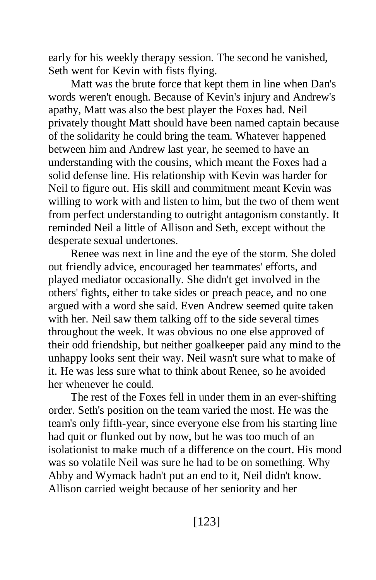early for his weekly therapy session. The second he vanished, Seth went for Kevin with fists flying.

Matt was the brute force that kept them in line when Dan's words weren't enough. Because of Kevin's injury and Andrew's apathy, Matt was also the best player the Foxes had. Neil privately thought Matt should have been named captain because of the solidarity he could bring the team. Whatever happened between him and Andrew last year, he seemed to have an understanding with the cousins, which meant the Foxes had a solid defense line. His relationship with Kevin was harder for Neil to figure out. His skill and commitment meant Kevin was willing to work with and listen to him, but the two of them went from perfect understanding to outright antagonism constantly. It reminded Neil a little of Allison and Seth, except without the desperate sexual undertones.

Renee was next in line and the eye of the storm. She doled out friendly advice, encouraged her teammates' efforts, and played mediator occasionally. She didn't get involved in the others' fights, either to take sides or preach peace, and no one argued with a word she said. Even Andrew seemed quite taken with her. Neil saw them talking off to the side several times throughout the week. It was obvious no one else approved of their odd friendship, but neither goalkeeper paid any mind to the unhappy looks sent their way. Neil wasn't sure what to make of it. He was less sure what to think about Renee, so he avoided her whenever he could.

The rest of the Foxes fell in under them in an ever-shifting order. Seth's position on the team varied the most. He was the team's only fifth-year, since everyone else from his starting line had quit or flunked out by now, but he was too much of an isolationist to make much of a difference on the court. His mood was so volatile Neil was sure he had to be on something. Why Abby and Wymack hadn't put an end to it, Neil didn't know. Allison carried weight because of her seniority and her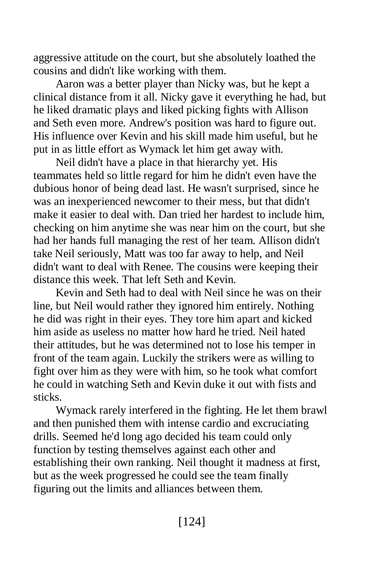aggressive attitude on the court, but she absolutely loathed the cousins and didn't like working with them.

Aaron was a better player than Nicky was, but he kept a clinical distance from it all. Nicky gave it everything he had, but he liked dramatic plays and liked picking fights with Allison and Seth even more. Andrew's position was hard to figure out. His influence over Kevin and his skill made him useful, but he put in as little effort as Wymack let him get away with.

Neil didn't have a place in that hierarchy yet. His teammates held so little regard for him he didn't even have the dubious honor of being dead last. He wasn't surprised, since he was an inexperienced newcomer to their mess, but that didn't make it easier to deal with. Dan tried her hardest to include him, checking on him anytime she was near him on the court, but she had her hands full managing the rest of her team. Allison didn't take Neil seriously, Matt was too far away to help, and Neil didn't want to deal with Renee. The cousins were keeping their distance this week. That left Seth and Kevin.

Kevin and Seth had to deal with Neil since he was on their line, but Neil would rather they ignored him entirely. Nothing he did was right in their eyes. They tore him apart and kicked him aside as useless no matter how hard he tried. Neil hated their attitudes, but he was determined not to lose his temper in front of the team again. Luckily the strikers were as willing to fight over him as they were with him, so he took what comfort he could in watching Seth and Kevin duke it out with fists and sticks.

Wymack rarely interfered in the fighting. He let them brawl and then punished them with intense cardio and excruciating drills. Seemed he'd long ago decided his team could only function by testing themselves against each other and establishing their own ranking. Neil thought it madness at first, but as the week progressed he could see the team finally figuring out the limits and alliances between them.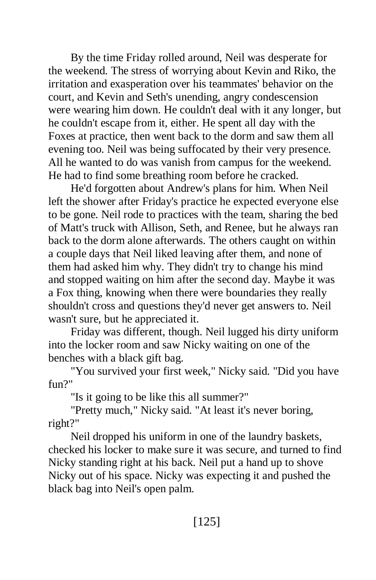By the time Friday rolled around, Neil was desperate for the weekend. The stress of worrying about Kevin and Riko, the irritation and exasperation over his teammates' behavior on the court, and Kevin and Seth's unending, angry condescension were wearing him down. He couldn't deal with it any longer, but he couldn't escape from it, either. He spent all day with the Foxes at practice, then went back to the dorm and saw them all evening too. Neil was being suffocated by their very presence. All he wanted to do was vanish from campus for the weekend. He had to find some breathing room before he cracked.

He'd forgotten about Andrew's plans for him. When Neil left the shower after Friday's practice he expected everyone else to be gone. Neil rode to practices with the team, sharing the bed of Matt's truck with Allison, Seth, and Renee, but he always ran back to the dorm alone afterwards. The others caught on within a couple days that Neil liked leaving after them, and none of them had asked him why. They didn't try to change his mind and stopped waiting on him after the second day. Maybe it was a Fox thing, knowing when there were boundaries they really shouldn't cross and questions they'd never get answers to. Neil wasn't sure, but he appreciated it.

Friday was different, though. Neil lugged his dirty uniform into the locker room and saw Nicky waiting on one of the benches with a black gift bag.

"You survived your first week," Nicky said. "Did you have fun?"

"Is it going to be like this all summer?"

"Pretty much," Nicky said. "At least it's never boring, right?"

Neil dropped his uniform in one of the laundry baskets, checked his locker to make sure it was secure, and turned to find Nicky standing right at his back. Neil put a hand up to shove Nicky out of his space. Nicky was expecting it and pushed the black bag into Neil's open palm.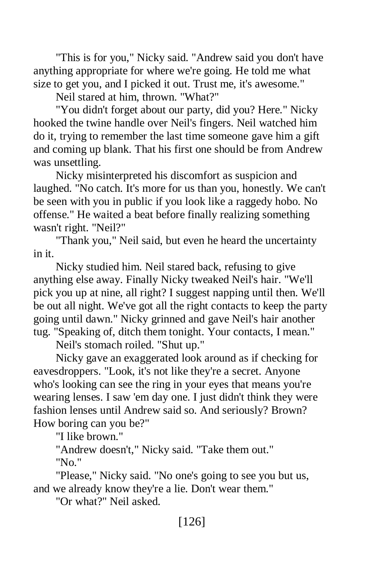"This is for you," Nicky said. "Andrew said you don't have anything appropriate for where we're going. He told me what size to get you, and I picked it out. Trust me, it's awesome."

Neil stared at him, thrown. "What?"

"You didn't forget about our party, did you? Here." Nicky hooked the twine handle over Neil's fingers. Neil watched him do it, trying to remember the last time someone gave him a gift and coming up blank. That his first one should be from Andrew was unsettling.

Nicky misinterpreted his discomfort as suspicion and laughed. "No catch. It's more for us than you, honestly. We can't be seen with you in public if you look like a raggedy hobo. No offense." He waited a beat before finally realizing something wasn't right. "Neil?"

"Thank you," Neil said, but even he heard the uncertainty in it.

Nicky studied him. Neil stared back, refusing to give anything else away. Finally Nicky tweaked Neil's hair. "We'll pick you up at nine, all right? I suggest napping until then. We'll be out all night. We've got all the right contacts to keep the party going until dawn." Nicky grinned and gave Neil's hair another tug. "Speaking of, ditch them tonight. Your contacts, I mean."

Neil's stomach roiled. "Shut up."

Nicky gave an exaggerated look around as if checking for eavesdroppers. "Look, it's not like they're a secret. Anyone who's looking can see the ring in your eyes that means you're wearing lenses. I saw 'em day one. I just didn't think they were fashion lenses until Andrew said so. And seriously? Brown? How boring can you be?"

"I like brown."

"Andrew doesn't," Nicky said. "Take them out." "No."

"Please," Nicky said. "No one's going to see you but us, and we already know they're a lie. Don't wear them."

"Or what?" Neil asked.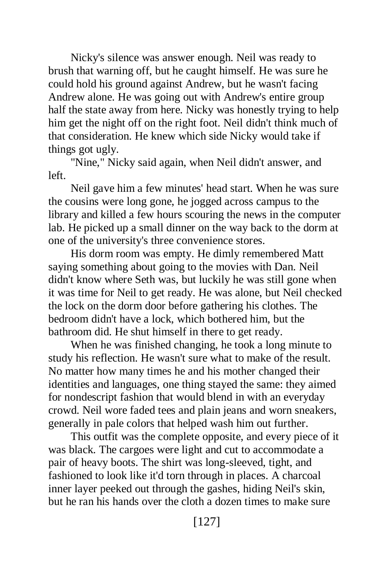Nicky's silence was answer enough. Neil was ready to brush that warning off, but he caught himself. He was sure he could hold his ground against Andrew, but he wasn't facing Andrew alone. He was going out with Andrew's entire group half the state away from here. Nicky was honestly trying to help him get the night off on the right foot. Neil didn't think much of that consideration. He knew which side Nicky would take if things got ugly.

"Nine," Nicky said again, when Neil didn't answer, and left.

Neil gave him a few minutes' head start. When he was sure the cousins were long gone, he jogged across campus to the library and killed a few hours scouring the news in the computer lab. He picked up a small dinner on the way back to the dorm at one of the university's three convenience stores.

His dorm room was empty. He dimly remembered Matt saying something about going to the movies with Dan. Neil didn't know where Seth was, but luckily he was still gone when it was time for Neil to get ready. He was alone, but Neil checked the lock on the dorm door before gathering his clothes. The bedroom didn't have a lock, which bothered him, but the bathroom did. He shut himself in there to get ready.

When he was finished changing, he took a long minute to study his reflection. He wasn't sure what to make of the result. No matter how many times he and his mother changed their identities and languages, one thing stayed the same: they aimed for nondescript fashion that would blend in with an everyday crowd. Neil wore faded tees and plain jeans and worn sneakers, generally in pale colors that helped wash him out further.

This outfit was the complete opposite, and every piece of it was black. The cargoes were light and cut to accommodate a pair of heavy boots. The shirt was long-sleeved, tight, and fashioned to look like it'd torn through in places. A charcoal inner layer peeked out through the gashes, hiding Neil's skin, but he ran his hands over the cloth a dozen times to make sure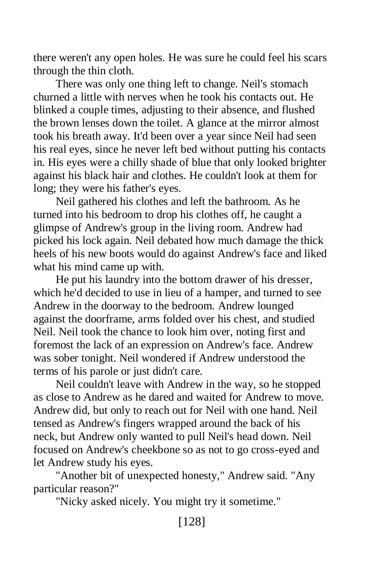there weren't any open holes. He was sure he could feel his scars through the thin cloth.

There was only one thing left to change. Neil's stomach churned a little with nerves when he took his contacts out. He blinked a couple times, adjusting to their absence, and flushed the brown lenses down the toilet. A glance at the mirror almost took his breath away. It'd been over a year since Neil had seen his real eyes, since he never left bed without putting his contacts in. His eyes were a chilly shade of blue that only looked brighter against his black hair and clothes. He couldn't look at them for long; they were his father's eyes.

Neil gathered his clothes and left the bathroom. As he turned into his bedroom to drop his clothes off, he caught a glimpse of Andrew's group in the living room. Andrew had picked his lock again. Neil debated how much damage the thick heels of his new boots would do against Andrew's face and liked what his mind came up with.

He put his laundry into the bottom drawer of his dresser, which he'd decided to use in lieu of a hamper, and turned to see Andrew in the doorway to the bedroom. Andrew lounged against the doorframe, arms folded over his chest, and studied Neil. Neil took the chance to look him over, noting first and foremost the lack of an expression on Andrew's face. Andrew was sober tonight. Neil wondered if Andrew understood the terms of his parole or just didn't care.

Neil couldn't leave with Andrew in the way, so he stopped as close to Andrew as he dared and waited for Andrew to move. Andrew did, but only to reach out for Neil with one hand. Neil tensed as Andrew's fingers wrapped around the back of his neck, but Andrew only wanted to pull Neil's head down. Neil focused on Andrew's cheekbone so as not to go cross-eyed and let Andrew study his eyes.

"Another bit of unexpected honesty," Andrew said. "Any particular reason?"

"Nicky asked nicely. You might try it sometime."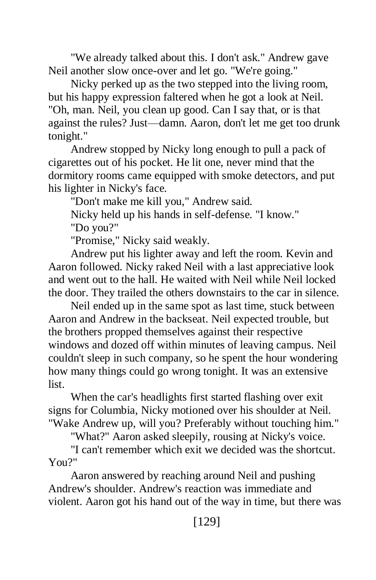"We already talked about this. I don't ask." Andrew gave Neil another slow once-over and let go. "We're going."

Nicky perked up as the two stepped into the living room, but his happy expression faltered when he got a look at Neil. "Oh, man. Neil, you clean up good. Can I say that, or is that against the rules? Just—damn. Aaron, don't let me get too drunk tonight."

Andrew stopped by Nicky long enough to pull a pack of cigarettes out of his pocket. He lit one, never mind that the dormitory rooms came equipped with smoke detectors, and put his lighter in Nicky's face.

"Don't make me kill you," Andrew said.

Nicky held up his hands in self-defense. "I know."

"Do you?"

"Promise," Nicky said weakly.

Andrew put his lighter away and left the room. Kevin and Aaron followed. Nicky raked Neil with a last appreciative look and went out to the hall. He waited with Neil while Neil locked the door. They trailed the others downstairs to the car in silence.

Neil ended up in the same spot as last time, stuck between Aaron and Andrew in the backseat. Neil expected trouble, but the brothers propped themselves against their respective windows and dozed off within minutes of leaving campus. Neil couldn't sleep in such company, so he spent the hour wondering how many things could go wrong tonight. It was an extensive list.

When the car's headlights first started flashing over exit signs for Columbia, Nicky motioned over his shoulder at Neil. "Wake Andrew up, will you? Preferably without touching him."

"What?" Aaron asked sleepily, rousing at Nicky's voice.

"I can't remember which exit we decided was the shortcut. You?"

Aaron answered by reaching around Neil and pushing Andrew's shoulder. Andrew's reaction was immediate and violent. Aaron got his hand out of the way in time, but there was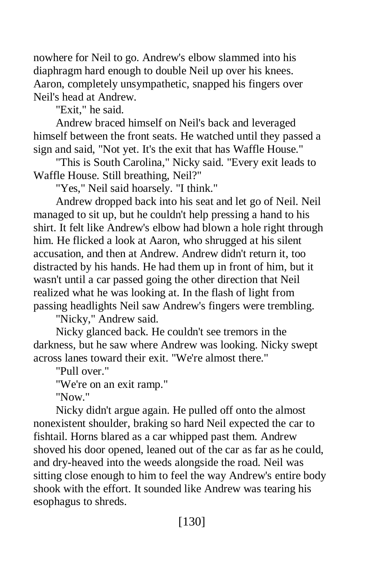nowhere for Neil to go. Andrew's elbow slammed into his diaphragm hard enough to double Neil up over his knees. Aaron, completely unsympathetic, snapped his fingers over Neil's head at Andrew.

"Exit," he said.

Andrew braced himself on Neil's back and leveraged himself between the front seats. He watched until they passed a sign and said, "Not yet. It's the exit that has Waffle House."

"This is South Carolina," Nicky said. "Every exit leads to Waffle House. Still breathing, Neil?"

"Yes," Neil said hoarsely. "I think."

Andrew dropped back into his seat and let go of Neil. Neil managed to sit up, but he couldn't help pressing a hand to his shirt. It felt like Andrew's elbow had blown a hole right through him. He flicked a look at Aaron, who shrugged at his silent accusation, and then at Andrew. Andrew didn't return it, too distracted by his hands. He had them up in front of him, but it wasn't until a car passed going the other direction that Neil realized what he was looking at. In the flash of light from passing headlights Neil saw Andrew's fingers were trembling.

"Nicky," Andrew said.

Nicky glanced back. He couldn't see tremors in the darkness, but he saw where Andrew was looking. Nicky swept across lanes toward their exit. "We're almost there."

"Pull over."

"We're on an exit ramp."

"Now."

Nicky didn't argue again. He pulled off onto the almost nonexistent shoulder, braking so hard Neil expected the car to fishtail. Horns blared as a car whipped past them. Andrew shoved his door opened, leaned out of the car as far as he could, and dry-heaved into the weeds alongside the road. Neil was sitting close enough to him to feel the way Andrew's entire body shook with the effort. It sounded like Andrew was tearing his esophagus to shreds.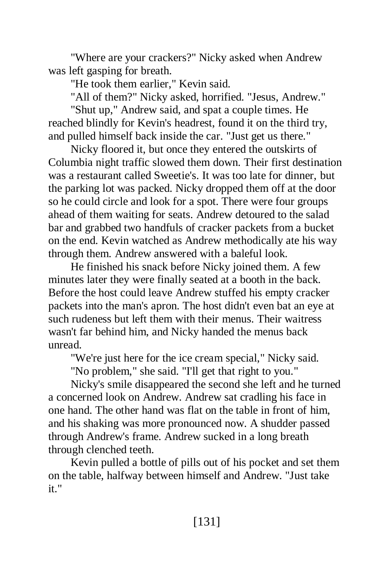"Where are your crackers?" Nicky asked when Andrew was left gasping for breath.

"He took them earlier," Kevin said.

"All of them?" Nicky asked, horrified. "Jesus, Andrew."

"Shut up," Andrew said, and spat a couple times. He reached blindly for Kevin's headrest, found it on the third try, and pulled himself back inside the car. "Just get us there."

Nicky floored it, but once they entered the outskirts of Columbia night traffic slowed them down. Their first destination was a restaurant called Sweetie's. It was too late for dinner, but the parking lot was packed. Nicky dropped them off at the door so he could circle and look for a spot. There were four groups ahead of them waiting for seats. Andrew detoured to the salad bar and grabbed two handfuls of cracker packets from a bucket on the end. Kevin watched as Andrew methodically ate his way through them. Andrew answered with a baleful look.

He finished his snack before Nicky joined them. A few minutes later they were finally seated at a booth in the back. Before the host could leave Andrew stuffed his empty cracker packets into the man's apron. The host didn't even bat an eye at such rudeness but left them with their menus. Their waitress wasn't far behind him, and Nicky handed the menus back unread.

"We're just here for the ice cream special," Nicky said.

"No problem," she said. "I'll get that right to you."

Nicky's smile disappeared the second she left and he turned a concerned look on Andrew. Andrew sat cradling his face in one hand. The other hand was flat on the table in front of him, and his shaking was more pronounced now. A shudder passed through Andrew's frame. Andrew sucked in a long breath through clenched teeth.

Kevin pulled a bottle of pills out of his pocket and set them on the table, halfway between himself and Andrew. "Just take it."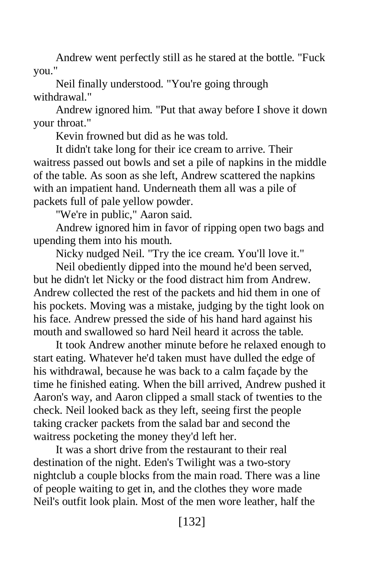Andrew went perfectly still as he stared at the bottle. "Fuck you."

Neil finally understood. "You're going through withdrawal."

Andrew ignored him. "Put that away before I shove it down your throat."

Kevin frowned but did as he was told.

It didn't take long for their ice cream to arrive. Their waitress passed out bowls and set a pile of napkins in the middle of the table. As soon as she left, Andrew scattered the napkins with an impatient hand. Underneath them all was a pile of packets full of pale yellow powder.

"We're in public," Aaron said.

Andrew ignored him in favor of ripping open two bags and upending them into his mouth.

Nicky nudged Neil. "Try the ice cream. You'll love it."

Neil obediently dipped into the mound he'd been served, but he didn't let Nicky or the food distract him from Andrew. Andrew collected the rest of the packets and hid them in one of his pockets. Moving was a mistake, judging by the tight look on his face. Andrew pressed the side of his hand hard against his mouth and swallowed so hard Neil heard it across the table.

It took Andrew another minute before he relaxed enough to start eating. Whatever he'd taken must have dulled the edge of his withdrawal, because he was back to a calm façade by the time he finished eating. When the bill arrived, Andrew pushed it Aaron's way, and Aaron clipped a small stack of twenties to the check. Neil looked back as they left, seeing first the people taking cracker packets from the salad bar and second the waitress pocketing the money they'd left her.

It was a short drive from the restaurant to their real destination of the night. Eden's Twilight was a two-story nightclub a couple blocks from the main road. There was a line of people waiting to get in, and the clothes they wore made Neil's outfit look plain. Most of the men wore leather, half the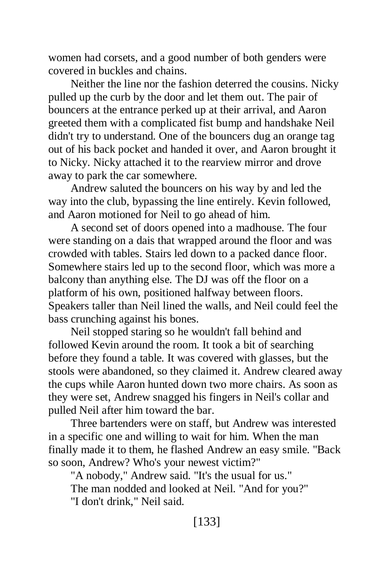women had corsets, and a good number of both genders were covered in buckles and chains.

Neither the line nor the fashion deterred the cousins. Nicky pulled up the curb by the door and let them out. The pair of bouncers at the entrance perked up at their arrival, and Aaron greeted them with a complicated fist bump and handshake Neil didn't try to understand. One of the bouncers dug an orange tag out of his back pocket and handed it over, and Aaron brought it to Nicky. Nicky attached it to the rearview mirror and drove away to park the car somewhere.

Andrew saluted the bouncers on his way by and led the way into the club, bypassing the line entirely. Kevin followed, and Aaron motioned for Neil to go ahead of him.

A second set of doors opened into a madhouse. The four were standing on a dais that wrapped around the floor and was crowded with tables. Stairs led down to a packed dance floor. Somewhere stairs led up to the second floor, which was more a balcony than anything else. The DJ was off the floor on a platform of his own, positioned halfway between floors. Speakers taller than Neil lined the walls, and Neil could feel the bass crunching against his bones.

Neil stopped staring so he wouldn't fall behind and followed Kevin around the room. It took a bit of searching before they found a table. It was covered with glasses, but the stools were abandoned, so they claimed it. Andrew cleared away the cups while Aaron hunted down two more chairs. As soon as they were set, Andrew snagged his fingers in Neil's collar and pulled Neil after him toward the bar.

Three bartenders were on staff, but Andrew was interested in a specific one and willing to wait for him. When the man finally made it to them, he flashed Andrew an easy smile. "Back so soon, Andrew? Who's your newest victim?"

"A nobody," Andrew said. "It's the usual for us." The man nodded and looked at Neil. "And for you?" "I don't drink," Neil said.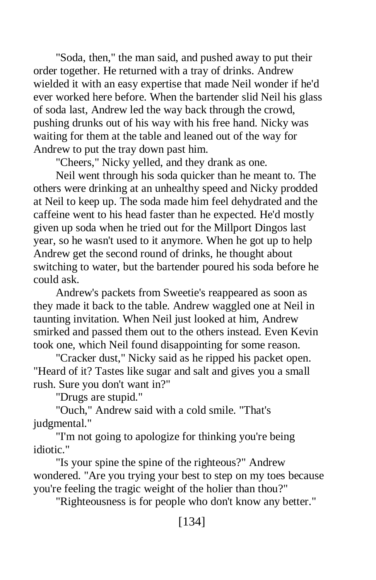"Soda, then," the man said, and pushed away to put their order together. He returned with a tray of drinks. Andrew wielded it with an easy expertise that made Neil wonder if he'd ever worked here before. When the bartender slid Neil his glass of soda last, Andrew led the way back through the crowd, pushing drunks out of his way with his free hand. Nicky was waiting for them at the table and leaned out of the way for Andrew to put the tray down past him.

"Cheers," Nicky yelled, and they drank as one.

Neil went through his soda quicker than he meant to. The others were drinking at an unhealthy speed and Nicky prodded at Neil to keep up. The soda made him feel dehydrated and the caffeine went to his head faster than he expected. He'd mostly given up soda when he tried out for the Millport Dingos last year, so he wasn't used to it anymore. When he got up to help Andrew get the second round of drinks, he thought about switching to water, but the bartender poured his soda before he could ask.

Andrew's packets from Sweetie's reappeared as soon as they made it back to the table. Andrew waggled one at Neil in taunting invitation. When Neil just looked at him, Andrew smirked and passed them out to the others instead. Even Kevin took one, which Neil found disappointing for some reason.

"Cracker dust," Nicky said as he ripped his packet open. "Heard of it? Tastes like sugar and salt and gives you a small rush. Sure you don't want in?"

"Drugs are stupid."

"Ouch," Andrew said with a cold smile. "That's judgmental."

"I'm not going to apologize for thinking you're being idiotic."

"Is your spine the spine of the righteous?" Andrew wondered. "Are you trying your best to step on my toes because you're feeling the tragic weight of the holier than thou?"

"Righteousness is for people who don't know any better."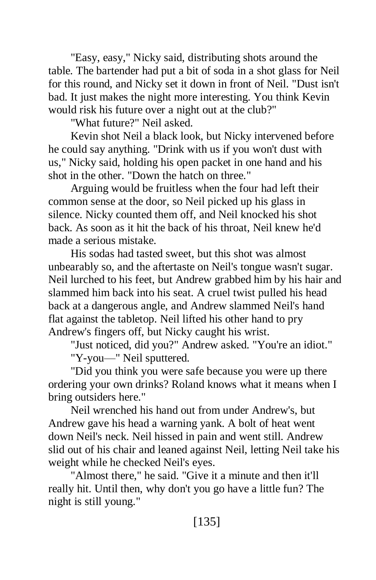"Easy, easy," Nicky said, distributing shots around the table. The bartender had put a bit of soda in a shot glass for Neil for this round, and Nicky set it down in front of Neil. "Dust isn't bad. It just makes the night more interesting. You think Kevin would risk his future over a night out at the club?"

"What future?" Neil asked.

Kevin shot Neil a black look, but Nicky intervened before he could say anything. "Drink with us if you won't dust with us," Nicky said, holding his open packet in one hand and his shot in the other. "Down the hatch on three."

Arguing would be fruitless when the four had left their common sense at the door, so Neil picked up his glass in silence. Nicky counted them off, and Neil knocked his shot back. As soon as it hit the back of his throat, Neil knew he'd made a serious mistake.

His sodas had tasted sweet, but this shot was almost unbearably so, and the aftertaste on Neil's tongue wasn't sugar. Neil lurched to his feet, but Andrew grabbed him by his hair and slammed him back into his seat. A cruel twist pulled his head back at a dangerous angle, and Andrew slammed Neil's hand flat against the tabletop. Neil lifted his other hand to pry Andrew's fingers off, but Nicky caught his wrist.

"Just noticed, did you?" Andrew asked. "You're an idiot."

"Y-you—" Neil sputtered.

"Did you think you were safe because you were up there ordering your own drinks? Roland knows what it means when I bring outsiders here."

Neil wrenched his hand out from under Andrew's, but Andrew gave his head a warning yank. A bolt of heat went down Neil's neck. Neil hissed in pain and went still. Andrew slid out of his chair and leaned against Neil, letting Neil take his weight while he checked Neil's eyes.

"Almost there," he said. "Give it a minute and then it'll really hit. Until then, why don't you go have a little fun? The night is still young."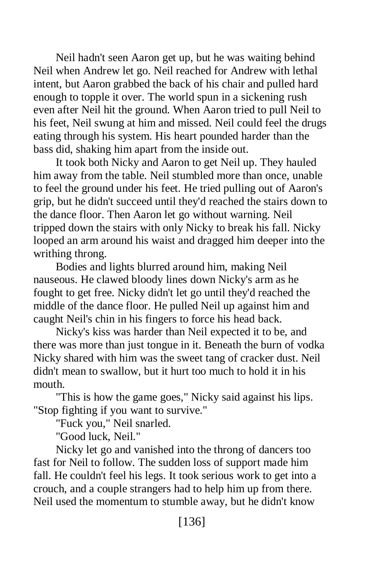Neil hadn't seen Aaron get up, but he was waiting behind Neil when Andrew let go. Neil reached for Andrew with lethal intent, but Aaron grabbed the back of his chair and pulled hard enough to topple it over. The world spun in a sickening rush even after Neil hit the ground. When Aaron tried to pull Neil to his feet, Neil swung at him and missed. Neil could feel the drugs eating through his system. His heart pounded harder than the bass did, shaking him apart from the inside out.

It took both Nicky and Aaron to get Neil up. They hauled him away from the table. Neil stumbled more than once, unable to feel the ground under his feet. He tried pulling out of Aaron's grip, but he didn't succeed until they'd reached the stairs down to the dance floor. Then Aaron let go without warning. Neil tripped down the stairs with only Nicky to break his fall. Nicky looped an arm around his waist and dragged him deeper into the writhing throng.

Bodies and lights blurred around him, making Neil nauseous. He clawed bloody lines down Nicky's arm as he fought to get free. Nicky didn't let go until they'd reached the middle of the dance floor. He pulled Neil up against him and caught Neil's chin in his fingers to force his head back.

Nicky's kiss was harder than Neil expected it to be, and there was more than just tongue in it. Beneath the burn of vodka Nicky shared with him was the sweet tang of cracker dust. Neil didn't mean to swallow, but it hurt too much to hold it in his mouth.

"This is how the game goes," Nicky said against his lips. "Stop fighting if you want to survive."

"Fuck you," Neil snarled.

"Good luck, Neil."

Nicky let go and vanished into the throng of dancers too fast for Neil to follow. The sudden loss of support made him fall. He couldn't feel his legs. It took serious work to get into a crouch, and a couple strangers had to help him up from there. Neil used the momentum to stumble away, but he didn't know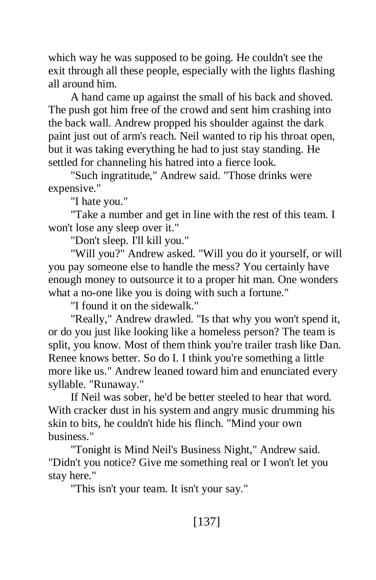which way he was supposed to be going. He couldn't see the exit through all these people, especially with the lights flashing all around him.

A hand came up against the small of his back and shoved. The push got him free of the crowd and sent him crashing into the back wall. Andrew propped his shoulder against the dark paint just out of arm's reach. Neil wanted to rip his throat open, but it was taking everything he had to just stay standing. He settled for channeling his hatred into a fierce look.

"Such ingratitude," Andrew said. "Those drinks were expensive."

"I hate you."

"Take a number and get in line with the rest of this team. I won't lose any sleep over it."

"Don't sleep. I'll kill you."

"Will you?" Andrew asked. "Will you do it yourself, or will you pay someone else to handle the mess? You certainly have enough money to outsource it to a proper hit man. One wonders what a no-one like you is doing with such a fortune."

"I found it on the sidewalk."

"Really," Andrew drawled. "Is that why you won't spend it, or do you just like looking like a homeless person? The team is split, you know. Most of them think you're trailer trash like Dan. Renee knows better. So do I. I think you're something a little more like us." Andrew leaned toward him and enunciated every syllable. "Runaway."

If Neil was sober, he'd be better steeled to hear that word. With cracker dust in his system and angry music drumming his skin to bits, he couldn't hide his flinch. "Mind your own business."

"Tonight is Mind Neil's Business Night," Andrew said. "Didn't you notice? Give me something real or I won't let you stay here."

"This isn't your team. It isn't your say."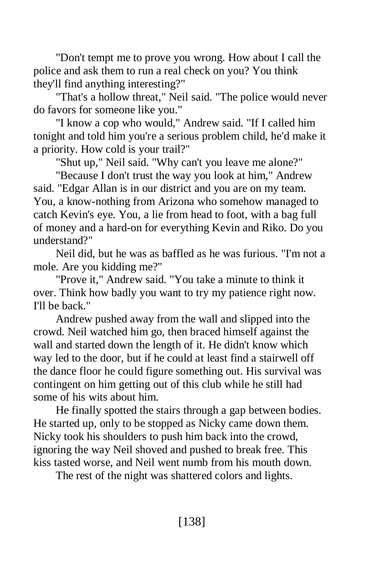"Don't tempt me to prove you wrong. How about I call the police and ask them to run a real check on you? You think they'll find anything interesting?"

"That's a hollow threat," Neil said. "The police would never do favors for someone like you."

"I know a cop who would," Andrew said. "If I called him tonight and told him you're a serious problem child, he'd make it a priority. How cold is your trail?"

"Shut up," Neil said. "Why can't you leave me alone?"

"Because I don't trust the way you look at him," Andrew said. "Edgar Allan is in our district and you are on my team. You, a know-nothing from Arizona who somehow managed to catch Kevin's eye. You, a lie from head to foot, with a bag full of money and a hard-on for everything Kevin and Riko. Do you understand?"

Neil did, but he was as baffled as he was furious. "I'm not a mole. Are you kidding me?"

"Prove it," Andrew said. "You take a minute to think it over. Think how badly you want to try my patience right now. I'll be back."

Andrew pushed away from the wall and slipped into the crowd. Neil watched him go, then braced himself against the wall and started down the length of it. He didn't know which way led to the door, but if he could at least find a stairwell off the dance floor he could figure something out. His survival was contingent on him getting out of this club while he still had some of his wits about him.

He finally spotted the stairs through a gap between bodies. He started up, only to be stopped as Nicky came down them. Nicky took his shoulders to push him back into the crowd, ignoring the way Neil shoved and pushed to break free. This kiss tasted worse, and Neil went numb from his mouth down.

The rest of the night was shattered colors and lights.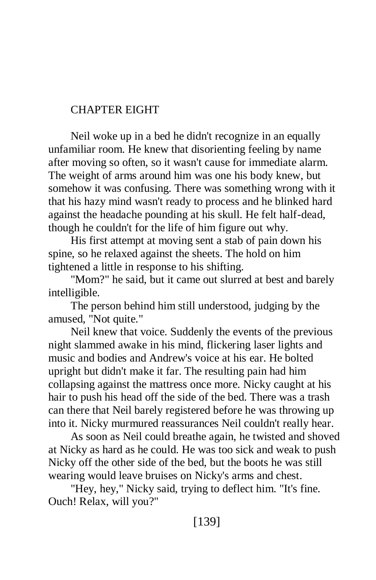## CHAPTER EIGHT

Neil woke up in a bed he didn't recognize in an equally unfamiliar room. He knew that disorienting feeling by name after moving so often, so it wasn't cause for immediate alarm. The weight of arms around him was one his body knew, but somehow it was confusing. There was something wrong with it that his hazy mind wasn't ready to process and he blinked hard against the headache pounding at his skull. He felt half-dead, though he couldn't for the life of him figure out why.

His first attempt at moving sent a stab of pain down his spine, so he relaxed against the sheets. The hold on him tightened a little in response to his shifting.

"Mom?" he said, but it came out slurred at best and barely intelligible.

The person behind him still understood, judging by the amused, "Not quite."

Neil knew that voice. Suddenly the events of the previous night slammed awake in his mind, flickering laser lights and music and bodies and Andrew's voice at his ear. He bolted upright but didn't make it far. The resulting pain had him collapsing against the mattress once more. Nicky caught at his hair to push his head off the side of the bed. There was a trash can there that Neil barely registered before he was throwing up into it. Nicky murmured reassurances Neil couldn't really hear.

As soon as Neil could breathe again, he twisted and shoved at Nicky as hard as he could. He was too sick and weak to push Nicky off the other side of the bed, but the boots he was still wearing would leave bruises on Nicky's arms and chest.

"Hey, hey," Nicky said, trying to deflect him. "It's fine. Ouch! Relax, will you?"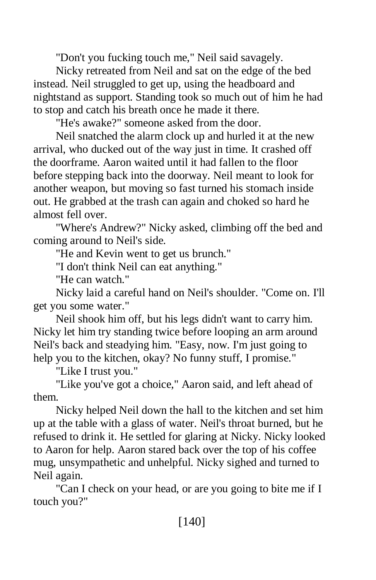"Don't you fucking touch me," Neil said savagely.

Nicky retreated from Neil and sat on the edge of the bed instead. Neil struggled to get up, using the headboard and nightstand as support. Standing took so much out of him he had to stop and catch his breath once he made it there.

"He's awake?" someone asked from the door.

Neil snatched the alarm clock up and hurled it at the new arrival, who ducked out of the way just in time. It crashed off the doorframe. Aaron waited until it had fallen to the floor before stepping back into the doorway. Neil meant to look for another weapon, but moving so fast turned his stomach inside out. He grabbed at the trash can again and choked so hard he almost fell over.

"Where's Andrew?" Nicky asked, climbing off the bed and coming around to Neil's side.

"He and Kevin went to get us brunch."

"I don't think Neil can eat anything."

"He can watch."

Nicky laid a careful hand on Neil's shoulder. "Come on. I'll get you some water."

Neil shook him off, but his legs didn't want to carry him. Nicky let him try standing twice before looping an arm around Neil's back and steadying him. "Easy, now. I'm just going to help you to the kitchen, okay? No funny stuff, I promise."

"Like I trust you."

"Like you've got a choice," Aaron said, and left ahead of them.

Nicky helped Neil down the hall to the kitchen and set him up at the table with a glass of water. Neil's throat burned, but he refused to drink it. He settled for glaring at Nicky. Nicky looked to Aaron for help. Aaron stared back over the top of his coffee mug, unsympathetic and unhelpful. Nicky sighed and turned to Neil again.

"Can I check on your head, or are you going to bite me if I touch you?"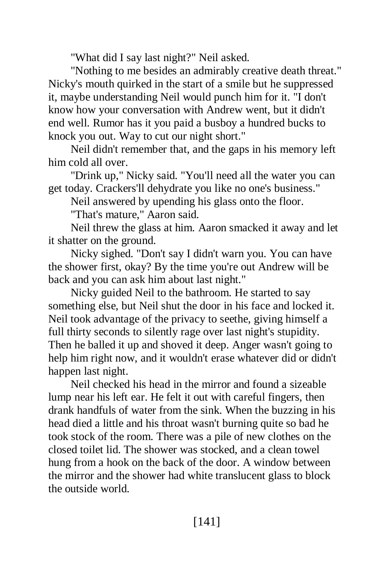"What did I say last night?" Neil asked.

"Nothing to me besides an admirably creative death threat." Nicky's mouth quirked in the start of a smile but he suppressed it, maybe understanding Neil would punch him for it. "I don't know how your conversation with Andrew went, but it didn't end well. Rumor has it you paid a busboy a hundred bucks to knock you out. Way to cut our night short."

Neil didn't remember that, and the gaps in his memory left him cold all over.

"Drink up," Nicky said. "You'll need all the water you can get today. Crackers'll dehydrate you like no one's business."

Neil answered by upending his glass onto the floor.

"That's mature," Aaron said.

Neil threw the glass at him. Aaron smacked it away and let it shatter on the ground.

Nicky sighed. "Don't say I didn't warn you. You can have the shower first, okay? By the time you're out Andrew will be back and you can ask him about last night."

Nicky guided Neil to the bathroom. He started to say something else, but Neil shut the door in his face and locked it. Neil took advantage of the privacy to seethe, giving himself a full thirty seconds to silently rage over last night's stupidity. Then he balled it up and shoved it deep. Anger wasn't going to help him right now, and it wouldn't erase whatever did or didn't happen last night.

Neil checked his head in the mirror and found a sizeable lump near his left ear. He felt it out with careful fingers, then drank handfuls of water from the sink. When the buzzing in his head died a little and his throat wasn't burning quite so bad he took stock of the room. There was a pile of new clothes on the closed toilet lid. The shower was stocked, and a clean towel hung from a hook on the back of the door. A window between the mirror and the shower had white translucent glass to block the outside world.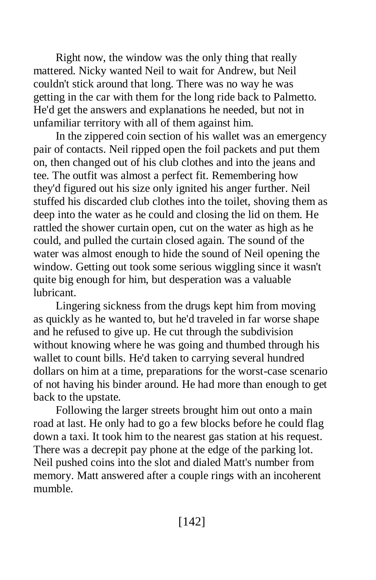Right now, the window was the only thing that really mattered. Nicky wanted Neil to wait for Andrew, but Neil couldn't stick around that long. There was no way he was getting in the car with them for the long ride back to Palmetto. He'd get the answers and explanations he needed, but not in unfamiliar territory with all of them against him.

In the zippered coin section of his wallet was an emergency pair of contacts. Neil ripped open the foil packets and put them on, then changed out of his club clothes and into the jeans and tee. The outfit was almost a perfect fit. Remembering how they'd figured out his size only ignited his anger further. Neil stuffed his discarded club clothes into the toilet, shoving them as deep into the water as he could and closing the lid on them. He rattled the shower curtain open, cut on the water as high as he could, and pulled the curtain closed again. The sound of the water was almost enough to hide the sound of Neil opening the window. Getting out took some serious wiggling since it wasn't quite big enough for him, but desperation was a valuable lubricant.

Lingering sickness from the drugs kept him from moving as quickly as he wanted to, but he'd traveled in far worse shape and he refused to give up. He cut through the subdivision without knowing where he was going and thumbed through his wallet to count bills. He'd taken to carrying several hundred dollars on him at a time, preparations for the worst-case scenario of not having his binder around. He had more than enough to get back to the upstate.

Following the larger streets brought him out onto a main road at last. He only had to go a few blocks before he could flag down a taxi. It took him to the nearest gas station at his request. There was a decrepit pay phone at the edge of the parking lot. Neil pushed coins into the slot and dialed Matt's number from memory. Matt answered after a couple rings with an incoherent mumble.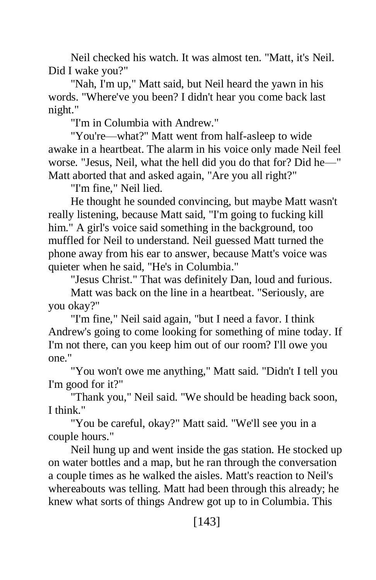Neil checked his watch. It was almost ten. "Matt, it's Neil. Did I wake you?"

"Nah, I'm up," Matt said, but Neil heard the yawn in his words. "Where've you been? I didn't hear you come back last night."

"I'm in Columbia with Andrew."

"You're—what?" Matt went from half-asleep to wide awake in a heartbeat. The alarm in his voice only made Neil feel worse. "Jesus, Neil, what the hell did you do that for? Did he—" Matt aborted that and asked again, "Are you all right?"

"I'm fine," Neil lied.

He thought he sounded convincing, but maybe Matt wasn't really listening, because Matt said, "I'm going to fucking kill him." A girl's voice said something in the background, too muffled for Neil to understand. Neil guessed Matt turned the phone away from his ear to answer, because Matt's voice was quieter when he said, "He's in Columbia."

"Jesus Christ." That was definitely Dan, loud and furious.

Matt was back on the line in a heartbeat. "Seriously, are you okay?"

"I'm fine," Neil said again, "but I need a favor. I think Andrew's going to come looking for something of mine today. If I'm not there, can you keep him out of our room? I'll owe you one."

"You won't owe me anything," Matt said. "Didn't I tell you I'm good for it?"

"Thank you," Neil said. "We should be heading back soon, I think."

"You be careful, okay?" Matt said. "We'll see you in a couple hours."

Neil hung up and went inside the gas station. He stocked up on water bottles and a map, but he ran through the conversation a couple times as he walked the aisles. Matt's reaction to Neil's whereabouts was telling. Matt had been through this already; he knew what sorts of things Andrew got up to in Columbia. This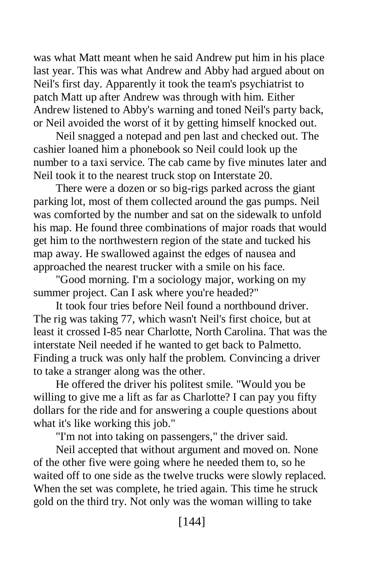was what Matt meant when he said Andrew put him in his place last year. This was what Andrew and Abby had argued about on Neil's first day. Apparently it took the team's psychiatrist to patch Matt up after Andrew was through with him. Either Andrew listened to Abby's warning and toned Neil's party back, or Neil avoided the worst of it by getting himself knocked out.

Neil snagged a notepad and pen last and checked out. The cashier loaned him a phonebook so Neil could look up the number to a taxi service. The cab came by five minutes later and Neil took it to the nearest truck stop on Interstate 20.

There were a dozen or so big-rigs parked across the giant parking lot, most of them collected around the gas pumps. Neil was comforted by the number and sat on the sidewalk to unfold his map. He found three combinations of major roads that would get him to the northwestern region of the state and tucked his map away. He swallowed against the edges of nausea and approached the nearest trucker with a smile on his face.

"Good morning. I'm a sociology major, working on my summer project. Can I ask where you're headed?"

It took four tries before Neil found a northbound driver. The rig was taking 77, which wasn't Neil's first choice, but at least it crossed I-85 near Charlotte, North Carolina. That was the interstate Neil needed if he wanted to get back to Palmetto. Finding a truck was only half the problem. Convincing a driver to take a stranger along was the other.

He offered the driver his politest smile. "Would you be willing to give me a lift as far as Charlotte? I can pay you fifty dollars for the ride and for answering a couple questions about what it's like working this job."

"I'm not into taking on passengers," the driver said.

Neil accepted that without argument and moved on. None of the other five were going where he needed them to, so he waited off to one side as the twelve trucks were slowly replaced. When the set was complete, he tried again. This time he struck gold on the third try. Not only was the woman willing to take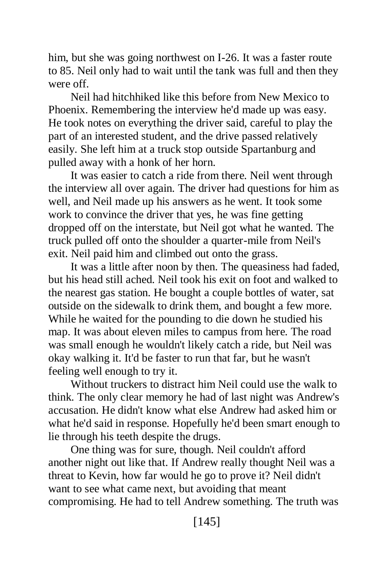him, but she was going northwest on I-26. It was a faster route to 85. Neil only had to wait until the tank was full and then they were off.

Neil had hitchhiked like this before from New Mexico to Phoenix. Remembering the interview he'd made up was easy. He took notes on everything the driver said, careful to play the part of an interested student, and the drive passed relatively easily. She left him at a truck stop outside Spartanburg and pulled away with a honk of her horn.

It was easier to catch a ride from there. Neil went through the interview all over again. The driver had questions for him as well, and Neil made up his answers as he went. It took some work to convince the driver that yes, he was fine getting dropped off on the interstate, but Neil got what he wanted. The truck pulled off onto the shoulder a quarter-mile from Neil's exit. Neil paid him and climbed out onto the grass.

It was a little after noon by then. The queasiness had faded, but his head still ached. Neil took his exit on foot and walked to the nearest gas station. He bought a couple bottles of water, sat outside on the sidewalk to drink them, and bought a few more. While he waited for the pounding to die down he studied his map. It was about eleven miles to campus from here. The road was small enough he wouldn't likely catch a ride, but Neil was okay walking it. It'd be faster to run that far, but he wasn't feeling well enough to try it.

Without truckers to distract him Neil could use the walk to think. The only clear memory he had of last night was Andrew's accusation. He didn't know what else Andrew had asked him or what he'd said in response. Hopefully he'd been smart enough to lie through his teeth despite the drugs.

One thing was for sure, though. Neil couldn't afford another night out like that. If Andrew really thought Neil was a threat to Kevin, how far would he go to prove it? Neil didn't want to see what came next, but avoiding that meant compromising. He had to tell Andrew something. The truth was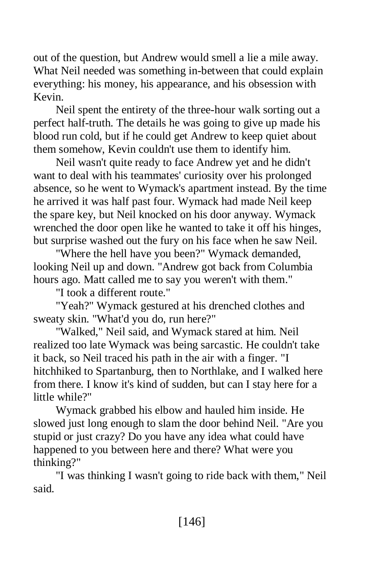out of the question, but Andrew would smell a lie a mile away. What Neil needed was something in-between that could explain everything: his money, his appearance, and his obsession with Kevin.

Neil spent the entirety of the three-hour walk sorting out a perfect half-truth. The details he was going to give up made his blood run cold, but if he could get Andrew to keep quiet about them somehow, Kevin couldn't use them to identify him.

Neil wasn't quite ready to face Andrew yet and he didn't want to deal with his teammates' curiosity over his prolonged absence, so he went to Wymack's apartment instead. By the time he arrived it was half past four. Wymack had made Neil keep the spare key, but Neil knocked on his door anyway. Wymack wrenched the door open like he wanted to take it off his hinges, but surprise washed out the fury on his face when he saw Neil.

"Where the hell have you been?" Wymack demanded, looking Neil up and down. "Andrew got back from Columbia hours ago. Matt called me to say you weren't with them."

"I took a different route."

"Yeah?" Wymack gestured at his drenched clothes and sweaty skin. "What'd you do, run here?"

"Walked," Neil said, and Wymack stared at him. Neil realized too late Wymack was being sarcastic. He couldn't take it back, so Neil traced his path in the air with a finger. "I hitchhiked to Spartanburg, then to Northlake, and I walked here from there. I know it's kind of sudden, but can I stay here for a little while?"

Wymack grabbed his elbow and hauled him inside. He slowed just long enough to slam the door behind Neil. "Are you stupid or just crazy? Do you have any idea what could have happened to you between here and there? What were you thinking?"

"I was thinking I wasn't going to ride back with them," Neil said.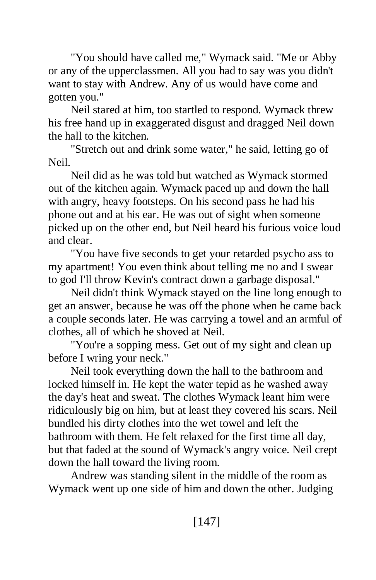"You should have called me," Wymack said. "Me or Abby or any of the upperclassmen. All you had to say was you didn't want to stay with Andrew. Any of us would have come and gotten you."

Neil stared at him, too startled to respond. Wymack threw his free hand up in exaggerated disgust and dragged Neil down the hall to the kitchen.

"Stretch out and drink some water," he said, letting go of Neil.

Neil did as he was told but watched as Wymack stormed out of the kitchen again. Wymack paced up and down the hall with angry, heavy footsteps. On his second pass he had his phone out and at his ear. He was out of sight when someone picked up on the other end, but Neil heard his furious voice loud and clear.

"You have five seconds to get your retarded psycho ass to my apartment! You even think about telling me no and I swear to god I'll throw Kevin's contract down a garbage disposal."

Neil didn't think Wymack stayed on the line long enough to get an answer, because he was off the phone when he came back a couple seconds later. He was carrying a towel and an armful of clothes, all of which he shoved at Neil.

"You're a sopping mess. Get out of my sight and clean up before I wring your neck."

Neil took everything down the hall to the bathroom and locked himself in. He kept the water tepid as he washed away the day's heat and sweat. The clothes Wymack leant him were ridiculously big on him, but at least they covered his scars. Neil bundled his dirty clothes into the wet towel and left the bathroom with them. He felt relaxed for the first time all day, but that faded at the sound of Wymack's angry voice. Neil crept down the hall toward the living room.

Andrew was standing silent in the middle of the room as Wymack went up one side of him and down the other. Judging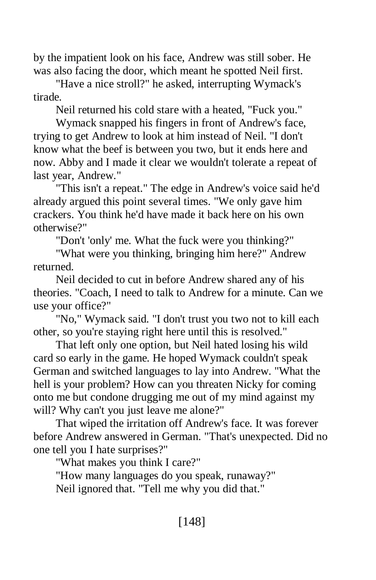by the impatient look on his face, Andrew was still sober. He was also facing the door, which meant he spotted Neil first.

"Have a nice stroll?" he asked, interrupting Wymack's tirade.

Neil returned his cold stare with a heated, "Fuck you."

Wymack snapped his fingers in front of Andrew's face, trying to get Andrew to look at him instead of Neil. "I don't know what the beef is between you two, but it ends here and now. Abby and I made it clear we wouldn't tolerate a repeat of last year, Andrew."

"This isn't a repeat." The edge in Andrew's voice said he'd already argued this point several times. "We only gave him crackers. You think he'd have made it back here on his own otherwise?"

"Don't 'only' me. What the fuck were you thinking?"

"What were you thinking, bringing him here?" Andrew returned.

Neil decided to cut in before Andrew shared any of his theories. "Coach, I need to talk to Andrew for a minute. Can we use your office?"

"No," Wymack said. "I don't trust you two not to kill each other, so you're staying right here until this is resolved."

That left only one option, but Neil hated losing his wild card so early in the game. He hoped Wymack couldn't speak German and switched languages to lay into Andrew. "What the hell is your problem? How can you threaten Nicky for coming onto me but condone drugging me out of my mind against my will? Why can't you just leave me alone?"

That wiped the irritation off Andrew's face. It was forever before Andrew answered in German. "That's unexpected. Did no one tell you I hate surprises?"

"What makes you think I care?"

"How many languages do you speak, runaway?"

Neil ignored that. "Tell me why you did that."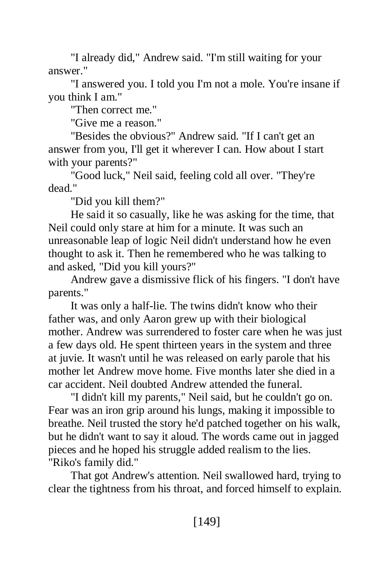"I already did," Andrew said. "I'm still waiting for your answer."

"I answered you. I told you I'm not a mole. You're insane if you think I am."

"Then correct me."

"Give me a reason."

"Besides the obvious?" Andrew said. "If I can't get an answer from you, I'll get it wherever I can. How about I start with your parents?"

"Good luck," Neil said, feeling cold all over. "They're dead."

"Did you kill them?"

He said it so casually, like he was asking for the time, that Neil could only stare at him for a minute. It was such an unreasonable leap of logic Neil didn't understand how he even thought to ask it. Then he remembered who he was talking to and asked, "Did you kill yours?"

Andrew gave a dismissive flick of his fingers. "I don't have parents."

It was only a half-lie. The twins didn't know who their father was, and only Aaron grew up with their biological mother. Andrew was surrendered to foster care when he was just a few days old. He spent thirteen years in the system and three at juvie. It wasn't until he was released on early parole that his mother let Andrew move home. Five months later she died in a car accident. Neil doubted Andrew attended the funeral.

"I didn't kill my parents," Neil said, but he couldn't go on. Fear was an iron grip around his lungs, making it impossible to breathe. Neil trusted the story he'd patched together on his walk, but he didn't want to say it aloud. The words came out in jagged pieces and he hoped his struggle added realism to the lies. "Riko's family did."

That got Andrew's attention. Neil swallowed hard, trying to clear the tightness from his throat, and forced himself to explain.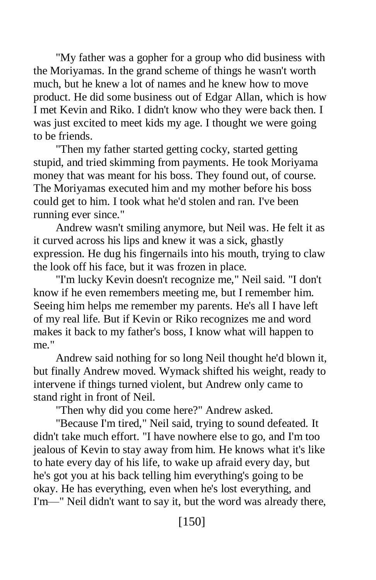"My father was a gopher for a group who did business with the Moriyamas. In the grand scheme of things he wasn't worth much, but he knew a lot of names and he knew how to move product. He did some business out of Edgar Allan, which is how I met Kevin and Riko. I didn't know who they were back then. I was just excited to meet kids my age. I thought we were going to be friends.

"Then my father started getting cocky, started getting stupid, and tried skimming from payments. He took Moriyama money that was meant for his boss. They found out, of course. The Moriyamas executed him and my mother before his boss could get to him. I took what he'd stolen and ran. I've been running ever since."

Andrew wasn't smiling anymore, but Neil was. He felt it as it curved across his lips and knew it was a sick, ghastly expression. He dug his fingernails into his mouth, trying to claw the look off his face, but it was frozen in place.

"I'm lucky Kevin doesn't recognize me," Neil said. "I don't know if he even remembers meeting me, but I remember him. Seeing him helps me remember my parents. He's all I have left of my real life. But if Kevin or Riko recognizes me and word makes it back to my father's boss, I know what will happen to me."

Andrew said nothing for so long Neil thought he'd blown it, but finally Andrew moved. Wymack shifted his weight, ready to intervene if things turned violent, but Andrew only came to stand right in front of Neil.

"Then why did you come here?" Andrew asked.

"Because I'm tired," Neil said, trying to sound defeated. It didn't take much effort. "I have nowhere else to go, and I'm too jealous of Kevin to stay away from him. He knows what it's like to hate every day of his life, to wake up afraid every day, but he's got you at his back telling him everything's going to be okay. He has everything, even when he's lost everything, and I'm—" Neil didn't want to say it, but the word was already there,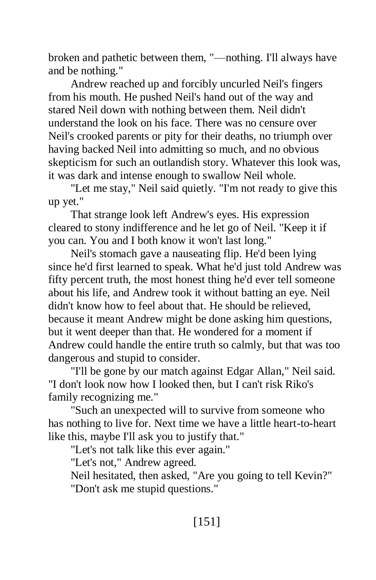broken and pathetic between them, "—nothing. I'll always have and be nothing."

Andrew reached up and forcibly uncurled Neil's fingers from his mouth. He pushed Neil's hand out of the way and stared Neil down with nothing between them. Neil didn't understand the look on his face. There was no censure over Neil's crooked parents or pity for their deaths, no triumph over having backed Neil into admitting so much, and no obvious skepticism for such an outlandish story. Whatever this look was, it was dark and intense enough to swallow Neil whole.

"Let me stay," Neil said quietly. "I'm not ready to give this up yet."

That strange look left Andrew's eyes. His expression cleared to stony indifference and he let go of Neil. "Keep it if you can. You and I both know it won't last long."

Neil's stomach gave a nauseating flip. He'd been lying since he'd first learned to speak. What he'd just told Andrew was fifty percent truth, the most honest thing he'd ever tell someone about his life, and Andrew took it without batting an eye. Neil didn't know how to feel about that. He should be relieved, because it meant Andrew might be done asking him questions, but it went deeper than that. He wondered for a moment if Andrew could handle the entire truth so calmly, but that was too dangerous and stupid to consider.

"I'll be gone by our match against Edgar Allan," Neil said. "I don't look now how I looked then, but I can't risk Riko's family recognizing me."

"Such an unexpected will to survive from someone who has nothing to live for. Next time we have a little heart-to-heart like this, maybe I'll ask you to justify that."

"Let's not talk like this ever again."

"Let's not," Andrew agreed.

Neil hesitated, then asked, "Are you going to tell Kevin?" "Don't ask me stupid questions."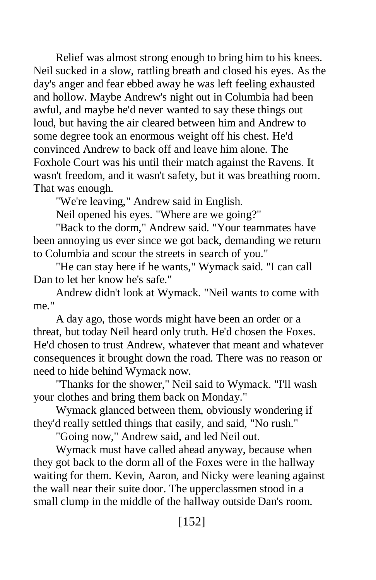Relief was almost strong enough to bring him to his knees. Neil sucked in a slow, rattling breath and closed his eyes. As the day's anger and fear ebbed away he was left feeling exhausted and hollow. Maybe Andrew's night out in Columbia had been awful, and maybe he'd never wanted to say these things out loud, but having the air cleared between him and Andrew to some degree took an enormous weight off his chest. He'd convinced Andrew to back off and leave him alone. The Foxhole Court was his until their match against the Ravens. It wasn't freedom, and it wasn't safety, but it was breathing room. That was enough.

"We're leaving," Andrew said in English.

Neil opened his eyes. "Where are we going?"

"Back to the dorm," Andrew said. "Your teammates have been annoying us ever since we got back, demanding we return to Columbia and scour the streets in search of you."

"He can stay here if he wants," Wymack said. "I can call Dan to let her know he's safe."

Andrew didn't look at Wymack. "Neil wants to come with me."

A day ago, those words might have been an order or a threat, but today Neil heard only truth. He'd chosen the Foxes. He'd chosen to trust Andrew, whatever that meant and whatever consequences it brought down the road. There was no reason or need to hide behind Wymack now.

"Thanks for the shower," Neil said to Wymack. "I'll wash your clothes and bring them back on Monday."

Wymack glanced between them, obviously wondering if they'd really settled things that easily, and said, "No rush."

"Going now," Andrew said, and led Neil out.

Wymack must have called ahead anyway, because when they got back to the dorm all of the Foxes were in the hallway waiting for them. Kevin, Aaron, and Nicky were leaning against the wall near their suite door. The upperclassmen stood in a small clump in the middle of the hallway outside Dan's room.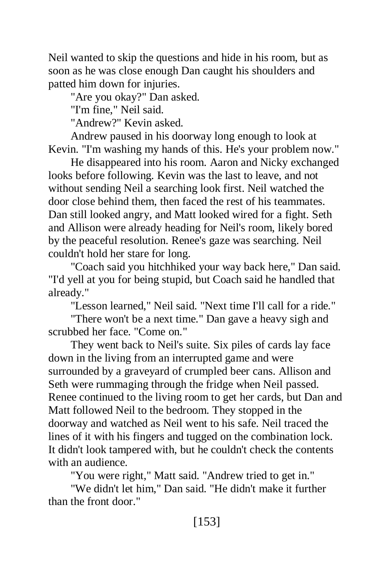Neil wanted to skip the questions and hide in his room, but as soon as he was close enough Dan caught his shoulders and patted him down for injuries.

"Are you okay?" Dan asked.

"I'm fine," Neil said.

"Andrew?" Kevin asked.

Andrew paused in his doorway long enough to look at Kevin. "I'm washing my hands of this. He's your problem now."

He disappeared into his room. Aaron and Nicky exchanged looks before following. Kevin was the last to leave, and not without sending Neil a searching look first. Neil watched the door close behind them, then faced the rest of his teammates. Dan still looked angry, and Matt looked wired for a fight. Seth and Allison were already heading for Neil's room, likely bored by the peaceful resolution. Renee's gaze was searching. Neil couldn't hold her stare for long.

"Coach said you hitchhiked your way back here," Dan said. "I'd yell at you for being stupid, but Coach said he handled that already."

"Lesson learned," Neil said. "Next time I'll call for a ride."

"There won't be a next time." Dan gave a heavy sigh and scrubbed her face. "Come on."

They went back to Neil's suite. Six piles of cards lay face down in the living from an interrupted game and were surrounded by a graveyard of crumpled beer cans. Allison and Seth were rummaging through the fridge when Neil passed. Renee continued to the living room to get her cards, but Dan and Matt followed Neil to the bedroom. They stopped in the doorway and watched as Neil went to his safe. Neil traced the lines of it with his fingers and tugged on the combination lock. It didn't look tampered with, but he couldn't check the contents with an audience.

"You were right," Matt said. "Andrew tried to get in."

"We didn't let him," Dan said. "He didn't make it further than the front door."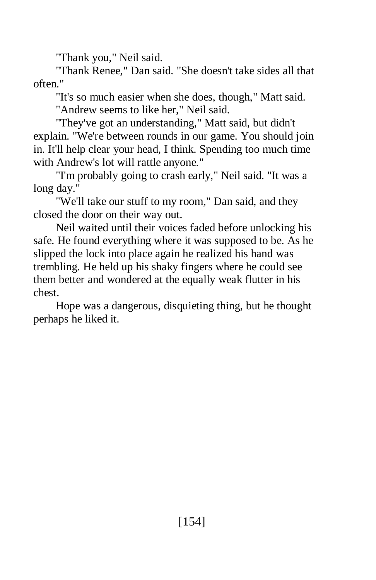"Thank you," Neil said.

"Thank Renee," Dan said. "She doesn't take sides all that often"

"It's so much easier when she does, though," Matt said. "Andrew seems to like her," Neil said.

"They've got an understanding," Matt said, but didn't explain. "We're between rounds in our game. You should join in. It'll help clear your head, I think. Spending too much time with Andrew's lot will rattle anyone."

"I'm probably going to crash early," Neil said. "It was a long day."

"We'll take our stuff to my room," Dan said, and they closed the door on their way out.

Neil waited until their voices faded before unlocking his safe. He found everything where it was supposed to be. As he slipped the lock into place again he realized his hand was trembling. He held up his shaky fingers where he could see them better and wondered at the equally weak flutter in his chest.

Hope was a dangerous, disquieting thing, but he thought perhaps he liked it.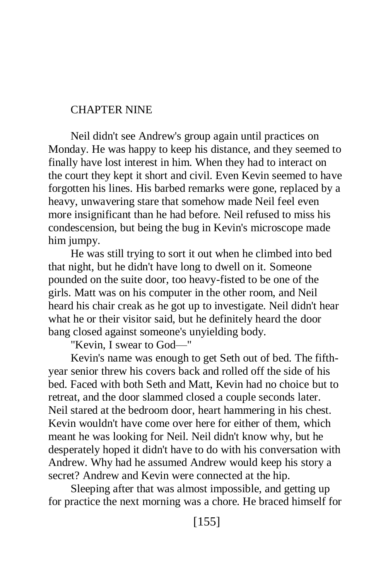## CHAPTER NINE

Neil didn't see Andrew's group again until practices on Monday. He was happy to keep his distance, and they seemed to finally have lost interest in him. When they had to interact on the court they kept it short and civil. Even Kevin seemed to have forgotten his lines. His barbed remarks were gone, replaced by a heavy, unwavering stare that somehow made Neil feel even more insignificant than he had before. Neil refused to miss his condescension, but being the bug in Kevin's microscope made him jumpy.

He was still trying to sort it out when he climbed into bed that night, but he didn't have long to dwell on it. Someone pounded on the suite door, too heavy-fisted to be one of the girls. Matt was on his computer in the other room, and Neil heard his chair creak as he got up to investigate. Neil didn't hear what he or their visitor said, but he definitely heard the door bang closed against someone's unyielding body.

"Kevin, I swear to God—"

Kevin's name was enough to get Seth out of bed. The fifthyear senior threw his covers back and rolled off the side of his bed. Faced with both Seth and Matt, Kevin had no choice but to retreat, and the door slammed closed a couple seconds later. Neil stared at the bedroom door, heart hammering in his chest. Kevin wouldn't have come over here for either of them, which meant he was looking for Neil. Neil didn't know why, but he desperately hoped it didn't have to do with his conversation with Andrew. Why had he assumed Andrew would keep his story a secret? Andrew and Kevin were connected at the hip.

Sleeping after that was almost impossible, and getting up for practice the next morning was a chore. He braced himself for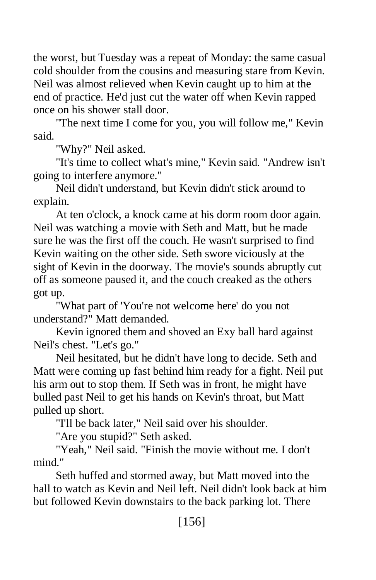the worst, but Tuesday was a repeat of Monday: the same casual cold shoulder from the cousins and measuring stare from Kevin. Neil was almost relieved when Kevin caught up to him at the end of practice. He'd just cut the water off when Kevin rapped once on his shower stall door.

"The next time I come for you, you will follow me," Kevin said.

"Why?" Neil asked.

"It's time to collect what's mine," Kevin said. "Andrew isn't going to interfere anymore."

Neil didn't understand, but Kevin didn't stick around to explain.

At ten o'clock, a knock came at his dorm room door again. Neil was watching a movie with Seth and Matt, but he made sure he was the first off the couch. He wasn't surprised to find Kevin waiting on the other side. Seth swore viciously at the sight of Kevin in the doorway. The movie's sounds abruptly cut off as someone paused it, and the couch creaked as the others got up.

"What part of 'You're not welcome here' do you not understand?" Matt demanded.

Kevin ignored them and shoved an Exy ball hard against Neil's chest. "Let's go."

Neil hesitated, but he didn't have long to decide. Seth and Matt were coming up fast behind him ready for a fight. Neil put his arm out to stop them. If Seth was in front, he might have bulled past Neil to get his hands on Kevin's throat, but Matt pulled up short.

"I'll be back later," Neil said over his shoulder.

"Are you stupid?" Seth asked.

"Yeah," Neil said. "Finish the movie without me. I don't mind."

Seth huffed and stormed away, but Matt moved into the hall to watch as Kevin and Neil left. Neil didn't look back at him but followed Kevin downstairs to the back parking lot. There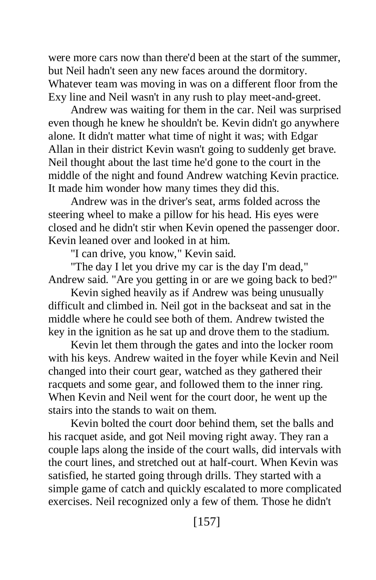were more cars now than there'd been at the start of the summer, but Neil hadn't seen any new faces around the dormitory. Whatever team was moving in was on a different floor from the Exy line and Neil wasn't in any rush to play meet-and-greet.

Andrew was waiting for them in the car. Neil was surprised even though he knew he shouldn't be. Kevin didn't go anywhere alone. It didn't matter what time of night it was; with Edgar Allan in their district Kevin wasn't going to suddenly get brave. Neil thought about the last time he'd gone to the court in the middle of the night and found Andrew watching Kevin practice. It made him wonder how many times they did this.

Andrew was in the driver's seat, arms folded across the steering wheel to make a pillow for his head. His eyes were closed and he didn't stir when Kevin opened the passenger door. Kevin leaned over and looked in at him.

"I can drive, you know," Kevin said.

"The day I let you drive my car is the day I'm dead," Andrew said. "Are you getting in or are we going back to bed?"

Kevin sighed heavily as if Andrew was being unusually difficult and climbed in. Neil got in the backseat and sat in the middle where he could see both of them. Andrew twisted the key in the ignition as he sat up and drove them to the stadium.

Kevin let them through the gates and into the locker room with his keys. Andrew waited in the foyer while Kevin and Neil changed into their court gear, watched as they gathered their racquets and some gear, and followed them to the inner ring. When Kevin and Neil went for the court door, he went up the stairs into the stands to wait on them.

Kevin bolted the court door behind them, set the balls and his racquet aside, and got Neil moving right away. They ran a couple laps along the inside of the court walls, did intervals with the court lines, and stretched out at half-court. When Kevin was satisfied, he started going through drills. They started with a simple game of catch and quickly escalated to more complicated exercises. Neil recognized only a few of them. Those he didn't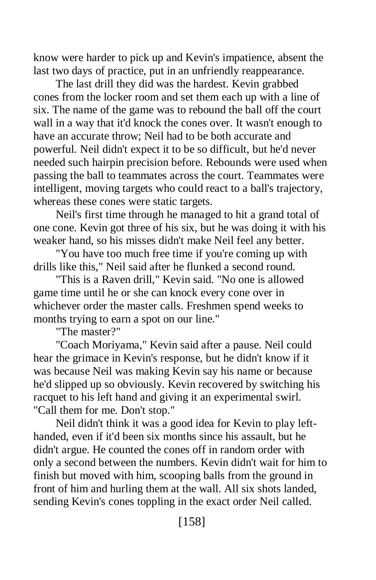know were harder to pick up and Kevin's impatience, absent the last two days of practice, put in an unfriendly reappearance.

The last drill they did was the hardest. Kevin grabbed cones from the locker room and set them each up with a line of six. The name of the game was to rebound the ball off the court wall in a way that it'd knock the cones over. It wasn't enough to have an accurate throw; Neil had to be both accurate and powerful. Neil didn't expect it to be so difficult, but he'd never needed such hairpin precision before. Rebounds were used when passing the ball to teammates across the court. Teammates were intelligent, moving targets who could react to a ball's trajectory, whereas these cones were static targets.

Neil's first time through he managed to hit a grand total of one cone. Kevin got three of his six, but he was doing it with his weaker hand, so his misses didn't make Neil feel any better.

"You have too much free time if you're coming up with drills like this," Neil said after he flunked a second round.

"This is a Raven drill," Kevin said. "No one is allowed game time until he or she can knock every cone over in whichever order the master calls. Freshmen spend weeks to months trying to earn a spot on our line."

"The master?"

"Coach Moriyama," Kevin said after a pause. Neil could hear the grimace in Kevin's response, but he didn't know if it was because Neil was making Kevin say his name or because he'd slipped up so obviously. Kevin recovered by switching his racquet to his left hand and giving it an experimental swirl. "Call them for me. Don't stop."

Neil didn't think it was a good idea for Kevin to play lefthanded, even if it'd been six months since his assault, but he didn't argue. He counted the cones off in random order with only a second between the numbers. Kevin didn't wait for him to finish but moved with him, scooping balls from the ground in front of him and hurling them at the wall. All six shots landed, sending Kevin's cones toppling in the exact order Neil called.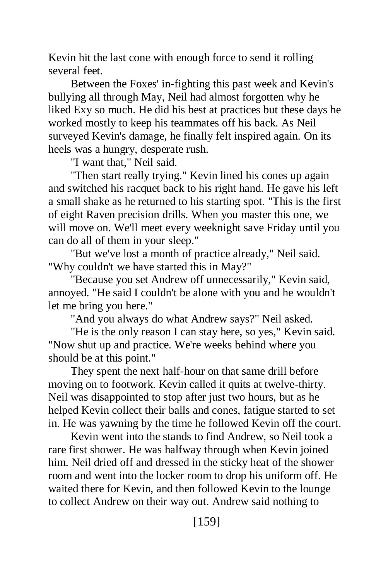Kevin hit the last cone with enough force to send it rolling several feet.

Between the Foxes' in-fighting this past week and Kevin's bullying all through May, Neil had almost forgotten why he liked Exy so much. He did his best at practices but these days he worked mostly to keep his teammates off his back. As Neil surveyed Kevin's damage, he finally felt inspired again. On its heels was a hungry, desperate rush.

"I want that," Neil said.

"Then start really trying." Kevin lined his cones up again and switched his racquet back to his right hand. He gave his left a small shake as he returned to his starting spot. "This is the first of eight Raven precision drills. When you master this one, we will move on. We'll meet every weeknight save Friday until you can do all of them in your sleep."

"But we've lost a month of practice already," Neil said. "Why couldn't we have started this in May?"

"Because you set Andrew off unnecessarily," Kevin said, annoyed. "He said I couldn't be alone with you and he wouldn't let me bring you here."

"And you always do what Andrew says?" Neil asked.

"He is the only reason I can stay here, so yes," Kevin said. "Now shut up and practice. We're weeks behind where you should be at this point."

They spent the next half-hour on that same drill before moving on to footwork. Kevin called it quits at twelve-thirty. Neil was disappointed to stop after just two hours, but as he helped Kevin collect their balls and cones, fatigue started to set in. He was yawning by the time he followed Kevin off the court.

Kevin went into the stands to find Andrew, so Neil took a rare first shower. He was halfway through when Kevin joined him. Neil dried off and dressed in the sticky heat of the shower room and went into the locker room to drop his uniform off. He waited there for Kevin, and then followed Kevin to the lounge to collect Andrew on their way out. Andrew said nothing to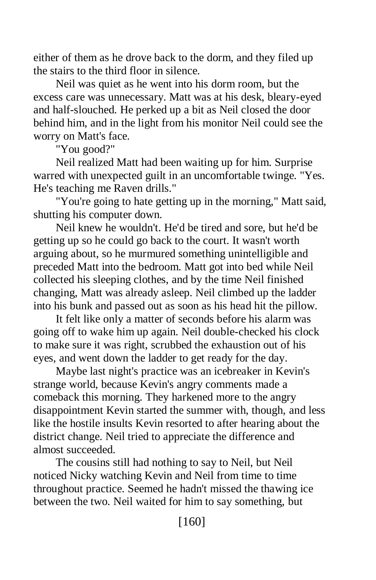either of them as he drove back to the dorm, and they filed up the stairs to the third floor in silence.

Neil was quiet as he went into his dorm room, but the excess care was unnecessary. Matt was at his desk, bleary-eyed and half-slouched. He perked up a bit as Neil closed the door behind him, and in the light from his monitor Neil could see the worry on Matt's face.

"You good?"

Neil realized Matt had been waiting up for him. Surprise warred with unexpected guilt in an uncomfortable twinge. "Yes. He's teaching me Raven drills."

"You're going to hate getting up in the morning," Matt said, shutting his computer down.

Neil knew he wouldn't. He'd be tired and sore, but he'd be getting up so he could go back to the court. It wasn't worth arguing about, so he murmured something unintelligible and preceded Matt into the bedroom. Matt got into bed while Neil collected his sleeping clothes, and by the time Neil finished changing, Matt was already asleep. Neil climbed up the ladder into his bunk and passed out as soon as his head hit the pillow.

It felt like only a matter of seconds before his alarm was going off to wake him up again. Neil double-checked his clock to make sure it was right, scrubbed the exhaustion out of his eyes, and went down the ladder to get ready for the day.

Maybe last night's practice was an icebreaker in Kevin's strange world, because Kevin's angry comments made a comeback this morning. They harkened more to the angry disappointment Kevin started the summer with, though, and less like the hostile insults Kevin resorted to after hearing about the district change. Neil tried to appreciate the difference and almost succeeded.

The cousins still had nothing to say to Neil, but Neil noticed Nicky watching Kevin and Neil from time to time throughout practice. Seemed he hadn't missed the thawing ice between the two. Neil waited for him to say something, but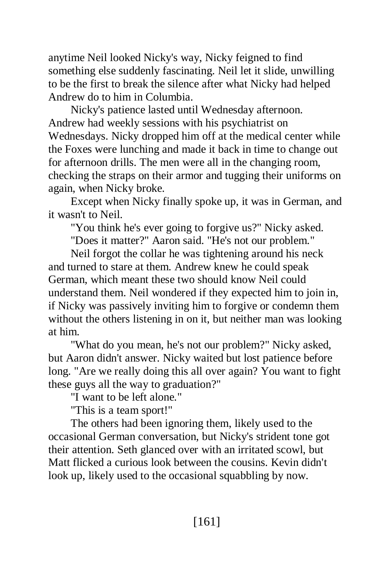anytime Neil looked Nicky's way, Nicky feigned to find something else suddenly fascinating. Neil let it slide, unwilling to be the first to break the silence after what Nicky had helped Andrew do to him in Columbia.

Nicky's patience lasted until Wednesday afternoon. Andrew had weekly sessions with his psychiatrist on Wednesdays. Nicky dropped him off at the medical center while the Foxes were lunching and made it back in time to change out for afternoon drills. The men were all in the changing room, checking the straps on their armor and tugging their uniforms on again, when Nicky broke.

Except when Nicky finally spoke up, it was in German, and it wasn't to Neil.

"You think he's ever going to forgive us?" Nicky asked.

"Does it matter?" Aaron said. "He's not our problem."

Neil forgot the collar he was tightening around his neck and turned to stare at them. Andrew knew he could speak German, which meant these two should know Neil could understand them. Neil wondered if they expected him to join in, if Nicky was passively inviting him to forgive or condemn them without the others listening in on it, but neither man was looking at him.

"What do you mean, he's not our problem?" Nicky asked, but Aaron didn't answer. Nicky waited but lost patience before long. "Are we really doing this all over again? You want to fight these guys all the way to graduation?"

"I want to be left alone."

"This is a team sport!"

The others had been ignoring them, likely used to the occasional German conversation, but Nicky's strident tone got their attention. Seth glanced over with an irritated scowl, but Matt flicked a curious look between the cousins. Kevin didn't look up, likely used to the occasional squabbling by now.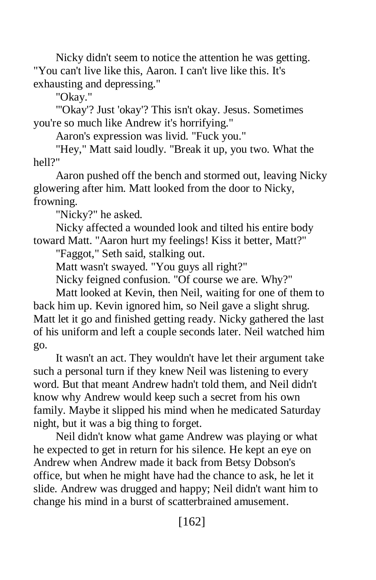Nicky didn't seem to notice the attention he was getting. "You can't live like this, Aaron. I can't live like this. It's exhausting and depressing."

"Okay."

"'Okay'? Just 'okay'? This isn't okay. Jesus. Sometimes you're so much like Andrew it's horrifying."

Aaron's expression was livid. "Fuck you."

"Hey," Matt said loudly. "Break it up, you two. What the hell?"

Aaron pushed off the bench and stormed out, leaving Nicky glowering after him. Matt looked from the door to Nicky, frowning.

"Nicky?" he asked.

Nicky affected a wounded look and tilted his entire body toward Matt. "Aaron hurt my feelings! Kiss it better, Matt?"

"Faggot," Seth said, stalking out.

Matt wasn't swayed. "You guys all right?"

Nicky feigned confusion. "Of course we are. Why?"

Matt looked at Kevin, then Neil, waiting for one of them to back him up. Kevin ignored him, so Neil gave a slight shrug. Matt let it go and finished getting ready. Nicky gathered the last of his uniform and left a couple seconds later. Neil watched him go.

It wasn't an act. They wouldn't have let their argument take such a personal turn if they knew Neil was listening to every word. But that meant Andrew hadn't told them, and Neil didn't know why Andrew would keep such a secret from his own family. Maybe it slipped his mind when he medicated Saturday night, but it was a big thing to forget.

Neil didn't know what game Andrew was playing or what he expected to get in return for his silence. He kept an eye on Andrew when Andrew made it back from Betsy Dobson's office, but when he might have had the chance to ask, he let it slide. Andrew was drugged and happy; Neil didn't want him to change his mind in a burst of scatterbrained amusement.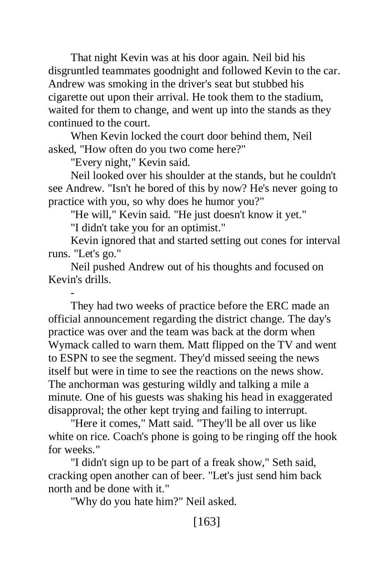That night Kevin was at his door again. Neil bid his disgruntled teammates goodnight and followed Kevin to the car. Andrew was smoking in the driver's seat but stubbed his cigarette out upon their arrival. He took them to the stadium, waited for them to change, and went up into the stands as they continued to the court.

When Kevin locked the court door behind them, Neil asked, "How often do you two come here?"

"Every night," Kevin said.

Neil looked over his shoulder at the stands, but he couldn't see Andrew. "Isn't he bored of this by now? He's never going to practice with you, so why does he humor you?"

"He will," Kevin said. "He just doesn't know it yet."

"I didn't take you for an optimist."

Kevin ignored that and started setting out cones for interval runs. "Let's go."

Neil pushed Andrew out of his thoughts and focused on Kevin's drills.

- They had two weeks of practice before the ERC made an official announcement regarding the district change. The day's practice was over and the team was back at the dorm when Wymack called to warn them. Matt flipped on the TV and went to ESPN to see the segment. They'd missed seeing the news itself but were in time to see the reactions on the news show. The anchorman was gesturing wildly and talking a mile a minute. One of his guests was shaking his head in exaggerated disapproval; the other kept trying and failing to interrupt.

"Here it comes," Matt said. "They'll be all over us like white on rice. Coach's phone is going to be ringing off the hook for weeks."

"I didn't sign up to be part of a freak show," Seth said, cracking open another can of beer. "Let's just send him back north and be done with it."

"Why do you hate him?" Neil asked.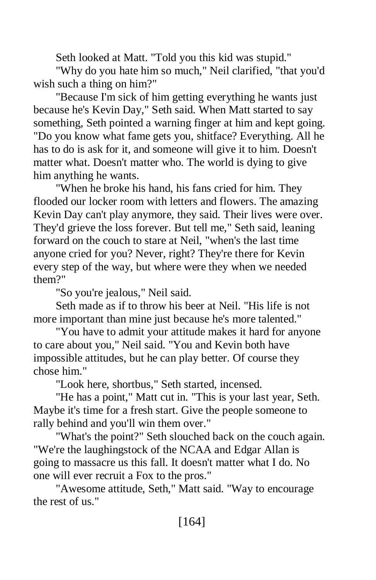Seth looked at Matt. "Told you this kid was stupid."

"Why do you hate him so much," Neil clarified, "that you'd wish such a thing on him?"

"Because I'm sick of him getting everything he wants just because he's Kevin Day," Seth said. When Matt started to say something, Seth pointed a warning finger at him and kept going. "Do you know what fame gets you, shitface? Everything. All he has to do is ask for it, and someone will give it to him. Doesn't matter what. Doesn't matter who. The world is dying to give him anything he wants.

"When he broke his hand, his fans cried for him. They flooded our locker room with letters and flowers. The amazing Kevin Day can't play anymore, they said. Their lives were over. They'd grieve the loss forever. But tell me," Seth said, leaning forward on the couch to stare at Neil, "when's the last time anyone cried for you? Never, right? They're there for Kevin every step of the way, but where were they when we needed them?"

"So you're jealous," Neil said.

Seth made as if to throw his beer at Neil. "His life is not more important than mine just because he's more talented."

"You have to admit your attitude makes it hard for anyone to care about you," Neil said. "You and Kevin both have impossible attitudes, but he can play better. Of course they chose him."

"Look here, shortbus," Seth started, incensed.

"He has a point," Matt cut in. "This is your last year, Seth. Maybe it's time for a fresh start. Give the people someone to rally behind and you'll win them over."

"What's the point?" Seth slouched back on the couch again. "We're the laughingstock of the NCAA and Edgar Allan is going to massacre us this fall. It doesn't matter what I do. No one will ever recruit a Fox to the pros."

"Awesome attitude, Seth," Matt said. "Way to encourage the rest of us."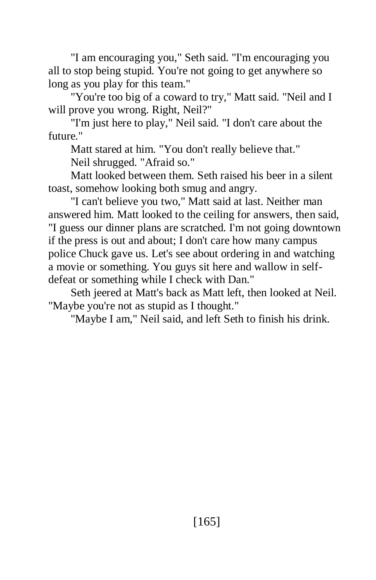"I am encouraging you," Seth said. "I'm encouraging you all to stop being stupid. You're not going to get anywhere so long as you play for this team."

"You're too big of a coward to try," Matt said. "Neil and I will prove you wrong. Right, Neil?"

"I'm just here to play," Neil said. "I don't care about the future."

Matt stared at him. "You don't really believe that."

Neil shrugged. "Afraid so."

Matt looked between them. Seth raised his beer in a silent toast, somehow looking both smug and angry.

"I can't believe you two," Matt said at last. Neither man answered him. Matt looked to the ceiling for answers, then said, "I guess our dinner plans are scratched. I'm not going downtown if the press is out and about; I don't care how many campus police Chuck gave us. Let's see about ordering in and watching a movie or something. You guys sit here and wallow in selfdefeat or something while I check with Dan."

Seth jeered at Matt's back as Matt left, then looked at Neil. "Maybe you're not as stupid as I thought."

"Maybe I am," Neil said, and left Seth to finish his drink.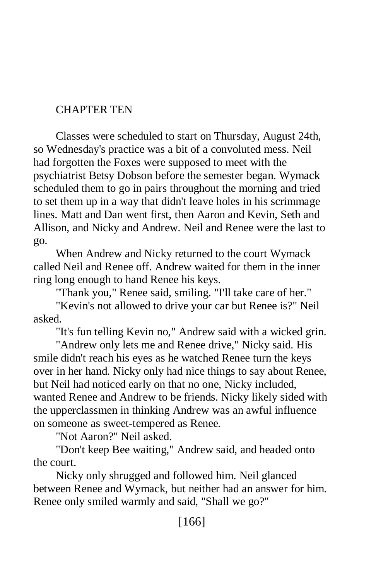## CHAPTER TEN

Classes were scheduled to start on Thursday, August 24th, so Wednesday's practice was a bit of a convoluted mess. Neil had forgotten the Foxes were supposed to meet with the psychiatrist Betsy Dobson before the semester began. Wymack scheduled them to go in pairs throughout the morning and tried to set them up in a way that didn't leave holes in his scrimmage lines. Matt and Dan went first, then Aaron and Kevin, Seth and Allison, and Nicky and Andrew. Neil and Renee were the last to go.

When Andrew and Nicky returned to the court Wymack called Neil and Renee off. Andrew waited for them in the inner ring long enough to hand Renee his keys.

"Thank you," Renee said, smiling. "I'll take care of her."

"Kevin's not allowed to drive your car but Renee is?" Neil asked.

"It's fun telling Kevin no," Andrew said with a wicked grin.

"Andrew only lets me and Renee drive," Nicky said. His smile didn't reach his eyes as he watched Renee turn the keys over in her hand. Nicky only had nice things to say about Renee, but Neil had noticed early on that no one, Nicky included, wanted Renee and Andrew to be friends. Nicky likely sided with the upperclassmen in thinking Andrew was an awful influence on someone as sweet-tempered as Renee.

"Not Aaron?" Neil asked.

"Don't keep Bee waiting," Andrew said, and headed onto the court.

Nicky only shrugged and followed him. Neil glanced between Renee and Wymack, but neither had an answer for him. Renee only smiled warmly and said, "Shall we go?"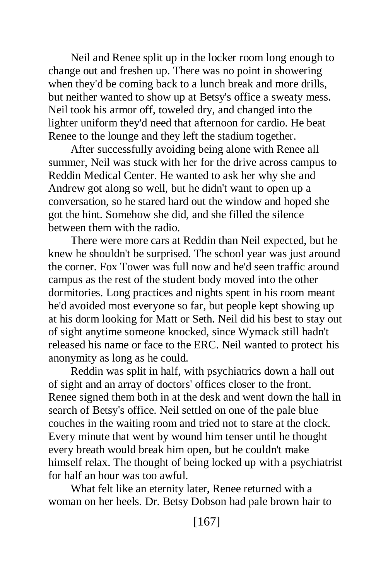Neil and Renee split up in the locker room long enough to change out and freshen up. There was no point in showering when they'd be coming back to a lunch break and more drills, but neither wanted to show up at Betsy's office a sweaty mess. Neil took his armor off, toweled dry, and changed into the lighter uniform they'd need that afternoon for cardio. He beat Renee to the lounge and they left the stadium together.

After successfully avoiding being alone with Renee all summer, Neil was stuck with her for the drive across campus to Reddin Medical Center. He wanted to ask her why she and Andrew got along so well, but he didn't want to open up a conversation, so he stared hard out the window and hoped she got the hint. Somehow she did, and she filled the silence between them with the radio.

There were more cars at Reddin than Neil expected, but he knew he shouldn't be surprised. The school year was just around the corner. Fox Tower was full now and he'd seen traffic around campus as the rest of the student body moved into the other dormitories. Long practices and nights spent in his room meant he'd avoided most everyone so far, but people kept showing up at his dorm looking for Matt or Seth. Neil did his best to stay out of sight anytime someone knocked, since Wymack still hadn't released his name or face to the ERC. Neil wanted to protect his anonymity as long as he could.

Reddin was split in half, with psychiatrics down a hall out of sight and an array of doctors' offices closer to the front. Renee signed them both in at the desk and went down the hall in search of Betsy's office. Neil settled on one of the pale blue couches in the waiting room and tried not to stare at the clock. Every minute that went by wound him tenser until he thought every breath would break him open, but he couldn't make himself relax. The thought of being locked up with a psychiatrist for half an hour was too awful.

What felt like an eternity later, Renee returned with a woman on her heels. Dr. Betsy Dobson had pale brown hair to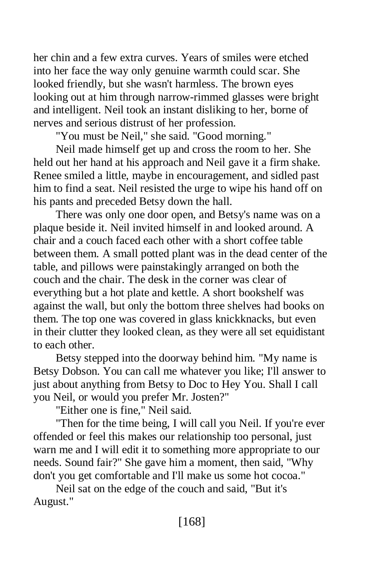her chin and a few extra curves. Years of smiles were etched into her face the way only genuine warmth could scar. She looked friendly, but she wasn't harmless. The brown eyes looking out at him through narrow-rimmed glasses were bright and intelligent. Neil took an instant disliking to her, borne of nerves and serious distrust of her profession.

"You must be Neil," she said. "Good morning."

Neil made himself get up and cross the room to her. She held out her hand at his approach and Neil gave it a firm shake. Renee smiled a little, maybe in encouragement, and sidled past him to find a seat. Neil resisted the urge to wipe his hand off on his pants and preceded Betsy down the hall.

There was only one door open, and Betsy's name was on a plaque beside it. Neil invited himself in and looked around. A chair and a couch faced each other with a short coffee table between them. A small potted plant was in the dead center of the table, and pillows were painstakingly arranged on both the couch and the chair. The desk in the corner was clear of everything but a hot plate and kettle. A short bookshelf was against the wall, but only the bottom three shelves had books on them. The top one was covered in glass knickknacks, but even in their clutter they looked clean, as they were all set equidistant to each other.

Betsy stepped into the doorway behind him. "My name is Betsy Dobson. You can call me whatever you like; I'll answer to just about anything from Betsy to Doc to Hey You. Shall I call you Neil, or would you prefer Mr. Josten?"

"Either one is fine," Neil said.

"Then for the time being, I will call you Neil. If you're ever offended or feel this makes our relationship too personal, just warn me and I will edit it to something more appropriate to our needs. Sound fair?" She gave him a moment, then said, "Why don't you get comfortable and I'll make us some hot cocoa."

Neil sat on the edge of the couch and said, "But it's August."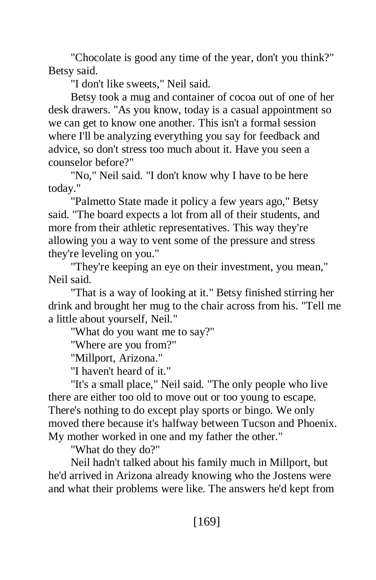"Chocolate is good any time of the year, don't you think?" Betsy said.

"I don't like sweets," Neil said.

Betsy took a mug and container of cocoa out of one of her desk drawers. "As you know, today is a casual appointment so we can get to know one another. This isn't a formal session where I'll be analyzing everything you say for feedback and advice, so don't stress too much about it. Have you seen a counselor before?"

"No," Neil said. "I don't know why I have to be here today."

"Palmetto State made it policy a few years ago," Betsy said. "The board expects a lot from all of their students, and more from their athletic representatives. This way they're allowing you a way to vent some of the pressure and stress they're leveling on you."

"They're keeping an eye on their investment, you mean," Neil said.

"That is a way of looking at it." Betsy finished stirring her drink and brought her mug to the chair across from his. "Tell me a little about yourself, Neil."

"What do you want me to say?"

"Where are you from?"

"Millport, Arizona."

"I haven't heard of it."

"It's a small place," Neil said. "The only people who live there are either too old to move out or too young to escape. There's nothing to do except play sports or bingo. We only moved there because it's halfway between Tucson and Phoenix. My mother worked in one and my father the other."

"What do they do?"

Neil hadn't talked about his family much in Millport, but he'd arrived in Arizona already knowing who the Jostens were and what their problems were like. The answers he'd kept from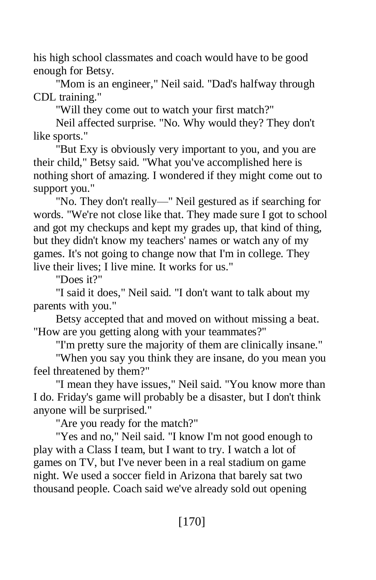his high school classmates and coach would have to be good enough for Betsy.

"Mom is an engineer," Neil said. "Dad's halfway through CDL training."

"Will they come out to watch your first match?"

Neil affected surprise. "No. Why would they? They don't like sports."

"But Exy is obviously very important to you, and you are their child," Betsy said. "What you've accomplished here is nothing short of amazing. I wondered if they might come out to support you."

"No. They don't really—" Neil gestured as if searching for words. "We're not close like that. They made sure I got to school and got my checkups and kept my grades up, that kind of thing, but they didn't know my teachers' names or watch any of my games. It's not going to change now that I'm in college. They live their lives; I live mine. It works for us."

"Does it?"

"I said it does," Neil said. "I don't want to talk about my parents with you."

Betsy accepted that and moved on without missing a beat. "How are you getting along with your teammates?"

"I'm pretty sure the majority of them are clinically insane."

"When you say you think they are insane, do you mean you feel threatened by them?"

"I mean they have issues," Neil said. "You know more than I do. Friday's game will probably be a disaster, but I don't think anyone will be surprised."

"Are you ready for the match?"

"Yes and no," Neil said. "I know I'm not good enough to play with a Class I team, but I want to try. I watch a lot of games on TV, but I've never been in a real stadium on game night. We used a soccer field in Arizona that barely sat two thousand people. Coach said we've already sold out opening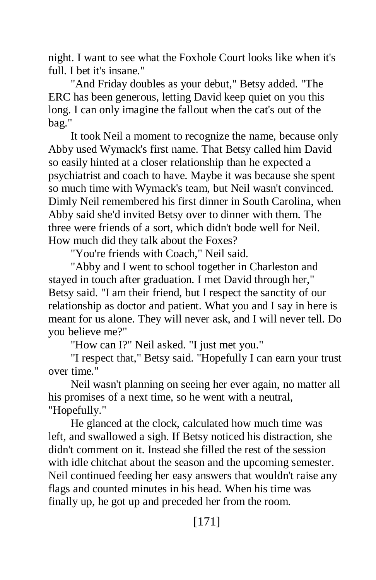night. I want to see what the Foxhole Court looks like when it's full. I bet it's insane."

"And Friday doubles as your debut," Betsy added. "The ERC has been generous, letting David keep quiet on you this long. I can only imagine the fallout when the cat's out of the bag."

It took Neil a moment to recognize the name, because only Abby used Wymack's first name. That Betsy called him David so easily hinted at a closer relationship than he expected a psychiatrist and coach to have. Maybe it was because she spent so much time with Wymack's team, but Neil wasn't convinced. Dimly Neil remembered his first dinner in South Carolina, when Abby said she'd invited Betsy over to dinner with them. The three were friends of a sort, which didn't bode well for Neil. How much did they talk about the Foxes?

"You're friends with Coach," Neil said.

"Abby and I went to school together in Charleston and stayed in touch after graduation. I met David through her," Betsy said. "I am their friend, but I respect the sanctity of our relationship as doctor and patient. What you and I say in here is meant for us alone. They will never ask, and I will never tell. Do you believe me?"

"How can I?" Neil asked. "I just met you."

"I respect that," Betsy said. "Hopefully I can earn your trust over time."

Neil wasn't planning on seeing her ever again, no matter all his promises of a next time, so he went with a neutral, "Hopefully."

He glanced at the clock, calculated how much time was left, and swallowed a sigh. If Betsy noticed his distraction, she didn't comment on it. Instead she filled the rest of the session with idle chitchat about the season and the upcoming semester. Neil continued feeding her easy answers that wouldn't raise any flags and counted minutes in his head. When his time was finally up, he got up and preceded her from the room.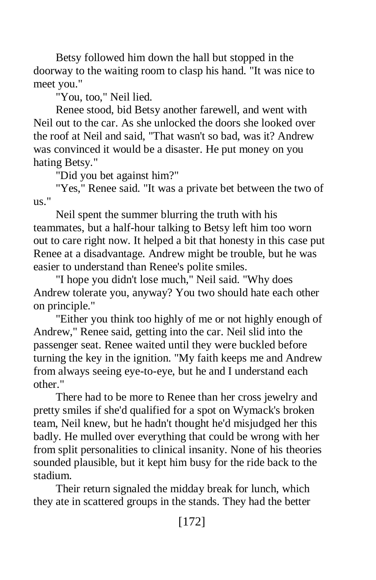Betsy followed him down the hall but stopped in the doorway to the waiting room to clasp his hand. "It was nice to meet you."

"You, too," Neil lied.

Renee stood, bid Betsy another farewell, and went with Neil out to the car. As she unlocked the doors she looked over the roof at Neil and said, "That wasn't so bad, was it? Andrew was convinced it would be a disaster. He put money on you hating Betsy."

"Did you bet against him?"

"Yes," Renee said. "It was a private bet between the two of us."

Neil spent the summer blurring the truth with his teammates, but a half-hour talking to Betsy left him too worn out to care right now. It helped a bit that honesty in this case put Renee at a disadvantage. Andrew might be trouble, but he was easier to understand than Renee's polite smiles.

"I hope you didn't lose much," Neil said. "Why does Andrew tolerate you, anyway? You two should hate each other on principle."

"Either you think too highly of me or not highly enough of Andrew," Renee said, getting into the car. Neil slid into the passenger seat. Renee waited until they were buckled before turning the key in the ignition. "My faith keeps me and Andrew from always seeing eye-to-eye, but he and I understand each other."

There had to be more to Renee than her cross jewelry and pretty smiles if she'd qualified for a spot on Wymack's broken team, Neil knew, but he hadn't thought he'd misjudged her this badly. He mulled over everything that could be wrong with her from split personalities to clinical insanity. None of his theories sounded plausible, but it kept him busy for the ride back to the stadium.

Their return signaled the midday break for lunch, which they ate in scattered groups in the stands. They had the better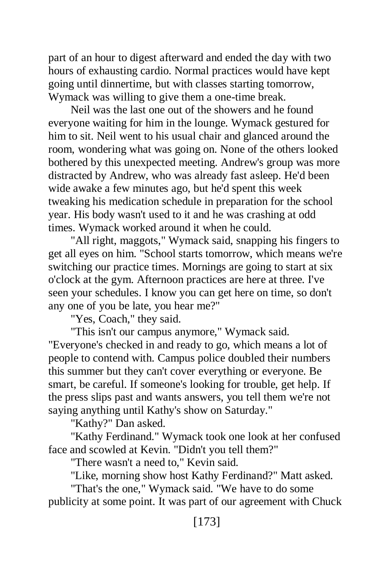part of an hour to digest afterward and ended the day with two hours of exhausting cardio. Normal practices would have kept going until dinnertime, but with classes starting tomorrow, Wymack was willing to give them a one-time break.

Neil was the last one out of the showers and he found everyone waiting for him in the lounge. Wymack gestured for him to sit. Neil went to his usual chair and glanced around the room, wondering what was going on. None of the others looked bothered by this unexpected meeting. Andrew's group was more distracted by Andrew, who was already fast asleep. He'd been wide awake a few minutes ago, but he'd spent this week tweaking his medication schedule in preparation for the school year. His body wasn't used to it and he was crashing at odd times. Wymack worked around it when he could.

"All right, maggots," Wymack said, snapping his fingers to get all eyes on him. "School starts tomorrow, which means we're switching our practice times. Mornings are going to start at six o'clock at the gym. Afternoon practices are here at three. I've seen your schedules. I know you can get here on time, so don't any one of you be late, you hear me?"

"Yes, Coach," they said.

"This isn't our campus anymore," Wymack said.

"Everyone's checked in and ready to go, which means a lot of people to contend with. Campus police doubled their numbers this summer but they can't cover everything or everyone. Be smart, be careful. If someone's looking for trouble, get help. If the press slips past and wants answers, you tell them we're not saying anything until Kathy's show on Saturday."

"Kathy?" Dan asked.

"Kathy Ferdinand." Wymack took one look at her confused face and scowled at Kevin. "Didn't you tell them?"

"There wasn't a need to," Kevin said.

"Like, morning show host Kathy Ferdinand?" Matt asked.

"That's the one," Wymack said. "We have to do some publicity at some point. It was part of our agreement with Chuck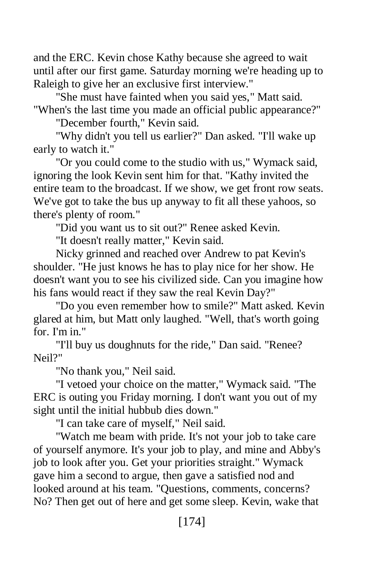and the ERC. Kevin chose Kathy because she agreed to wait until after our first game. Saturday morning we're heading up to Raleigh to give her an exclusive first interview."

"She must have fainted when you said yes," Matt said. "When's the last time you made an official public appearance?"

"December fourth," Kevin said.

"Why didn't you tell us earlier?" Dan asked. "I'll wake up early to watch it."

"Or you could come to the studio with us," Wymack said, ignoring the look Kevin sent him for that. "Kathy invited the entire team to the broadcast. If we show, we get front row seats. We've got to take the bus up anyway to fit all these yahoos, so there's plenty of room."

"Did you want us to sit out?" Renee asked Kevin.

"It doesn't really matter," Kevin said.

Nicky grinned and reached over Andrew to pat Kevin's shoulder. "He just knows he has to play nice for her show. He doesn't want you to see his civilized side. Can you imagine how his fans would react if they saw the real Kevin Day?"

"Do you even remember how to smile?" Matt asked. Kevin glared at him, but Matt only laughed. "Well, that's worth going for. I'm in."

"I'll buy us doughnuts for the ride," Dan said. "Renee? Neil?"

"No thank you," Neil said.

"I vetoed your choice on the matter," Wymack said. "The ERC is outing you Friday morning. I don't want you out of my sight until the initial hubbub dies down."

"I can take care of myself," Neil said.

"Watch me beam with pride. It's not your job to take care of yourself anymore. It's your job to play, and mine and Abby's job to look after you. Get your priorities straight." Wymack gave him a second to argue, then gave a satisfied nod and looked around at his team. "Questions, comments, concerns? No? Then get out of here and get some sleep. Kevin, wake that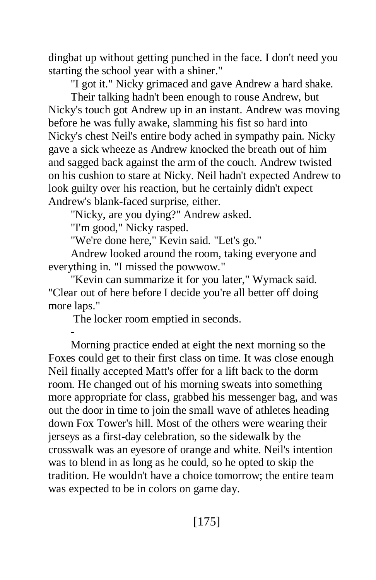dingbat up without getting punched in the face. I don't need you starting the school year with a shiner."

"I got it." Nicky grimaced and gave Andrew a hard shake.

Their talking hadn't been enough to rouse Andrew, but Nicky's touch got Andrew up in an instant. Andrew was moving before he was fully awake, slamming his fist so hard into Nicky's chest Neil's entire body ached in sympathy pain. Nicky gave a sick wheeze as Andrew knocked the breath out of him and sagged back against the arm of the couch. Andrew twisted on his cushion to stare at Nicky. Neil hadn't expected Andrew to look guilty over his reaction, but he certainly didn't expect Andrew's blank-faced surprise, either.

"Nicky, are you dying?" Andrew asked.

"I'm good," Nicky rasped.

-

"We're done here," Kevin said. "Let's go."

Andrew looked around the room, taking everyone and everything in. "I missed the powwow."

"Kevin can summarize it for you later," Wymack said. "Clear out of here before I decide you're all better off doing more laps."

The locker room emptied in seconds.

Morning practice ended at eight the next morning so the Foxes could get to their first class on time. It was close enough Neil finally accepted Matt's offer for a lift back to the dorm room. He changed out of his morning sweats into something more appropriate for class, grabbed his messenger bag, and was out the door in time to join the small wave of athletes heading down Fox Tower's hill. Most of the others were wearing their jerseys as a first-day celebration, so the sidewalk by the crosswalk was an eyesore of orange and white. Neil's intention was to blend in as long as he could, so he opted to skip the tradition. He wouldn't have a choice tomorrow; the entire team was expected to be in colors on game day.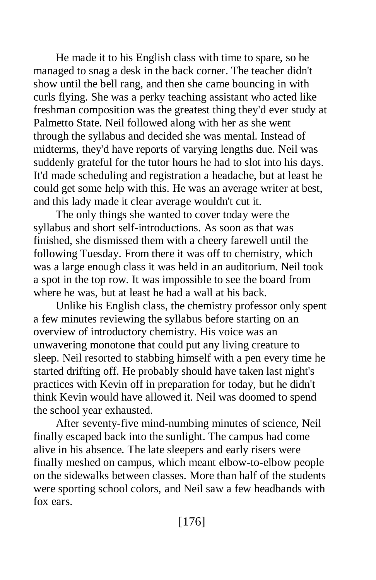He made it to his English class with time to spare, so he managed to snag a desk in the back corner. The teacher didn't show until the bell rang, and then she came bouncing in with curls flying. She was a perky teaching assistant who acted like freshman composition was the greatest thing they'd ever study at Palmetto State. Neil followed along with her as she went through the syllabus and decided she was mental. Instead of midterms, they'd have reports of varying lengths due. Neil was suddenly grateful for the tutor hours he had to slot into his days. It'd made scheduling and registration a headache, but at least he could get some help with this. He was an average writer at best, and this lady made it clear average wouldn't cut it.

The only things she wanted to cover today were the syllabus and short self-introductions. As soon as that was finished, she dismissed them with a cheery farewell until the following Tuesday. From there it was off to chemistry, which was a large enough class it was held in an auditorium. Neil took a spot in the top row. It was impossible to see the board from where he was, but at least he had a wall at his back.

Unlike his English class, the chemistry professor only spent a few minutes reviewing the syllabus before starting on an overview of introductory chemistry. His voice was an unwavering monotone that could put any living creature to sleep. Neil resorted to stabbing himself with a pen every time he started drifting off. He probably should have taken last night's practices with Kevin off in preparation for today, but he didn't think Kevin would have allowed it. Neil was doomed to spend the school year exhausted.

After seventy-five mind-numbing minutes of science, Neil finally escaped back into the sunlight. The campus had come alive in his absence. The late sleepers and early risers were finally meshed on campus, which meant elbow-to-elbow people on the sidewalks between classes. More than half of the students were sporting school colors, and Neil saw a few headbands with fox ears.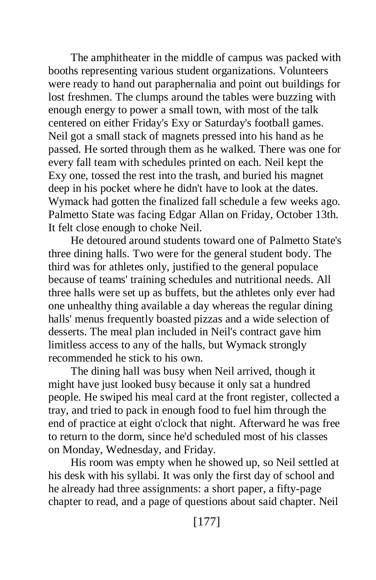The amphitheater in the middle of campus was packed with booths representing various student organizations. Volunteers were ready to hand out paraphernalia and point out buildings for lost freshmen. The clumps around the tables were buzzing with enough energy to power a small town, with most of the talk centered on either Friday's Exy or Saturday's football games. Neil got a small stack of magnets pressed into his hand as he passed. He sorted through them as he walked. There was one for every fall team with schedules printed on each. Neil kept the Exy one, tossed the rest into the trash, and buried his magnet deep in his pocket where he didn't have to look at the dates. Wymack had gotten the finalized fall schedule a few weeks ago. Palmetto State was facing Edgar Allan on Friday, October 13th. It felt close enough to choke Neil.

He detoured around students toward one of Palmetto State's three dining halls. Two were for the general student body. The third was for athletes only, justified to the general populace because of teams' training schedules and nutritional needs. All three halls were set up as buffets, but the athletes only ever had one unhealthy thing available a day whereas the regular dining halls' menus frequently boasted pizzas and a wide selection of desserts. The meal plan included in Neil's contract gave him limitless access to any of the halls, but Wymack strongly recommended he stick to his own.

The dining hall was busy when Neil arrived, though it might have just looked busy because it only sat a hundred people. He swiped his meal card at the front register, collected a tray, and tried to pack in enough food to fuel him through the end of practice at eight o'clock that night. Afterward he was free to return to the dorm, since he'd scheduled most of his classes on Monday, Wednesday, and Friday.

His room was empty when he showed up, so Neil settled at his desk with his syllabi. It was only the first day of school and he already had three assignments: a short paper, a fifty-page chapter to read, and a page of questions about said chapter. Neil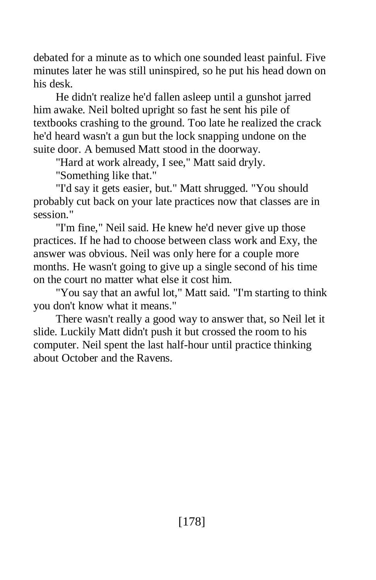debated for a minute as to which one sounded least painful. Five minutes later he was still uninspired, so he put his head down on his desk.

He didn't realize he'd fallen asleep until a gunshot jarred him awake. Neil bolted upright so fast he sent his pile of textbooks crashing to the ground. Too late he realized the crack he'd heard wasn't a gun but the lock snapping undone on the suite door. A bemused Matt stood in the doorway.

"Hard at work already, I see," Matt said dryly.

"Something like that."

"I'd say it gets easier, but." Matt shrugged. "You should probably cut back on your late practices now that classes are in session."

"I'm fine," Neil said. He knew he'd never give up those practices. If he had to choose between class work and Exy, the answer was obvious. Neil was only here for a couple more months. He wasn't going to give up a single second of his time on the court no matter what else it cost him.

"You say that an awful lot," Matt said. "I'm starting to think you don't know what it means."

There wasn't really a good way to answer that, so Neil let it slide. Luckily Matt didn't push it but crossed the room to his computer. Neil spent the last half-hour until practice thinking about October and the Ravens.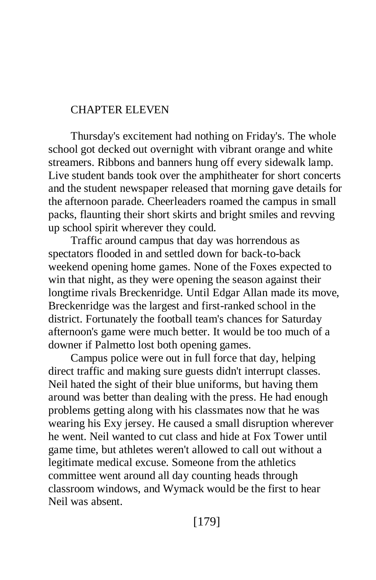## CHAPTER ELEVEN

Thursday's excitement had nothing on Friday's. The whole school got decked out overnight with vibrant orange and white streamers. Ribbons and banners hung off every sidewalk lamp. Live student bands took over the amphitheater for short concerts and the student newspaper released that morning gave details for the afternoon parade. Cheerleaders roamed the campus in small packs, flaunting their short skirts and bright smiles and revving up school spirit wherever they could.

Traffic around campus that day was horrendous as spectators flooded in and settled down for back-to-back weekend opening home games. None of the Foxes expected to win that night, as they were opening the season against their longtime rivals Breckenridge. Until Edgar Allan made its move, Breckenridge was the largest and first-ranked school in the district. Fortunately the football team's chances for Saturday afternoon's game were much better. It would be too much of a downer if Palmetto lost both opening games.

Campus police were out in full force that day, helping direct traffic and making sure guests didn't interrupt classes. Neil hated the sight of their blue uniforms, but having them around was better than dealing with the press. He had enough problems getting along with his classmates now that he was wearing his Exy jersey. He caused a small disruption wherever he went. Neil wanted to cut class and hide at Fox Tower until game time, but athletes weren't allowed to call out without a legitimate medical excuse. Someone from the athletics committee went around all day counting heads through classroom windows, and Wymack would be the first to hear Neil was absent.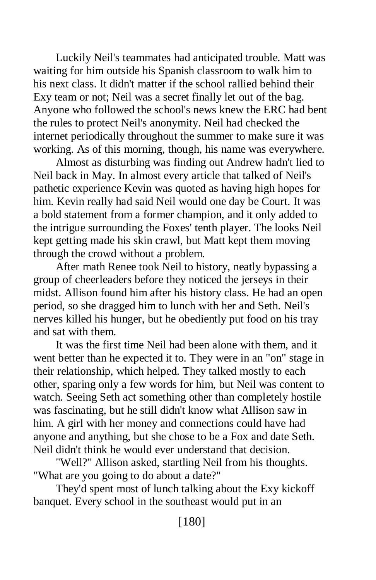Luckily Neil's teammates had anticipated trouble. Matt was waiting for him outside his Spanish classroom to walk him to his next class. It didn't matter if the school rallied behind their Exy team or not; Neil was a secret finally let out of the bag. Anyone who followed the school's news knew the ERC had bent the rules to protect Neil's anonymity. Neil had checked the internet periodically throughout the summer to make sure it was working. As of this morning, though, his name was everywhere.

Almost as disturbing was finding out Andrew hadn't lied to Neil back in May. In almost every article that talked of Neil's pathetic experience Kevin was quoted as having high hopes for him. Kevin really had said Neil would one day be Court. It was a bold statement from a former champion, and it only added to the intrigue surrounding the Foxes' tenth player. The looks Neil kept getting made his skin crawl, but Matt kept them moving through the crowd without a problem.

After math Renee took Neil to history, neatly bypassing a group of cheerleaders before they noticed the jerseys in their midst. Allison found him after his history class. He had an open period, so she dragged him to lunch with her and Seth. Neil's nerves killed his hunger, but he obediently put food on his tray and sat with them.

It was the first time Neil had been alone with them, and it went better than he expected it to. They were in an "on" stage in their relationship, which helped. They talked mostly to each other, sparing only a few words for him, but Neil was content to watch. Seeing Seth act something other than completely hostile was fascinating, but he still didn't know what Allison saw in him. A girl with her money and connections could have had anyone and anything, but she chose to be a Fox and date Seth. Neil didn't think he would ever understand that decision.

"Well?" Allison asked, startling Neil from his thoughts. "What are you going to do about a date?"

They'd spent most of lunch talking about the Exy kickoff banquet. Every school in the southeast would put in an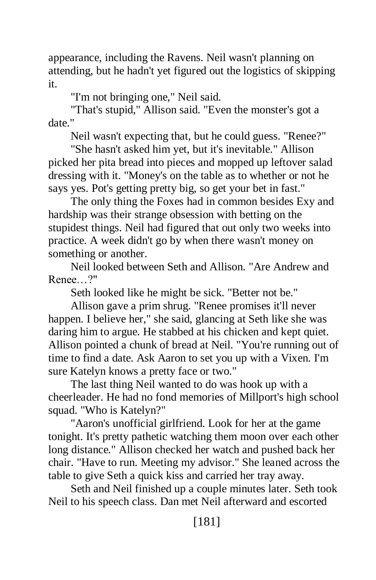appearance, including the Ravens. Neil wasn't planning on attending, but he hadn't yet figured out the logistics of skipping it.

"I'm not bringing one," Neil said.

"That's stupid," Allison said. "Even the monster's got a date."

Neil wasn't expecting that, but he could guess. "Renee?"

"She hasn't asked him yet, but it's inevitable." Allison picked her pita bread into pieces and mopped up leftover salad dressing with it. "Money's on the table as to whether or not he says yes. Pot's getting pretty big, so get your bet in fast."

The only thing the Foxes had in common besides Exy and hardship was their strange obsession with betting on the stupidest things. Neil had figured that out only two weeks into practice. A week didn't go by when there wasn't money on something or another.

Neil looked between Seth and Allison. "Are Andrew and Renee…?"

Seth looked like he might be sick. "Better not be."

Allison gave a prim shrug. "Renee promises it'll never happen. I believe her," she said, glancing at Seth like she was daring him to argue. He stabbed at his chicken and kept quiet. Allison pointed a chunk of bread at Neil. "You're running out of time to find a date. Ask Aaron to set you up with a Vixen. I'm sure Katelyn knows a pretty face or two."

The last thing Neil wanted to do was hook up with a cheerleader. He had no fond memories of Millport's high school squad. "Who is Katelyn?"

"Aaron's unofficial girlfriend. Look for her at the game tonight. It's pretty pathetic watching them moon over each other long distance." Allison checked her watch and pushed back her chair. "Have to run. Meeting my advisor." She leaned across the table to give Seth a quick kiss and carried her tray away.

Seth and Neil finished up a couple minutes later. Seth took Neil to his speech class. Dan met Neil afterward and escorted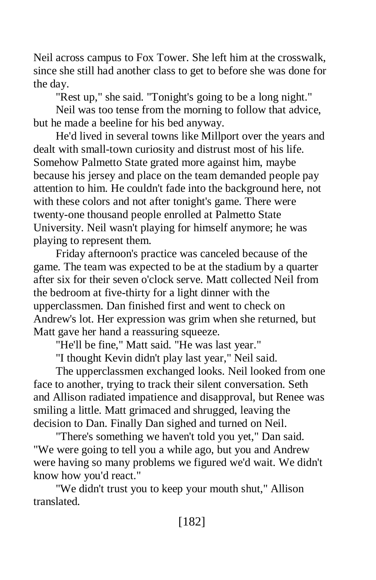Neil across campus to Fox Tower. She left him at the crosswalk, since she still had another class to get to before she was done for the day.

"Rest up," she said. "Tonight's going to be a long night."

Neil was too tense from the morning to follow that advice, but he made a beeline for his bed anyway.

He'd lived in several towns like Millport over the years and dealt with small-town curiosity and distrust most of his life. Somehow Palmetto State grated more against him, maybe because his jersey and place on the team demanded people pay attention to him. He couldn't fade into the background here, not with these colors and not after tonight's game. There were twenty-one thousand people enrolled at Palmetto State University. Neil wasn't playing for himself anymore; he was playing to represent them.

Friday afternoon's practice was canceled because of the game. The team was expected to be at the stadium by a quarter after six for their seven o'clock serve. Matt collected Neil from the bedroom at five-thirty for a light dinner with the upperclassmen. Dan finished first and went to check on Andrew's lot. Her expression was grim when she returned, but Matt gave her hand a reassuring squeeze.

"He'll be fine," Matt said. "He was last year."

"I thought Kevin didn't play last year," Neil said.

The upperclassmen exchanged looks. Neil looked from one face to another, trying to track their silent conversation. Seth and Allison radiated impatience and disapproval, but Renee was smiling a little. Matt grimaced and shrugged, leaving the decision to Dan. Finally Dan sighed and turned on Neil.

"There's something we haven't told you yet," Dan said. "We were going to tell you a while ago, but you and Andrew were having so many problems we figured we'd wait. We didn't know how you'd react."

"We didn't trust you to keep your mouth shut," Allison translated.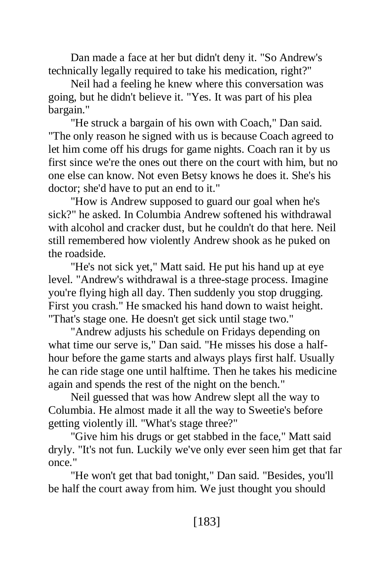Dan made a face at her but didn't deny it. "So Andrew's technically legally required to take his medication, right?"

Neil had a feeling he knew where this conversation was going, but he didn't believe it. "Yes. It was part of his plea bargain."

"He struck a bargain of his own with Coach," Dan said. "The only reason he signed with us is because Coach agreed to let him come off his drugs for game nights. Coach ran it by us first since we're the ones out there on the court with him, but no one else can know. Not even Betsy knows he does it. She's his doctor; she'd have to put an end to it."

"How is Andrew supposed to guard our goal when he's sick?" he asked. In Columbia Andrew softened his withdrawal with alcohol and cracker dust, but he couldn't do that here. Neil still remembered how violently Andrew shook as he puked on the roadside.

"He's not sick yet," Matt said. He put his hand up at eye level. "Andrew's withdrawal is a three-stage process. Imagine you're flying high all day. Then suddenly you stop drugging. First you crash." He smacked his hand down to waist height. "That's stage one. He doesn't get sick until stage two."

"Andrew adjusts his schedule on Fridays depending on what time our serve is," Dan said. "He misses his dose a halfhour before the game starts and always plays first half. Usually he can ride stage one until halftime. Then he takes his medicine again and spends the rest of the night on the bench."

Neil guessed that was how Andrew slept all the way to Columbia. He almost made it all the way to Sweetie's before getting violently ill. "What's stage three?"

"Give him his drugs or get stabbed in the face," Matt said dryly. "It's not fun. Luckily we've only ever seen him get that far once."

"He won't get that bad tonight," Dan said. "Besides, you'll be half the court away from him. We just thought you should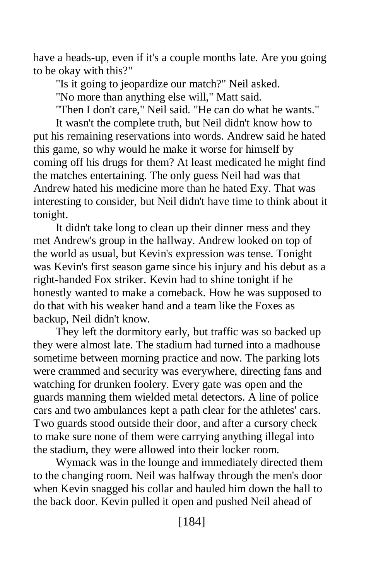have a heads-up, even if it's a couple months late. Are you going to be okay with this?"

"Is it going to jeopardize our match?" Neil asked.

"No more than anything else will," Matt said.

"Then I don't care," Neil said. "He can do what he wants."

It wasn't the complete truth, but Neil didn't know how to put his remaining reservations into words. Andrew said he hated this game, so why would he make it worse for himself by coming off his drugs for them? At least medicated he might find the matches entertaining. The only guess Neil had was that Andrew hated his medicine more than he hated Exy. That was interesting to consider, but Neil didn't have time to think about it tonight.

It didn't take long to clean up their dinner mess and they met Andrew's group in the hallway. Andrew looked on top of the world as usual, but Kevin's expression was tense. Tonight was Kevin's first season game since his injury and his debut as a right-handed Fox striker. Kevin had to shine tonight if he honestly wanted to make a comeback. How he was supposed to do that with his weaker hand and a team like the Foxes as backup, Neil didn't know.

They left the dormitory early, but traffic was so backed up they were almost late. The stadium had turned into a madhouse sometime between morning practice and now. The parking lots were crammed and security was everywhere, directing fans and watching for drunken foolery. Every gate was open and the guards manning them wielded metal detectors. A line of police cars and two ambulances kept a path clear for the athletes' cars. Two guards stood outside their door, and after a cursory check to make sure none of them were carrying anything illegal into the stadium, they were allowed into their locker room.

Wymack was in the lounge and immediately directed them to the changing room. Neil was halfway through the men's door when Kevin snagged his collar and hauled him down the hall to the back door. Kevin pulled it open and pushed Neil ahead of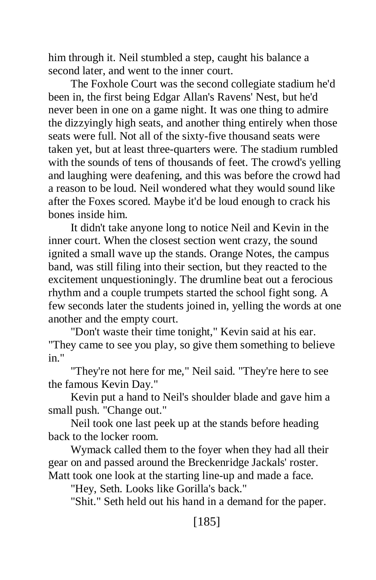him through it. Neil stumbled a step, caught his balance a second later, and went to the inner court.

The Foxhole Court was the second collegiate stadium he'd been in, the first being Edgar Allan's Ravens' Nest, but he'd never been in one on a game night. It was one thing to admire the dizzyingly high seats, and another thing entirely when those seats were full. Not all of the sixty-five thousand seats were taken yet, but at least three-quarters were. The stadium rumbled with the sounds of tens of thousands of feet. The crowd's yelling and laughing were deafening, and this was before the crowd had a reason to be loud. Neil wondered what they would sound like after the Foxes scored. Maybe it'd be loud enough to crack his bones inside him.

It didn't take anyone long to notice Neil and Kevin in the inner court. When the closest section went crazy, the sound ignited a small wave up the stands. Orange Notes, the campus band, was still filing into their section, but they reacted to the excitement unquestioningly. The drumline beat out a ferocious rhythm and a couple trumpets started the school fight song. A few seconds later the students joined in, yelling the words at one another and the empty court.

"Don't waste their time tonight," Kevin said at his ear. "They came to see you play, so give them something to believe in."

"They're not here for me," Neil said. "They're here to see the famous Kevin Day."

Kevin put a hand to Neil's shoulder blade and gave him a small push. "Change out."

Neil took one last peek up at the stands before heading back to the locker room.

Wymack called them to the foyer when they had all their gear on and passed around the Breckenridge Jackals' roster. Matt took one look at the starting line-up and made a face.

"Hey, Seth. Looks like Gorilla's back."

"Shit." Seth held out his hand in a demand for the paper.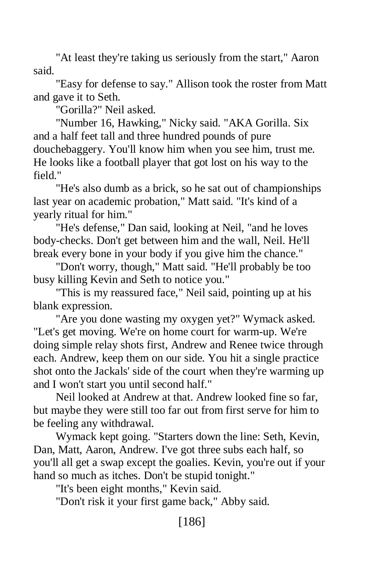"At least they're taking us seriously from the start," Aaron said.

"Easy for defense to say." Allison took the roster from Matt and gave it to Seth.

"Gorilla?" Neil asked.

"Number 16, Hawking," Nicky said. "AKA Gorilla. Six and a half feet tall and three hundred pounds of pure douchebaggery. You'll know him when you see him, trust me. He looks like a football player that got lost on his way to the field."

"He's also dumb as a brick, so he sat out of championships last year on academic probation," Matt said. "It's kind of a yearly ritual for him."

"He's defense," Dan said, looking at Neil, "and he loves body-checks. Don't get between him and the wall, Neil. He'll break every bone in your body if you give him the chance."

"Don't worry, though," Matt said. "He'll probably be too busy killing Kevin and Seth to notice you."

"This is my reassured face," Neil said, pointing up at his blank expression.

"Are you done wasting my oxygen yet?" Wymack asked. "Let's get moving. We're on home court for warm-up. We're doing simple relay shots first, Andrew and Renee twice through each. Andrew, keep them on our side. You hit a single practice shot onto the Jackals' side of the court when they're warming up and I won't start you until second half."

Neil looked at Andrew at that. Andrew looked fine so far, but maybe they were still too far out from first serve for him to be feeling any withdrawal.

Wymack kept going. "Starters down the line: Seth, Kevin, Dan, Matt, Aaron, Andrew. I've got three subs each half, so you'll all get a swap except the goalies. Kevin, you're out if your hand so much as itches. Don't be stupid tonight."

"It's been eight months," Kevin said.

"Don't risk it your first game back," Abby said.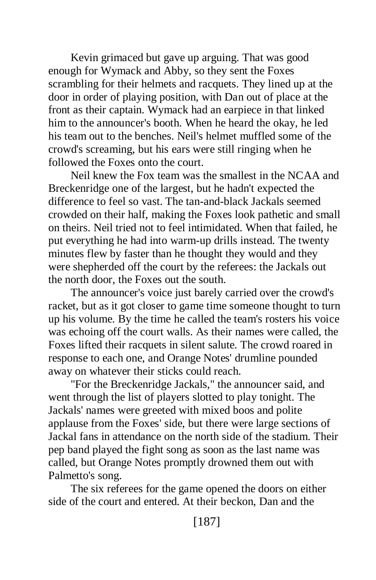Kevin grimaced but gave up arguing. That was good enough for Wymack and Abby, so they sent the Foxes scrambling for their helmets and racquets. They lined up at the door in order of playing position, with Dan out of place at the front as their captain. Wymack had an earpiece in that linked him to the announcer's booth. When he heard the okay, he led his team out to the benches. Neil's helmet muffled some of the crowd's screaming, but his ears were still ringing when he followed the Foxes onto the court.

Neil knew the Fox team was the smallest in the NCAA and Breckenridge one of the largest, but he hadn't expected the difference to feel so vast. The tan-and-black Jackals seemed crowded on their half, making the Foxes look pathetic and small on theirs. Neil tried not to feel intimidated. When that failed, he put everything he had into warm-up drills instead. The twenty minutes flew by faster than he thought they would and they were shepherded off the court by the referees: the Jackals out the north door, the Foxes out the south.

The announcer's voice just barely carried over the crowd's racket, but as it got closer to game time someone thought to turn up his volume. By the time he called the team's rosters his voice was echoing off the court walls. As their names were called, the Foxes lifted their racquets in silent salute. The crowd roared in response to each one, and Orange Notes' drumline pounded away on whatever their sticks could reach.

"For the Breckenridge Jackals," the announcer said, and went through the list of players slotted to play tonight. The Jackals' names were greeted with mixed boos and polite applause from the Foxes' side, but there were large sections of Jackal fans in attendance on the north side of the stadium. Their pep band played the fight song as soon as the last name was called, but Orange Notes promptly drowned them out with Palmetto's song.

The six referees for the game opened the doors on either side of the court and entered. At their beckon, Dan and the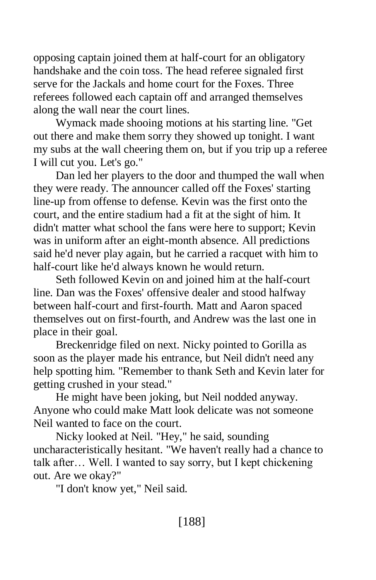opposing captain joined them at half-court for an obligatory handshake and the coin toss. The head referee signaled first serve for the Jackals and home court for the Foxes. Three referees followed each captain off and arranged themselves along the wall near the court lines.

Wymack made shooing motions at his starting line. "Get out there and make them sorry they showed up tonight. I want my subs at the wall cheering them on, but if you trip up a referee I will cut you. Let's go."

Dan led her players to the door and thumped the wall when they were ready. The announcer called off the Foxes' starting line-up from offense to defense. Kevin was the first onto the court, and the entire stadium had a fit at the sight of him. It didn't matter what school the fans were here to support; Kevin was in uniform after an eight-month absence. All predictions said he'd never play again, but he carried a racquet with him to half-court like he'd always known he would return.

Seth followed Kevin on and joined him at the half-court line. Dan was the Foxes' offensive dealer and stood halfway between half-court and first-fourth. Matt and Aaron spaced themselves out on first-fourth, and Andrew was the last one in place in their goal.

Breckenridge filed on next. Nicky pointed to Gorilla as soon as the player made his entrance, but Neil didn't need any help spotting him. "Remember to thank Seth and Kevin later for getting crushed in your stead."

He might have been joking, but Neil nodded anyway. Anyone who could make Matt look delicate was not someone Neil wanted to face on the court.

Nicky looked at Neil. "Hey," he said, sounding uncharacteristically hesitant. "We haven't really had a chance to talk after… Well. I wanted to say sorry, but I kept chickening out. Are we okay?"

"I don't know yet," Neil said.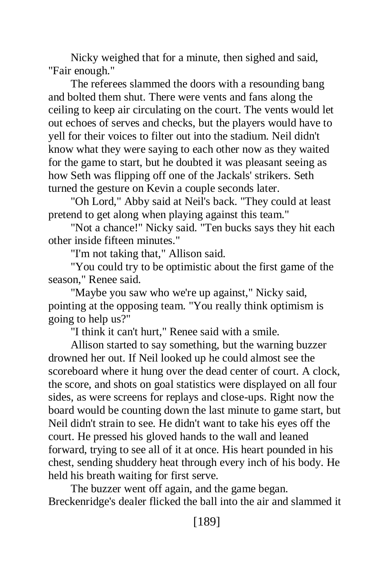Nicky weighed that for a minute, then sighed and said, "Fair enough."

The referees slammed the doors with a resounding bang and bolted them shut. There were vents and fans along the ceiling to keep air circulating on the court. The vents would let out echoes of serves and checks, but the players would have to yell for their voices to filter out into the stadium. Neil didn't know what they were saying to each other now as they waited for the game to start, but he doubted it was pleasant seeing as how Seth was flipping off one of the Jackals' strikers. Seth turned the gesture on Kevin a couple seconds later.

"Oh Lord," Abby said at Neil's back. "They could at least pretend to get along when playing against this team."

"Not a chance!" Nicky said. "Ten bucks says they hit each other inside fifteen minutes."

"I'm not taking that," Allison said.

"You could try to be optimistic about the first game of the season," Renee said.

"Maybe you saw who we're up against," Nicky said, pointing at the opposing team. "You really think optimism is going to help us?"

"I think it can't hurt," Renee said with a smile.

Allison started to say something, but the warning buzzer drowned her out. If Neil looked up he could almost see the scoreboard where it hung over the dead center of court. A clock, the score, and shots on goal statistics were displayed on all four sides, as were screens for replays and close-ups. Right now the board would be counting down the last minute to game start, but Neil didn't strain to see. He didn't want to take his eyes off the court. He pressed his gloved hands to the wall and leaned forward, trying to see all of it at once. His heart pounded in his chest, sending shuddery heat through every inch of his body. He held his breath waiting for first serve.

The buzzer went off again, and the game began. Breckenridge's dealer flicked the ball into the air and slammed it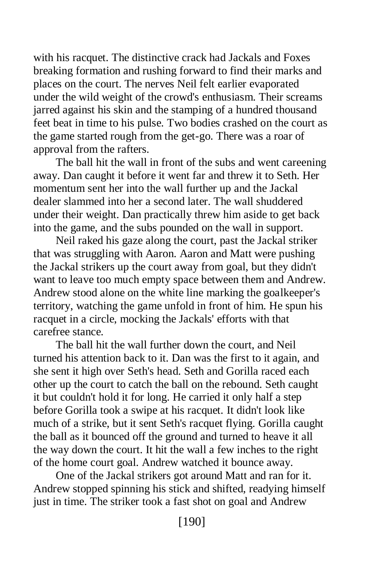with his racquet. The distinctive crack had Jackals and Foxes breaking formation and rushing forward to find their marks and places on the court. The nerves Neil felt earlier evaporated under the wild weight of the crowd's enthusiasm. Their screams jarred against his skin and the stamping of a hundred thousand feet beat in time to his pulse. Two bodies crashed on the court as the game started rough from the get-go. There was a roar of approval from the rafters.

The ball hit the wall in front of the subs and went careening away. Dan caught it before it went far and threw it to Seth. Her momentum sent her into the wall further up and the Jackal dealer slammed into her a second later. The wall shuddered under their weight. Dan practically threw him aside to get back into the game, and the subs pounded on the wall in support.

Neil raked his gaze along the court, past the Jackal striker that was struggling with Aaron. Aaron and Matt were pushing the Jackal strikers up the court away from goal, but they didn't want to leave too much empty space between them and Andrew. Andrew stood alone on the white line marking the goalkeeper's territory, watching the game unfold in front of him. He spun his racquet in a circle, mocking the Jackals' efforts with that carefree stance.

The ball hit the wall further down the court, and Neil turned his attention back to it. Dan was the first to it again, and she sent it high over Seth's head. Seth and Gorilla raced each other up the court to catch the ball on the rebound. Seth caught it but couldn't hold it for long. He carried it only half a step before Gorilla took a swipe at his racquet. It didn't look like much of a strike, but it sent Seth's racquet flying. Gorilla caught the ball as it bounced off the ground and turned to heave it all the way down the court. It hit the wall a few inches to the right of the home court goal. Andrew watched it bounce away.

One of the Jackal strikers got around Matt and ran for it. Andrew stopped spinning his stick and shifted, readying himself just in time. The striker took a fast shot on goal and Andrew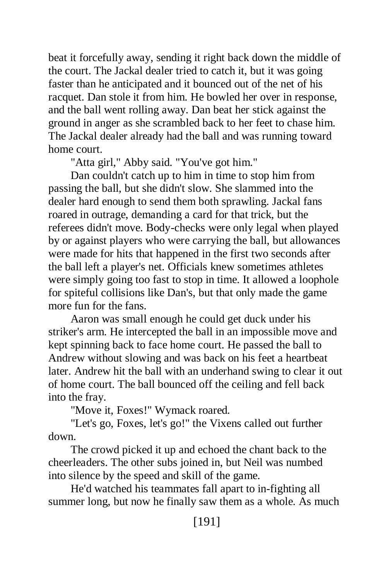beat it forcefully away, sending it right back down the middle of the court. The Jackal dealer tried to catch it, but it was going faster than he anticipated and it bounced out of the net of his racquet. Dan stole it from him. He bowled her over in response, and the ball went rolling away. Dan beat her stick against the ground in anger as she scrambled back to her feet to chase him. The Jackal dealer already had the ball and was running toward home court.

"Atta girl," Abby said. "You've got him."

Dan couldn't catch up to him in time to stop him from passing the ball, but she didn't slow. She slammed into the dealer hard enough to send them both sprawling. Jackal fans roared in outrage, demanding a card for that trick, but the referees didn't move. Body-checks were only legal when played by or against players who were carrying the ball, but allowances were made for hits that happened in the first two seconds after the ball left a player's net. Officials knew sometimes athletes were simply going too fast to stop in time. It allowed a loophole for spiteful collisions like Dan's, but that only made the game more fun for the fans.

Aaron was small enough he could get duck under his striker's arm. He intercepted the ball in an impossible move and kept spinning back to face home court. He passed the ball to Andrew without slowing and was back on his feet a heartbeat later. Andrew hit the ball with an underhand swing to clear it out of home court. The ball bounced off the ceiling and fell back into the fray.

"Move it, Foxes!" Wymack roared.

"Let's go, Foxes, let's go!" the Vixens called out further down.

The crowd picked it up and echoed the chant back to the cheerleaders. The other subs joined in, but Neil was numbed into silence by the speed and skill of the game.

He'd watched his teammates fall apart to in-fighting all summer long, but now he finally saw them as a whole. As much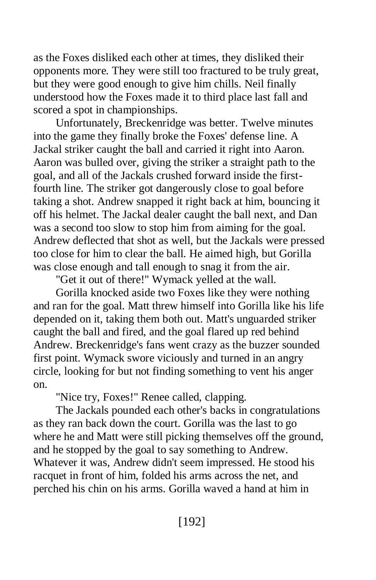as the Foxes disliked each other at times, they disliked their opponents more. They were still too fractured to be truly great, but they were good enough to give him chills. Neil finally understood how the Foxes made it to third place last fall and scored a spot in championships.

Unfortunately, Breckenridge was better. Twelve minutes into the game they finally broke the Foxes' defense line. A Jackal striker caught the ball and carried it right into Aaron. Aaron was bulled over, giving the striker a straight path to the goal, and all of the Jackals crushed forward inside the firstfourth line. The striker got dangerously close to goal before taking a shot. Andrew snapped it right back at him, bouncing it off his helmet. The Jackal dealer caught the ball next, and Dan was a second too slow to stop him from aiming for the goal. Andrew deflected that shot as well, but the Jackals were pressed too close for him to clear the ball. He aimed high, but Gorilla was close enough and tall enough to snag it from the air.

"Get it out of there!" Wymack yelled at the wall.

Gorilla knocked aside two Foxes like they were nothing and ran for the goal. Matt threw himself into Gorilla like his life depended on it, taking them both out. Matt's unguarded striker caught the ball and fired, and the goal flared up red behind Andrew. Breckenridge's fans went crazy as the buzzer sounded first point. Wymack swore viciously and turned in an angry circle, looking for but not finding something to vent his anger on.

"Nice try, Foxes!" Renee called, clapping.

The Jackals pounded each other's backs in congratulations as they ran back down the court. Gorilla was the last to go where he and Matt were still picking themselves off the ground, and he stopped by the goal to say something to Andrew. Whatever it was, Andrew didn't seem impressed. He stood his racquet in front of him, folded his arms across the net, and perched his chin on his arms. Gorilla waved a hand at him in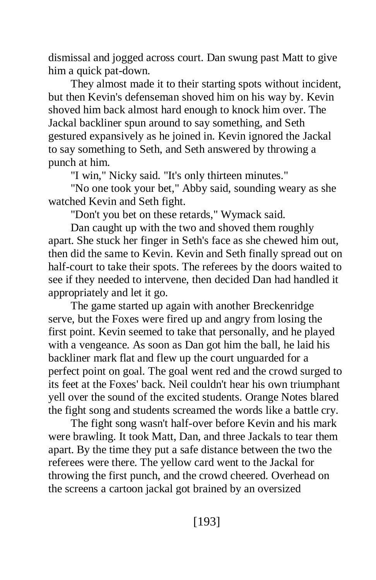dismissal and jogged across court. Dan swung past Matt to give him a quick pat-down.

They almost made it to their starting spots without incident, but then Kevin's defenseman shoved him on his way by. Kevin shoved him back almost hard enough to knock him over. The Jackal backliner spun around to say something, and Seth gestured expansively as he joined in. Kevin ignored the Jackal to say something to Seth, and Seth answered by throwing a punch at him.

"I win," Nicky said. "It's only thirteen minutes."

"No one took your bet," Abby said, sounding weary as she watched Kevin and Seth fight.

"Don't you bet on these retards," Wymack said.

Dan caught up with the two and shoved them roughly apart. She stuck her finger in Seth's face as she chewed him out, then did the same to Kevin. Kevin and Seth finally spread out on half-court to take their spots. The referees by the doors waited to see if they needed to intervene, then decided Dan had handled it appropriately and let it go.

The game started up again with another Breckenridge serve, but the Foxes were fired up and angry from losing the first point. Kevin seemed to take that personally, and he played with a vengeance. As soon as Dan got him the ball, he laid his backliner mark flat and flew up the court unguarded for a perfect point on goal. The goal went red and the crowd surged to its feet at the Foxes' back. Neil couldn't hear his own triumphant yell over the sound of the excited students. Orange Notes blared the fight song and students screamed the words like a battle cry.

The fight song wasn't half-over before Kevin and his mark were brawling. It took Matt, Dan, and three Jackals to tear them apart. By the time they put a safe distance between the two the referees were there. The yellow card went to the Jackal for throwing the first punch, and the crowd cheered. Overhead on the screens a cartoon jackal got brained by an oversized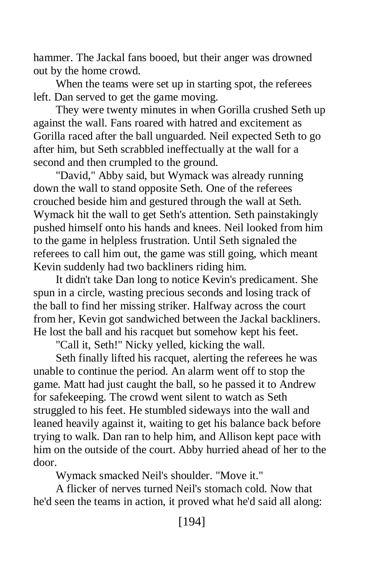hammer. The Jackal fans booed, but their anger was drowned out by the home crowd.

When the teams were set up in starting spot, the referees left. Dan served to get the game moving.

They were twenty minutes in when Gorilla crushed Seth up against the wall. Fans roared with hatred and excitement as Gorilla raced after the ball unguarded. Neil expected Seth to go after him, but Seth scrabbled ineffectually at the wall for a second and then crumpled to the ground.

"David," Abby said, but Wymack was already running down the wall to stand opposite Seth. One of the referees crouched beside him and gestured through the wall at Seth. Wymack hit the wall to get Seth's attention. Seth painstakingly pushed himself onto his hands and knees. Neil looked from him to the game in helpless frustration. Until Seth signaled the referees to call him out, the game was still going, which meant Kevin suddenly had two backliners riding him.

It didn't take Dan long to notice Kevin's predicament. She spun in a circle, wasting precious seconds and losing track of the ball to find her missing striker. Halfway across the court from her, Kevin got sandwiched between the Jackal backliners. He lost the ball and his racquet but somehow kept his feet.

"Call it, Seth!" Nicky yelled, kicking the wall.

Seth finally lifted his racquet, alerting the referees he was unable to continue the period. An alarm went off to stop the game. Matt had just caught the ball, so he passed it to Andrew for safekeeping. The crowd went silent to watch as Seth struggled to his feet. He stumbled sideways into the wall and leaned heavily against it, waiting to get his balance back before trying to walk. Dan ran to help him, and Allison kept pace with him on the outside of the court. Abby hurried ahead of her to the door.

Wymack smacked Neil's shoulder. "Move it."

A flicker of nerves turned Neil's stomach cold. Now that he'd seen the teams in action, it proved what he'd said all along: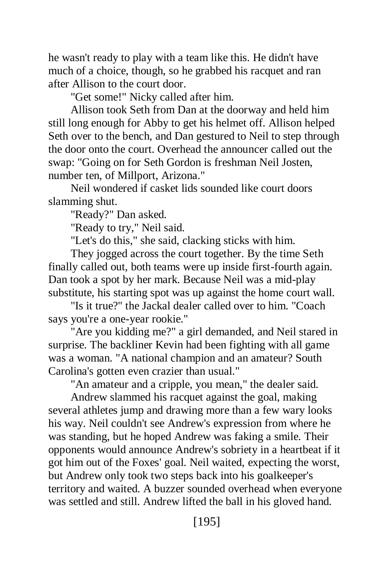he wasn't ready to play with a team like this. He didn't have much of a choice, though, so he grabbed his racquet and ran after Allison to the court door.

"Get some!" Nicky called after him.

Allison took Seth from Dan at the doorway and held him still long enough for Abby to get his helmet off. Allison helped Seth over to the bench, and Dan gestured to Neil to step through the door onto the court. Overhead the announcer called out the swap: "Going on for Seth Gordon is freshman Neil Josten, number ten, of Millport, Arizona."

Neil wondered if casket lids sounded like court doors slamming shut.

"Ready?" Dan asked.

"Ready to try," Neil said.

"Let's do this," she said, clacking sticks with him.

They jogged across the court together. By the time Seth finally called out, both teams were up inside first-fourth again. Dan took a spot by her mark. Because Neil was a mid-play substitute, his starting spot was up against the home court wall.

"Is it true?" the Jackal dealer called over to him. "Coach says you're a one-year rookie."

"Are you kidding me?" a girl demanded, and Neil stared in surprise. The backliner Kevin had been fighting with all game was a woman. "A national champion and an amateur? South Carolina's gotten even crazier than usual."

"An amateur and a cripple, you mean," the dealer said.

Andrew slammed his racquet against the goal, making several athletes jump and drawing more than a few wary looks his way. Neil couldn't see Andrew's expression from where he was standing, but he hoped Andrew was faking a smile. Their opponents would announce Andrew's sobriety in a heartbeat if it got him out of the Foxes' goal. Neil waited, expecting the worst, but Andrew only took two steps back into his goalkeeper's territory and waited. A buzzer sounded overhead when everyone was settled and still. Andrew lifted the ball in his gloved hand.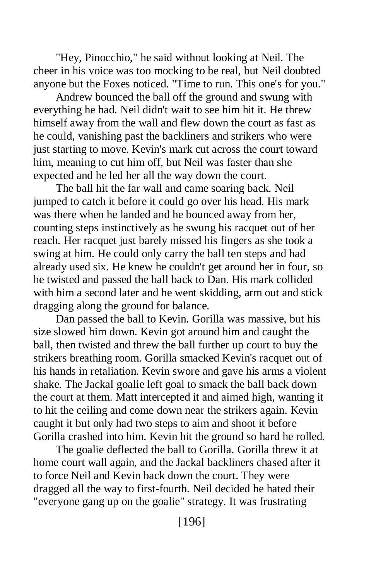"Hey, Pinocchio," he said without looking at Neil. The cheer in his voice was too mocking to be real, but Neil doubted anyone but the Foxes noticed. "Time to run. This one's for you."

Andrew bounced the ball off the ground and swung with everything he had. Neil didn't wait to see him hit it. He threw himself away from the wall and flew down the court as fast as he could, vanishing past the backliners and strikers who were just starting to move. Kevin's mark cut across the court toward him, meaning to cut him off, but Neil was faster than she expected and he led her all the way down the court.

The ball hit the far wall and came soaring back. Neil jumped to catch it before it could go over his head. His mark was there when he landed and he bounced away from her, counting steps instinctively as he swung his racquet out of her reach. Her racquet just barely missed his fingers as she took a swing at him. He could only carry the ball ten steps and had already used six. He knew he couldn't get around her in four, so he twisted and passed the ball back to Dan. His mark collided with him a second later and he went skidding, arm out and stick dragging along the ground for balance.

Dan passed the ball to Kevin. Gorilla was massive, but his size slowed him down. Kevin got around him and caught the ball, then twisted and threw the ball further up court to buy the strikers breathing room. Gorilla smacked Kevin's racquet out of his hands in retaliation. Kevin swore and gave his arms a violent shake. The Jackal goalie left goal to smack the ball back down the court at them. Matt intercepted it and aimed high, wanting it to hit the ceiling and come down near the strikers again. Kevin caught it but only had two steps to aim and shoot it before Gorilla crashed into him. Kevin hit the ground so hard he rolled.

The goalie deflected the ball to Gorilla. Gorilla threw it at home court wall again, and the Jackal backliners chased after it to force Neil and Kevin back down the court. They were dragged all the way to first-fourth. Neil decided he hated their "everyone gang up on the goalie" strategy. It was frustrating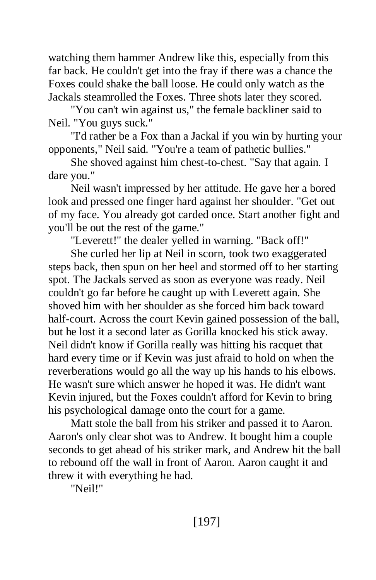watching them hammer Andrew like this, especially from this far back. He couldn't get into the fray if there was a chance the Foxes could shake the ball loose. He could only watch as the Jackals steamrolled the Foxes. Three shots later they scored.

"You can't win against us," the female backliner said to Neil. "You guys suck."

"I'd rather be a Fox than a Jackal if you win by hurting your opponents," Neil said. "You're a team of pathetic bullies."

She shoved against him chest-to-chest. "Say that again. I dare you."

Neil wasn't impressed by her attitude. He gave her a bored look and pressed one finger hard against her shoulder. "Get out of my face. You already got carded once. Start another fight and you'll be out the rest of the game."

"Leverett!" the dealer yelled in warning. "Back off!"

She curled her lip at Neil in scorn, took two exaggerated steps back, then spun on her heel and stormed off to her starting spot. The Jackals served as soon as everyone was ready. Neil couldn't go far before he caught up with Leverett again. She shoved him with her shoulder as she forced him back toward half-court. Across the court Kevin gained possession of the ball, but he lost it a second later as Gorilla knocked his stick away. Neil didn't know if Gorilla really was hitting his racquet that hard every time or if Kevin was just afraid to hold on when the reverberations would go all the way up his hands to his elbows. He wasn't sure which answer he hoped it was. He didn't want Kevin injured, but the Foxes couldn't afford for Kevin to bring his psychological damage onto the court for a game.

Matt stole the ball from his striker and passed it to Aaron. Aaron's only clear shot was to Andrew. It bought him a couple seconds to get ahead of his striker mark, and Andrew hit the ball to rebound off the wall in front of Aaron. Aaron caught it and threw it with everything he had.

"Neil!"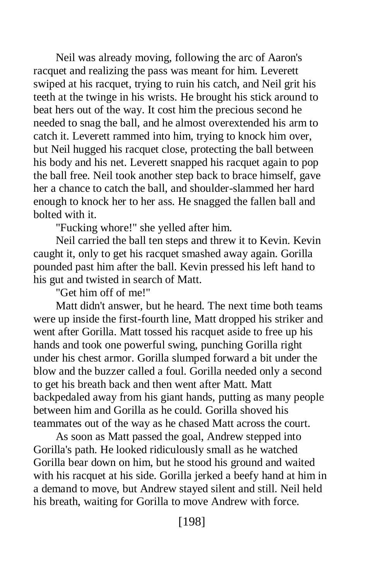Neil was already moving, following the arc of Aaron's racquet and realizing the pass was meant for him. Leverett swiped at his racquet, trying to ruin his catch, and Neil grit his teeth at the twinge in his wrists. He brought his stick around to beat hers out of the way. It cost him the precious second he needed to snag the ball, and he almost overextended his arm to catch it. Leverett rammed into him, trying to knock him over, but Neil hugged his racquet close, protecting the ball between his body and his net. Leverett snapped his racquet again to pop the ball free. Neil took another step back to brace himself, gave her a chance to catch the ball, and shoulder-slammed her hard enough to knock her to her ass. He snagged the fallen ball and bolted with it.

"Fucking whore!" she yelled after him.

Neil carried the ball ten steps and threw it to Kevin. Kevin caught it, only to get his racquet smashed away again. Gorilla pounded past him after the ball. Kevin pressed his left hand to his gut and twisted in search of Matt.

"Get him off of me!"

Matt didn't answer, but he heard. The next time both teams were up inside the first-fourth line, Matt dropped his striker and went after Gorilla. Matt tossed his racquet aside to free up his hands and took one powerful swing, punching Gorilla right under his chest armor. Gorilla slumped forward a bit under the blow and the buzzer called a foul. Gorilla needed only a second to get his breath back and then went after Matt. Matt backpedaled away from his giant hands, putting as many people between him and Gorilla as he could. Gorilla shoved his teammates out of the way as he chased Matt across the court.

As soon as Matt passed the goal, Andrew stepped into Gorilla's path. He looked ridiculously small as he watched Gorilla bear down on him, but he stood his ground and waited with his racquet at his side. Gorilla jerked a beefy hand at him in a demand to move, but Andrew stayed silent and still. Neil held his breath, waiting for Gorilla to move Andrew with force.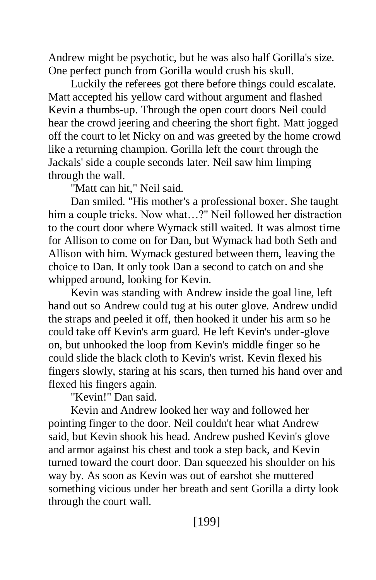Andrew might be psychotic, but he was also half Gorilla's size. One perfect punch from Gorilla would crush his skull.

Luckily the referees got there before things could escalate. Matt accepted his yellow card without argument and flashed Kevin a thumbs-up. Through the open court doors Neil could hear the crowd jeering and cheering the short fight. Matt jogged off the court to let Nicky on and was greeted by the home crowd like a returning champion. Gorilla left the court through the Jackals' side a couple seconds later. Neil saw him limping through the wall.

"Matt can hit," Neil said.

Dan smiled. "His mother's a professional boxer. She taught him a couple tricks. Now what...?" Neil followed her distraction to the court door where Wymack still waited. It was almost time for Allison to come on for Dan, but Wymack had both Seth and Allison with him. Wymack gestured between them, leaving the choice to Dan. It only took Dan a second to catch on and she whipped around, looking for Kevin.

Kevin was standing with Andrew inside the goal line, left hand out so Andrew could tug at his outer glove. Andrew undid the straps and peeled it off, then hooked it under his arm so he could take off Kevin's arm guard. He left Kevin's under-glove on, but unhooked the loop from Kevin's middle finger so he could slide the black cloth to Kevin's wrist. Kevin flexed his fingers slowly, staring at his scars, then turned his hand over and flexed his fingers again.

"Kevin!" Dan said.

Kevin and Andrew looked her way and followed her pointing finger to the door. Neil couldn't hear what Andrew said, but Kevin shook his head. Andrew pushed Kevin's glove and armor against his chest and took a step back, and Kevin turned toward the court door. Dan squeezed his shoulder on his way by. As soon as Kevin was out of earshot she muttered something vicious under her breath and sent Gorilla a dirty look through the court wall.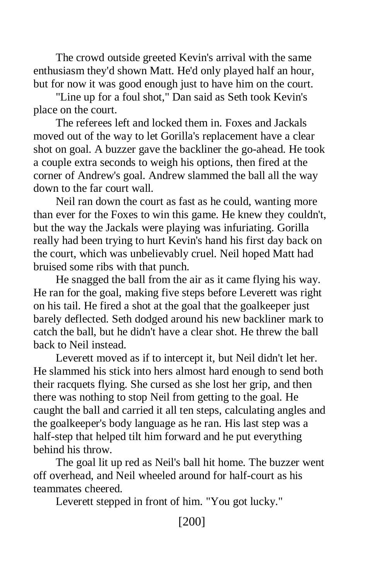The crowd outside greeted Kevin's arrival with the same enthusiasm they'd shown Matt. He'd only played half an hour, but for now it was good enough just to have him on the court.

"Line up for a foul shot," Dan said as Seth took Kevin's place on the court.

The referees left and locked them in. Foxes and Jackals moved out of the way to let Gorilla's replacement have a clear shot on goal. A buzzer gave the backliner the go-ahead. He took a couple extra seconds to weigh his options, then fired at the corner of Andrew's goal. Andrew slammed the ball all the way down to the far court wall.

Neil ran down the court as fast as he could, wanting more than ever for the Foxes to win this game. He knew they couldn't, but the way the Jackals were playing was infuriating. Gorilla really had been trying to hurt Kevin's hand his first day back on the court, which was unbelievably cruel. Neil hoped Matt had bruised some ribs with that punch.

He snagged the ball from the air as it came flying his way. He ran for the goal, making five steps before Leverett was right on his tail. He fired a shot at the goal that the goalkeeper just barely deflected. Seth dodged around his new backliner mark to catch the ball, but he didn't have a clear shot. He threw the ball back to Neil instead.

Leverett moved as if to intercept it, but Neil didn't let her. He slammed his stick into hers almost hard enough to send both their racquets flying. She cursed as she lost her grip, and then there was nothing to stop Neil from getting to the goal. He caught the ball and carried it all ten steps, calculating angles and the goalkeeper's body language as he ran. His last step was a half-step that helped tilt him forward and he put everything behind his throw.

The goal lit up red as Neil's ball hit home. The buzzer went off overhead, and Neil wheeled around for half-court as his teammates cheered.

Leverett stepped in front of him. "You got lucky."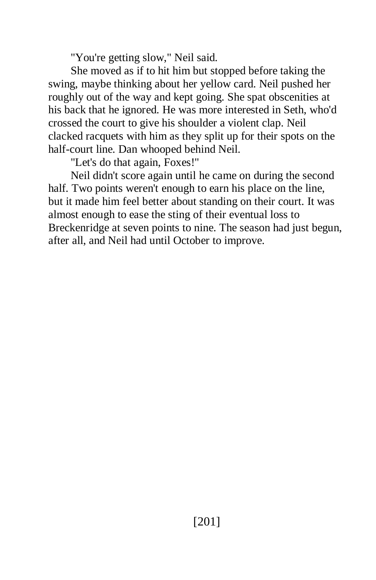"You're getting slow," Neil said.

She moved as if to hit him but stopped before taking the swing, maybe thinking about her yellow card. Neil pushed her roughly out of the way and kept going. She spat obscenities at his back that he ignored. He was more interested in Seth, who'd crossed the court to give his shoulder a violent clap. Neil clacked racquets with him as they split up for their spots on the half-court line. Dan whooped behind Neil.

"Let's do that again, Foxes!"

Neil didn't score again until he came on during the second half. Two points weren't enough to earn his place on the line, but it made him feel better about standing on their court. It was almost enough to ease the sting of their eventual loss to Breckenridge at seven points to nine. The season had just begun, after all, and Neil had until October to improve.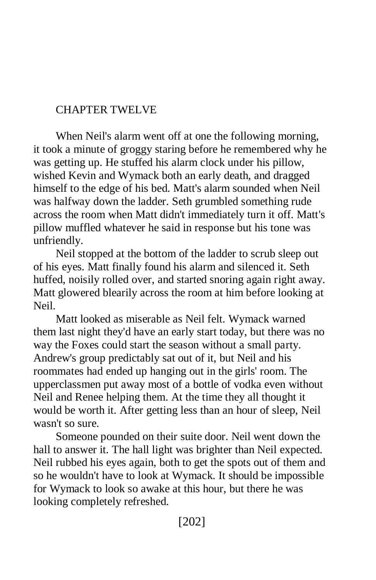## CHAPTER TWELVE

When Neil's alarm went off at one the following morning, it took a minute of groggy staring before he remembered why he was getting up. He stuffed his alarm clock under his pillow, wished Kevin and Wymack both an early death, and dragged himself to the edge of his bed. Matt's alarm sounded when Neil was halfway down the ladder. Seth grumbled something rude across the room when Matt didn't immediately turn it off. Matt's pillow muffled whatever he said in response but his tone was unfriendly.

Neil stopped at the bottom of the ladder to scrub sleep out of his eyes. Matt finally found his alarm and silenced it. Seth huffed, noisily rolled over, and started snoring again right away. Matt glowered blearily across the room at him before looking at Neil.

Matt looked as miserable as Neil felt. Wymack warned them last night they'd have an early start today, but there was no way the Foxes could start the season without a small party. Andrew's group predictably sat out of it, but Neil and his roommates had ended up hanging out in the girls' room. The upperclassmen put away most of a bottle of vodka even without Neil and Renee helping them. At the time they all thought it would be worth it. After getting less than an hour of sleep, Neil wasn't so sure.

Someone pounded on their suite door. Neil went down the hall to answer it. The hall light was brighter than Neil expected. Neil rubbed his eyes again, both to get the spots out of them and so he wouldn't have to look at Wymack. It should be impossible for Wymack to look so awake at this hour, but there he was looking completely refreshed.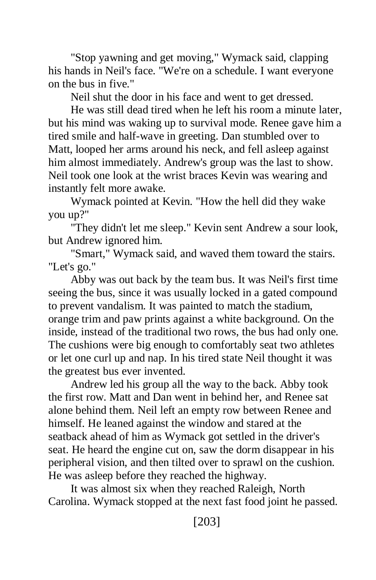"Stop yawning and get moving," Wymack said, clapping his hands in Neil's face. "We're on a schedule. I want everyone on the bus in five."

Neil shut the door in his face and went to get dressed.

He was still dead tired when he left his room a minute later, but his mind was waking up to survival mode. Renee gave him a tired smile and half-wave in greeting. Dan stumbled over to Matt, looped her arms around his neck, and fell asleep against him almost immediately. Andrew's group was the last to show. Neil took one look at the wrist braces Kevin was wearing and instantly felt more awake.

Wymack pointed at Kevin. "How the hell did they wake you up?"

"They didn't let me sleep." Kevin sent Andrew a sour look, but Andrew ignored him.

"Smart," Wymack said, and waved them toward the stairs. "Let's go."

Abby was out back by the team bus. It was Neil's first time seeing the bus, since it was usually locked in a gated compound to prevent vandalism. It was painted to match the stadium, orange trim and paw prints against a white background. On the inside, instead of the traditional two rows, the bus had only one. The cushions were big enough to comfortably seat two athletes or let one curl up and nap. In his tired state Neil thought it was the greatest bus ever invented.

Andrew led his group all the way to the back. Abby took the first row. Matt and Dan went in behind her, and Renee sat alone behind them. Neil left an empty row between Renee and himself. He leaned against the window and stared at the seatback ahead of him as Wymack got settled in the driver's seat. He heard the engine cut on, saw the dorm disappear in his peripheral vision, and then tilted over to sprawl on the cushion. He was asleep before they reached the highway.

It was almost six when they reached Raleigh, North Carolina. Wymack stopped at the next fast food joint he passed.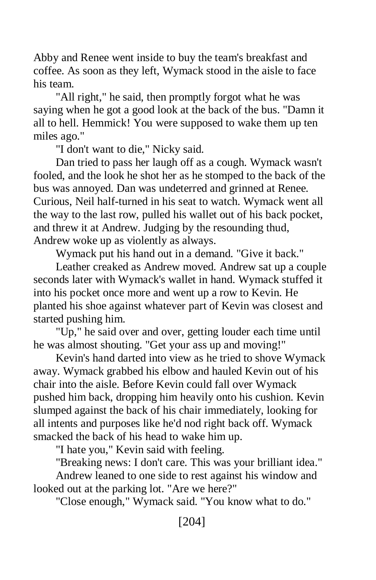Abby and Renee went inside to buy the team's breakfast and coffee. As soon as they left, Wymack stood in the aisle to face his team.

"All right," he said, then promptly forgot what he was saying when he got a good look at the back of the bus. "Damn it all to hell. Hemmick! You were supposed to wake them up ten miles ago."

"I don't want to die," Nicky said.

Dan tried to pass her laugh off as a cough. Wymack wasn't fooled, and the look he shot her as he stomped to the back of the bus was annoyed. Dan was undeterred and grinned at Renee. Curious, Neil half-turned in his seat to watch. Wymack went all the way to the last row, pulled his wallet out of his back pocket, and threw it at Andrew. Judging by the resounding thud, Andrew woke up as violently as always.

Wymack put his hand out in a demand. "Give it back."

Leather creaked as Andrew moved. Andrew sat up a couple seconds later with Wymack's wallet in hand. Wymack stuffed it into his pocket once more and went up a row to Kevin. He planted his shoe against whatever part of Kevin was closest and started pushing him.

"Up," he said over and over, getting louder each time until he was almost shouting. "Get your ass up and moving!"

Kevin's hand darted into view as he tried to shove Wymack away. Wymack grabbed his elbow and hauled Kevin out of his chair into the aisle. Before Kevin could fall over Wymack pushed him back, dropping him heavily onto his cushion. Kevin slumped against the back of his chair immediately, looking for all intents and purposes like he'd nod right back off. Wymack smacked the back of his head to wake him up.

"I hate you," Kevin said with feeling.

"Breaking news: I don't care. This was your brilliant idea."

Andrew leaned to one side to rest against his window and looked out at the parking lot. "Are we here?"

"Close enough," Wymack said. "You know what to do."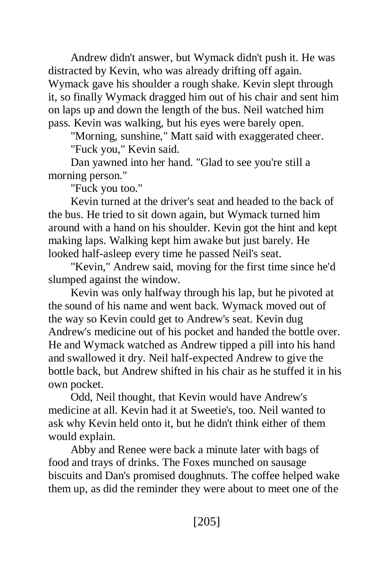Andrew didn't answer, but Wymack didn't push it. He was distracted by Kevin, who was already drifting off again. Wymack gave his shoulder a rough shake. Kevin slept through it, so finally Wymack dragged him out of his chair and sent him on laps up and down the length of the bus. Neil watched him pass. Kevin was walking, but his eyes were barely open.

"Morning, sunshine," Matt said with exaggerated cheer.

"Fuck you," Kevin said.

Dan yawned into her hand. "Glad to see you're still a morning person."

"Fuck you too."

Kevin turned at the driver's seat and headed to the back of the bus. He tried to sit down again, but Wymack turned him around with a hand on his shoulder. Kevin got the hint and kept making laps. Walking kept him awake but just barely. He looked half-asleep every time he passed Neil's seat.

"Kevin," Andrew said, moving for the first time since he'd slumped against the window.

Kevin was only halfway through his lap, but he pivoted at the sound of his name and went back. Wymack moved out of the way so Kevin could get to Andrew's seat. Kevin dug Andrew's medicine out of his pocket and handed the bottle over. He and Wymack watched as Andrew tipped a pill into his hand and swallowed it dry. Neil half-expected Andrew to give the bottle back, but Andrew shifted in his chair as he stuffed it in his own pocket.

Odd, Neil thought, that Kevin would have Andrew's medicine at all. Kevin had it at Sweetie's, too. Neil wanted to ask why Kevin held onto it, but he didn't think either of them would explain.

Abby and Renee were back a minute later with bags of food and trays of drinks. The Foxes munched on sausage biscuits and Dan's promised doughnuts. The coffee helped wake them up, as did the reminder they were about to meet one of the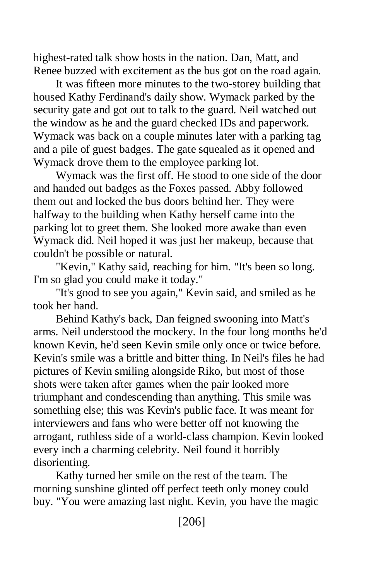highest-rated talk show hosts in the nation. Dan, Matt, and Renee buzzed with excitement as the bus got on the road again.

It was fifteen more minutes to the two-storey building that housed Kathy Ferdinand's daily show. Wymack parked by the security gate and got out to talk to the guard. Neil watched out the window as he and the guard checked IDs and paperwork. Wymack was back on a couple minutes later with a parking tag and a pile of guest badges. The gate squealed as it opened and Wymack drove them to the employee parking lot.

Wymack was the first off. He stood to one side of the door and handed out badges as the Foxes passed. Abby followed them out and locked the bus doors behind her. They were halfway to the building when Kathy herself came into the parking lot to greet them. She looked more awake than even Wymack did. Neil hoped it was just her makeup, because that couldn't be possible or natural.

"Kevin," Kathy said, reaching for him. "It's been so long. I'm so glad you could make it today."

"It's good to see you again," Kevin said, and smiled as he took her hand.

Behind Kathy's back, Dan feigned swooning into Matt's arms. Neil understood the mockery. In the four long months he'd known Kevin, he'd seen Kevin smile only once or twice before. Kevin's smile was a brittle and bitter thing. In Neil's files he had pictures of Kevin smiling alongside Riko, but most of those shots were taken after games when the pair looked more triumphant and condescending than anything. This smile was something else; this was Kevin's public face. It was meant for interviewers and fans who were better off not knowing the arrogant, ruthless side of a world-class champion. Kevin looked every inch a charming celebrity. Neil found it horribly disorienting.

Kathy turned her smile on the rest of the team. The morning sunshine glinted off perfect teeth only money could buy. "You were amazing last night. Kevin, you have the magic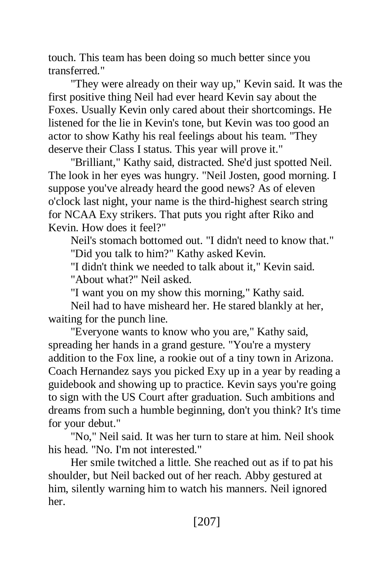touch. This team has been doing so much better since you transferred."

"They were already on their way up," Kevin said. It was the first positive thing Neil had ever heard Kevin say about the Foxes. Usually Kevin only cared about their shortcomings. He listened for the lie in Kevin's tone, but Kevin was too good an actor to show Kathy his real feelings about his team. "They deserve their Class I status. This year will prove it."

"Brilliant," Kathy said, distracted. She'd just spotted Neil. The look in her eyes was hungry. "Neil Josten, good morning. I suppose you've already heard the good news? As of eleven o'clock last night, your name is the third-highest search string for NCAA Exy strikers. That puts you right after Riko and Kevin. How does it feel?"

Neil's stomach bottomed out. "I didn't need to know that." "Did you talk to him?" Kathy asked Kevin.

"I didn't think we needed to talk about it," Kevin said.

"About what?" Neil asked.

"I want you on my show this morning," Kathy said.

Neil had to have misheard her. He stared blankly at her, waiting for the punch line.

"Everyone wants to know who you are," Kathy said, spreading her hands in a grand gesture. "You're a mystery addition to the Fox line, a rookie out of a tiny town in Arizona. Coach Hernandez says you picked Exy up in a year by reading a guidebook and showing up to practice. Kevin says you're going to sign with the US Court after graduation. Such ambitions and dreams from such a humble beginning, don't you think? It's time for your debut."

"No," Neil said. It was her turn to stare at him. Neil shook his head. "No. I'm not interested."

Her smile twitched a little. She reached out as if to pat his shoulder, but Neil backed out of her reach. Abby gestured at him, silently warning him to watch his manners. Neil ignored her.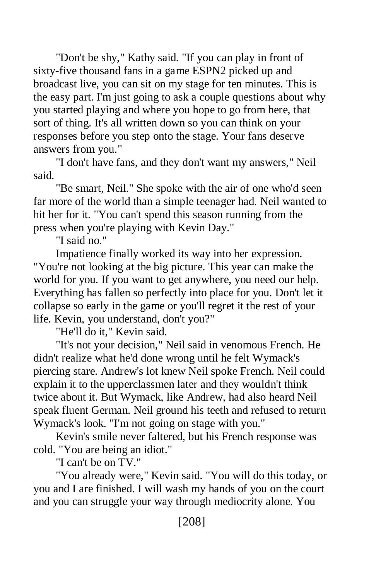"Don't be shy," Kathy said. "If you can play in front of sixty-five thousand fans in a game ESPN2 picked up and broadcast live, you can sit on my stage for ten minutes. This is the easy part. I'm just going to ask a couple questions about why you started playing and where you hope to go from here, that sort of thing. It's all written down so you can think on your responses before you step onto the stage. Your fans deserve answers from you."

"I don't have fans, and they don't want my answers," Neil said.

"Be smart, Neil." She spoke with the air of one who'd seen far more of the world than a simple teenager had. Neil wanted to hit her for it. "You can't spend this season running from the press when you're playing with Kevin Day."

"I said no."

Impatience finally worked its way into her expression. "You're not looking at the big picture. This year can make the world for you. If you want to get anywhere, you need our help. Everything has fallen so perfectly into place for you. Don't let it collapse so early in the game or you'll regret it the rest of your life. Kevin, you understand, don't you?"

"He'll do it," Kevin said.

"It's not your decision," Neil said in venomous French. He didn't realize what he'd done wrong until he felt Wymack's piercing stare. Andrew's lot knew Neil spoke French. Neil could explain it to the upperclassmen later and they wouldn't think twice about it. But Wymack, like Andrew, had also heard Neil speak fluent German. Neil ground his teeth and refused to return Wymack's look. "I'm not going on stage with you."

Kevin's smile never faltered, but his French response was cold. "You are being an idiot."

"I can't be on TV."

"You already were," Kevin said. "You will do this today, or you and I are finished. I will wash my hands of you on the court and you can struggle your way through mediocrity alone. You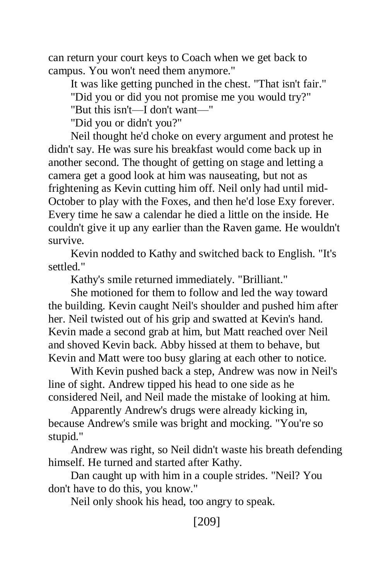can return your court keys to Coach when we get back to campus. You won't need them anymore."

It was like getting punched in the chest. "That isn't fair."

"Did you or did you not promise me you would try?"

"But this isn't—I don't want—"

"Did you or didn't you?"

Neil thought he'd choke on every argument and protest he didn't say. He was sure his breakfast would come back up in another second. The thought of getting on stage and letting a camera get a good look at him was nauseating, but not as frightening as Kevin cutting him off. Neil only had until mid-October to play with the Foxes, and then he'd lose Exy forever. Every time he saw a calendar he died a little on the inside. He couldn't give it up any earlier than the Raven game. He wouldn't survive.

Kevin nodded to Kathy and switched back to English. "It's settled."

Kathy's smile returned immediately. "Brilliant."

She motioned for them to follow and led the way toward the building. Kevin caught Neil's shoulder and pushed him after her. Neil twisted out of his grip and swatted at Kevin's hand. Kevin made a second grab at him, but Matt reached over Neil and shoved Kevin back. Abby hissed at them to behave, but Kevin and Matt were too busy glaring at each other to notice.

With Kevin pushed back a step, Andrew was now in Neil's line of sight. Andrew tipped his head to one side as he considered Neil, and Neil made the mistake of looking at him.

Apparently Andrew's drugs were already kicking in, because Andrew's smile was bright and mocking. "You're so stupid."

Andrew was right, so Neil didn't waste his breath defending himself. He turned and started after Kathy.

Dan caught up with him in a couple strides. "Neil? You don't have to do this, you know."

Neil only shook his head, too angry to speak.

[209]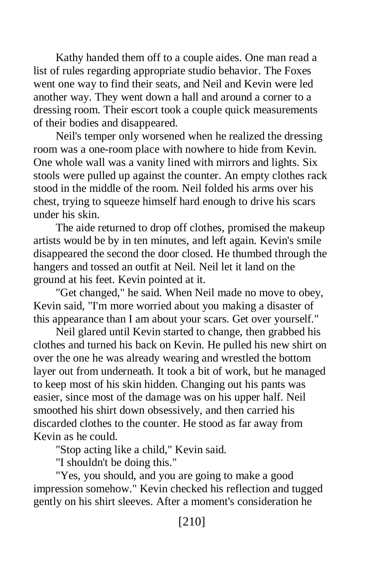Kathy handed them off to a couple aides. One man read a list of rules regarding appropriate studio behavior. The Foxes went one way to find their seats, and Neil and Kevin were led another way. They went down a hall and around a corner to a dressing room. Their escort took a couple quick measurements of their bodies and disappeared.

Neil's temper only worsened when he realized the dressing room was a one-room place with nowhere to hide from Kevin. One whole wall was a vanity lined with mirrors and lights. Six stools were pulled up against the counter. An empty clothes rack stood in the middle of the room. Neil folded his arms over his chest, trying to squeeze himself hard enough to drive his scars under his skin.

The aide returned to drop off clothes, promised the makeup artists would be by in ten minutes, and left again. Kevin's smile disappeared the second the door closed. He thumbed through the hangers and tossed an outfit at Neil. Neil let it land on the ground at his feet. Kevin pointed at it.

"Get changed," he said. When Neil made no move to obey, Kevin said, "I'm more worried about you making a disaster of this appearance than I am about your scars. Get over yourself."

Neil glared until Kevin started to change, then grabbed his clothes and turned his back on Kevin. He pulled his new shirt on over the one he was already wearing and wrestled the bottom layer out from underneath. It took a bit of work, but he managed to keep most of his skin hidden. Changing out his pants was easier, since most of the damage was on his upper half. Neil smoothed his shirt down obsessively, and then carried his discarded clothes to the counter. He stood as far away from Kevin as he could.

"Stop acting like a child," Kevin said.

"I shouldn't be doing this."

"Yes, you should, and you are going to make a good impression somehow." Kevin checked his reflection and tugged gently on his shirt sleeves. After a moment's consideration he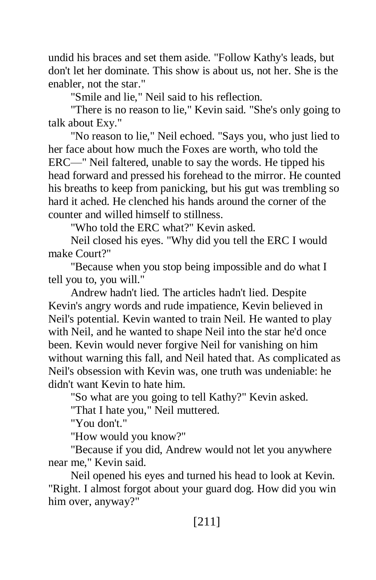undid his braces and set them aside. "Follow Kathy's leads, but don't let her dominate. This show is about us, not her. She is the enabler, not the star."

"Smile and lie," Neil said to his reflection.

"There is no reason to lie," Kevin said. "She's only going to talk about Exy."

"No reason to lie," Neil echoed. "Says you, who just lied to her face about how much the Foxes are worth, who told the ERC—" Neil faltered, unable to say the words. He tipped his head forward and pressed his forehead to the mirror. He counted his breaths to keep from panicking, but his gut was trembling so hard it ached. He clenched his hands around the corner of the counter and willed himself to stillness.

"Who told the ERC what?" Kevin asked.

Neil closed his eyes. "Why did you tell the ERC I would make Court?"

"Because when you stop being impossible and do what I tell you to, you will."

Andrew hadn't lied. The articles hadn't lied. Despite Kevin's angry words and rude impatience, Kevin believed in Neil's potential. Kevin wanted to train Neil. He wanted to play with Neil, and he wanted to shape Neil into the star he'd once been. Kevin would never forgive Neil for vanishing on him without warning this fall, and Neil hated that. As complicated as Neil's obsession with Kevin was, one truth was undeniable: he didn't want Kevin to hate him.

"So what are you going to tell Kathy?" Kevin asked.

"That I hate you," Neil muttered.

"You don't."

"How would you know?"

"Because if you did, Andrew would not let you anywhere near me," Kevin said.

Neil opened his eyes and turned his head to look at Kevin. "Right. I almost forgot about your guard dog. How did you win him over, anyway?"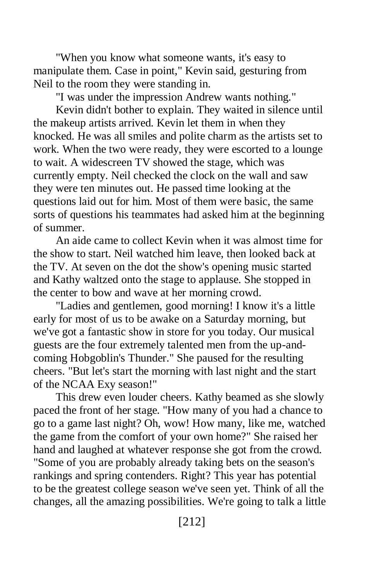"When you know what someone wants, it's easy to manipulate them. Case in point," Kevin said, gesturing from Neil to the room they were standing in.

"I was under the impression Andrew wants nothing."

Kevin didn't bother to explain. They waited in silence until the makeup artists arrived. Kevin let them in when they knocked. He was all smiles and polite charm as the artists set to work. When the two were ready, they were escorted to a lounge to wait. A widescreen TV showed the stage, which was currently empty. Neil checked the clock on the wall and saw they were ten minutes out. He passed time looking at the questions laid out for him. Most of them were basic, the same sorts of questions his teammates had asked him at the beginning of summer.

An aide came to collect Kevin when it was almost time for the show to start. Neil watched him leave, then looked back at the TV. At seven on the dot the show's opening music started and Kathy waltzed onto the stage to applause. She stopped in the center to bow and wave at her morning crowd.

"Ladies and gentlemen, good morning! I know it's a little early for most of us to be awake on a Saturday morning, but we've got a fantastic show in store for you today. Our musical guests are the four extremely talented men from the up-andcoming Hobgoblin's Thunder." She paused for the resulting cheers. "But let's start the morning with last night and the start of the NCAA Exy season!"

This drew even louder cheers. Kathy beamed as she slowly paced the front of her stage. "How many of you had a chance to go to a game last night? Oh, wow! How many, like me, watched the game from the comfort of your own home?" She raised her hand and laughed at whatever response she got from the crowd. "Some of you are probably already taking bets on the season's rankings and spring contenders. Right? This year has potential to be the greatest college season we've seen yet. Think of all the changes, all the amazing possibilities. We're going to talk a little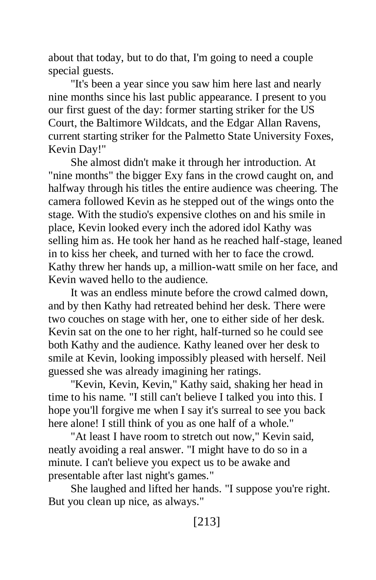about that today, but to do that, I'm going to need a couple special guests.

"It's been a year since you saw him here last and nearly nine months since his last public appearance. I present to you our first guest of the day: former starting striker for the US Court, the Baltimore Wildcats, and the Edgar Allan Ravens, current starting striker for the Palmetto State University Foxes, Kevin Day!"

She almost didn't make it through her introduction. At "nine months" the bigger Exy fans in the crowd caught on, and halfway through his titles the entire audience was cheering. The camera followed Kevin as he stepped out of the wings onto the stage. With the studio's expensive clothes on and his smile in place, Kevin looked every inch the adored idol Kathy was selling him as. He took her hand as he reached half-stage, leaned in to kiss her cheek, and turned with her to face the crowd. Kathy threw her hands up, a million-watt smile on her face, and Kevin waved hello to the audience.

It was an endless minute before the crowd calmed down, and by then Kathy had retreated behind her desk. There were two couches on stage with her, one to either side of her desk. Kevin sat on the one to her right, half-turned so he could see both Kathy and the audience. Kathy leaned over her desk to smile at Kevin, looking impossibly pleased with herself. Neil guessed she was already imagining her ratings.

"Kevin, Kevin, Kevin," Kathy said, shaking her head in time to his name. "I still can't believe I talked you into this. I hope you'll forgive me when I say it's surreal to see you back here alone! I still think of you as one half of a whole."

"At least I have room to stretch out now," Kevin said, neatly avoiding a real answer. "I might have to do so in a minute. I can't believe you expect us to be awake and presentable after last night's games."

She laughed and lifted her hands. "I suppose you're right. But you clean up nice, as always."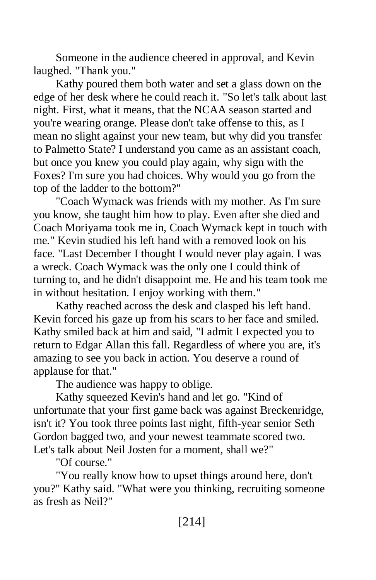Someone in the audience cheered in approval, and Kevin laughed. "Thank you."

Kathy poured them both water and set a glass down on the edge of her desk where he could reach it. "So let's talk about last night. First, what it means, that the NCAA season started and you're wearing orange. Please don't take offense to this, as I mean no slight against your new team, but why did you transfer to Palmetto State? I understand you came as an assistant coach, but once you knew you could play again, why sign with the Foxes? I'm sure you had choices. Why would you go from the top of the ladder to the bottom?"

"Coach Wymack was friends with my mother. As I'm sure you know, she taught him how to play. Even after she died and Coach Moriyama took me in, Coach Wymack kept in touch with me." Kevin studied his left hand with a removed look on his face. "Last December I thought I would never play again. I was a wreck. Coach Wymack was the only one I could think of turning to, and he didn't disappoint me. He and his team took me in without hesitation. I enjoy working with them."

Kathy reached across the desk and clasped his left hand. Kevin forced his gaze up from his scars to her face and smiled. Kathy smiled back at him and said, "I admit I expected you to return to Edgar Allan this fall. Regardless of where you are, it's amazing to see you back in action. You deserve a round of applause for that."

The audience was happy to oblige.

Kathy squeezed Kevin's hand and let go. "Kind of unfortunate that your first game back was against Breckenridge, isn't it? You took three points last night, fifth-year senior Seth Gordon bagged two, and your newest teammate scored two. Let's talk about Neil Josten for a moment, shall we?"

"Of course."

"You really know how to upset things around here, don't you?" Kathy said. "What were you thinking, recruiting someone as fresh as Neil?"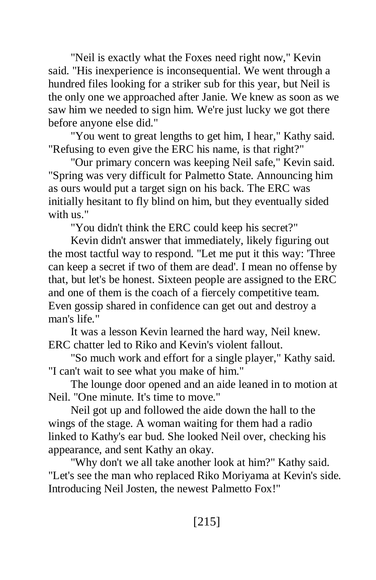"Neil is exactly what the Foxes need right now," Kevin said. "His inexperience is inconsequential. We went through a hundred files looking for a striker sub for this year, but Neil is the only one we approached after Janie. We knew as soon as we saw him we needed to sign him. We're just lucky we got there before anyone else did."

"You went to great lengths to get him, I hear," Kathy said. "Refusing to even give the ERC his name, is that right?"

"Our primary concern was keeping Neil safe," Kevin said. "Spring was very difficult for Palmetto State. Announcing him as ours would put a target sign on his back. The ERC was initially hesitant to fly blind on him, but they eventually sided with us."

"You didn't think the ERC could keep his secret?"

Kevin didn't answer that immediately, likely figuring out the most tactful way to respond. "Let me put it this way: 'Three can keep a secret if two of them are dead'. I mean no offense by that, but let's be honest. Sixteen people are assigned to the ERC and one of them is the coach of a fiercely competitive team. Even gossip shared in confidence can get out and destroy a man's life."

It was a lesson Kevin learned the hard way, Neil knew. ERC chatter led to Riko and Kevin's violent fallout.

"So much work and effort for a single player," Kathy said. "I can't wait to see what you make of him."

The lounge door opened and an aide leaned in to motion at Neil. "One minute. It's time to move."

Neil got up and followed the aide down the hall to the wings of the stage. A woman waiting for them had a radio linked to Kathy's ear bud. She looked Neil over, checking his appearance, and sent Kathy an okay.

"Why don't we all take another look at him?" Kathy said. "Let's see the man who replaced Riko Moriyama at Kevin's side. Introducing Neil Josten, the newest Palmetto Fox!"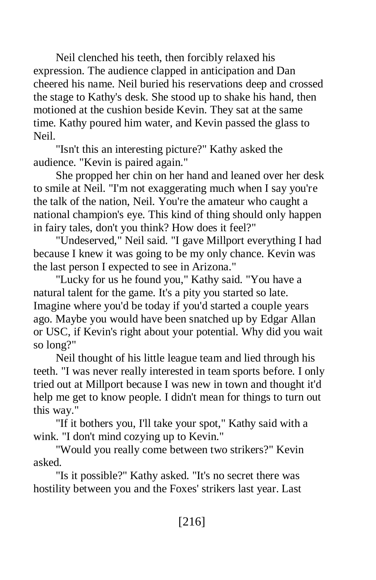Neil clenched his teeth, then forcibly relaxed his expression. The audience clapped in anticipation and Dan cheered his name. Neil buried his reservations deep and crossed the stage to Kathy's desk. She stood up to shake his hand, then motioned at the cushion beside Kevin. They sat at the same time. Kathy poured him water, and Kevin passed the glass to Neil.

"Isn't this an interesting picture?" Kathy asked the audience. "Kevin is paired again."

She propped her chin on her hand and leaned over her desk to smile at Neil. "I'm not exaggerating much when I say you're the talk of the nation, Neil. You're the amateur who caught a national champion's eye. This kind of thing should only happen in fairy tales, don't you think? How does it feel?"

"Undeserved," Neil said. "I gave Millport everything I had because I knew it was going to be my only chance. Kevin was the last person I expected to see in Arizona."

"Lucky for us he found you," Kathy said. "You have a natural talent for the game. It's a pity you started so late. Imagine where you'd be today if you'd started a couple years ago. Maybe you would have been snatched up by Edgar Allan or USC, if Kevin's right about your potential. Why did you wait so long?"

Neil thought of his little league team and lied through his teeth. "I was never really interested in team sports before. I only tried out at Millport because I was new in town and thought it'd help me get to know people. I didn't mean for things to turn out this way."

"If it bothers you, I'll take your spot," Kathy said with a wink. "I don't mind cozying up to Kevin."

"Would you really come between two strikers?" Kevin asked.

"Is it possible?" Kathy asked. "It's no secret there was hostility between you and the Foxes' strikers last year. Last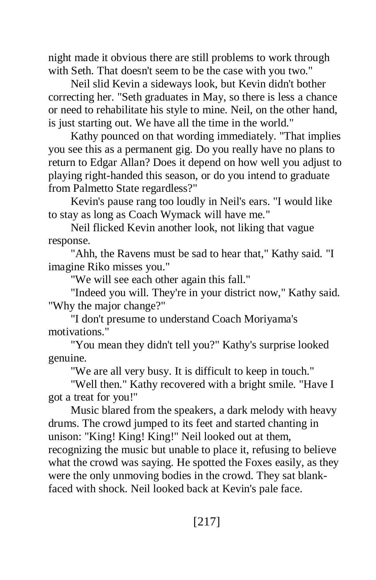night made it obvious there are still problems to work through with Seth. That doesn't seem to be the case with you two."

Neil slid Kevin a sideways look, but Kevin didn't bother correcting her. "Seth graduates in May, so there is less a chance or need to rehabilitate his style to mine. Neil, on the other hand, is just starting out. We have all the time in the world."

Kathy pounced on that wording immediately. "That implies you see this as a permanent gig. Do you really have no plans to return to Edgar Allan? Does it depend on how well you adjust to playing right-handed this season, or do you intend to graduate from Palmetto State regardless?"

Kevin's pause rang too loudly in Neil's ears. "I would like to stay as long as Coach Wymack will have me."

Neil flicked Kevin another look, not liking that vague response.

"Ahh, the Ravens must be sad to hear that," Kathy said. "I imagine Riko misses you."

"We will see each other again this fall."

"Indeed you will. They're in your district now," Kathy said. "Why the major change?"

"I don't presume to understand Coach Moriyama's motivations."

"You mean they didn't tell you?" Kathy's surprise looked genuine.

"We are all very busy. It is difficult to keep in touch."

"Well then." Kathy recovered with a bright smile. "Have I got a treat for you!"

Music blared from the speakers, a dark melody with heavy drums. The crowd jumped to its feet and started chanting in unison: "King! King! King!" Neil looked out at them, recognizing the music but unable to place it, refusing to believe what the crowd was saying. He spotted the Foxes easily, as they were the only unmoving bodies in the crowd. They sat blankfaced with shock. Neil looked back at Kevin's pale face.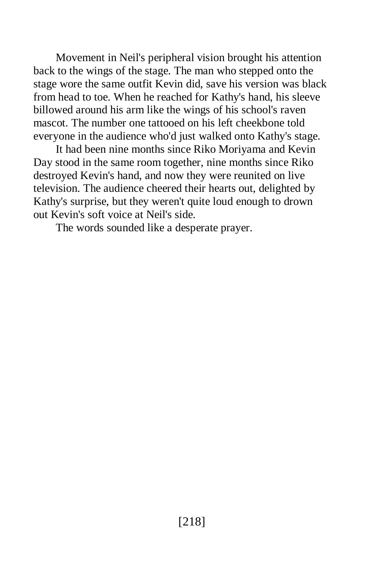Movement in Neil's peripheral vision brought his attention back to the wings of the stage. The man who stepped onto the stage wore the same outfit Kevin did, save his version was black from head to toe. When he reached for Kathy's hand, his sleeve billowed around his arm like the wings of his school's raven mascot. The number one tattooed on his left cheekbone told everyone in the audience who'd just walked onto Kathy's stage.

It had been nine months since Riko Moriyama and Kevin Day stood in the same room together, nine months since Riko destroyed Kevin's hand, and now they were reunited on live television. The audience cheered their hearts out, delighted by Kathy's surprise, but they weren't quite loud enough to drown out Kevin's soft voice at Neil's side.

The words sounded like a desperate prayer.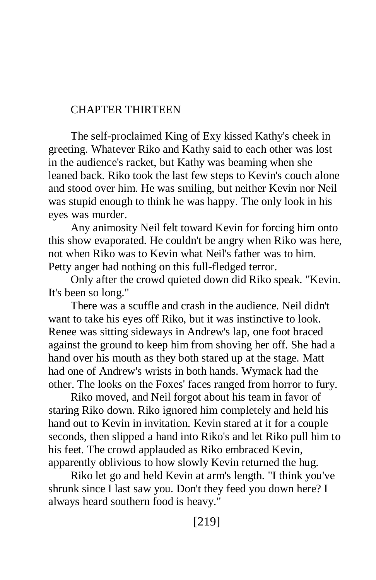## CHAPTER THIRTEEN

The self-proclaimed King of Exy kissed Kathy's cheek in greeting. Whatever Riko and Kathy said to each other was lost in the audience's racket, but Kathy was beaming when she leaned back. Riko took the last few steps to Kevin's couch alone and stood over him. He was smiling, but neither Kevin nor Neil was stupid enough to think he was happy. The only look in his eyes was murder.

Any animosity Neil felt toward Kevin for forcing him onto this show evaporated. He couldn't be angry when Riko was here, not when Riko was to Kevin what Neil's father was to him. Petty anger had nothing on this full-fledged terror.

Only after the crowd quieted down did Riko speak. "Kevin. It's been so long."

There was a scuffle and crash in the audience. Neil didn't want to take his eyes off Riko, but it was instinctive to look. Renee was sitting sideways in Andrew's lap, one foot braced against the ground to keep him from shoving her off. She had a hand over his mouth as they both stared up at the stage. Matt had one of Andrew's wrists in both hands. Wymack had the other. The looks on the Foxes' faces ranged from horror to fury.

Riko moved, and Neil forgot about his team in favor of staring Riko down. Riko ignored him completely and held his hand out to Kevin in invitation. Kevin stared at it for a couple seconds, then slipped a hand into Riko's and let Riko pull him to his feet. The crowd applauded as Riko embraced Kevin, apparently oblivious to how slowly Kevin returned the hug.

Riko let go and held Kevin at arm's length. "I think you've shrunk since I last saw you. Don't they feed you down here? I always heard southern food is heavy."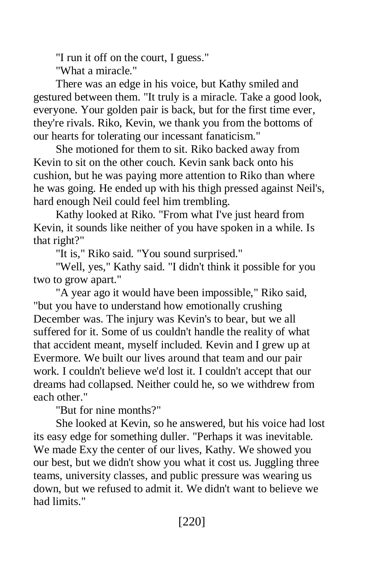"I run it off on the court, I guess."

"What a miracle."

There was an edge in his voice, but Kathy smiled and gestured between them. "It truly is a miracle. Take a good look, everyone. Your golden pair is back, but for the first time ever, they're rivals. Riko, Kevin, we thank you from the bottoms of our hearts for tolerating our incessant fanaticism."

She motioned for them to sit. Riko backed away from Kevin to sit on the other couch. Kevin sank back onto his cushion, but he was paying more attention to Riko than where he was going. He ended up with his thigh pressed against Neil's, hard enough Neil could feel him trembling.

Kathy looked at Riko. "From what I've just heard from Kevin, it sounds like neither of you have spoken in a while. Is that right?"

"It is," Riko said. "You sound surprised."

"Well, yes," Kathy said. "I didn't think it possible for you two to grow apart."

"A year ago it would have been impossible," Riko said, "but you have to understand how emotionally crushing December was. The injury was Kevin's to bear, but we all suffered for it. Some of us couldn't handle the reality of what that accident meant, myself included. Kevin and I grew up at Evermore. We built our lives around that team and our pair work. I couldn't believe we'd lost it. I couldn't accept that our dreams had collapsed. Neither could he, so we withdrew from each other."

"But for nine months?"

She looked at Kevin, so he answered, but his voice had lost its easy edge for something duller. "Perhaps it was inevitable. We made Exy the center of our lives, Kathy. We showed you our best, but we didn't show you what it cost us. Juggling three teams, university classes, and public pressure was wearing us down, but we refused to admit it. We didn't want to believe we had limits."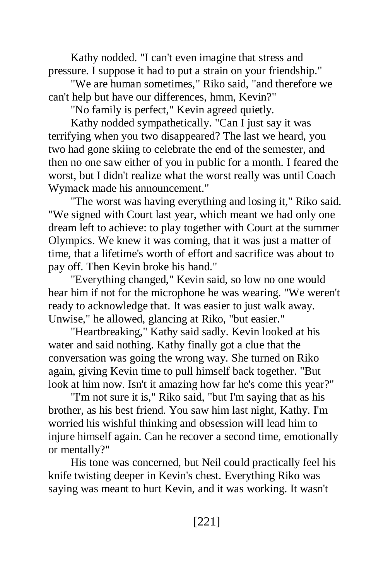Kathy nodded. "I can't even imagine that stress and pressure. I suppose it had to put a strain on your friendship."

"We are human sometimes," Riko said, "and therefore we can't help but have our differences, hmm, Kevin?"

"No family is perfect," Kevin agreed quietly.

Kathy nodded sympathetically. "Can I just say it was terrifying when you two disappeared? The last we heard, you two had gone skiing to celebrate the end of the semester, and then no one saw either of you in public for a month. I feared the worst, but I didn't realize what the worst really was until Coach Wymack made his announcement."

"The worst was having everything and losing it," Riko said. "We signed with Court last year, which meant we had only one dream left to achieve: to play together with Court at the summer Olympics. We knew it was coming, that it was just a matter of time, that a lifetime's worth of effort and sacrifice was about to pay off. Then Kevin broke his hand."

"Everything changed," Kevin said, so low no one would hear him if not for the microphone he was wearing. "We weren't ready to acknowledge that. It was easier to just walk away. Unwise," he allowed, glancing at Riko, "but easier."

"Heartbreaking," Kathy said sadly. Kevin looked at his water and said nothing. Kathy finally got a clue that the conversation was going the wrong way. She turned on Riko again, giving Kevin time to pull himself back together. "But look at him now. Isn't it amazing how far he's come this year?"

"I'm not sure it is," Riko said, "but I'm saying that as his brother, as his best friend. You saw him last night, Kathy. I'm worried his wishful thinking and obsession will lead him to injure himself again. Can he recover a second time, emotionally or mentally?"

His tone was concerned, but Neil could practically feel his knife twisting deeper in Kevin's chest. Everything Riko was saying was meant to hurt Kevin, and it was working. It wasn't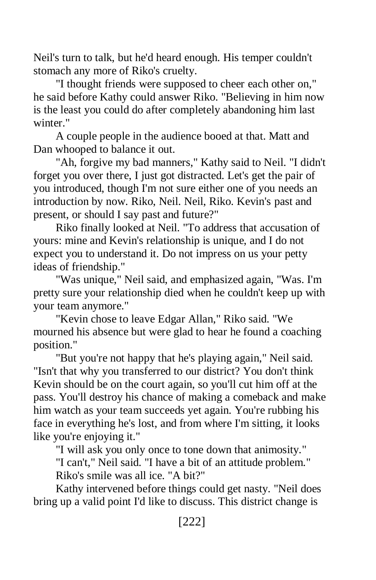Neil's turn to talk, but he'd heard enough. His temper couldn't stomach any more of Riko's cruelty.

"I thought friends were supposed to cheer each other on," he said before Kathy could answer Riko. "Believing in him now is the least you could do after completely abandoning him last winter."

A couple people in the audience booed at that. Matt and Dan whooped to balance it out.

"Ah, forgive my bad manners," Kathy said to Neil. "I didn't forget you over there, I just got distracted. Let's get the pair of you introduced, though I'm not sure either one of you needs an introduction by now. Riko, Neil. Neil, Riko. Kevin's past and present, or should I say past and future?"

Riko finally looked at Neil. "To address that accusation of yours: mine and Kevin's relationship is unique, and I do not expect you to understand it. Do not impress on us your petty ideas of friendship."

"Was unique," Neil said, and emphasized again, "Was. I'm pretty sure your relationship died when he couldn't keep up with your team anymore."

"Kevin chose to leave Edgar Allan," Riko said. "We mourned his absence but were glad to hear he found a coaching position."

"But you're not happy that he's playing again," Neil said. "Isn't that why you transferred to our district? You don't think Kevin should be on the court again, so you'll cut him off at the pass. You'll destroy his chance of making a comeback and make him watch as your team succeeds yet again. You're rubbing his face in everything he's lost, and from where I'm sitting, it looks like you're enjoying it."

"I will ask you only once to tone down that animosity."

"I can't," Neil said. "I have a bit of an attitude problem." Riko's smile was all ice. "A bit?"

Kathy intervened before things could get nasty. "Neil does bring up a valid point I'd like to discuss. This district change is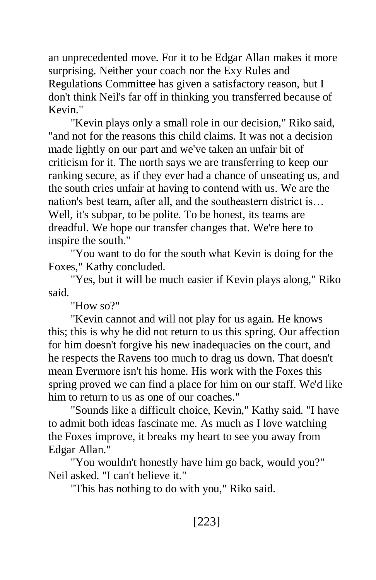an unprecedented move. For it to be Edgar Allan makes it more surprising. Neither your coach nor the Exy Rules and Regulations Committee has given a satisfactory reason, but I don't think Neil's far off in thinking you transferred because of Kevin."

"Kevin plays only a small role in our decision," Riko said, "and not for the reasons this child claims. It was not a decision made lightly on our part and we've taken an unfair bit of criticism for it. The north says we are transferring to keep our ranking secure, as if they ever had a chance of unseating us, and the south cries unfair at having to contend with us. We are the nation's best team, after all, and the southeastern district is… Well, it's subpar, to be polite. To be honest, its teams are dreadful. We hope our transfer changes that. We're here to inspire the south."

"You want to do for the south what Kevin is doing for the Foxes," Kathy concluded.

"Yes, but it will be much easier if Kevin plays along," Riko said.

"How so?"

"Kevin cannot and will not play for us again. He knows this; this is why he did not return to us this spring. Our affection for him doesn't forgive his new inadequacies on the court, and he respects the Ravens too much to drag us down. That doesn't mean Evermore isn't his home. His work with the Foxes this spring proved we can find a place for him on our staff. We'd like him to return to us as one of our coaches."

"Sounds like a difficult choice, Kevin," Kathy said. "I have to admit both ideas fascinate me. As much as I love watching the Foxes improve, it breaks my heart to see you away from Edgar Allan."

"You wouldn't honestly have him go back, would you?" Neil asked. "I can't believe it."

"This has nothing to do with you," Riko said.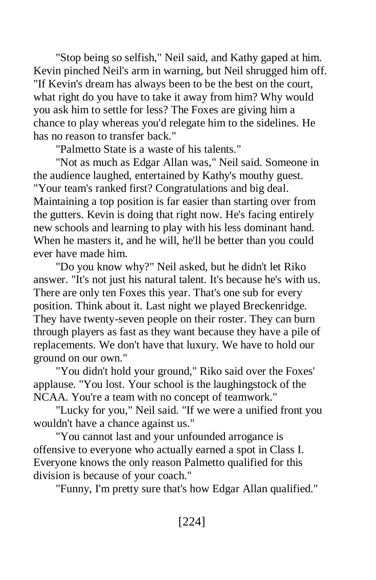"Stop being so selfish," Neil said, and Kathy gaped at him. Kevin pinched Neil's arm in warning, but Neil shrugged him off. "If Kevin's dream has always been to be the best on the court, what right do you have to take it away from him? Why would you ask him to settle for less? The Foxes are giving him a chance to play whereas you'd relegate him to the sidelines. He has no reason to transfer back."

"Palmetto State is a waste of his talents."

"Not as much as Edgar Allan was," Neil said. Someone in the audience laughed, entertained by Kathy's mouthy guest. "Your team's ranked first? Congratulations and big deal. Maintaining a top position is far easier than starting over from the gutters. Kevin is doing that right now. He's facing entirely new schools and learning to play with his less dominant hand. When he masters it, and he will, he'll be better than you could ever have made him.

"Do you know why?" Neil asked, but he didn't let Riko answer. "It's not just his natural talent. It's because he's with us. There are only ten Foxes this year. That's one sub for every position. Think about it. Last night we played Breckenridge. They have twenty-seven people on their roster. They can burn through players as fast as they want because they have a pile of replacements. We don't have that luxury. We have to hold our ground on our own."

"You didn't hold your ground," Riko said over the Foxes' applause. "You lost. Your school is the laughingstock of the NCAA. You're a team with no concept of teamwork."

"Lucky for you," Neil said. "If we were a unified front you wouldn't have a chance against us."

"You cannot last and your unfounded arrogance is offensive to everyone who actually earned a spot in Class I. Everyone knows the only reason Palmetto qualified for this division is because of your coach."

"Funny, I'm pretty sure that's how Edgar Allan qualified."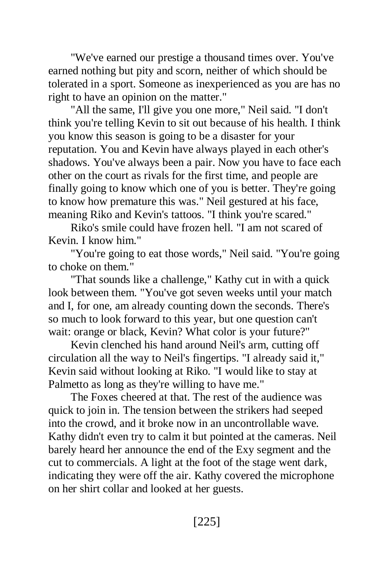"We've earned our prestige a thousand times over. You've earned nothing but pity and scorn, neither of which should be tolerated in a sport. Someone as inexperienced as you are has no right to have an opinion on the matter."

"All the same, I'll give you one more," Neil said. "I don't think you're telling Kevin to sit out because of his health. I think you know this season is going to be a disaster for your reputation. You and Kevin have always played in each other's shadows. You've always been a pair. Now you have to face each other on the court as rivals for the first time, and people are finally going to know which one of you is better. They're going to know how premature this was." Neil gestured at his face, meaning Riko and Kevin's tattoos. "I think you're scared."

Riko's smile could have frozen hell. "I am not scared of Kevin. I know him."

"You're going to eat those words," Neil said. "You're going to choke on them."

"That sounds like a challenge," Kathy cut in with a quick look between them. "You've got seven weeks until your match and I, for one, am already counting down the seconds. There's so much to look forward to this year, but one question can't wait: orange or black, Kevin? What color is your future?"

Kevin clenched his hand around Neil's arm, cutting off circulation all the way to Neil's fingertips. "I already said it," Kevin said without looking at Riko. "I would like to stay at Palmetto as long as they're willing to have me."

The Foxes cheered at that. The rest of the audience was quick to join in. The tension between the strikers had seeped into the crowd, and it broke now in an uncontrollable wave. Kathy didn't even try to calm it but pointed at the cameras. Neil barely heard her announce the end of the Exy segment and the cut to commercials. A light at the foot of the stage went dark, indicating they were off the air. Kathy covered the microphone on her shirt collar and looked at her guests.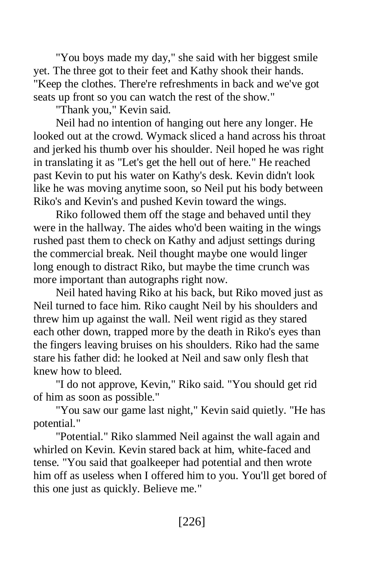"You boys made my day," she said with her biggest smile yet. The three got to their feet and Kathy shook their hands. "Keep the clothes. There're refreshments in back and we've got seats up front so you can watch the rest of the show."

"Thank you," Kevin said.

Neil had no intention of hanging out here any longer. He looked out at the crowd. Wymack sliced a hand across his throat and jerked his thumb over his shoulder. Neil hoped he was right in translating it as "Let's get the hell out of here." He reached past Kevin to put his water on Kathy's desk. Kevin didn't look like he was moving anytime soon, so Neil put his body between Riko's and Kevin's and pushed Kevin toward the wings.

Riko followed them off the stage and behaved until they were in the hallway. The aides who'd been waiting in the wings rushed past them to check on Kathy and adjust settings during the commercial break. Neil thought maybe one would linger long enough to distract Riko, but maybe the time crunch was more important than autographs right now.

Neil hated having Riko at his back, but Riko moved just as Neil turned to face him. Riko caught Neil by his shoulders and threw him up against the wall. Neil went rigid as they stared each other down, trapped more by the death in Riko's eyes than the fingers leaving bruises on his shoulders. Riko had the same stare his father did: he looked at Neil and saw only flesh that knew how to bleed.

"I do not approve, Kevin," Riko said. "You should get rid of him as soon as possible."

"You saw our game last night," Kevin said quietly. "He has potential."

"Potential." Riko slammed Neil against the wall again and whirled on Kevin. Kevin stared back at him, white-faced and tense. "You said that goalkeeper had potential and then wrote him off as useless when I offered him to you. You'll get bored of this one just as quickly. Believe me."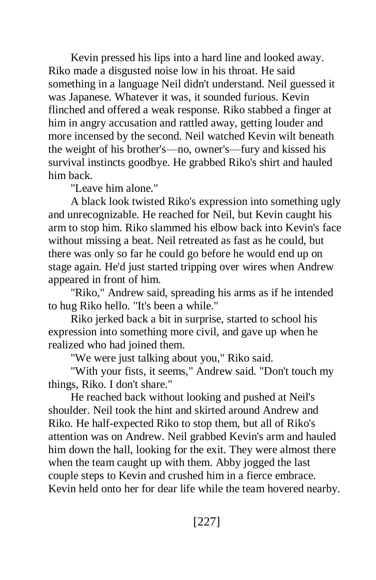Kevin pressed his lips into a hard line and looked away. Riko made a disgusted noise low in his throat. He said something in a language Neil didn't understand. Neil guessed it was Japanese. Whatever it was, it sounded furious. Kevin flinched and offered a weak response. Riko stabbed a finger at him in angry accusation and rattled away, getting louder and more incensed by the second. Neil watched Kevin wilt beneath the weight of his brother's—no, owner's—fury and kissed his survival instincts goodbye. He grabbed Riko's shirt and hauled him back.

"Leave him alone."

A black look twisted Riko's expression into something ugly and unrecognizable. He reached for Neil, but Kevin caught his arm to stop him. Riko slammed his elbow back into Kevin's face without missing a beat. Neil retreated as fast as he could, but there was only so far he could go before he would end up on stage again. He'd just started tripping over wires when Andrew appeared in front of him.

"Riko," Andrew said, spreading his arms as if he intended to hug Riko hello. "It's been a while."

Riko jerked back a bit in surprise, started to school his expression into something more civil, and gave up when he realized who had joined them.

"We were just talking about you," Riko said.

"With your fists, it seems," Andrew said. "Don't touch my things, Riko. I don't share."

He reached back without looking and pushed at Neil's shoulder. Neil took the hint and skirted around Andrew and Riko. He half-expected Riko to stop them, but all of Riko's attention was on Andrew. Neil grabbed Kevin's arm and hauled him down the hall, looking for the exit. They were almost there when the team caught up with them. Abby jogged the last couple steps to Kevin and crushed him in a fierce embrace. Kevin held onto her for dear life while the team hovered nearby.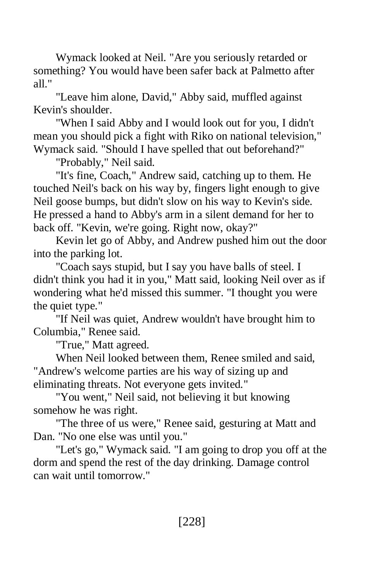Wymack looked at Neil. "Are you seriously retarded or something? You would have been safer back at Palmetto after all."

"Leave him alone, David," Abby said, muffled against Kevin's shoulder.

"When I said Abby and I would look out for you, I didn't mean you should pick a fight with Riko on national television," Wymack said. "Should I have spelled that out beforehand?"

"Probably," Neil said.

"It's fine, Coach," Andrew said, catching up to them. He touched Neil's back on his way by, fingers light enough to give Neil goose bumps, but didn't slow on his way to Kevin's side. He pressed a hand to Abby's arm in a silent demand for her to back off. "Kevin, we're going. Right now, okay?"

Kevin let go of Abby, and Andrew pushed him out the door into the parking lot.

"Coach says stupid, but I say you have balls of steel. I didn't think you had it in you," Matt said, looking Neil over as if wondering what he'd missed this summer. "I thought you were the quiet type."

"If Neil was quiet, Andrew wouldn't have brought him to Columbia," Renee said.

"True," Matt agreed.

When Neil looked between them, Renee smiled and said, "Andrew's welcome parties are his way of sizing up and eliminating threats. Not everyone gets invited."

"You went," Neil said, not believing it but knowing somehow he was right.

"The three of us were," Renee said, gesturing at Matt and Dan. "No one else was until you."

"Let's go," Wymack said. "I am going to drop you off at the dorm and spend the rest of the day drinking. Damage control can wait until tomorrow."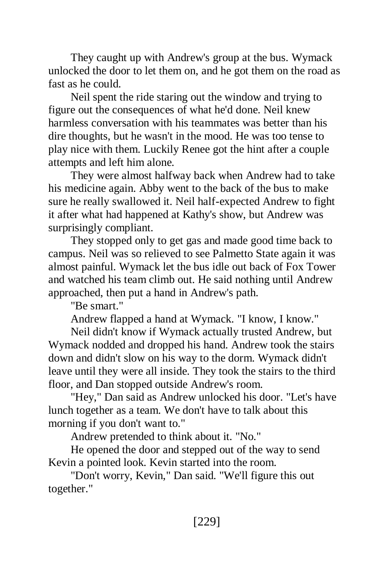They caught up with Andrew's group at the bus. Wymack unlocked the door to let them on, and he got them on the road as fast as he could.

Neil spent the ride staring out the window and trying to figure out the consequences of what he'd done. Neil knew harmless conversation with his teammates was better than his dire thoughts, but he wasn't in the mood. He was too tense to play nice with them. Luckily Renee got the hint after a couple attempts and left him alone.

They were almost halfway back when Andrew had to take his medicine again. Abby went to the back of the bus to make sure he really swallowed it. Neil half-expected Andrew to fight it after what had happened at Kathy's show, but Andrew was surprisingly compliant.

They stopped only to get gas and made good time back to campus. Neil was so relieved to see Palmetto State again it was almost painful. Wymack let the bus idle out back of Fox Tower and watched his team climb out. He said nothing until Andrew approached, then put a hand in Andrew's path.

"Be smart."

Andrew flapped a hand at Wymack. "I know, I know."

Neil didn't know if Wymack actually trusted Andrew, but Wymack nodded and dropped his hand. Andrew took the stairs down and didn't slow on his way to the dorm. Wymack didn't leave until they were all inside. They took the stairs to the third floor, and Dan stopped outside Andrew's room.

"Hey," Dan said as Andrew unlocked his door. "Let's have lunch together as a team. We don't have to talk about this morning if you don't want to."

Andrew pretended to think about it. "No."

He opened the door and stepped out of the way to send Kevin a pointed look. Kevin started into the room.

"Don't worry, Kevin," Dan said. "We'll figure this out together."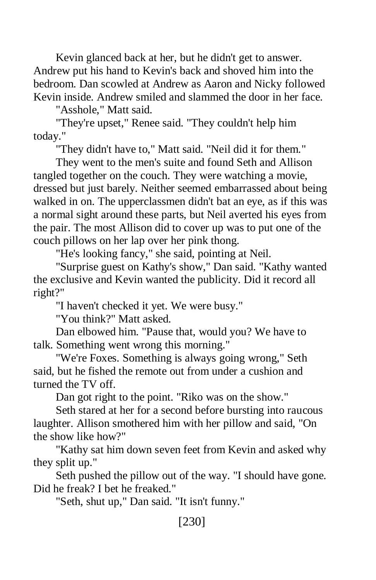Kevin glanced back at her, but he didn't get to answer. Andrew put his hand to Kevin's back and shoved him into the bedroom. Dan scowled at Andrew as Aaron and Nicky followed Kevin inside. Andrew smiled and slammed the door in her face.

"Asshole," Matt said.

"They're upset," Renee said. "They couldn't help him today."

"They didn't have to," Matt said. "Neil did it for them."

They went to the men's suite and found Seth and Allison tangled together on the couch. They were watching a movie, dressed but just barely. Neither seemed embarrassed about being walked in on. The upperclassmen didn't bat an eye, as if this was a normal sight around these parts, but Neil averted his eyes from the pair. The most Allison did to cover up was to put one of the couch pillows on her lap over her pink thong.

"He's looking fancy," she said, pointing at Neil.

"Surprise guest on Kathy's show," Dan said. "Kathy wanted the exclusive and Kevin wanted the publicity. Did it record all right?"

"I haven't checked it yet. We were busy."

"You think?" Matt asked.

Dan elbowed him. "Pause that, would you? We have to talk. Something went wrong this morning."

"We're Foxes. Something is always going wrong," Seth said, but he fished the remote out from under a cushion and turned the TV off.

Dan got right to the point. "Riko was on the show."

Seth stared at her for a second before bursting into raucous laughter. Allison smothered him with her pillow and said, "On the show like how?"

"Kathy sat him down seven feet from Kevin and asked why they split up."

Seth pushed the pillow out of the way. "I should have gone. Did he freak? I bet he freaked."

"Seth, shut up," Dan said. "It isn't funny."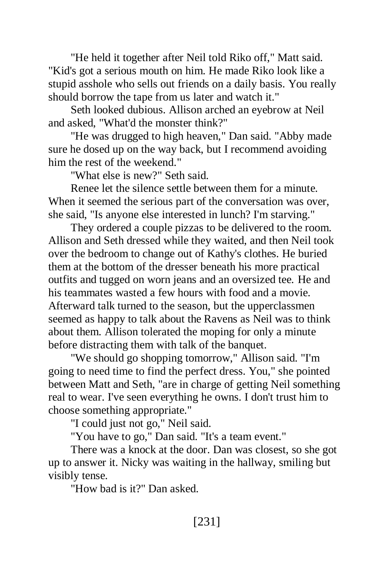"He held it together after Neil told Riko off," Matt said. "Kid's got a serious mouth on him. He made Riko look like a stupid asshole who sells out friends on a daily basis. You really should borrow the tape from us later and watch it."

Seth looked dubious. Allison arched an eyebrow at Neil and asked, "What'd the monster think?"

"He was drugged to high heaven," Dan said. "Abby made sure he dosed up on the way back, but I recommend avoiding him the rest of the weekend."

"What else is new?" Seth said.

Renee let the silence settle between them for a minute. When it seemed the serious part of the conversation was over, she said, "Is anyone else interested in lunch? I'm starving."

They ordered a couple pizzas to be delivered to the room. Allison and Seth dressed while they waited, and then Neil took over the bedroom to change out of Kathy's clothes. He buried them at the bottom of the dresser beneath his more practical outfits and tugged on worn jeans and an oversized tee. He and his teammates wasted a few hours with food and a movie. Afterward talk turned to the season, but the upperclassmen seemed as happy to talk about the Ravens as Neil was to think about them. Allison tolerated the moping for only a minute before distracting them with talk of the banquet.

"We should go shopping tomorrow," Allison said. "I'm going to need time to find the perfect dress. You," she pointed between Matt and Seth, "are in charge of getting Neil something real to wear. I've seen everything he owns. I don't trust him to choose something appropriate."

"I could just not go," Neil said.

"You have to go," Dan said. "It's a team event."

There was a knock at the door. Dan was closest, so she got up to answer it. Nicky was waiting in the hallway, smiling but visibly tense.

"How bad is it?" Dan asked.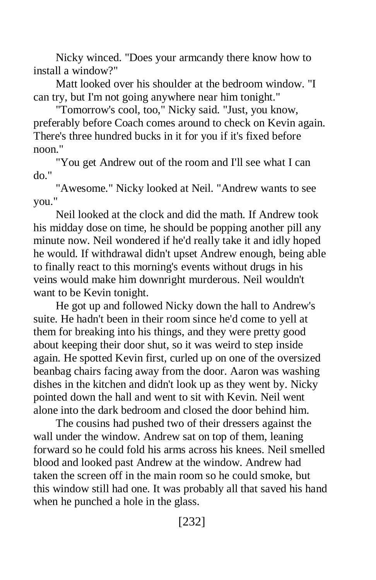Nicky winced. "Does your armcandy there know how to install a window?"

Matt looked over his shoulder at the bedroom window. "I can try, but I'm not going anywhere near him tonight."

"Tomorrow's cool, too," Nicky said. "Just, you know, preferably before Coach comes around to check on Kevin again. There's three hundred bucks in it for you if it's fixed before noon."

"You get Andrew out of the room and I'll see what I can do."

"Awesome." Nicky looked at Neil. "Andrew wants to see you."

Neil looked at the clock and did the math. If Andrew took his midday dose on time, he should be popping another pill any minute now. Neil wondered if he'd really take it and idly hoped he would. If withdrawal didn't upset Andrew enough, being able to finally react to this morning's events without drugs in his veins would make him downright murderous. Neil wouldn't want to be Kevin tonight.

He got up and followed Nicky down the hall to Andrew's suite. He hadn't been in their room since he'd come to yell at them for breaking into his things, and they were pretty good about keeping their door shut, so it was weird to step inside again. He spotted Kevin first, curled up on one of the oversized beanbag chairs facing away from the door. Aaron was washing dishes in the kitchen and didn't look up as they went by. Nicky pointed down the hall and went to sit with Kevin. Neil went alone into the dark bedroom and closed the door behind him.

The cousins had pushed two of their dressers against the wall under the window. Andrew sat on top of them, leaning forward so he could fold his arms across his knees. Neil smelled blood and looked past Andrew at the window. Andrew had taken the screen off in the main room so he could smoke, but this window still had one. It was probably all that saved his hand when he punched a hole in the glass.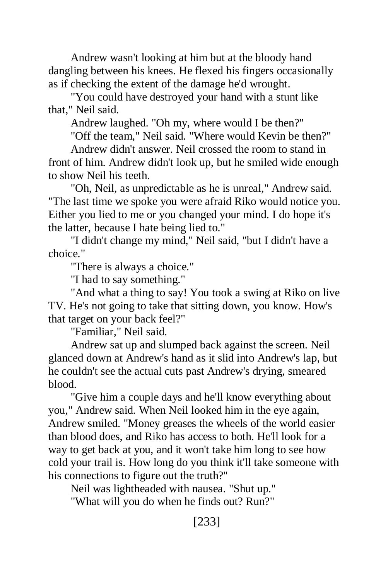Andrew wasn't looking at him but at the bloody hand dangling between his knees. He flexed his fingers occasionally as if checking the extent of the damage he'd wrought.

"You could have destroyed your hand with a stunt like that," Neil said.

Andrew laughed. "Oh my, where would I be then?"

"Off the team," Neil said. "Where would Kevin be then?"

Andrew didn't answer. Neil crossed the room to stand in front of him. Andrew didn't look up, but he smiled wide enough to show Neil his teeth.

"Oh, Neil, as unpredictable as he is unreal," Andrew said. "The last time we spoke you were afraid Riko would notice you. Either you lied to me or you changed your mind. I do hope it's the latter, because I hate being lied to."

"I didn't change my mind," Neil said, "but I didn't have a choice."

"There is always a choice."

"I had to say something."

"And what a thing to say! You took a swing at Riko on live TV. He's not going to take that sitting down, you know. How's that target on your back feel?"

"Familiar," Neil said.

Andrew sat up and slumped back against the screen. Neil glanced down at Andrew's hand as it slid into Andrew's lap, but he couldn't see the actual cuts past Andrew's drying, smeared blood.

"Give him a couple days and he'll know everything about you," Andrew said. When Neil looked him in the eye again, Andrew smiled. "Money greases the wheels of the world easier than blood does, and Riko has access to both. He'll look for a way to get back at you, and it won't take him long to see how cold your trail is. How long do you think it'll take someone with his connections to figure out the truth?"

Neil was lightheaded with nausea. "Shut up."

"What will you do when he finds out? Run?"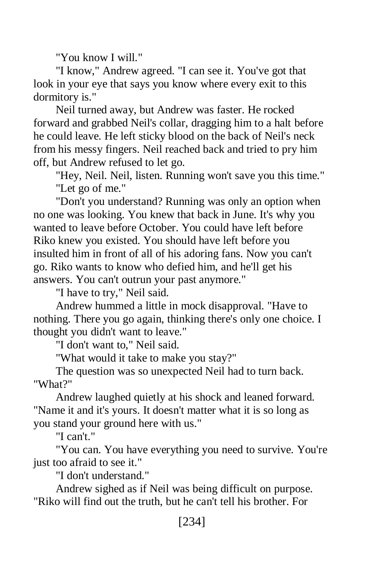"You know I will."

"I know," Andrew agreed. "I can see it. You've got that look in your eye that says you know where every exit to this dormitory is."

Neil turned away, but Andrew was faster. He rocked forward and grabbed Neil's collar, dragging him to a halt before he could leave. He left sticky blood on the back of Neil's neck from his messy fingers. Neil reached back and tried to pry him off, but Andrew refused to let go.

"Hey, Neil. Neil, listen. Running won't save you this time." "Let go of me."

"Don't you understand? Running was only an option when no one was looking. You knew that back in June. It's why you wanted to leave before October. You could have left before Riko knew you existed. You should have left before you insulted him in front of all of his adoring fans. Now you can't go. Riko wants to know who defied him, and he'll get his answers. You can't outrun your past anymore."

"I have to try," Neil said.

Andrew hummed a little in mock disapproval. "Have to nothing. There you go again, thinking there's only one choice. I thought you didn't want to leave."

"I don't want to," Neil said.

"What would it take to make you stay?"

The question was so unexpected Neil had to turn back. "What?"

Andrew laughed quietly at his shock and leaned forward. "Name it and it's yours. It doesn't matter what it is so long as you stand your ground here with us."

"I can't."

"You can. You have everything you need to survive. You're just too afraid to see it."

"I don't understand."

Andrew sighed as if Neil was being difficult on purpose. "Riko will find out the truth, but he can't tell his brother. For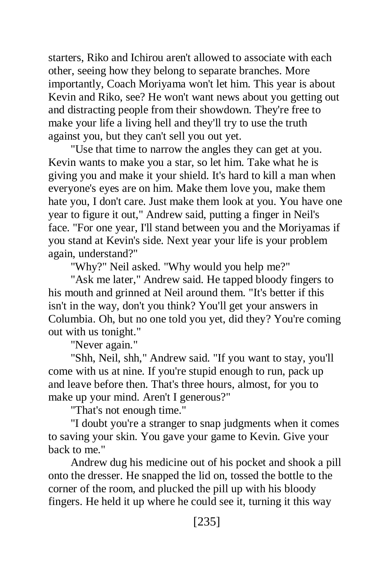starters, Riko and Ichirou aren't allowed to associate with each other, seeing how they belong to separate branches. More importantly, Coach Moriyama won't let him. This year is about Kevin and Riko, see? He won't want news about you getting out and distracting people from their showdown. They're free to make your life a living hell and they'll try to use the truth against you, but they can't sell you out yet.

"Use that time to narrow the angles they can get at you. Kevin wants to make you a star, so let him. Take what he is giving you and make it your shield. It's hard to kill a man when everyone's eyes are on him. Make them love you, make them hate you, I don't care. Just make them look at you. You have one year to figure it out," Andrew said, putting a finger in Neil's face. "For one year, I'll stand between you and the Moriyamas if you stand at Kevin's side. Next year your life is your problem again, understand?"

"Why?" Neil asked. "Why would you help me?"

"Ask me later," Andrew said. He tapped bloody fingers to his mouth and grinned at Neil around them. "It's better if this isn't in the way, don't you think? You'll get your answers in Columbia. Oh, but no one told you yet, did they? You're coming out with us tonight."

"Never again."

"Shh, Neil, shh," Andrew said. "If you want to stay, you'll come with us at nine. If you're stupid enough to run, pack up and leave before then. That's three hours, almost, for you to make up your mind. Aren't I generous?"

"That's not enough time."

"I doubt you're a stranger to snap judgments when it comes to saving your skin. You gave your game to Kevin. Give your back to me."

Andrew dug his medicine out of his pocket and shook a pill onto the dresser. He snapped the lid on, tossed the bottle to the corner of the room, and plucked the pill up with his bloody fingers. He held it up where he could see it, turning it this way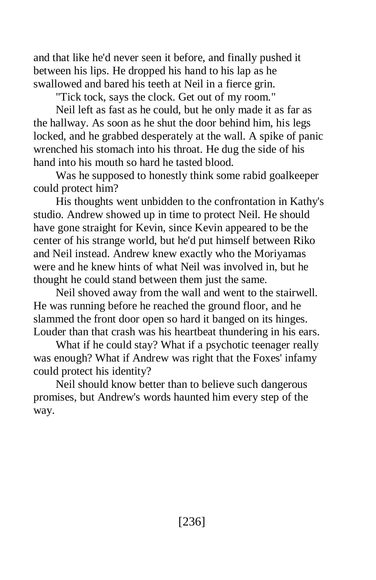and that like he'd never seen it before, and finally pushed it between his lips. He dropped his hand to his lap as he swallowed and bared his teeth at Neil in a fierce grin.

"Tick tock, says the clock. Get out of my room."

Neil left as fast as he could, but he only made it as far as the hallway. As soon as he shut the door behind him, his legs locked, and he grabbed desperately at the wall. A spike of panic wrenched his stomach into his throat. He dug the side of his hand into his mouth so hard he tasted blood.

Was he supposed to honestly think some rabid goalkeeper could protect him?

His thoughts went unbidden to the confrontation in Kathy's studio. Andrew showed up in time to protect Neil. He should have gone straight for Kevin, since Kevin appeared to be the center of his strange world, but he'd put himself between Riko and Neil instead. Andrew knew exactly who the Moriyamas were and he knew hints of what Neil was involved in, but he thought he could stand between them just the same.

Neil shoved away from the wall and went to the stairwell. He was running before he reached the ground floor, and he slammed the front door open so hard it banged on its hinges. Louder than that crash was his heartbeat thundering in his ears.

What if he could stay? What if a psychotic teenager really was enough? What if Andrew was right that the Foxes' infamy could protect his identity?

Neil should know better than to believe such dangerous promises, but Andrew's words haunted him every step of the way.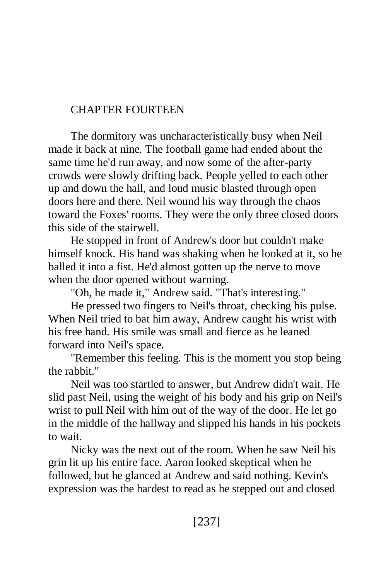## CHAPTER FOURTEEN

The dormitory was uncharacteristically busy when Neil made it back at nine. The football game had ended about the same time he'd run away, and now some of the after-party crowds were slowly drifting back. People yelled to each other up and down the hall, and loud music blasted through open doors here and there. Neil wound his way through the chaos toward the Foxes' rooms. They were the only three closed doors this side of the stairwell.

He stopped in front of Andrew's door but couldn't make himself knock. His hand was shaking when he looked at it, so he balled it into a fist. He'd almost gotten up the nerve to move when the door opened without warning.

"Oh, he made it," Andrew said. "That's interesting."

He pressed two fingers to Neil's throat, checking his pulse. When Neil tried to bat him away, Andrew caught his wrist with his free hand. His smile was small and fierce as he leaned forward into Neil's space.

"Remember this feeling. This is the moment you stop being the rabbit."

Neil was too startled to answer, but Andrew didn't wait. He slid past Neil, using the weight of his body and his grip on Neil's wrist to pull Neil with him out of the way of the door. He let go in the middle of the hallway and slipped his hands in his pockets to wait.

Nicky was the next out of the room. When he saw Neil his grin lit up his entire face. Aaron looked skeptical when he followed, but he glanced at Andrew and said nothing. Kevin's expression was the hardest to read as he stepped out and closed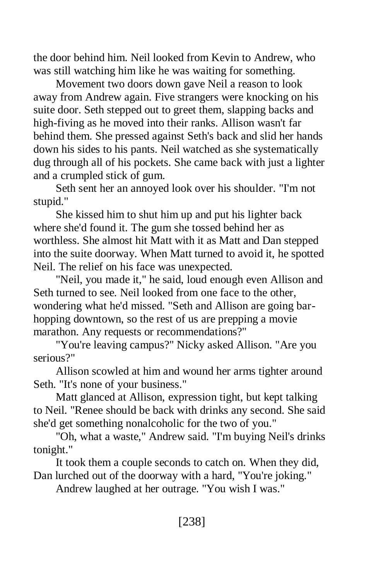the door behind him. Neil looked from Kevin to Andrew, who was still watching him like he was waiting for something.

Movement two doors down gave Neil a reason to look away from Andrew again. Five strangers were knocking on his suite door. Seth stepped out to greet them, slapping backs and high-fiving as he moved into their ranks. Allison wasn't far behind them. She pressed against Seth's back and slid her hands down his sides to his pants. Neil watched as she systematically dug through all of his pockets. She came back with just a lighter and a crumpled stick of gum.

Seth sent her an annoyed look over his shoulder. "I'm not stupid."

She kissed him to shut him up and put his lighter back where she'd found it. The gum she tossed behind her as worthless. She almost hit Matt with it as Matt and Dan stepped into the suite doorway. When Matt turned to avoid it, he spotted Neil. The relief on his face was unexpected.

"Neil, you made it," he said, loud enough even Allison and Seth turned to see. Neil looked from one face to the other, wondering what he'd missed. "Seth and Allison are going barhopping downtown, so the rest of us are prepping a movie marathon. Any requests or recommendations?"

"You're leaving campus?" Nicky asked Allison. "Are you serious?"

Allison scowled at him and wound her arms tighter around Seth. "It's none of your business."

Matt glanced at Allison, expression tight, but kept talking to Neil. "Renee should be back with drinks any second. She said she'd get something nonalcoholic for the two of you."

"Oh, what a waste," Andrew said. "I'm buying Neil's drinks tonight."

It took them a couple seconds to catch on. When they did, Dan lurched out of the doorway with a hard, "You're joking."

Andrew laughed at her outrage. "You wish I was."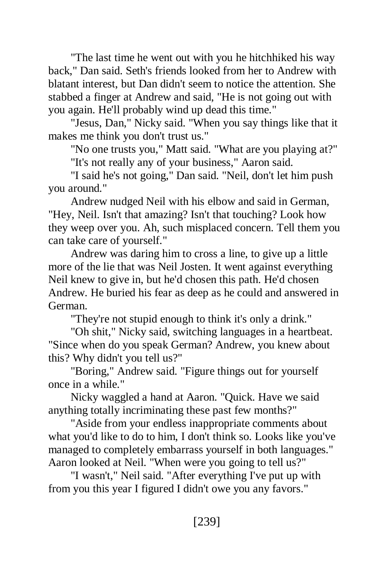"The last time he went out with you he hitchhiked his way back," Dan said. Seth's friends looked from her to Andrew with blatant interest, but Dan didn't seem to notice the attention. She stabbed a finger at Andrew and said, "He is not going out with you again. He'll probably wind up dead this time."

"Jesus, Dan," Nicky said. "When you say things like that it makes me think you don't trust us."

"No one trusts you," Matt said. "What are you playing at?"

"It's not really any of your business," Aaron said.

"I said he's not going," Dan said. "Neil, don't let him push you around."

Andrew nudged Neil with his elbow and said in German, "Hey, Neil. Isn't that amazing? Isn't that touching? Look how they weep over you. Ah, such misplaced concern. Tell them you can take care of yourself."

Andrew was daring him to cross a line, to give up a little more of the lie that was Neil Josten. It went against everything Neil knew to give in, but he'd chosen this path. He'd chosen Andrew. He buried his fear as deep as he could and answered in German.

"They're not stupid enough to think it's only a drink."

"Oh shit," Nicky said, switching languages in a heartbeat. "Since when do you speak German? Andrew, you knew about this? Why didn't you tell us?"

"Boring," Andrew said. "Figure things out for yourself once in a while."

Nicky waggled a hand at Aaron. "Quick. Have we said anything totally incriminating these past few months?"

"Aside from your endless inappropriate comments about what you'd like to do to him, I don't think so. Looks like you've managed to completely embarrass yourself in both languages." Aaron looked at Neil. "When were you going to tell us?"

"I wasn't," Neil said. "After everything I've put up with from you this year I figured I didn't owe you any favors."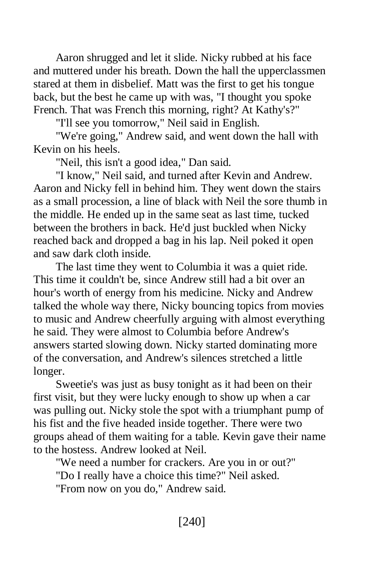Aaron shrugged and let it slide. Nicky rubbed at his face and muttered under his breath. Down the hall the upperclassmen stared at them in disbelief. Matt was the first to get his tongue back, but the best he came up with was, "I thought you spoke French. That was French this morning, right? At Kathy's?"

"I'll see you tomorrow," Neil said in English.

"We're going," Andrew said, and went down the hall with Kevin on his heels.

"Neil, this isn't a good idea," Dan said.

"I know," Neil said, and turned after Kevin and Andrew. Aaron and Nicky fell in behind him. They went down the stairs as a small procession, a line of black with Neil the sore thumb in the middle. He ended up in the same seat as last time, tucked between the brothers in back. He'd just buckled when Nicky reached back and dropped a bag in his lap. Neil poked it open and saw dark cloth inside.

The last time they went to Columbia it was a quiet ride. This time it couldn't be, since Andrew still had a bit over an hour's worth of energy from his medicine. Nicky and Andrew talked the whole way there, Nicky bouncing topics from movies to music and Andrew cheerfully arguing with almost everything he said. They were almost to Columbia before Andrew's answers started slowing down. Nicky started dominating more of the conversation, and Andrew's silences stretched a little longer.

Sweetie's was just as busy tonight as it had been on their first visit, but they were lucky enough to show up when a car was pulling out. Nicky stole the spot with a triumphant pump of his fist and the five headed inside together. There were two groups ahead of them waiting for a table. Kevin gave their name to the hostess. Andrew looked at Neil.

"We need a number for crackers. Are you in or out?"

"Do I really have a choice this time?" Neil asked.

"From now on you do," Andrew said.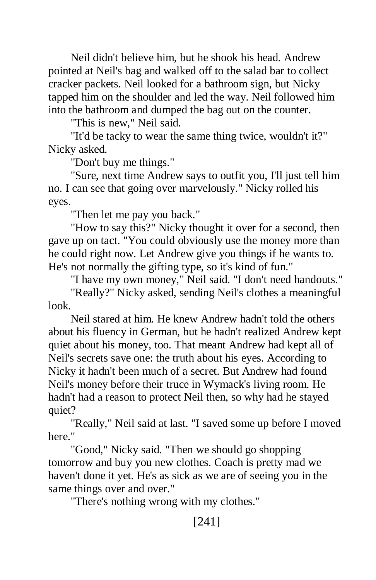Neil didn't believe him, but he shook his head. Andrew pointed at Neil's bag and walked off to the salad bar to collect cracker packets. Neil looked for a bathroom sign, but Nicky tapped him on the shoulder and led the way. Neil followed him into the bathroom and dumped the bag out on the counter.

"This is new," Neil said.

"It'd be tacky to wear the same thing twice, wouldn't it?" Nicky asked.

"Don't buy me things."

"Sure, next time Andrew says to outfit you, I'll just tell him no. I can see that going over marvelously." Nicky rolled his eyes.

"Then let me pay you back."

"How to say this?" Nicky thought it over for a second, then gave up on tact. "You could obviously use the money more than he could right now. Let Andrew give you things if he wants to. He's not normally the gifting type, so it's kind of fun."

"I have my own money," Neil said. "I don't need handouts."

"Really?" Nicky asked, sending Neil's clothes a meaningful look.

Neil stared at him. He knew Andrew hadn't told the others about his fluency in German, but he hadn't realized Andrew kept quiet about his money, too. That meant Andrew had kept all of Neil's secrets save one: the truth about his eyes. According to Nicky it hadn't been much of a secret. But Andrew had found Neil's money before their truce in Wymack's living room. He hadn't had a reason to protect Neil then, so why had he stayed quiet?

"Really," Neil said at last. "I saved some up before I moved here."

"Good," Nicky said. "Then we should go shopping tomorrow and buy you new clothes. Coach is pretty mad we haven't done it yet. He's as sick as we are of seeing you in the same things over and over."

"There's nothing wrong with my clothes."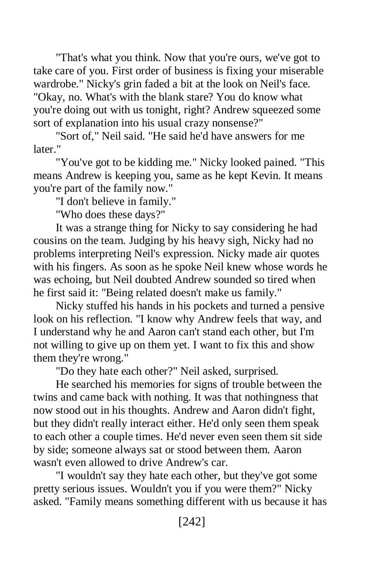"That's what you think. Now that you're ours, we've got to take care of you. First order of business is fixing your miserable wardrobe." Nicky's grin faded a bit at the look on Neil's face. "Okay, no. What's with the blank stare? You do know what you're doing out with us tonight, right? Andrew squeezed some sort of explanation into his usual crazy nonsense?"

"Sort of," Neil said. "He said he'd have answers for me later."

"You've got to be kidding me." Nicky looked pained. "This means Andrew is keeping you, same as he kept Kevin. It means you're part of the family now."

"I don't believe in family."

"Who does these days?"

It was a strange thing for Nicky to say considering he had cousins on the team. Judging by his heavy sigh, Nicky had no problems interpreting Neil's expression. Nicky made air quotes with his fingers. As soon as he spoke Neil knew whose words he was echoing, but Neil doubted Andrew sounded so tired when he first said it: "Being related doesn't make us family."

Nicky stuffed his hands in his pockets and turned a pensive look on his reflection. "I know why Andrew feels that way, and I understand why he and Aaron can't stand each other, but I'm not willing to give up on them yet. I want to fix this and show them they're wrong."

"Do they hate each other?" Neil asked, surprised.

He searched his memories for signs of trouble between the twins and came back with nothing. It was that nothingness that now stood out in his thoughts. Andrew and Aaron didn't fight, but they didn't really interact either. He'd only seen them speak to each other a couple times. He'd never even seen them sit side by side; someone always sat or stood between them. Aaron wasn't even allowed to drive Andrew's car.

"I wouldn't say they hate each other, but they've got some pretty serious issues. Wouldn't you if you were them?" Nicky asked. "Family means something different with us because it has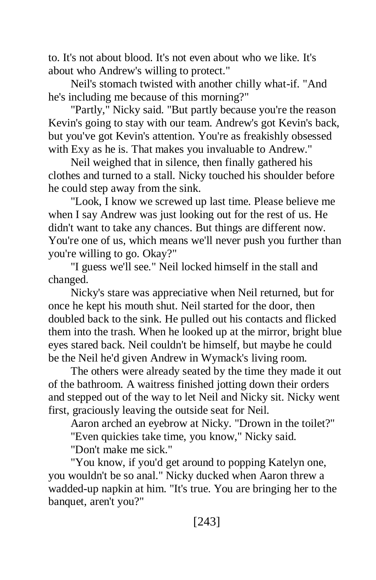to. It's not about blood. It's not even about who we like. It's about who Andrew's willing to protect."

Neil's stomach twisted with another chilly what-if. "And he's including me because of this morning?"

"Partly," Nicky said. "But partly because you're the reason Kevin's going to stay with our team. Andrew's got Kevin's back, but you've got Kevin's attention. You're as freakishly obsessed with Exy as he is. That makes you invaluable to Andrew."

Neil weighed that in silence, then finally gathered his clothes and turned to a stall. Nicky touched his shoulder before he could step away from the sink.

"Look, I know we screwed up last time. Please believe me when I say Andrew was just looking out for the rest of us. He didn't want to take any chances. But things are different now. You're one of us, which means we'll never push you further than you're willing to go. Okay?"

"I guess we'll see." Neil locked himself in the stall and changed.

Nicky's stare was appreciative when Neil returned, but for once he kept his mouth shut. Neil started for the door, then doubled back to the sink. He pulled out his contacts and flicked them into the trash. When he looked up at the mirror, bright blue eyes stared back. Neil couldn't be himself, but maybe he could be the Neil he'd given Andrew in Wymack's living room.

The others were already seated by the time they made it out of the bathroom. A waitress finished jotting down their orders and stepped out of the way to let Neil and Nicky sit. Nicky went first, graciously leaving the outside seat for Neil.

Aaron arched an eyebrow at Nicky. "Drown in the toilet?"

"Even quickies take time, you know," Nicky said.

"Don't make me sick."

"You know, if you'd get around to popping Katelyn one, you wouldn't be so anal." Nicky ducked when Aaron threw a wadded-up napkin at him. "It's true. You are bringing her to the banquet, aren't you?"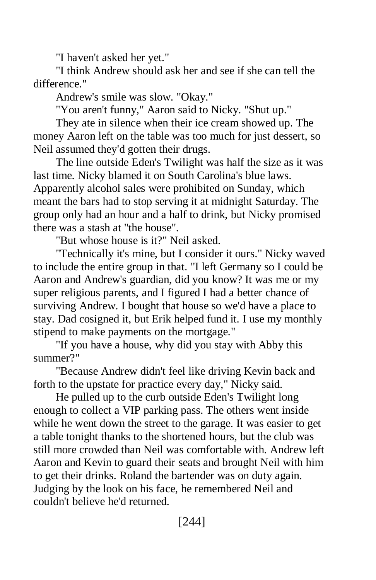"I haven't asked her yet."

"I think Andrew should ask her and see if she can tell the difference."

Andrew's smile was slow. "Okay."

"You aren't funny," Aaron said to Nicky. "Shut up."

They ate in silence when their ice cream showed up. The money Aaron left on the table was too much for just dessert, so Neil assumed they'd gotten their drugs.

The line outside Eden's Twilight was half the size as it was last time. Nicky blamed it on South Carolina's blue laws. Apparently alcohol sales were prohibited on Sunday, which meant the bars had to stop serving it at midnight Saturday. The group only had an hour and a half to drink, but Nicky promised there was a stash at "the house".

"But whose house is it?" Neil asked.

"Technically it's mine, but I consider it ours." Nicky waved to include the entire group in that. "I left Germany so I could be Aaron and Andrew's guardian, did you know? It was me or my super religious parents, and I figured I had a better chance of surviving Andrew. I bought that house so we'd have a place to stay. Dad cosigned it, but Erik helped fund it. I use my monthly stipend to make payments on the mortgage."

"If you have a house, why did you stay with Abby this summer?"

"Because Andrew didn't feel like driving Kevin back and forth to the upstate for practice every day," Nicky said.

He pulled up to the curb outside Eden's Twilight long enough to collect a VIP parking pass. The others went inside while he went down the street to the garage. It was easier to get a table tonight thanks to the shortened hours, but the club was still more crowded than Neil was comfortable with. Andrew left Aaron and Kevin to guard their seats and brought Neil with him to get their drinks. Roland the bartender was on duty again. Judging by the look on his face, he remembered Neil and couldn't believe he'd returned.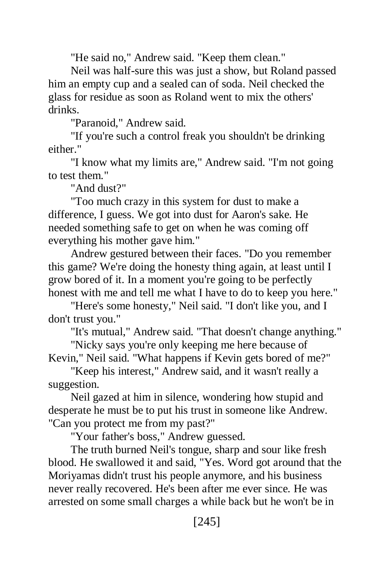"He said no," Andrew said. "Keep them clean."

Neil was half-sure this was just a show, but Roland passed him an empty cup and a sealed can of soda. Neil checked the glass for residue as soon as Roland went to mix the others' drinks.

"Paranoid," Andrew said.

"If you're such a control freak you shouldn't be drinking either."

"I know what my limits are," Andrew said. "I'm not going to test them."

"And dust?"

"Too much crazy in this system for dust to make a difference, I guess. We got into dust for Aaron's sake. He needed something safe to get on when he was coming off everything his mother gave him."

Andrew gestured between their faces. "Do you remember this game? We're doing the honesty thing again, at least until I grow bored of it. In a moment you're going to be perfectly honest with me and tell me what I have to do to keep you here."

"Here's some honesty," Neil said. "I don't like you, and I don't trust you."

"It's mutual," Andrew said. "That doesn't change anything."

"Nicky says you're only keeping me here because of Kevin," Neil said. "What happens if Kevin gets bored of me?"

"Keep his interest," Andrew said, and it wasn't really a suggestion.

Neil gazed at him in silence, wondering how stupid and desperate he must be to put his trust in someone like Andrew. "Can you protect me from my past?"

"Your father's boss," Andrew guessed.

The truth burned Neil's tongue, sharp and sour like fresh blood. He swallowed it and said, "Yes. Word got around that the Moriyamas didn't trust his people anymore, and his business never really recovered. He's been after me ever since. He was arrested on some small charges a while back but he won't be in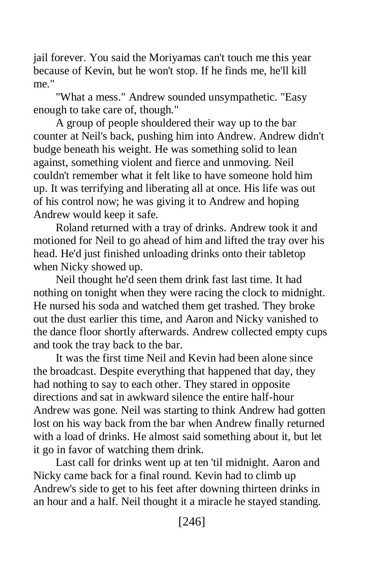jail forever. You said the Moriyamas can't touch me this year because of Kevin, but he won't stop. If he finds me, he'll kill me."

"What a mess." Andrew sounded unsympathetic. "Easy enough to take care of, though."

A group of people shouldered their way up to the bar counter at Neil's back, pushing him into Andrew. Andrew didn't budge beneath his weight. He was something solid to lean against, something violent and fierce and unmoving. Neil couldn't remember what it felt like to have someone hold him up. It was terrifying and liberating all at once. His life was out of his control now; he was giving it to Andrew and hoping Andrew would keep it safe.

Roland returned with a tray of drinks. Andrew took it and motioned for Neil to go ahead of him and lifted the tray over his head. He'd just finished unloading drinks onto their tabletop when Nicky showed up.

Neil thought he'd seen them drink fast last time. It had nothing on tonight when they were racing the clock to midnight. He nursed his soda and watched them get trashed. They broke out the dust earlier this time, and Aaron and Nicky vanished to the dance floor shortly afterwards. Andrew collected empty cups and took the tray back to the bar.

It was the first time Neil and Kevin had been alone since the broadcast. Despite everything that happened that day, they had nothing to say to each other. They stared in opposite directions and sat in awkward silence the entire half-hour Andrew was gone. Neil was starting to think Andrew had gotten lost on his way back from the bar when Andrew finally returned with a load of drinks. He almost said something about it, but let it go in favor of watching them drink.

Last call for drinks went up at ten 'til midnight. Aaron and Nicky came back for a final round. Kevin had to climb up Andrew's side to get to his feet after downing thirteen drinks in an hour and a half. Neil thought it a miracle he stayed standing.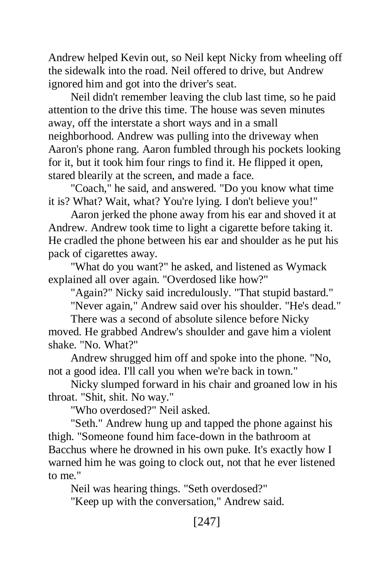Andrew helped Kevin out, so Neil kept Nicky from wheeling off the sidewalk into the road. Neil offered to drive, but Andrew ignored him and got into the driver's seat.

Neil didn't remember leaving the club last time, so he paid attention to the drive this time. The house was seven minutes away, off the interstate a short ways and in a small neighborhood. Andrew was pulling into the driveway when Aaron's phone rang. Aaron fumbled through his pockets looking for it, but it took him four rings to find it. He flipped it open, stared blearily at the screen, and made a face.

"Coach," he said, and answered. "Do you know what time it is? What? Wait, what? You're lying. I don't believe you!"

Aaron jerked the phone away from his ear and shoved it at Andrew. Andrew took time to light a cigarette before taking it. He cradled the phone between his ear and shoulder as he put his pack of cigarettes away.

"What do you want?" he asked, and listened as Wymack explained all over again. "Overdosed like how?"

"Again?" Nicky said incredulously. "That stupid bastard."

"Never again," Andrew said over his shoulder. "He's dead."

There was a second of absolute silence before Nicky moved. He grabbed Andrew's shoulder and gave him a violent shake. "No. What?"

Andrew shrugged him off and spoke into the phone. "No, not a good idea. I'll call you when we're back in town."

Nicky slumped forward in his chair and groaned low in his throat. "Shit, shit. No way."

"Who overdosed?" Neil asked.

"Seth." Andrew hung up and tapped the phone against his thigh. "Someone found him face-down in the bathroom at Bacchus where he drowned in his own puke. It's exactly how I warned him he was going to clock out, not that he ever listened to me."

Neil was hearing things. "Seth overdosed?"

"Keep up with the conversation," Andrew said.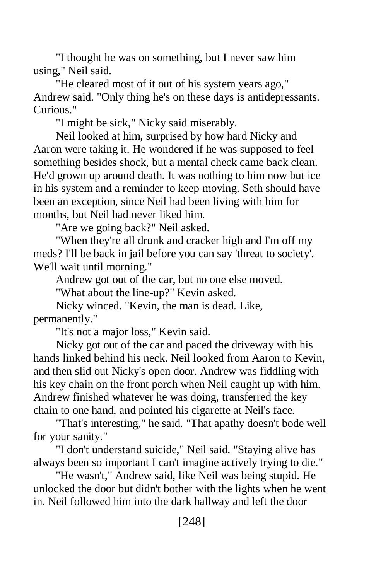"I thought he was on something, but I never saw him using," Neil said.

"He cleared most of it out of his system years ago," Andrew said. "Only thing he's on these days is antidepressants. Curious."

"I might be sick," Nicky said miserably.

Neil looked at him, surprised by how hard Nicky and Aaron were taking it. He wondered if he was supposed to feel something besides shock, but a mental check came back clean. He'd grown up around death. It was nothing to him now but ice in his system and a reminder to keep moving. Seth should have been an exception, since Neil had been living with him for months, but Neil had never liked him.

"Are we going back?" Neil asked.

"When they're all drunk and cracker high and I'm off my meds? I'll be back in jail before you can say 'threat to society'. We'll wait until morning."

Andrew got out of the car, but no one else moved.

"What about the line-up?" Kevin asked.

Nicky winced. "Kevin, the man is dead. Like, permanently."

"It's not a major loss," Kevin said.

Nicky got out of the car and paced the driveway with his hands linked behind his neck. Neil looked from Aaron to Kevin, and then slid out Nicky's open door. Andrew was fiddling with his key chain on the front porch when Neil caught up with him. Andrew finished whatever he was doing, transferred the key chain to one hand, and pointed his cigarette at Neil's face.

"That's interesting," he said. "That apathy doesn't bode well for your sanity."

"I don't understand suicide," Neil said. "Staying alive has always been so important I can't imagine actively trying to die."

"He wasn't," Andrew said, like Neil was being stupid. He unlocked the door but didn't bother with the lights when he went in. Neil followed him into the dark hallway and left the door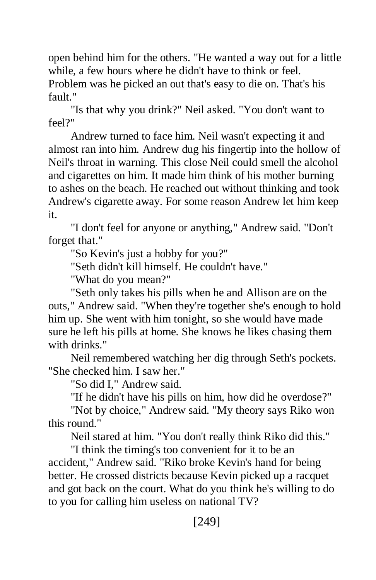open behind him for the others. "He wanted a way out for a little while, a few hours where he didn't have to think or feel. Problem was he picked an out that's easy to die on. That's his fault."

"Is that why you drink?" Neil asked. "You don't want to feel?"

Andrew turned to face him. Neil wasn't expecting it and almost ran into him. Andrew dug his fingertip into the hollow of Neil's throat in warning. This close Neil could smell the alcohol and cigarettes on him. It made him think of his mother burning to ashes on the beach. He reached out without thinking and took Andrew's cigarette away. For some reason Andrew let him keep it.

"I don't feel for anyone or anything," Andrew said. "Don't forget that."

"So Kevin's just a hobby for you?"

"Seth didn't kill himself. He couldn't have."

"What do you mean?"

"Seth only takes his pills when he and Allison are on the outs," Andrew said. "When they're together she's enough to hold him up. She went with him tonight, so she would have made sure he left his pills at home. She knows he likes chasing them with drinks."

Neil remembered watching her dig through Seth's pockets. "She checked him. I saw her."

"So did I," Andrew said.

"If he didn't have his pills on him, how did he overdose?"

"Not by choice," Andrew said. "My theory says Riko won this round."

Neil stared at him. "You don't really think Riko did this."

"I think the timing's too convenient for it to be an accident," Andrew said. "Riko broke Kevin's hand for being better. He crossed districts because Kevin picked up a racquet and got back on the court. What do you think he's willing to do to you for calling him useless on national TV?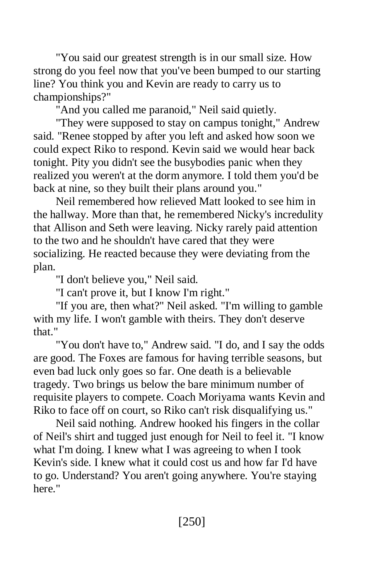"You said our greatest strength is in our small size. How strong do you feel now that you've been bumped to our starting line? You think you and Kevin are ready to carry us to championships?"

"And you called me paranoid," Neil said quietly.

"They were supposed to stay on campus tonight," Andrew said. "Renee stopped by after you left and asked how soon we could expect Riko to respond. Kevin said we would hear back tonight. Pity you didn't see the busybodies panic when they realized you weren't at the dorm anymore. I told them you'd be back at nine, so they built their plans around you."

Neil remembered how relieved Matt looked to see him in the hallway. More than that, he remembered Nicky's incredulity that Allison and Seth were leaving. Nicky rarely paid attention to the two and he shouldn't have cared that they were socializing. He reacted because they were deviating from the plan.

"I don't believe you," Neil said.

"I can't prove it, but I know I'm right."

"If you are, then what?" Neil asked. "I'm willing to gamble with my life. I won't gamble with theirs. They don't deserve that."

"You don't have to," Andrew said. "I do, and I say the odds are good. The Foxes are famous for having terrible seasons, but even bad luck only goes so far. One death is a believable tragedy. Two brings us below the bare minimum number of requisite players to compete. Coach Moriyama wants Kevin and Riko to face off on court, so Riko can't risk disqualifying us."

Neil said nothing. Andrew hooked his fingers in the collar of Neil's shirt and tugged just enough for Neil to feel it. "I know what I'm doing. I knew what I was agreeing to when I took Kevin's side. I knew what it could cost us and how far I'd have to go. Understand? You aren't going anywhere. You're staying here."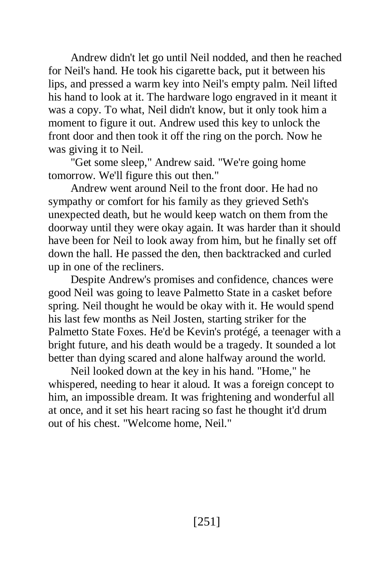Andrew didn't let go until Neil nodded, and then he reached for Neil's hand. He took his cigarette back, put it between his lips, and pressed a warm key into Neil's empty palm. Neil lifted his hand to look at it. The hardware logo engraved in it meant it was a copy. To what, Neil didn't know, but it only took him a moment to figure it out. Andrew used this key to unlock the front door and then took it off the ring on the porch. Now he was giving it to Neil.

"Get some sleep," Andrew said. "We're going home tomorrow. We'll figure this out then."

Andrew went around Neil to the front door. He had no sympathy or comfort for his family as they grieved Seth's unexpected death, but he would keep watch on them from the doorway until they were okay again. It was harder than it should have been for Neil to look away from him, but he finally set off down the hall. He passed the den, then backtracked and curled up in one of the recliners.

Despite Andrew's promises and confidence, chances were good Neil was going to leave Palmetto State in a casket before spring. Neil thought he would be okay with it. He would spend his last few months as Neil Josten, starting striker for the Palmetto State Foxes. He'd be Kevin's protégé, a teenager with a bright future, and his death would be a tragedy. It sounded a lot better than dying scared and alone halfway around the world.

Neil looked down at the key in his hand. "Home," he whispered, needing to hear it aloud. It was a foreign concept to him, an impossible dream. It was frightening and wonderful all at once, and it set his heart racing so fast he thought it'd drum out of his chest. "Welcome home, Neil."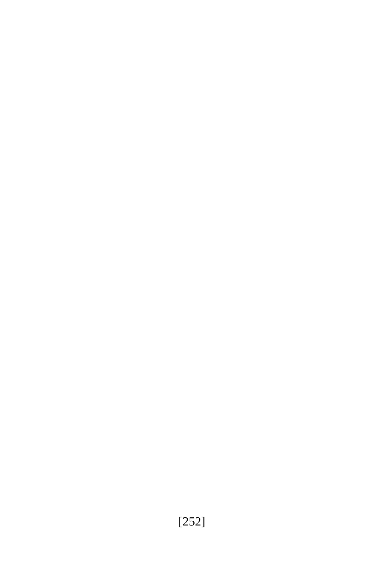# [252]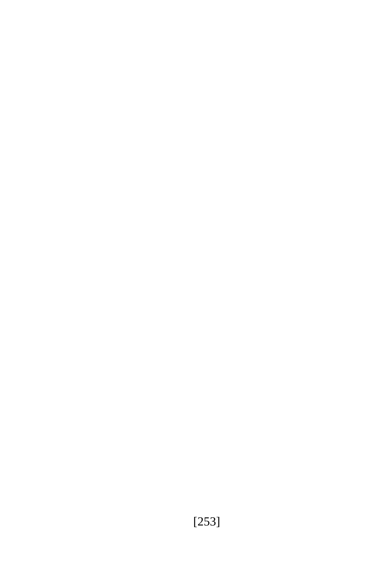# [253]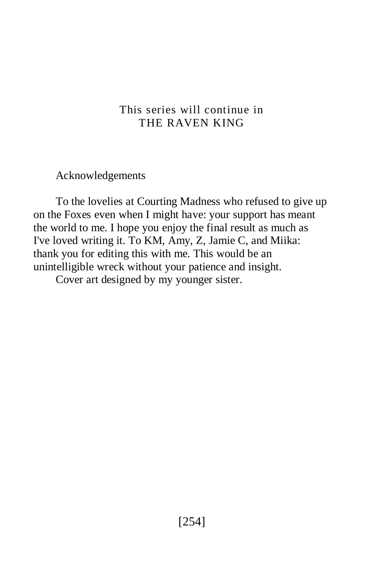### This series will continue in THE RAVEN KING

Acknowledgements

To the lovelies at Courting Madness who refused to give up on the Foxes even when I might have: your support has meant the world to me. I hope you enjoy the final result as much as I've loved writing it. To KM, Amy, Z, Jamie C, and Miika: thank you for editing this with me. This would be an unintelligible wreck without your patience and insight.

Cover art designed by my younger sister.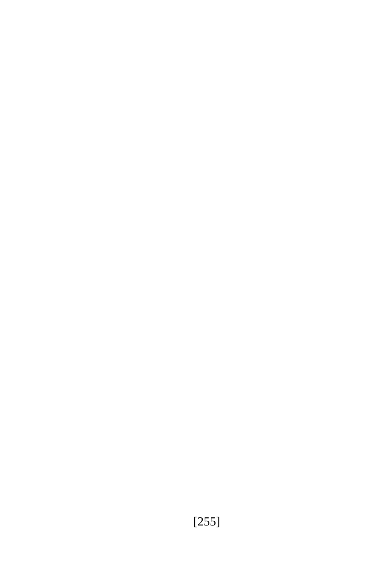# [255]